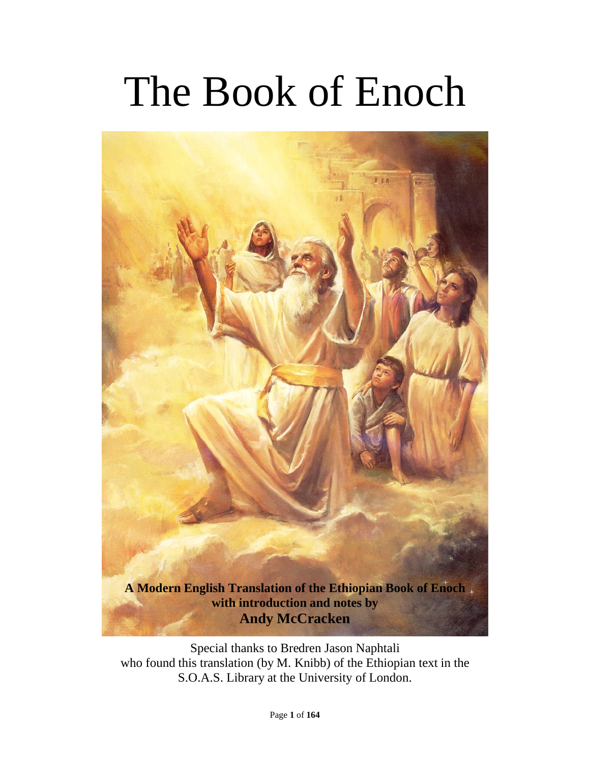# The Book of Enoch



Special thanks to Bredren Jason Naphtali who found this translation (by M. Knibb) of the Ethiopian text in the S.O.A.S. Library at the University of London.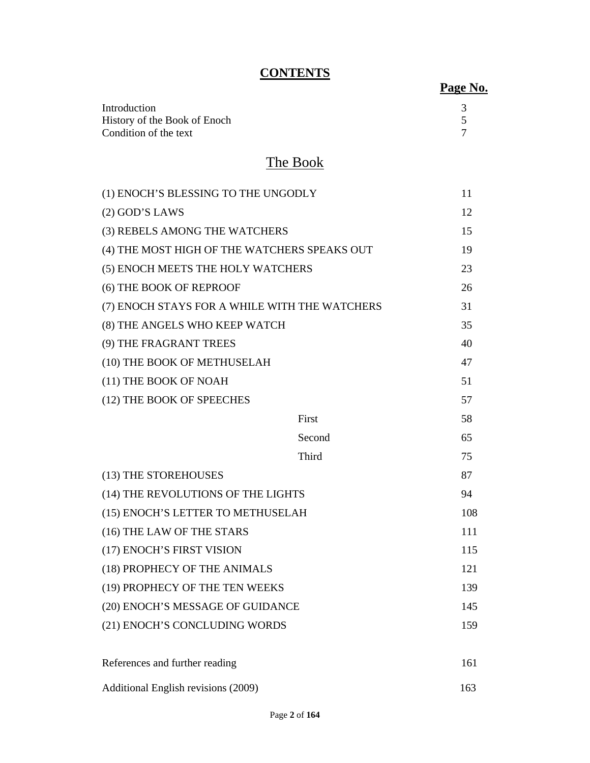# **CONTENTS**

| Introduction                 |  |
|------------------------------|--|
| History of the Book of Enoch |  |
| Condition of the text        |  |

# The Book

| (1) ENOCH'S BLESSING TO THE UNGODLY           |        | 11  |
|-----------------------------------------------|--------|-----|
| $(2)$ GOD'S LAWS                              |        | 12  |
| (3) REBELS AMONG THE WATCHERS                 |        | 15  |
| (4) THE MOST HIGH OF THE WATCHERS SPEAKS OUT  |        | 19  |
| (5) ENOCH MEETS THE HOLY WATCHERS             |        | 23  |
| (6) THE BOOK OF REPROOF                       |        |     |
| (7) ENOCH STAYS FOR A WHILE WITH THE WATCHERS |        |     |
| (8) THE ANGELS WHO KEEP WATCH                 |        | 35  |
| (9) THE FRAGRANT TREES                        |        | 40  |
| (10) THE BOOK OF METHUSELAH                   |        | 47  |
| (11) THE BOOK OF NOAH                         |        | 51  |
| (12) THE BOOK OF SPEECHES                     |        | 57  |
|                                               | First  | 58  |
|                                               | Second | 65  |
|                                               | Third  | 75  |
| (13) THE STOREHOUSES                          |        | 87  |
| (14) THE REVOLUTIONS OF THE LIGHTS            |        | 94  |
| (15) ENOCH'S LETTER TO METHUSELAH             |        | 108 |
| (16) THE LAW OF THE STARS                     |        | 111 |
| (17) ENOCH'S FIRST VISION                     |        | 115 |
| (18) PROPHECY OF THE ANIMALS                  |        | 121 |
| (19) PROPHECY OF THE TEN WEEKS                |        | 139 |
| (20) ENOCH'S MESSAGE OF GUIDANCE              |        | 145 |
| (21) ENOCH'S CONCLUDING WORDS                 |        | 159 |
| References and further reading                |        | 161 |
| Additional English revisions (2009)           |        | 163 |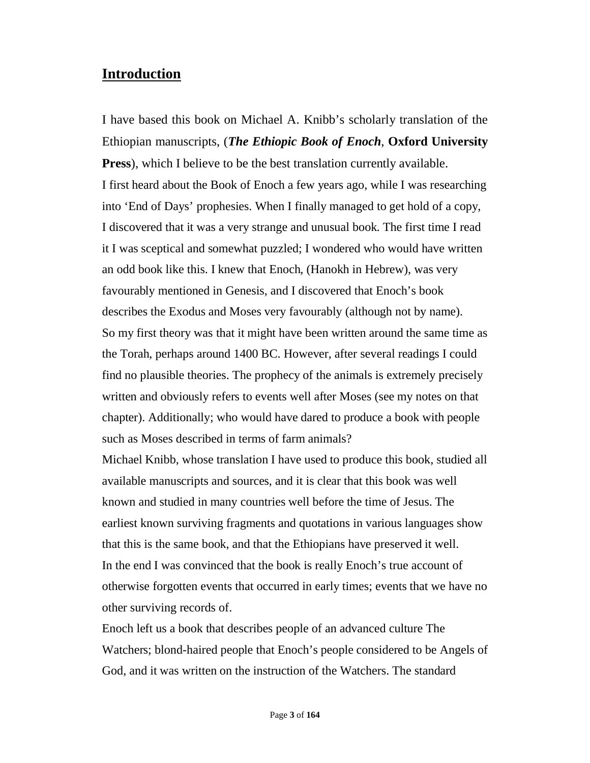# **Introduction**

I have based this book on Michael A. Knibb's scholarly translation of the Ethiopian manuscripts, (*The Ethiopic Book of Enoch*, **Oxford University Press**), which I believe to be the best translation currently available. I first heard about the Book of Enoch a few years ago, while I was researching into 'End of Days' prophesies. When I finally managed to get hold of a copy, I discovered that it was a very strange and unusual book. The first time I read it I was sceptical and somewhat puzzled; I wondered who would have written an odd book like this. I knew that Enoch, (Hanokh in Hebrew), was very favourably mentioned in Genesis, and I discovered that Enoch's book describes the Exodus and Moses very favourably (although not by name). So my first theory was that it might have been written around the same time as the Torah, perhaps around 1400 BC. However, after several readings I could find no plausible theories. The prophecy of the animals is extremely precisely written and obviously refers to events well after Moses (see my notes on that chapter). Additionally; who would have dared to produce a book with people such as Moses described in terms of farm animals?

Michael Knibb, whose translation I have used to produce this book, studied all available manuscripts and sources, and it is clear that this book was well known and studied in many countries well before the time of Jesus. The earliest known surviving fragments and quotations in various languages show that this is the same book, and that the Ethiopians have preserved it well. In the end I was convinced that the book is really Enoch's true account of otherwise forgotten events that occurred in early times; events that we have no other surviving records of.

Enoch left us a book that describes people of an advanced culture The Watchers; blond-haired people that Enoch's people considered to be Angels of God, and it was written on the instruction of the Watchers. The standard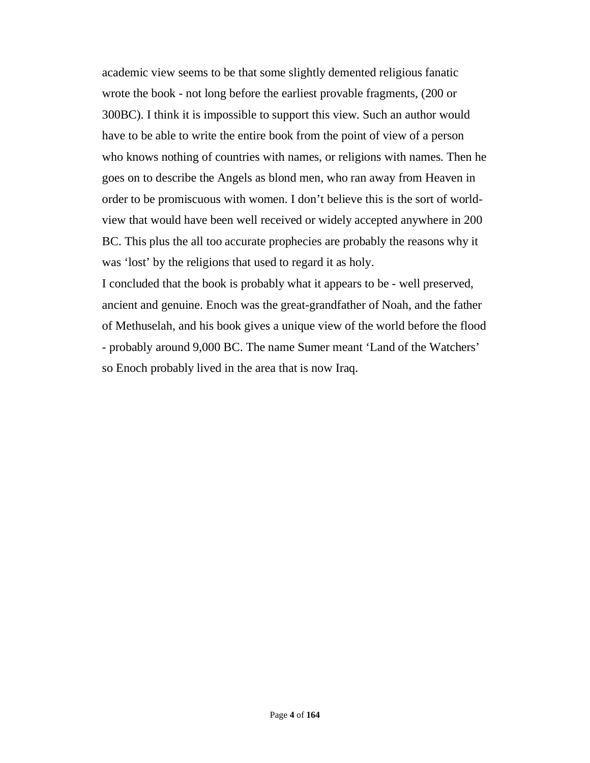academic view seems to be that some slightly demented religious fanatic wrote the book - not long before the earliest provable fragments, (200 or 300BC). I think it is impossible to support this view. Such an author would have to be able to write the entire book from the point of view of a person who knows nothing of countries with names, or religions with names. Then he goes on to describe the Angels as blond men, who ran away from Heaven in order to be promiscuous with women. I don't believe this is the sort of worldview that would have been well received or widely accepted anywhere in 200 BC. This plus the all too accurate prophecies are probably the reasons why it was 'lost' by the religions that used to regard it as holy.

I concluded that the book is probably what it appears to be - well preserved, ancient and genuine. Enoch was the great-grandfather of Noah, and the father of Methuselah, and his book gives a unique view of the world before the flood - probably around 9,000 BC. The name Sumer meant 'Land of the Watchers' so Enoch probably lived in the area that is now Iraq.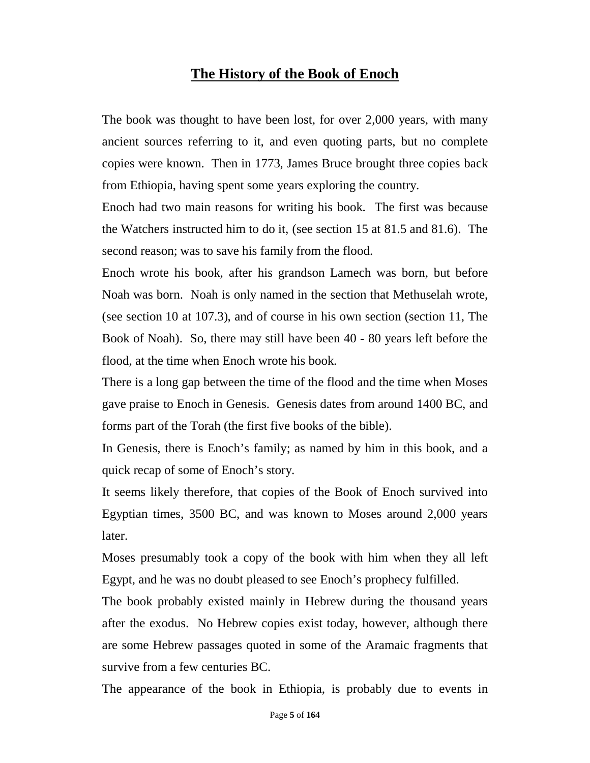# **The History of the Book of Enoch**

The book was thought to have been lost, for over 2,000 years, with many ancient sources referring to it, and even quoting parts, but no complete copies were known. Then in 1773, James Bruce brought three copies back from Ethiopia, having spent some years exploring the country.

Enoch had two main reasons for writing his book. The first was because the Watchers instructed him to do it, (see section 15 at 81.5 and 81.6). The second reason; was to save his family from the flood.

Enoch wrote his book, after his grandson Lamech was born, but before Noah was born. Noah is only named in the section that Methuselah wrote, (see section 10 at 107.3), and of course in his own section (section 11, The Book of Noah). So, there may still have been 40 - 80 years left before the flood, at the time when Enoch wrote his book.

There is a long gap between the time of the flood and the time when Moses gave praise to Enoch in Genesis. Genesis dates from around 1400 BC, and forms part of the Torah (the first five books of the bible).

In Genesis, there is Enoch's family; as named by him in this book, and a quick recap of some of Enoch's story.

It seems likely therefore, that copies of the Book of Enoch survived into Egyptian times, 3500 BC, and was known to Moses around 2,000 years later.

Moses presumably took a copy of the book with him when they all left Egypt, and he was no doubt pleased to see Enoch's prophecy fulfilled.

The book probably existed mainly in Hebrew during the thousand years after the exodus. No Hebrew copies exist today, however, although there are some Hebrew passages quoted in some of the Aramaic fragments that survive from a few centuries BC.

The appearance of the book in Ethiopia, is probably due to events in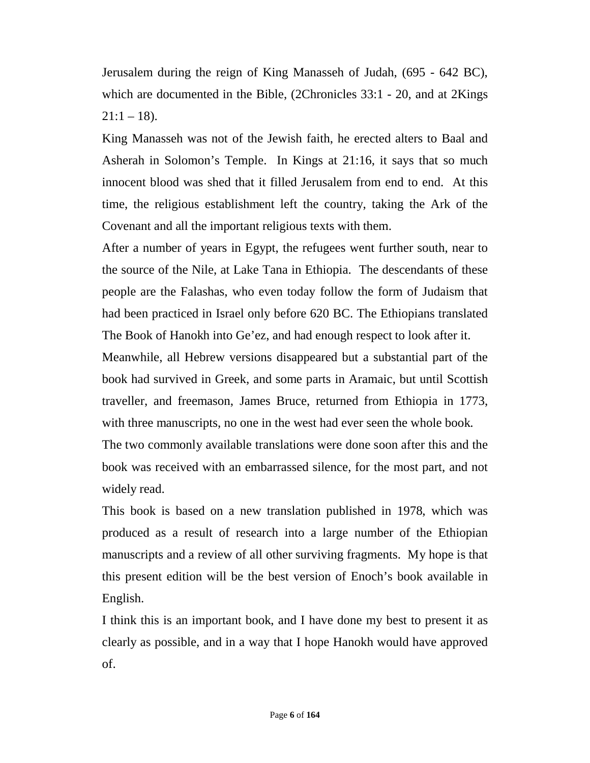Jerusalem during the reign of King Manasseh of Judah, (695 - 642 BC), which are documented in the Bible, (2Chronicles 33:1 - 20, and at 2Kings  $21:1 - 18$ ).

King Manasseh was not of the Jewish faith, he erected alters to Baal and Asherah in Solomon's Temple. In Kings at 21:16, it says that so much innocent blood was shed that it filled Jerusalem from end to end. At this time, the religious establishment left the country, taking the Ark of the Covenant and all the important religious texts with them.

After a number of years in Egypt, the refugees went further south, near to the source of the Nile, at Lake Tana in Ethiopia. The descendants of these people are the Falashas, who even today follow the form of Judaism that had been practiced in Israel only before 620 BC. The Ethiopians translated The Book of Hanokh into Ge'ez, and had enough respect to look after it.

Meanwhile, all Hebrew versions disappeared but a substantial part of the book had survived in Greek, and some parts in Aramaic, but until Scottish traveller, and freemason, James Bruce, returned from Ethiopia in 1773, with three manuscripts, no one in the west had ever seen the whole book.

The two commonly available translations were done soon after this and the book was received with an embarrassed silence, for the most part, and not widely read.

This book is based on a new translation published in 1978, which was produced as a result of research into a large number of the Ethiopian manuscripts and a review of all other surviving fragments. My hope is that this present edition will be the best version of Enoch's book available in English.

I think this is an important book, and I have done my best to present it as clearly as possible, and in a way that I hope Hanokh would have approved of.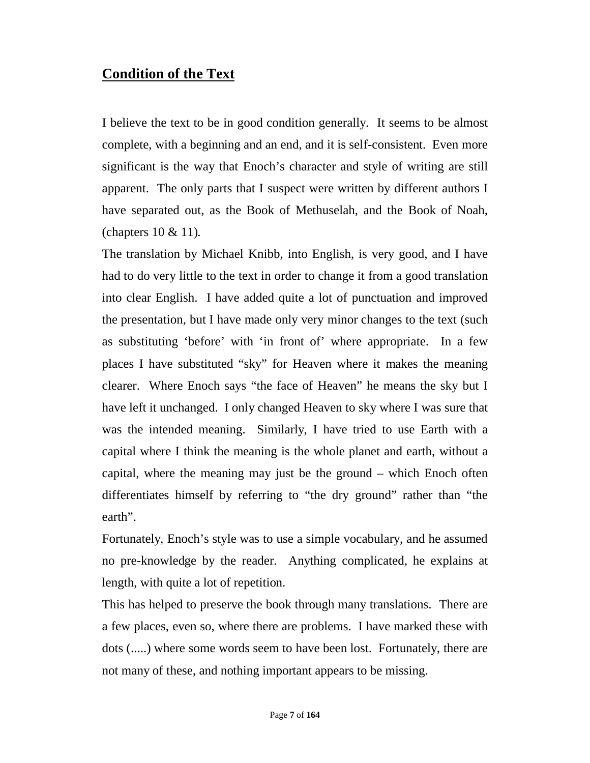# **Condition of the Text**

I believe the text to be in good condition generally. It seems to be almost complete, with a beginning and an end, and it is self-consistent. Even more significant is the way that Enoch's character and style of writing are still apparent. The only parts that I suspect were written by different authors I have separated out, as the Book of Methuselah, and the Book of Noah, (chapters 10 & 11).

The translation by Michael Knibb, into English, is very good, and I have had to do very little to the text in order to change it from a good translation into clear English. I have added quite a lot of punctuation and improved the presentation, but I have made only very minor changes to the text (such as substituting 'before' with 'in front of' where appropriate. In a few places I have substituted "sky" for Heaven where it makes the meaning clearer. Where Enoch says "the face of Heaven" he means the sky but I have left it unchanged. I only changed Heaven to sky where I was sure that was the intended meaning. Similarly, I have tried to use Earth with a capital where I think the meaning is the whole planet and earth, without a capital, where the meaning may just be the ground – which Enoch often differentiates himself by referring to "the dry ground" rather than "the earth".

Fortunately, Enoch's style was to use a simple vocabulary, and he assumed no pre-knowledge by the reader. Anything complicated, he explains at length, with quite a lot of repetition.

This has helped to preserve the book through many translations. There are a few places, even so, where there are problems. I have marked these with dots (.....) where some words seem to have been lost. Fortunately, there are not many of these, and nothing important appears to be missing.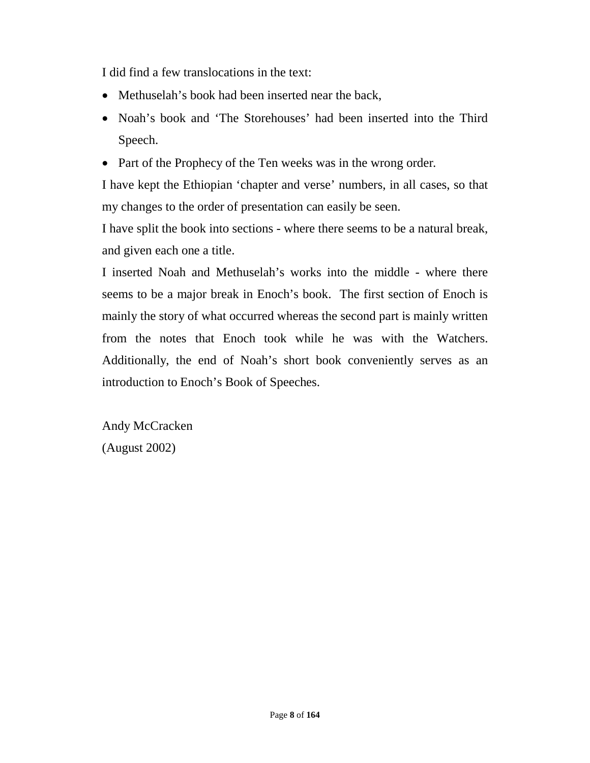I did find a few translocations in the text:

- Methuselah's book had been inserted near the back,
- Noah's book and 'The Storehouses' had been inserted into the Third Speech.
- Part of the Prophecy of the Ten weeks was in the wrong order.

I have kept the Ethiopian 'chapter and verse' numbers, in all cases, so that my changes to the order of presentation can easily be seen.

I have split the book into sections - where there seems to be a natural break, and given each one a title.

I inserted Noah and Methuselah's works into the middle - where there seems to be a major break in Enoch's book. The first section of Enoch is mainly the story of what occurred whereas the second part is mainly written from the notes that Enoch took while he was with the Watchers. Additionally, the end of Noah's short book conveniently serves as an introduction to Enoch's Book of Speeches.

Andy McCracken (August 2002)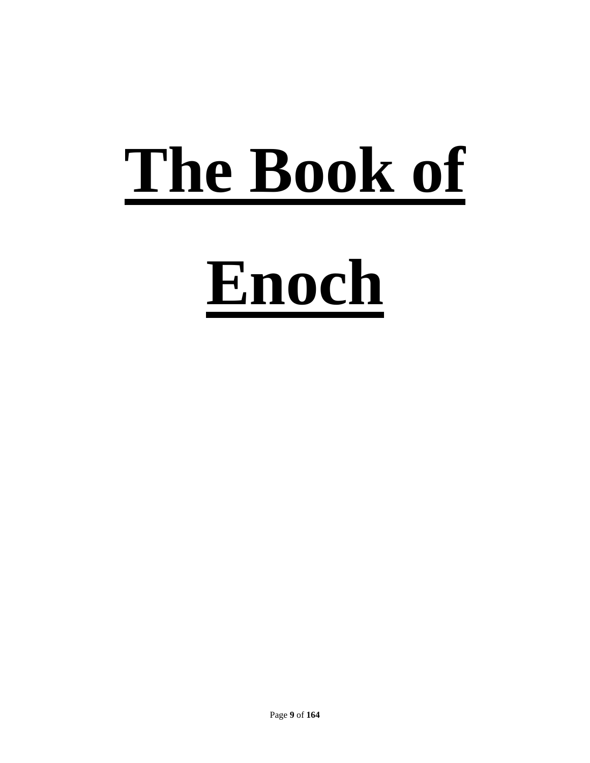# **The Book of Enoch**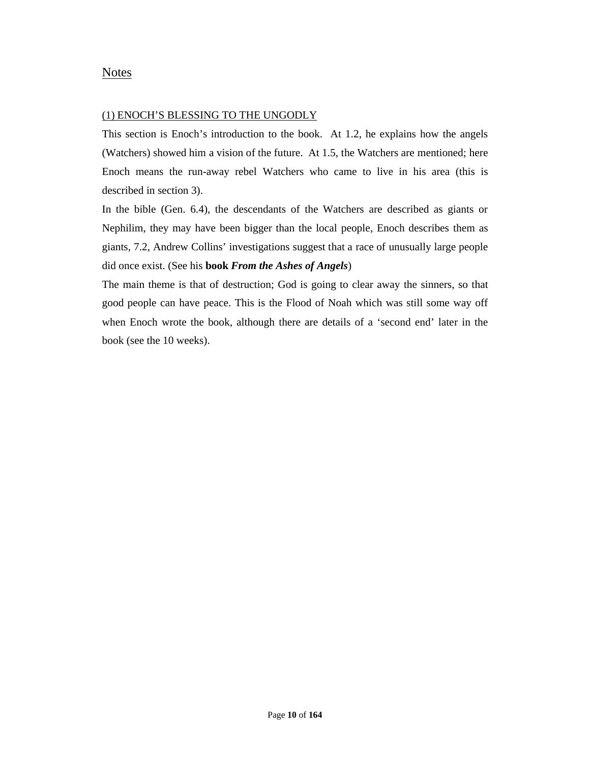#### Notes

#### (1) ENOCH'S BLESSING TO THE UNGODLY

This section is Enoch's introduction to the book. At 1.2, he explains how the angels (Watchers) showed him a vision of the future. At 1.5, the Watchers are mentioned; here Enoch means the run-away rebel Watchers who came to live in his area (this is described in section 3).

In the bible (Gen. 6.4), the descendants of the Watchers are described as giants or Nephilim, they may have been bigger than the local people, Enoch describes them as giants, 7.2, Andrew Collins' investigations suggest that a race of unusually large people did once exist. (See his **book** *From the Ashes of Angels*)

The main theme is that of destruction; God is going to clear away the sinners, so that good people can have peace. This is the Flood of Noah which was still some way off when Enoch wrote the book, although there are details of a 'second end' later in the book (see the 10 weeks).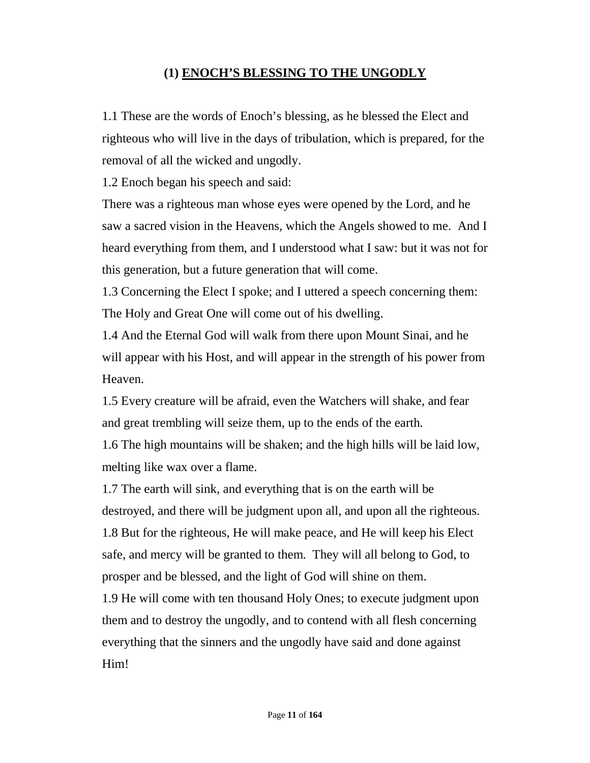# **(1) ENOCH'S BLESSING TO THE UNGODLY**

1.1 These are the words of Enoch's blessing, as he blessed the Elect and righteous who will live in the days of tribulation, which is prepared, for the removal of all the wicked and ungodly.

1.2 Enoch began his speech and said:

There was a righteous man whose eyes were opened by the Lord, and he saw a sacred vision in the Heavens, which the Angels showed to me. And I heard everything from them, and I understood what I saw: but it was not for this generation, but a future generation that will come.

1.3 Concerning the Elect I spoke; and I uttered a speech concerning them: The Holy and Great One will come out of his dwelling.

1.4 And the Eternal God will walk from there upon Mount Sinai, and he will appear with his Host, and will appear in the strength of his power from Heaven.

1.5 Every creature will be afraid, even the Watchers will shake, and fear and great trembling will seize them, up to the ends of the earth.

1.6 The high mountains will be shaken; and the high hills will be laid low, melting like wax over a flame.

1.7 The earth will sink, and everything that is on the earth will be destroyed, and there will be judgment upon all, and upon all the righteous. 1.8 But for the righteous, He will make peace, and He will keep his Elect safe, and mercy will be granted to them. They will all belong to God, to prosper and be blessed, and the light of God will shine on them.

1.9 He will come with ten thousand Holy Ones; to execute judgment upon them and to destroy the ungodly, and to contend with all flesh concerning everything that the sinners and the ungodly have said and done against Him!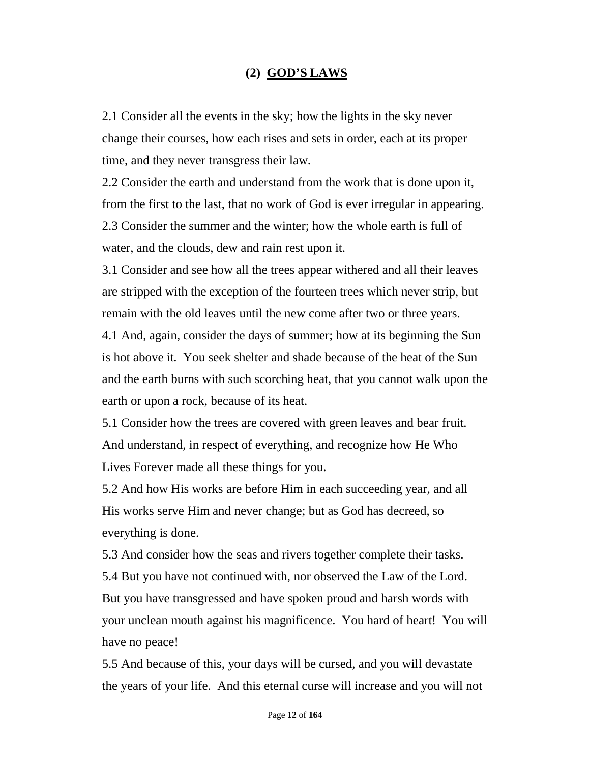### **(2) GOD'S LAWS**

2.1 Consider all the events in the sky; how the lights in the sky never change their courses, how each rises and sets in order, each at its proper time, and they never transgress their law.

2.2 Consider the earth and understand from the work that is done upon it, from the first to the last, that no work of God is ever irregular in appearing. 2.3 Consider the summer and the winter; how the whole earth is full of water, and the clouds, dew and rain rest upon it.

3.1 Consider and see how all the trees appear withered and all their leaves are stripped with the exception of the fourteen trees which never strip, but remain with the old leaves until the new come after two or three years.

4.1 And, again, consider the days of summer; how at its beginning the Sun is hot above it. You seek shelter and shade because of the heat of the Sun and the earth burns with such scorching heat, that you cannot walk upon the earth or upon a rock, because of its heat.

5.1 Consider how the trees are covered with green leaves and bear fruit. And understand, in respect of everything, and recognize how He Who Lives Forever made all these things for you.

5.2 And how His works are before Him in each succeeding year, and all His works serve Him and never change; but as God has decreed, so everything is done.

5.3 And consider how the seas and rivers together complete their tasks. 5.4 But you have not continued with, nor observed the Law of the Lord. But you have transgressed and have spoken proud and harsh words with your unclean mouth against his magnificence. You hard of heart! You will have no peace!

5.5 And because of this, your days will be cursed, and you will devastate the years of your life. And this eternal curse will increase and you will not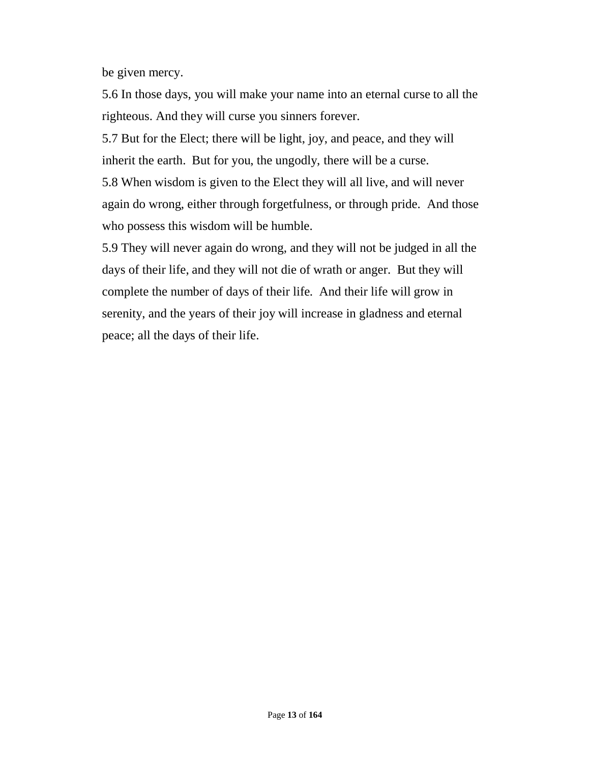be given mercy.

5.6 In those days, you will make your name into an eternal curse to all the righteous. And they will curse you sinners forever.

5.7 But for the Elect; there will be light, joy, and peace, and they will inherit the earth. But for you, the ungodly, there will be a curse.

5.8 When wisdom is given to the Elect they will all live, and will never again do wrong, either through forgetfulness, or through pride. And those who possess this wisdom will be humble.

5.9 They will never again do wrong, and they will not be judged in all the days of their life, and they will not die of wrath or anger. But they will complete the number of days of their life. And their life will grow in serenity, and the years of their joy will increase in gladness and eternal peace; all the days of their life.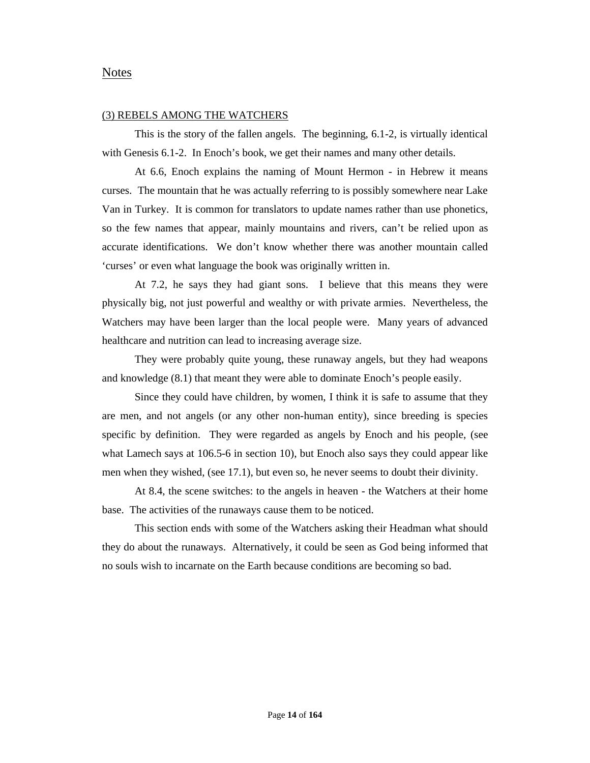#### Notes

#### (3) REBELS AMONG THE WATCHERS

This is the story of the fallen angels. The beginning, 6.1-2, is virtually identical with Genesis 6.1-2. In Enoch's book, we get their names and many other details.

At 6.6, Enoch explains the naming of Mount Hermon - in Hebrew it means curses. The mountain that he was actually referring to is possibly somewhere near Lake Van in Turkey. It is common for translators to update names rather than use phonetics, so the few names that appear, mainly mountains and rivers, can't be relied upon as accurate identifications. We don't know whether there was another mountain called 'curses' or even what language the book was originally written in.

At 7.2, he says they had giant sons. I believe that this means they were physically big, not just powerful and wealthy or with private armies. Nevertheless, the Watchers may have been larger than the local people were. Many years of advanced healthcare and nutrition can lead to increasing average size.

They were probably quite young, these runaway angels, but they had weapons and knowledge (8.1) that meant they were able to dominate Enoch's people easily.

Since they could have children, by women, I think it is safe to assume that they are men, and not angels (or any other non-human entity), since breeding is species specific by definition. They were regarded as angels by Enoch and his people, (see what Lamech says at 106.5-6 in section 10), but Enoch also says they could appear like men when they wished, (see 17.1), but even so, he never seems to doubt their divinity.

At 8.4, the scene switches: to the angels in heaven - the Watchers at their home base. The activities of the runaways cause them to be noticed.

This section ends with some of the Watchers asking their Headman what should they do about the runaways. Alternatively, it could be seen as God being informed that no souls wish to incarnate on the Earth because conditions are becoming so bad.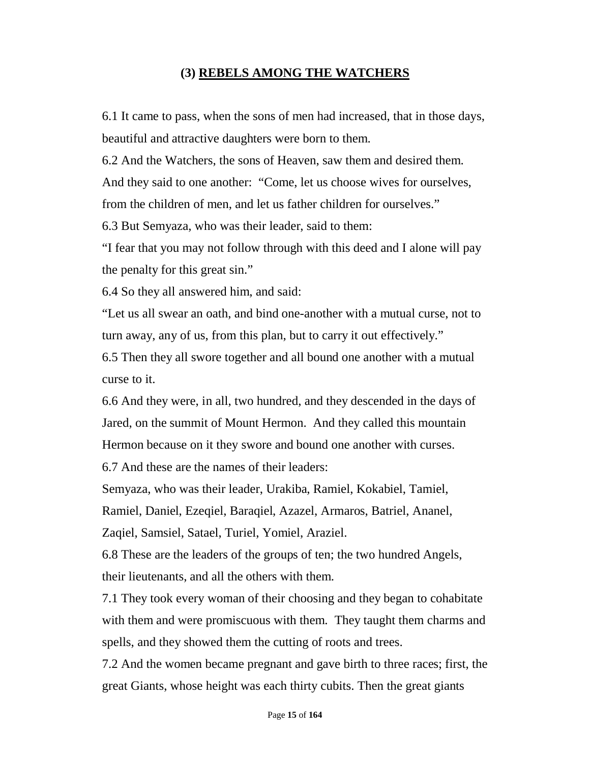# **(3) REBELS AMONG THE WATCHERS**

6.1 It came to pass, when the sons of men had increased, that in those days, beautiful and attractive daughters were born to them.

6.2 And the Watchers, the sons of Heaven, saw them and desired them.

And they said to one another: "Come, let us choose wives for ourselves, from the children of men, and let us father children for ourselves."

6.3 But Semyaza, who was their leader, said to them:

"I fear that you may not follow through with this deed and I alone will pay the penalty for this great sin."

6.4 So they all answered him, and said:

"Let us all swear an oath, and bind one-another with a mutual curse, not to turn away, any of us, from this plan, but to carry it out effectively."

6.5 Then they all swore together and all bound one another with a mutual curse to it.

6.6 And they were, in all, two hundred, and they descended in the days of Jared, on the summit of Mount Hermon. And they called this mountain Hermon because on it they swore and bound one another with curses.

6.7 And these are the names of their leaders:

Semyaza, who was their leader, Urakiba, Ramiel, Kokabiel, Tamiel,

Ramiel, Daniel, Ezeqiel, Baraqiel, Azazel, Armaros, Batriel, Ananel,

Zaqiel, Samsiel, Satael, Turiel, Yomiel, Araziel.

6.8 These are the leaders of the groups of ten; the two hundred Angels, their lieutenants, and all the others with them.

7.1 They took every woman of their choosing and they began to cohabitate with them and were promiscuous with them. They taught them charms and spells, and they showed them the cutting of roots and trees.

7.2 And the women became pregnant and gave birth to three races; first, the great Giants, whose height was each thirty cubits. Then the great giants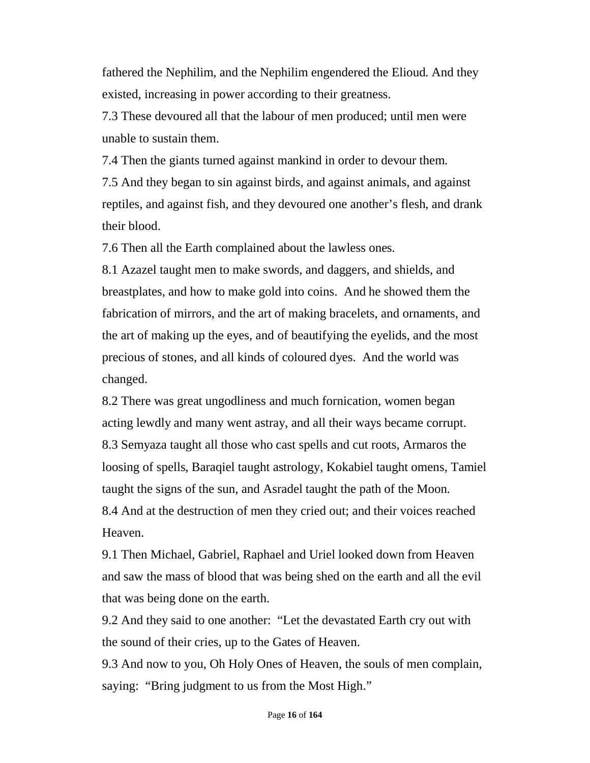fathered the Nephilim, and the Nephilim engendered the Elioud. And they existed, increasing in power according to their greatness.

7.3 These devoured all that the labour of men produced; until men were unable to sustain them.

7.4 Then the giants turned against mankind in order to devour them.

7.5 And they began to sin against birds, and against animals, and against reptiles, and against fish, and they devoured one another's flesh, and drank their blood.

7.6 Then all the Earth complained about the lawless ones.

8.1 Azazel taught men to make swords, and daggers, and shields, and breastplates, and how to make gold into coins. And he showed them the fabrication of mirrors, and the art of making bracelets, and ornaments, and the art of making up the eyes, and of beautifying the eyelids, and the most precious of stones, and all kinds of coloured dyes. And the world was changed.

8.2 There was great ungodliness and much fornication, women began acting lewdly and many went astray, and all their ways became corrupt. 8.3 Semyaza taught all those who cast spells and cut roots, Armaros the loosing of spells, Baraqiel taught astrology, Kokabiel taught omens, Tamiel taught the signs of the sun, and Asradel taught the path of the Moon. 8.4 And at the destruction of men they cried out; and their voices reached Heaven.

9.1 Then Michael, Gabriel, Raphael and Uriel looked down from Heaven and saw the mass of blood that was being shed on the earth and all the evil that was being done on the earth.

9.2 And they said to one another: "Let the devastated Earth cry out with the sound of their cries, up to the Gates of Heaven.

9.3 And now to you, Oh Holy Ones of Heaven, the souls of men complain, saying: "Bring judgment to us from the Most High."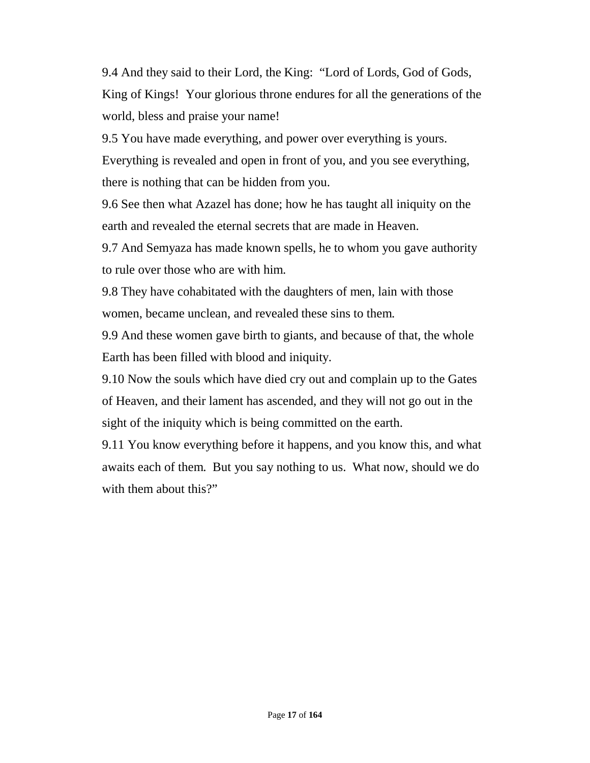9.4 And they said to their Lord, the King: "Lord of Lords, God of Gods, King of Kings! Your glorious throne endures for all the generations of the world, bless and praise your name!

9.5 You have made everything, and power over everything is yours.

Everything is revealed and open in front of you, and you see everything, there is nothing that can be hidden from you.

9.6 See then what Azazel has done; how he has taught all iniquity on the earth and revealed the eternal secrets that are made in Heaven.

9.7 And Semyaza has made known spells, he to whom you gave authority to rule over those who are with him.

9.8 They have cohabitated with the daughters of men, lain with those women, became unclean, and revealed these sins to them.

9.9 And these women gave birth to giants, and because of that, the whole Earth has been filled with blood and iniquity.

9.10 Now the souls which have died cry out and complain up to the Gates of Heaven, and their lament has ascended, and they will not go out in the sight of the iniquity which is being committed on the earth.

9.11 You know everything before it happens, and you know this, and what awaits each of them. But you say nothing to us. What now, should we do with them about this?"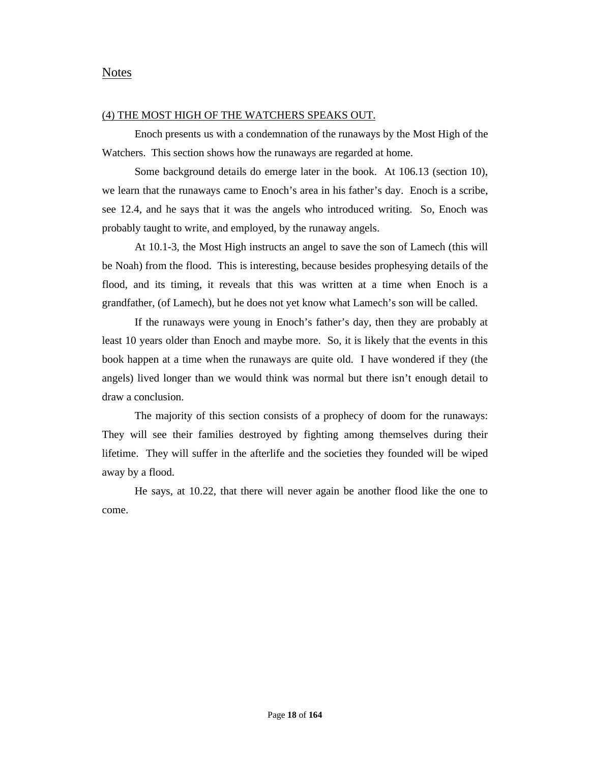#### Notes

#### (4) THE MOST HIGH OF THE WATCHERS SPEAKS OUT.

Enoch presents us with a condemnation of the runaways by the Most High of the Watchers. This section shows how the runaways are regarded at home.

Some background details do emerge later in the book. At 106.13 (section 10), we learn that the runaways came to Enoch's area in his father's day. Enoch is a scribe, see 12.4, and he says that it was the angels who introduced writing. So, Enoch was probably taught to write, and employed, by the runaway angels.

At 10.1-3, the Most High instructs an angel to save the son of Lamech (this will be Noah) from the flood. This is interesting, because besides prophesying details of the flood, and its timing, it reveals that this was written at a time when Enoch is a grandfather, (of Lamech), but he does not yet know what Lamech's son will be called.

If the runaways were young in Enoch's father's day, then they are probably at least 10 years older than Enoch and maybe more. So, it is likely that the events in this book happen at a time when the runaways are quite old. I have wondered if they (the angels) lived longer than we would think was normal but there isn't enough detail to draw a conclusion.

The majority of this section consists of a prophecy of doom for the runaways: They will see their families destroyed by fighting among themselves during their lifetime. They will suffer in the afterlife and the societies they founded will be wiped away by a flood.

He says, at 10.22, that there will never again be another flood like the one to come.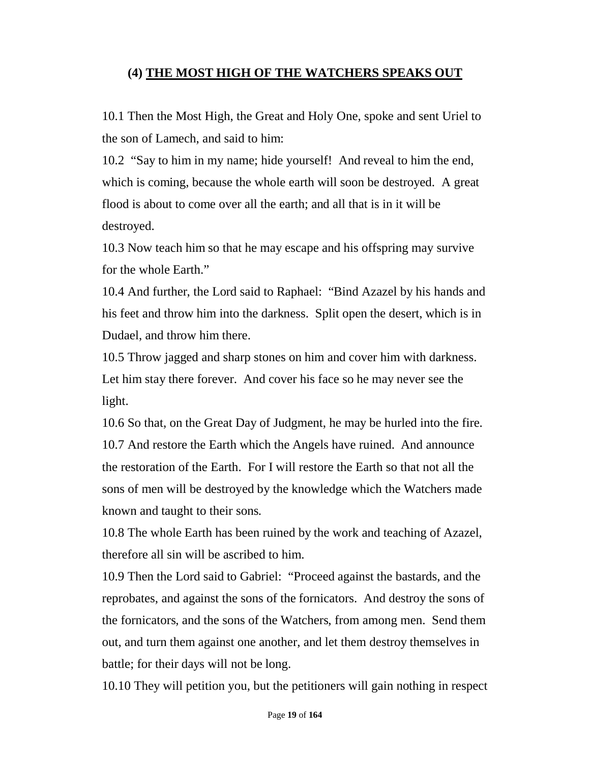# **(4) THE MOST HIGH OF THE WATCHERS SPEAKS OUT**

10.1 Then the Most High, the Great and Holy One, spoke and sent Uriel to the son of Lamech, and said to him:

10.2 "Say to him in my name; hide yourself! And reveal to him the end, which is coming, because the whole earth will soon be destroyed. A great flood is about to come over all the earth; and all that is in it will be destroyed.

10.3 Now teach him so that he may escape and his offspring may survive for the whole Earth."

10.4 And further, the Lord said to Raphael: "Bind Azazel by his hands and his feet and throw him into the darkness. Split open the desert, which is in Dudael, and throw him there.

10.5 Throw jagged and sharp stones on him and cover him with darkness. Let him stay there forever. And cover his face so he may never see the light.

10.6 So that, on the Great Day of Judgment, he may be hurled into the fire. 10.7 And restore the Earth which the Angels have ruined. And announce the restoration of the Earth. For I will restore the Earth so that not all the sons of men will be destroyed by the knowledge which the Watchers made known and taught to their sons.

10.8 The whole Earth has been ruined by the work and teaching of Azazel, therefore all sin will be ascribed to him.

10.9 Then the Lord said to Gabriel: "Proceed against the bastards, and the reprobates, and against the sons of the fornicators. And destroy the sons of the fornicators, and the sons of the Watchers, from among men. Send them out, and turn them against one another, and let them destroy themselves in battle; for their days will not be long.

10.10 They will petition you, but the petitioners will gain nothing in respect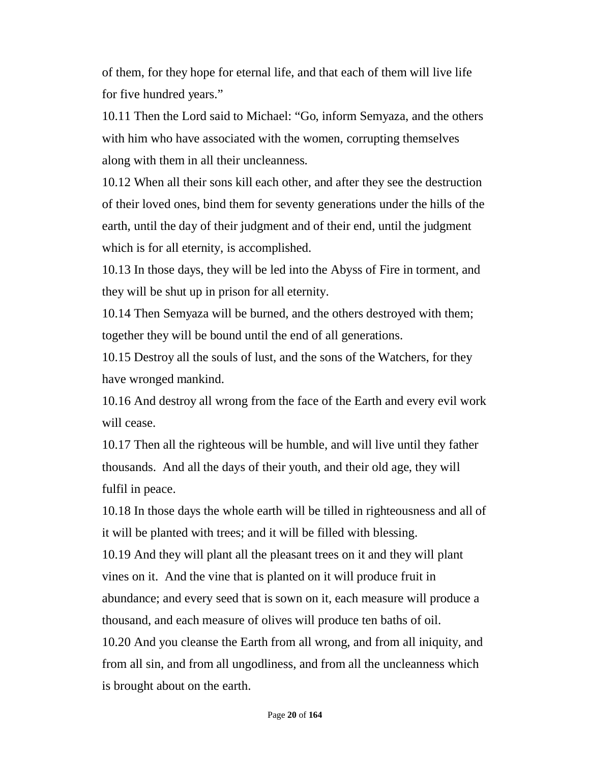of them, for they hope for eternal life, and that each of them will live life for five hundred years."

10.11 Then the Lord said to Michael: "Go, inform Semyaza, and the others with him who have associated with the women, corrupting themselves along with them in all their uncleanness.

10.12 When all their sons kill each other, and after they see the destruction of their loved ones, bind them for seventy generations under the hills of the earth, until the day of their judgment and of their end, until the judgment which is for all eternity, is accomplished.

10.13 In those days, they will be led into the Abyss of Fire in torment, and they will be shut up in prison for all eternity.

10.14 Then Semyaza will be burned, and the others destroyed with them; together they will be bound until the end of all generations.

10.15 Destroy all the souls of lust, and the sons of the Watchers, for they have wronged mankind.

10.16 And destroy all wrong from the face of the Earth and every evil work will cease.

10.17 Then all the righteous will be humble, and will live until they father thousands. And all the days of their youth, and their old age, they will fulfil in peace.

10.18 In those days the whole earth will be tilled in righteousness and all of it will be planted with trees; and it will be filled with blessing. 10.19 And they will plant all the pleasant trees on it and they will plant vines on it. And the vine that is planted on it will produce fruit in abundance; and every seed that is sown on it, each measure will produce a thousand, and each measure of olives will produce ten baths of oil. 10.20 And you cleanse the Earth from all wrong, and from all iniquity, and from all sin, and from all ungodliness, and from all the uncleanness which

is brought about on the earth.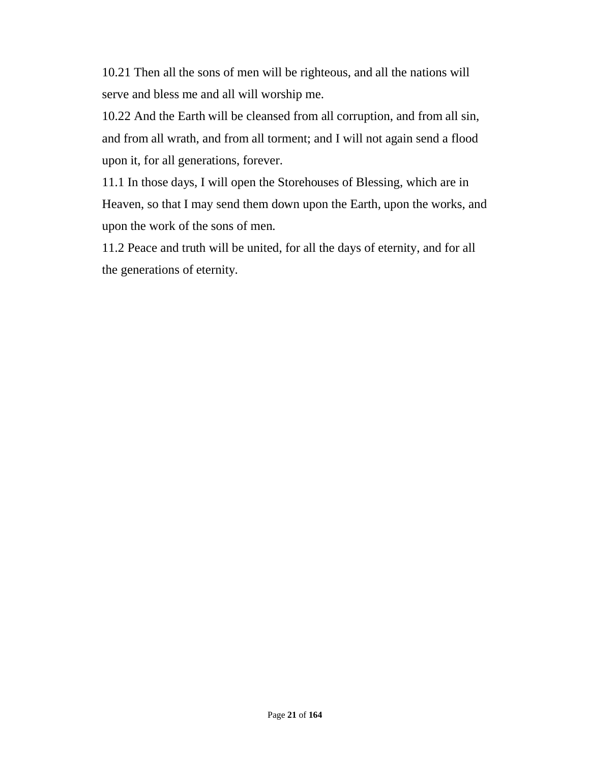10.21 Then all the sons of men will be righteous, and all the nations will serve and bless me and all will worship me.

10.22 And the Earth will be cleansed from all corruption, and from all sin, and from all wrath, and from all torment; and I will not again send a flood upon it, for all generations, forever.

11.1 In those days, I will open the Storehouses of Blessing, which are in Heaven, so that I may send them down upon the Earth, upon the works, and upon the work of the sons of men.

11.2 Peace and truth will be united, for all the days of eternity, and for all the generations of eternity.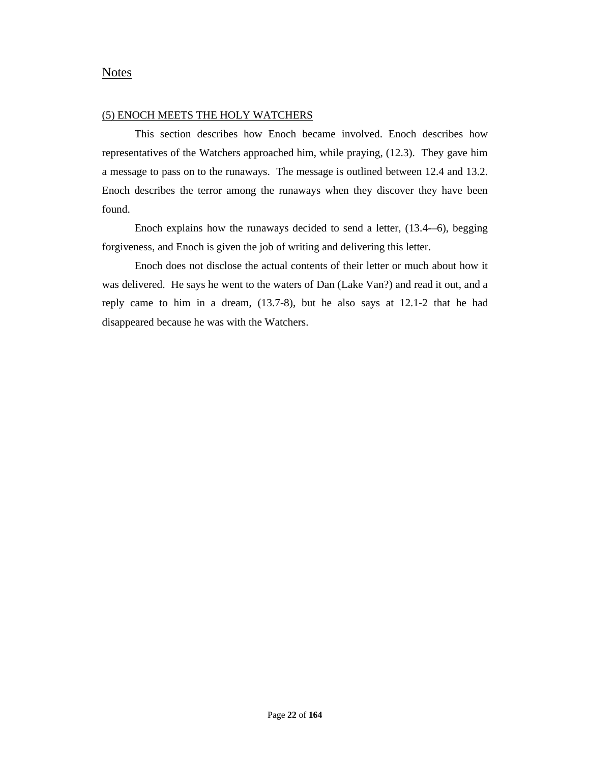#### **Notes**

#### (5) ENOCH MEETS THE HOLY WATCHERS

This section describes how Enoch became involved. Enoch describes how representatives of the Watchers approached him, while praying, (12.3). They gave him a message to pass on to the runaways. The message is outlined between 12.4 and 13.2. Enoch describes the terror among the runaways when they discover they have been found.

Enoch explains how the runaways decided to send a letter, (13.4-–6), begging forgiveness, and Enoch is given the job of writing and delivering this letter.

Enoch does not disclose the actual contents of their letter or much about how it was delivered. He says he went to the waters of Dan (Lake Van?) and read it out, and a reply came to him in a dream, (13.7-8), but he also says at 12.1-2 that he had disappeared because he was with the Watchers.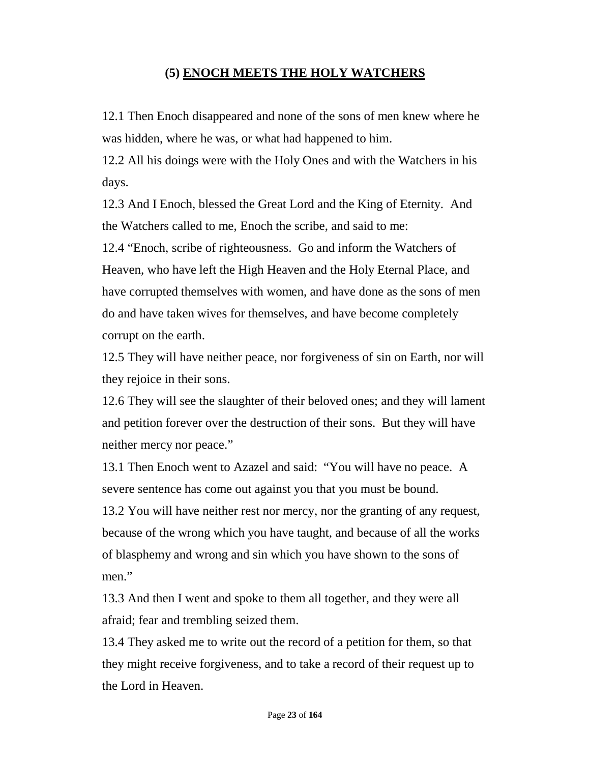# **(5) ENOCH MEETS THE HOLY WATCHERS**

12.1 Then Enoch disappeared and none of the sons of men knew where he was hidden, where he was, or what had happened to him.

12.2 All his doings were with the Holy Ones and with the Watchers in his days.

12.3 And I Enoch, blessed the Great Lord and the King of Eternity. And the Watchers called to me, Enoch the scribe, and said to me:

12.4 "Enoch, scribe of righteousness. Go and inform the Watchers of Heaven, who have left the High Heaven and the Holy Eternal Place, and have corrupted themselves with women, and have done as the sons of men do and have taken wives for themselves, and have become completely corrupt on the earth.

12.5 They will have neither peace, nor forgiveness of sin on Earth, nor will they rejoice in their sons.

12.6 They will see the slaughter of their beloved ones; and they will lament and petition forever over the destruction of their sons. But they will have neither mercy nor peace."

13.1 Then Enoch went to Azazel and said: "You will have no peace. A severe sentence has come out against you that you must be bound.

13.2 You will have neither rest nor mercy, nor the granting of any request, because of the wrong which you have taught, and because of all the works of blasphemy and wrong and sin which you have shown to the sons of men."

13.3 And then I went and spoke to them all together, and they were all afraid; fear and trembling seized them.

13.4 They asked me to write out the record of a petition for them, so that they might receive forgiveness, and to take a record of their request up to the Lord in Heaven.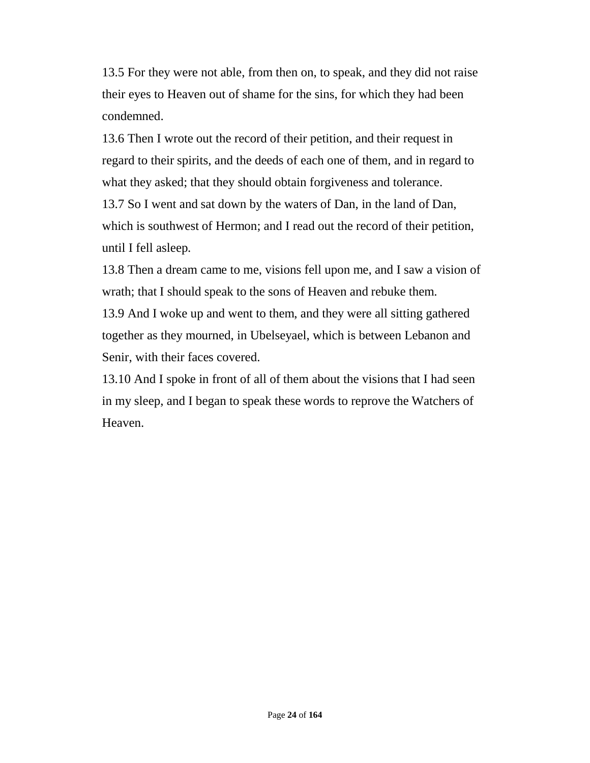13.5 For they were not able, from then on, to speak, and they did not raise their eyes to Heaven out of shame for the sins, for which they had been condemned.

13.6 Then I wrote out the record of their petition, and their request in regard to their spirits, and the deeds of each one of them, and in regard to what they asked; that they should obtain forgiveness and tolerance.

13.7 So I went and sat down by the waters of Dan, in the land of Dan, which is southwest of Hermon; and I read out the record of their petition, until I fell asleep.

13.8 Then a dream came to me, visions fell upon me, and I saw a vision of wrath; that I should speak to the sons of Heaven and rebuke them.

13.9 And I woke up and went to them, and they were all sitting gathered together as they mourned, in Ubelseyael, which is between Lebanon and Senir, with their faces covered.

13.10 And I spoke in front of all of them about the visions that I had seen in my sleep, and I began to speak these words to reprove the Watchers of Heaven.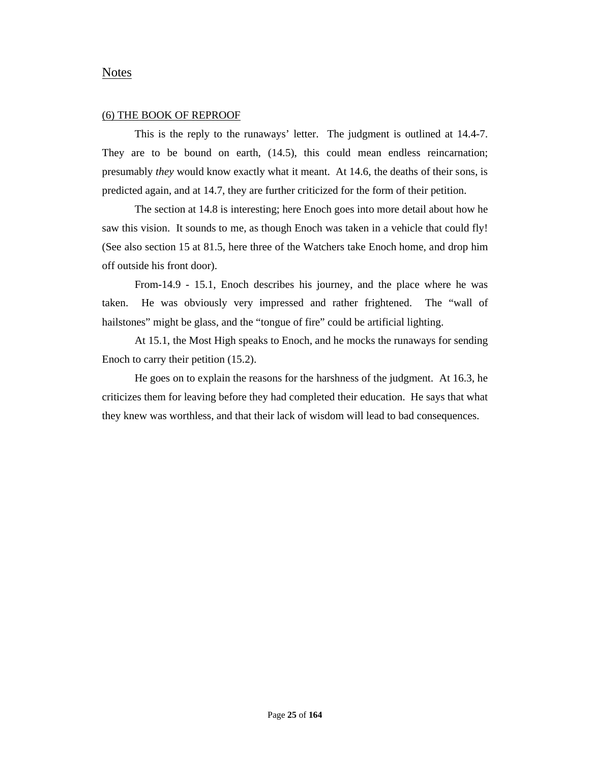#### Notes

#### (6) THE BOOK OF REPROOF

This is the reply to the runaways' letter. The judgment is outlined at 14.4-7. They are to be bound on earth, (14.5), this could mean endless reincarnation; presumably *they* would know exactly what it meant. At 14.6, the deaths of their sons, is predicted again, and at 14.7, they are further criticized for the form of their petition.

The section at 14.8 is interesting; here Enoch goes into more detail about how he saw this vision. It sounds to me, as though Enoch was taken in a vehicle that could fly! (See also section 15 at 81.5, here three of the Watchers take Enoch home, and drop him off outside his front door).

From-14.9 - 15.1, Enoch describes his journey, and the place where he was taken. He was obviously very impressed and rather frightened. The "wall of hailstones" might be glass, and the "tongue of fire" could be artificial lighting.

At 15.1, the Most High speaks to Enoch, and he mocks the runaways for sending Enoch to carry their petition (15.2).

He goes on to explain the reasons for the harshness of the judgment. At 16.3, he criticizes them for leaving before they had completed their education. He says that what they knew was worthless, and that their lack of wisdom will lead to bad consequences.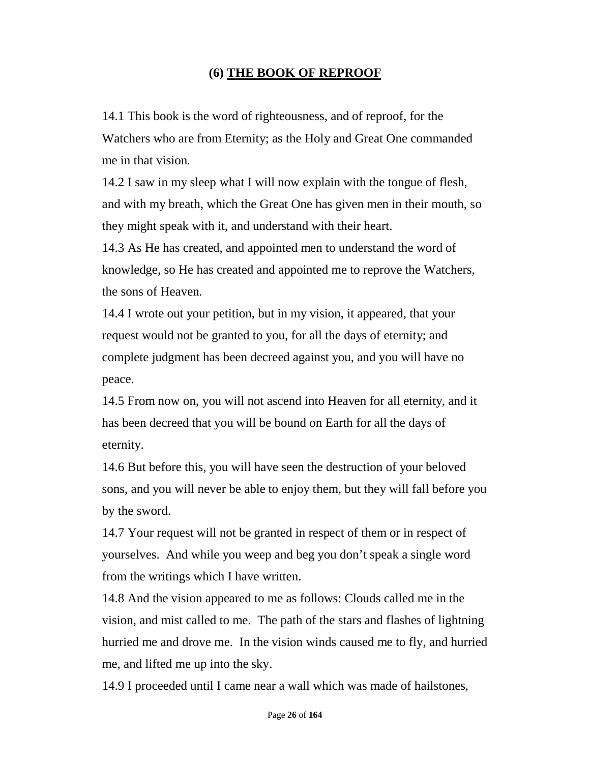# **(6) THE BOOK OF REPROOF**

14.1 This book is the word of righteousness, and of reproof, for the Watchers who are from Eternity; as the Holy and Great One commanded me in that vision.

14.2 I saw in my sleep what I will now explain with the tongue of flesh, and with my breath, which the Great One has given men in their mouth, so they might speak with it, and understand with their heart.

14.3 As He has created, and appointed men to understand the word of knowledge, so He has created and appointed me to reprove the Watchers, the sons of Heaven.

14.4 I wrote out your petition, but in my vision, it appeared, that your request would not be granted to you, for all the days of eternity; and complete judgment has been decreed against you, and you will have no peace.

14.5 From now on, you will not ascend into Heaven for all eternity, and it has been decreed that you will be bound on Earth for all the days of eternity.

14.6 But before this, you will have seen the destruction of your beloved sons, and you will never be able to enjoy them, but they will fall before you by the sword.

14.7 Your request will not be granted in respect of them or in respect of yourselves. And while you weep and beg you don't speak a single word from the writings which I have written.

14.8 And the vision appeared to me as follows: Clouds called me in the vision, and mist called to me. The path of the stars and flashes of lightning hurried me and drove me. In the vision winds caused me to fly, and hurried me, and lifted me up into the sky.

14.9 I proceeded until I came near a wall which was made of hailstones,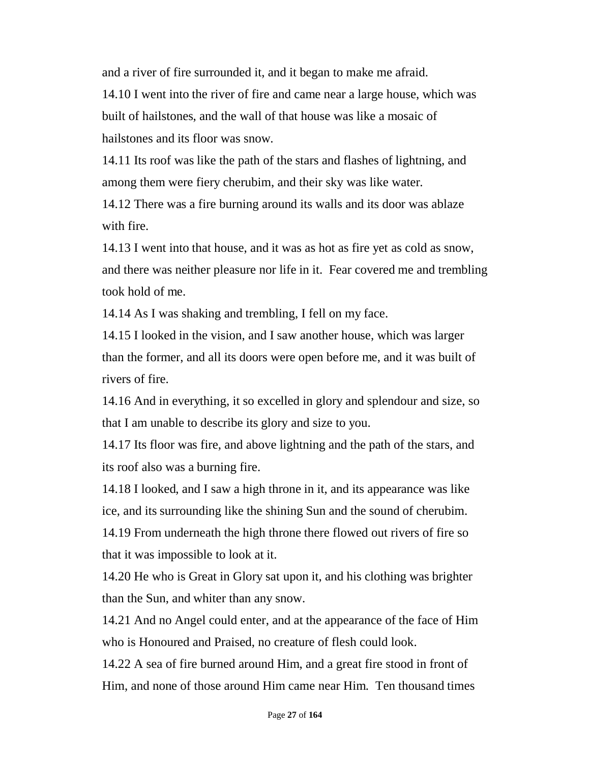and a river of fire surrounded it, and it began to make me afraid.

14.10 I went into the river of fire and came near a large house, which was built of hailstones, and the wall of that house was like a mosaic of hailstones and its floor was snow.

14.11 Its roof was like the path of the stars and flashes of lightning, and among them were fiery cherubim, and their sky was like water.

14.12 There was a fire burning around its walls and its door was ablaze with fire.

14.13 I went into that house, and it was as hot as fire yet as cold as snow, and there was neither pleasure nor life in it. Fear covered me and trembling took hold of me.

14.14 As I was shaking and trembling, I fell on my face.

14.15 I looked in the vision, and I saw another house, which was larger than the former, and all its doors were open before me, and it was built of rivers of fire.

14.16 And in everything, it so excelled in glory and splendour and size, so that I am unable to describe its glory and size to you.

14.17 Its floor was fire, and above lightning and the path of the stars, and its roof also was a burning fire.

14.18 I looked, and I saw a high throne in it, and its appearance was like ice, and its surrounding like the shining Sun and the sound of cherubim. 14.19 From underneath the high throne there flowed out rivers of fire so

that it was impossible to look at it.

14.20 He who is Great in Glory sat upon it, and his clothing was brighter than the Sun, and whiter than any snow.

14.21 And no Angel could enter, and at the appearance of the face of Him who is Honoured and Praised, no creature of flesh could look.

14.22 A sea of fire burned around Him, and a great fire stood in front of Him, and none of those around Him came near Him. Ten thousand times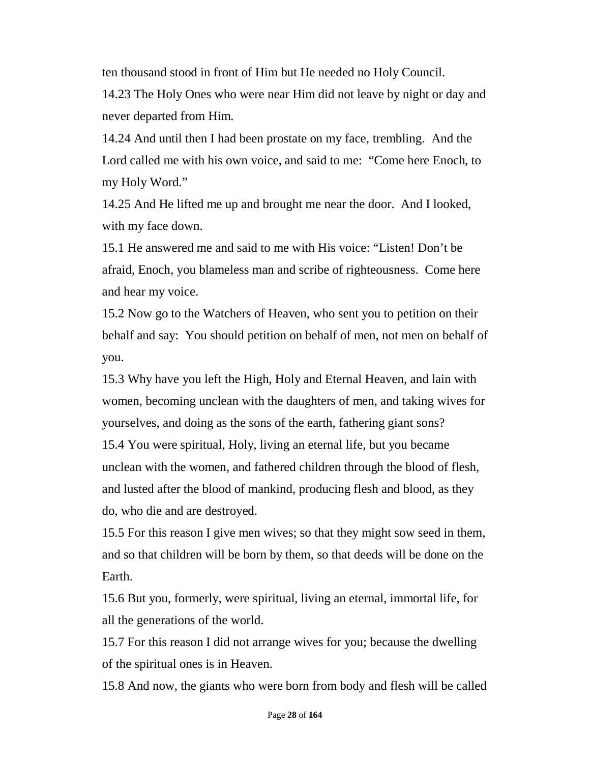ten thousand stood in front of Him but He needed no Holy Council.

14.23 The Holy Ones who were near Him did not leave by night or day and never departed from Him.

14.24 And until then I had been prostate on my face, trembling. And the Lord called me with his own voice, and said to me: "Come here Enoch, to my Holy Word."

14.25 And He lifted me up and brought me near the door. And I looked, with my face down.

15.1 He answered me and said to me with His voice: "Listen! Don't be afraid, Enoch, you blameless man and scribe of righteousness. Come here and hear my voice.

15.2 Now go to the Watchers of Heaven, who sent you to petition on their behalf and say: You should petition on behalf of men, not men on behalf of you.

15.3 Why have you left the High, Holy and Eternal Heaven, and lain with women, becoming unclean with the daughters of men, and taking wives for yourselves, and doing as the sons of the earth, fathering giant sons? 15.4 You were spiritual, Holy, living an eternal life, but you became unclean with the women, and fathered children through the blood of flesh, and lusted after the blood of mankind, producing flesh and blood, as they do, who die and are destroyed.

15.5 For this reason I give men wives; so that they might sow seed in them, and so that children will be born by them, so that deeds will be done on the Earth.

15.6 But you, formerly, were spiritual, living an eternal, immortal life, for all the generations of the world.

15.7 For this reason I did not arrange wives for you; because the dwelling of the spiritual ones is in Heaven.

15.8 And now, the giants who were born from body and flesh will be called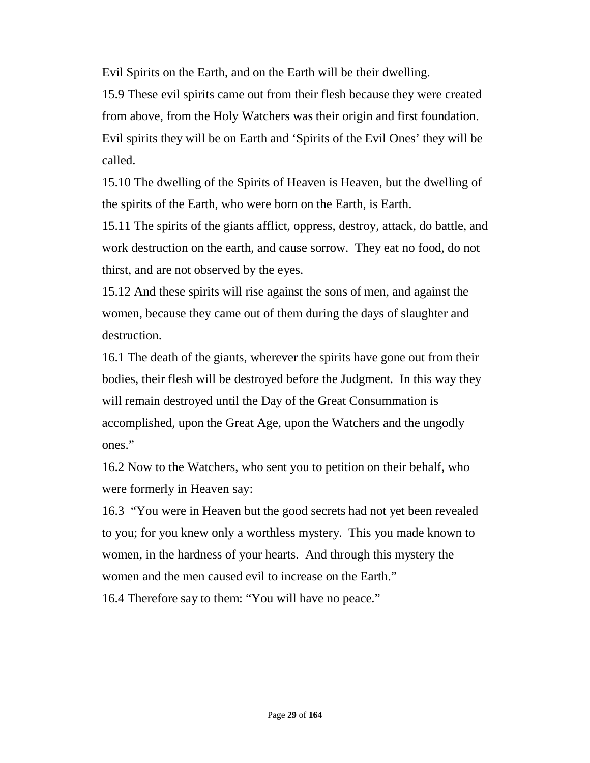Evil Spirits on the Earth, and on the Earth will be their dwelling.

15.9 These evil spirits came out from their flesh because they were created from above, from the Holy Watchers was their origin and first foundation. Evil spirits they will be on Earth and 'Spirits of the Evil Ones' they will be called.

15.10 The dwelling of the Spirits of Heaven is Heaven, but the dwelling of the spirits of the Earth, who were born on the Earth, is Earth.

15.11 The spirits of the giants afflict, oppress, destroy, attack, do battle, and work destruction on the earth, and cause sorrow. They eat no food, do not thirst, and are not observed by the eyes.

15.12 And these spirits will rise against the sons of men, and against the women, because they came out of them during the days of slaughter and destruction.

16.1 The death of the giants, wherever the spirits have gone out from their bodies, their flesh will be destroyed before the Judgment. In this way they will remain destroyed until the Day of the Great Consummation is accomplished, upon the Great Age, upon the Watchers and the ungodly ones."

16.2 Now to the Watchers, who sent you to petition on their behalf, who were formerly in Heaven say:

16.3 "You were in Heaven but the good secrets had not yet been revealed to you; for you knew only a worthless mystery. This you made known to women, in the hardness of your hearts. And through this mystery the women and the men caused evil to increase on the Earth."

16.4 Therefore say to them: "You will have no peace."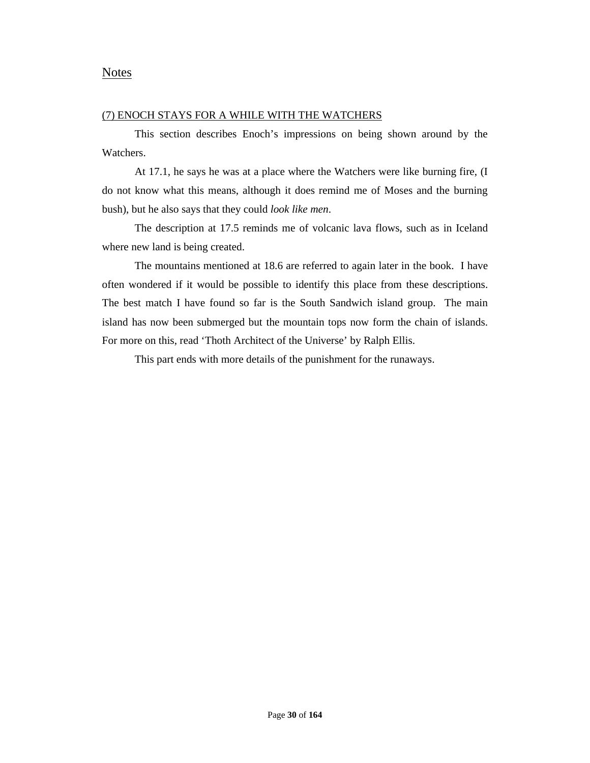#### (7) ENOCH STAYS FOR A WHILE WITH THE WATCHERS

This section describes Enoch's impressions on being shown around by the Watchers.

At 17.1, he says he was at a place where the Watchers were like burning fire, (I do not know what this means, although it does remind me of Moses and the burning bush), but he also says that they could *look like men*.

The description at 17.5 reminds me of volcanic lava flows, such as in Iceland where new land is being created.

The mountains mentioned at 18.6 are referred to again later in the book. I have often wondered if it would be possible to identify this place from these descriptions. The best match I have found so far is the South Sandwich island group. The main island has now been submerged but the mountain tops now form the chain of islands. For more on this, read 'Thoth Architect of the Universe' by Ralph Ellis.

This part ends with more details of the punishment for the runaways.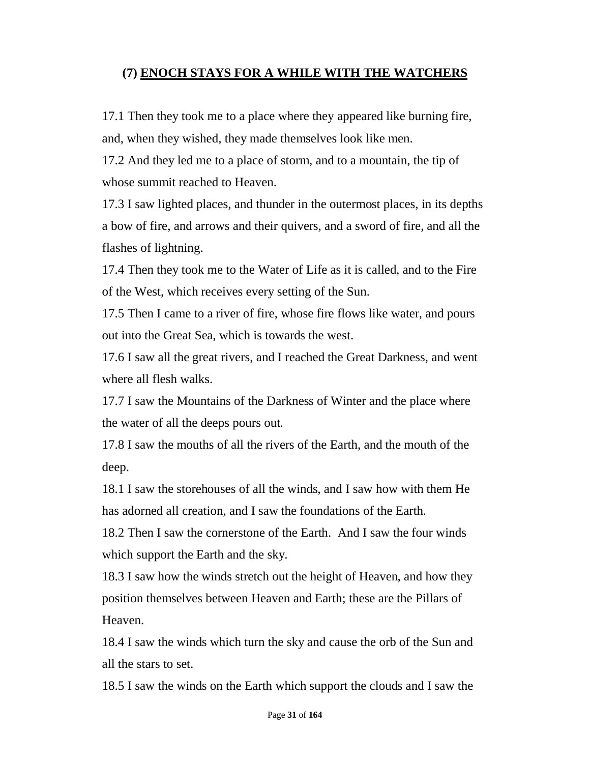# **(7) ENOCH STAYS FOR A WHILE WITH THE WATCHERS**

17.1 Then they took me to a place where they appeared like burning fire, and, when they wished, they made themselves look like men.

17.2 And they led me to a place of storm, and to a mountain, the tip of whose summit reached to Heaven.

17.3 I saw lighted places, and thunder in the outermost places, in its depths a bow of fire, and arrows and their quivers, and a sword of fire, and all the flashes of lightning.

17.4 Then they took me to the Water of Life as it is called, and to the Fire of the West, which receives every setting of the Sun.

17.5 Then I came to a river of fire, whose fire flows like water, and pours out into the Great Sea, which is towards the west.

17.6 I saw all the great rivers, and I reached the Great Darkness, and went where all flesh walks.

17.7 I saw the Mountains of the Darkness of Winter and the place where the water of all the deeps pours out.

17.8 I saw the mouths of all the rivers of the Earth, and the mouth of the deep.

18.1 I saw the storehouses of all the winds, and I saw how with them He has adorned all creation, and I saw the foundations of the Earth.

18.2 Then I saw the cornerstone of the Earth. And I saw the four winds which support the Earth and the sky.

18.3 I saw how the winds stretch out the height of Heaven, and how they position themselves between Heaven and Earth; these are the Pillars of Heaven.

18.4 I saw the winds which turn the sky and cause the orb of the Sun and all the stars to set.

18.5 I saw the winds on the Earth which support the clouds and I saw the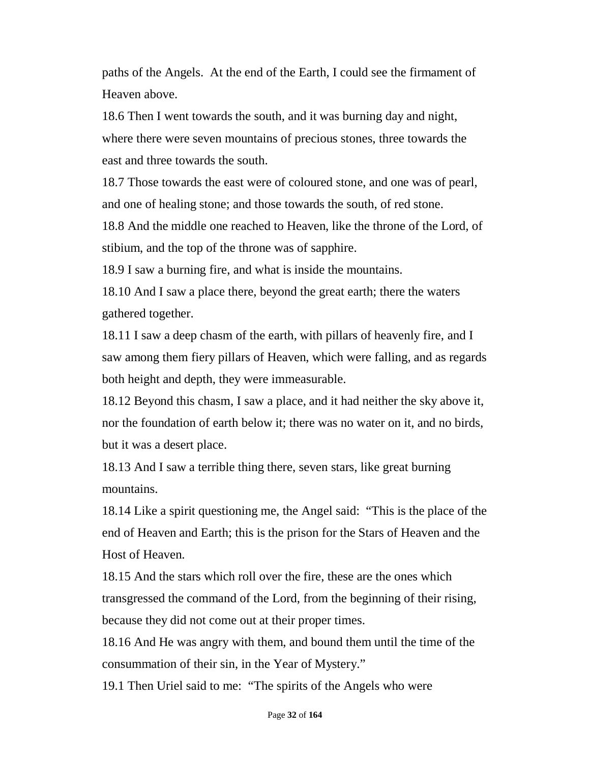paths of the Angels. At the end of the Earth, I could see the firmament of Heaven above.

18.6 Then I went towards the south, and it was burning day and night, where there were seven mountains of precious stones, three towards the east and three towards the south.

18.7 Those towards the east were of coloured stone, and one was of pearl, and one of healing stone; and those towards the south, of red stone.

18.8 And the middle one reached to Heaven, like the throne of the Lord, of stibium, and the top of the throne was of sapphire.

18.9 I saw a burning fire, and what is inside the mountains.

18.10 And I saw a place there, beyond the great earth; there the waters gathered together.

18.11 I saw a deep chasm of the earth, with pillars of heavenly fire, and I saw among them fiery pillars of Heaven, which were falling, and as regards both height and depth, they were immeasurable.

18.12 Beyond this chasm, I saw a place, and it had neither the sky above it, nor the foundation of earth below it; there was no water on it, and no birds, but it was a desert place.

18.13 And I saw a terrible thing there, seven stars, like great burning mountains.

18.14 Like a spirit questioning me, the Angel said: "This is the place of the end of Heaven and Earth; this is the prison for the Stars of Heaven and the Host of Heaven.

18.15 And the stars which roll over the fire, these are the ones which transgressed the command of the Lord, from the beginning of their rising, because they did not come out at their proper times.

18.16 And He was angry with them, and bound them until the time of the consummation of their sin, in the Year of Mystery."

19.1 Then Uriel said to me: "The spirits of the Angels who were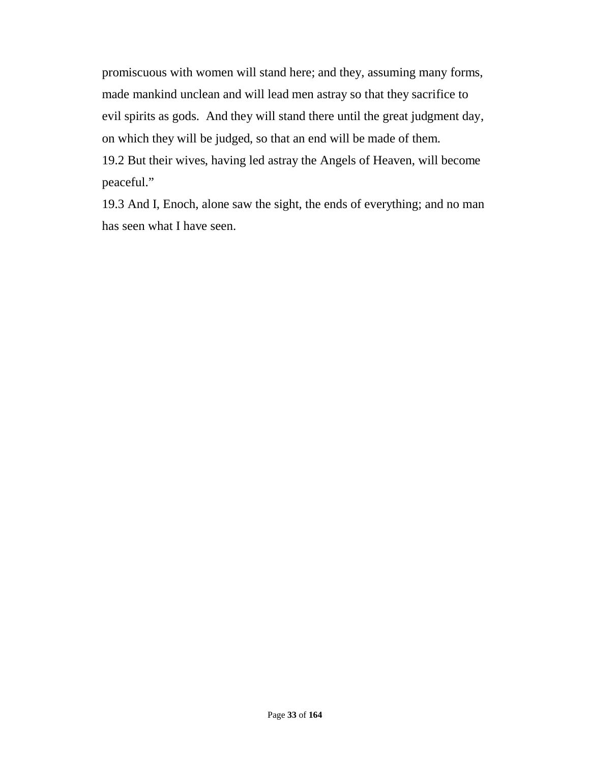promiscuous with women will stand here; and they, assuming many forms, made mankind unclean and will lead men astray so that they sacrifice to evil spirits as gods. And they will stand there until the great judgment day, on which they will be judged, so that an end will be made of them.

19.2 But their wives, having led astray the Angels of Heaven, will become peaceful."

19.3 And I, Enoch, alone saw the sight, the ends of everything; and no man has seen what I have seen.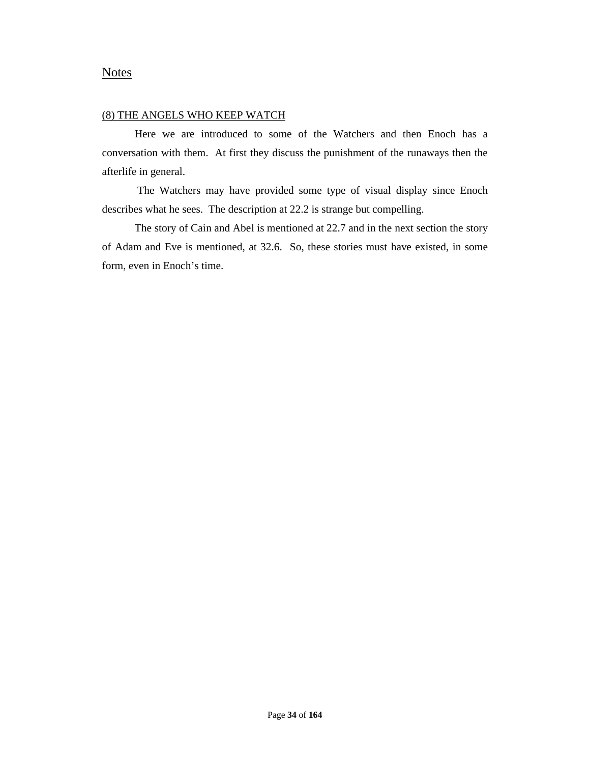#### **Notes**

#### (8) THE ANGELS WHO KEEP WATCH

Here we are introduced to some of the Watchers and then Enoch has a conversation with them. At first they discuss the punishment of the runaways then the afterlife in general.

The Watchers may have provided some type of visual display since Enoch describes what he sees. The description at 22.2 is strange but compelling.

The story of Cain and Abel is mentioned at 22.7 and in the next section the story of Adam and Eve is mentioned, at 32.6. So, these stories must have existed, in some form, even in Enoch's time.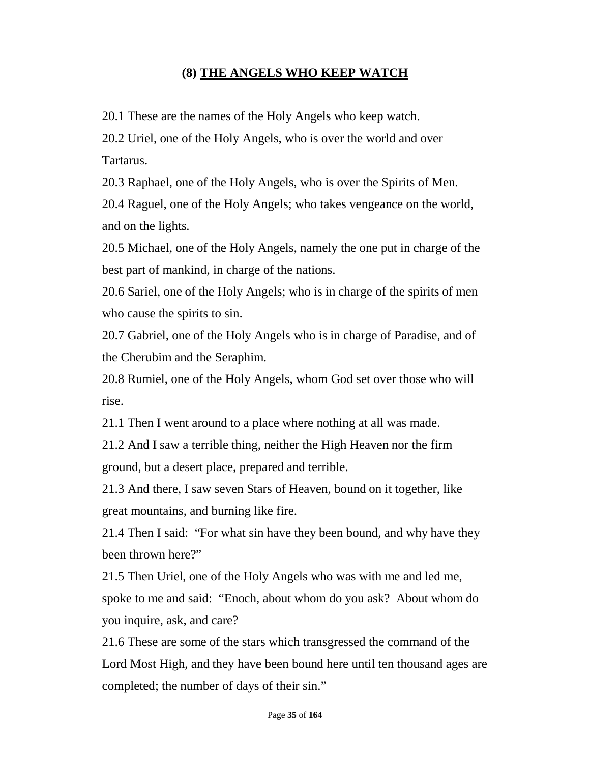# **(8) THE ANGELS WHO KEEP WATCH**

20.1 These are the names of the Holy Angels who keep watch.

20.2 Uriel, one of the Holy Angels, who is over the world and over Tartarus.

20.3 Raphael, one of the Holy Angels, who is over the Spirits of Men.

20.4 Raguel, one of the Holy Angels; who takes vengeance on the world, and on the lights.

20.5 Michael, one of the Holy Angels, namely the one put in charge of the best part of mankind, in charge of the nations.

20.6 Sariel, one of the Holy Angels; who is in charge of the spirits of men who cause the spirits to sin.

20.7 Gabriel, one of the Holy Angels who is in charge of Paradise, and of the Cherubim and the Seraphim.

20.8 Rumiel, one of the Holy Angels, whom God set over those who will rise.

21.1 Then I went around to a place where nothing at all was made.

21.2 And I saw a terrible thing, neither the High Heaven nor the firm ground, but a desert place, prepared and terrible.

21.3 And there, I saw seven Stars of Heaven, bound on it together, like great mountains, and burning like fire.

21.4 Then I said: "For what sin have they been bound, and why have they been thrown here?"

21.5 Then Uriel, one of the Holy Angels who was with me and led me, spoke to me and said: "Enoch, about whom do you ask? About whom do you inquire, ask, and care?

21.6 These are some of the stars which transgressed the command of the Lord Most High, and they have been bound here until ten thousand ages are completed; the number of days of their sin."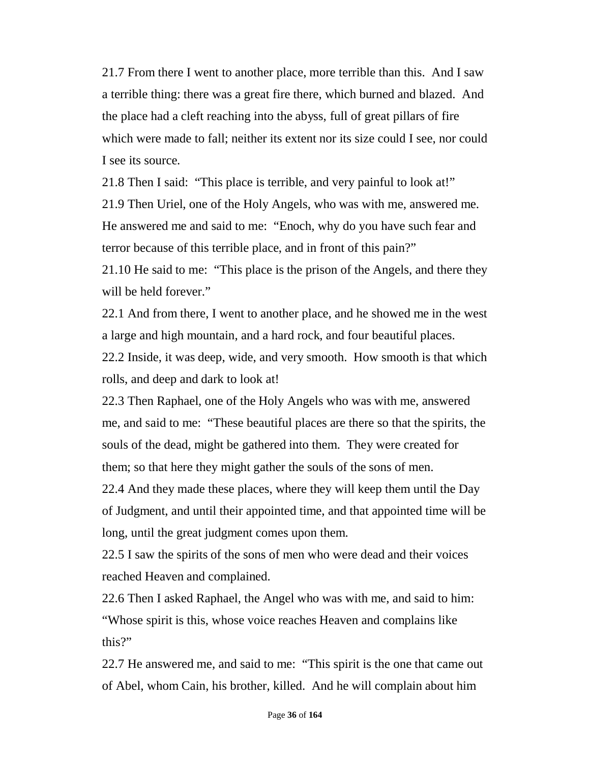21.7 From there I went to another place, more terrible than this. And I saw a terrible thing: there was a great fire there, which burned and blazed. And the place had a cleft reaching into the abyss, full of great pillars of fire which were made to fall; neither its extent nor its size could I see, nor could I see its source.

21.8 Then I said: "This place is terrible, and very painful to look at!" 21.9 Then Uriel, one of the Holy Angels, who was with me, answered me. He answered me and said to me: "Enoch, why do you have such fear and terror because of this terrible place, and in front of this pain?"

21.10 He said to me: "This place is the prison of the Angels, and there they will be held forever."

22.1 And from there, I went to another place, and he showed me in the west a large and high mountain, and a hard rock, and four beautiful places.

22.2 Inside, it was deep, wide, and very smooth. How smooth is that which rolls, and deep and dark to look at!

22.3 Then Raphael, one of the Holy Angels who was with me, answered me, and said to me: "These beautiful places are there so that the spirits, the souls of the dead, might be gathered into them. They were created for them; so that here they might gather the souls of the sons of men.

22.4 And they made these places, where they will keep them until the Day of Judgment, and until their appointed time, and that appointed time will be long, until the great judgment comes upon them.

22.5 I saw the spirits of the sons of men who were dead and their voices reached Heaven and complained.

22.6 Then I asked Raphael, the Angel who was with me, and said to him: "Whose spirit is this, whose voice reaches Heaven and complains like this?"

22.7 He answered me, and said to me: "This spirit is the one that came out of Abel, whom Cain, his brother, killed. And he will complain about him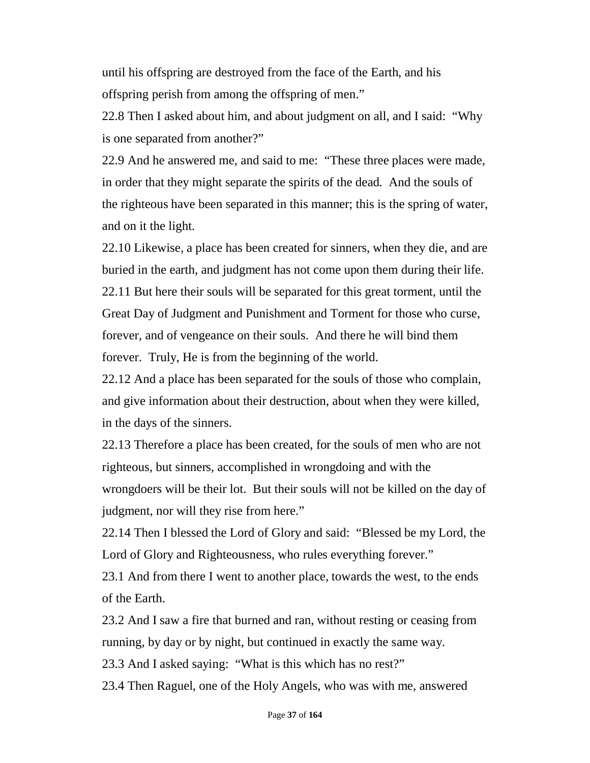until his offspring are destroyed from the face of the Earth, and his offspring perish from among the offspring of men."

22.8 Then I asked about him, and about judgment on all, and I said: "Why is one separated from another?"

22.9 And he answered me, and said to me: "These three places were made, in order that they might separate the spirits of the dead. And the souls of the righteous have been separated in this manner; this is the spring of water, and on it the light.

22.10 Likewise, a place has been created for sinners, when they die, and are buried in the earth, and judgment has not come upon them during their life. 22.11 But here their souls will be separated for this great torment, until the Great Day of Judgment and Punishment and Torment for those who curse, forever, and of vengeance on their souls. And there he will bind them forever. Truly, He is from the beginning of the world.

22.12 And a place has been separated for the souls of those who complain, and give information about their destruction, about when they were killed, in the days of the sinners.

22.13 Therefore a place has been created, for the souls of men who are not righteous, but sinners, accomplished in wrongdoing and with the wrongdoers will be their lot. But their souls will not be killed on the day of judgment, nor will they rise from here."

22.14 Then I blessed the Lord of Glory and said: "Blessed be my Lord, the Lord of Glory and Righteousness, who rules everything forever."

23.1 And from there I went to another place, towards the west, to the ends of the Earth.

23.2 And I saw a fire that burned and ran, without resting or ceasing from running, by day or by night, but continued in exactly the same way.

23.3 And I asked saying: "What is this which has no rest?"

23.4 Then Raguel, one of the Holy Angels, who was with me, answered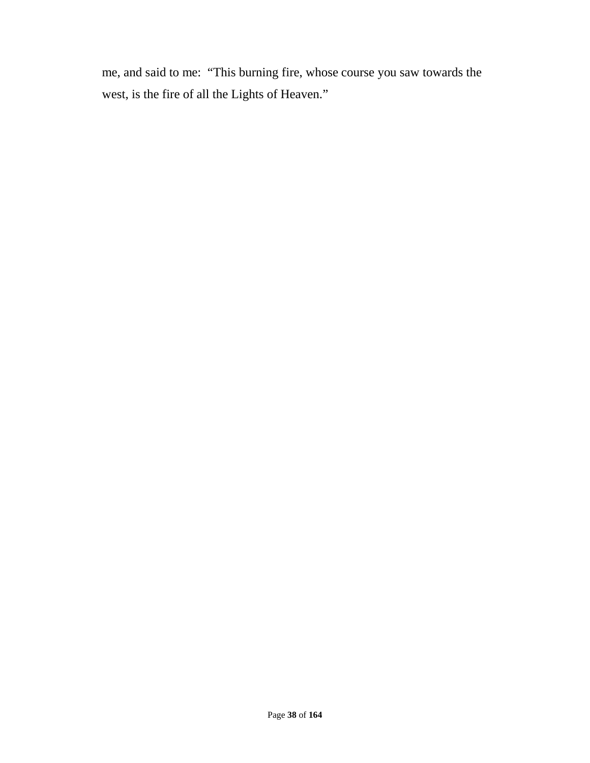me, and said to me: "This burning fire, whose course you saw towards the west, is the fire of all the Lights of Heaven."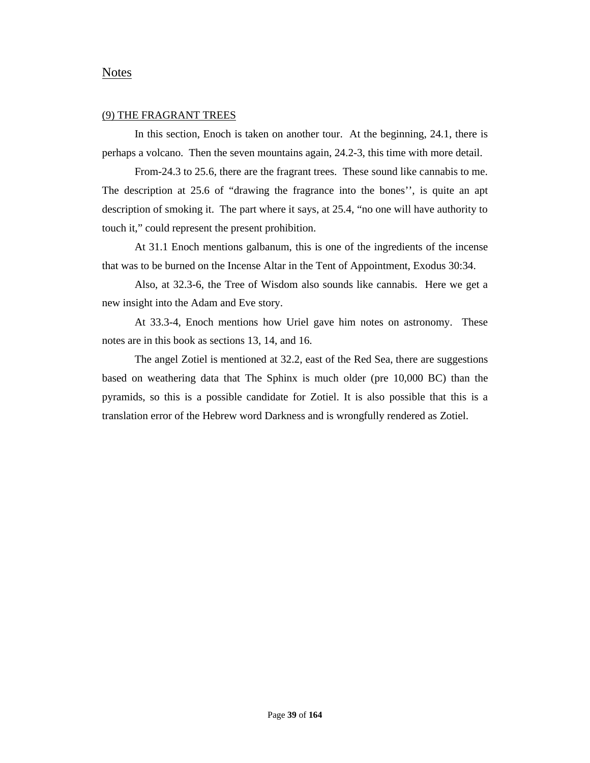## Notes

#### (9) THE FRAGRANT TREES

In this section, Enoch is taken on another tour. At the beginning, 24.1, there is perhaps a volcano. Then the seven mountains again, 24.2-3, this time with more detail.

From-24.3 to 25.6, there are the fragrant trees. These sound like cannabis to me. The description at 25.6 of "drawing the fragrance into the bones'', is quite an apt description of smoking it. The part where it says, at 25.4, "no one will have authority to touch it," could represent the present prohibition.

At 31.1 Enoch mentions galbanum, this is one of the ingredients of the incense that was to be burned on the Incense Altar in the Tent of Appointment, Exodus 30:34.

Also, at 32.3-6, the Tree of Wisdom also sounds like cannabis. Here we get a new insight into the Adam and Eve story.

At 33.3-4, Enoch mentions how Uriel gave him notes on astronomy. These notes are in this book as sections 13, 14, and 16.

The angel Zotiel is mentioned at 32.2, east of the Red Sea, there are suggestions based on weathering data that The Sphinx is much older (pre 10,000 BC) than the pyramids, so this is a possible candidate for Zotiel. It is also possible that this is a translation error of the Hebrew word Darkness and is wrongfully rendered as Zotiel.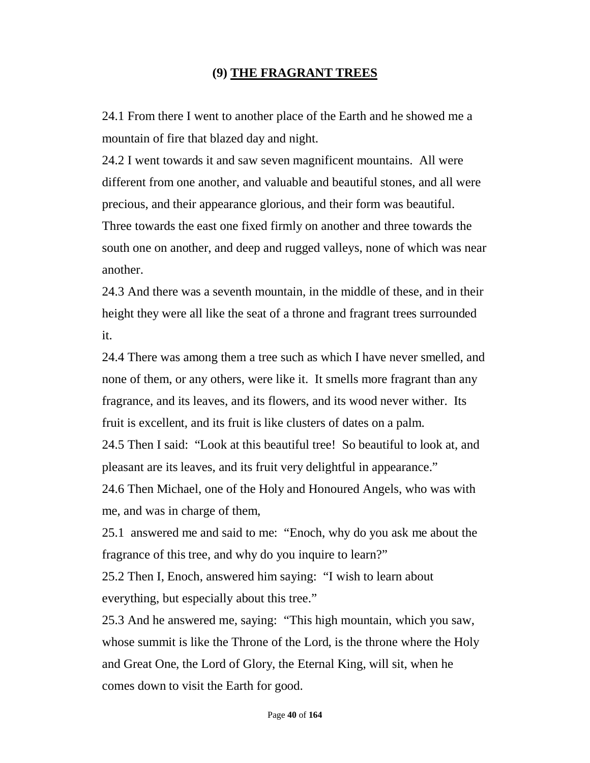# **(9) THE FRAGRANT TREES**

24.1 From there I went to another place of the Earth and he showed me a mountain of fire that blazed day and night.

24.2 I went towards it and saw seven magnificent mountains. All were different from one another, and valuable and beautiful stones, and all were precious, and their appearance glorious, and their form was beautiful. Three towards the east one fixed firmly on another and three towards the south one on another, and deep and rugged valleys, none of which was near another.

24.3 And there was a seventh mountain, in the middle of these, and in their height they were all like the seat of a throne and fragrant trees surrounded it.

24.4 There was among them a tree such as which I have never smelled, and none of them, or any others, were like it. It smells more fragrant than any fragrance, and its leaves, and its flowers, and its wood never wither. Its fruit is excellent, and its fruit is like clusters of dates on a palm.

24.5 Then I said: "Look at this beautiful tree! So beautiful to look at, and pleasant are its leaves, and its fruit very delightful in appearance."

24.6 Then Michael, one of the Holy and Honoured Angels, who was with me, and was in charge of them,

25.1 answered me and said to me: "Enoch, why do you ask me about the fragrance of this tree, and why do you inquire to learn?"

25.2 Then I, Enoch, answered him saying: "I wish to learn about everything, but especially about this tree."

25.3 And he answered me, saying: "This high mountain, which you saw, whose summit is like the Throne of the Lord, is the throne where the Holy and Great One, the Lord of Glory, the Eternal King, will sit, when he comes down to visit the Earth for good.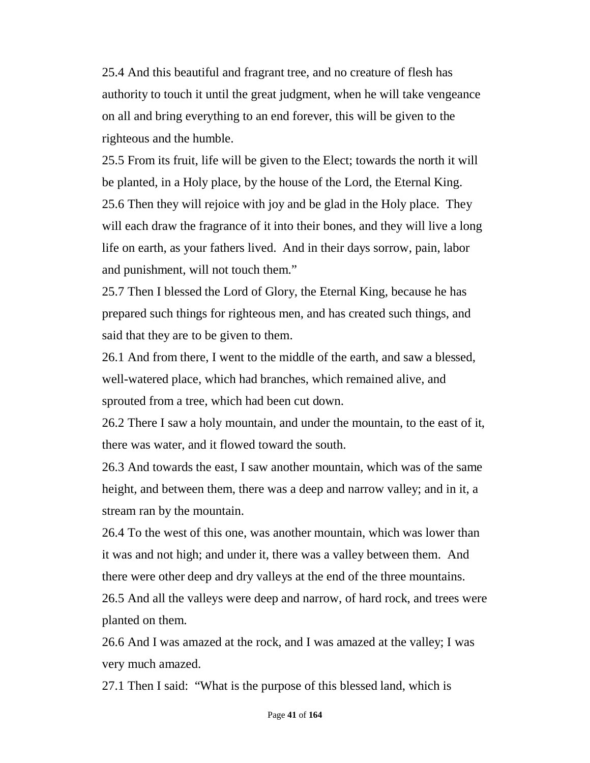25.4 And this beautiful and fragrant tree, and no creature of flesh has authority to touch it until the great judgment, when he will take vengeance on all and bring everything to an end forever, this will be given to the righteous and the humble.

25.5 From its fruit, life will be given to the Elect; towards the north it will be planted, in a Holy place, by the house of the Lord, the Eternal King. 25.6 Then they will rejoice with joy and be glad in the Holy place. They will each draw the fragrance of it into their bones, and they will live a long life on earth, as your fathers lived. And in their days sorrow, pain, labor and punishment, will not touch them."

25.7 Then I blessed the Lord of Glory, the Eternal King, because he has prepared such things for righteous men, and has created such things, and said that they are to be given to them.

26.1 And from there, I went to the middle of the earth, and saw a blessed, well-watered place, which had branches, which remained alive, and sprouted from a tree, which had been cut down.

26.2 There I saw a holy mountain, and under the mountain, to the east of it, there was water, and it flowed toward the south.

26.3 And towards the east, I saw another mountain, which was of the same height, and between them, there was a deep and narrow valley; and in it, a stream ran by the mountain.

26.4 To the west of this one, was another mountain, which was lower than it was and not high; and under it, there was a valley between them. And there were other deep and dry valleys at the end of the three mountains.

26.5 And all the valleys were deep and narrow, of hard rock, and trees were planted on them.

26.6 And I was amazed at the rock, and I was amazed at the valley; I was very much amazed.

27.1 Then I said: "What is the purpose of this blessed land, which is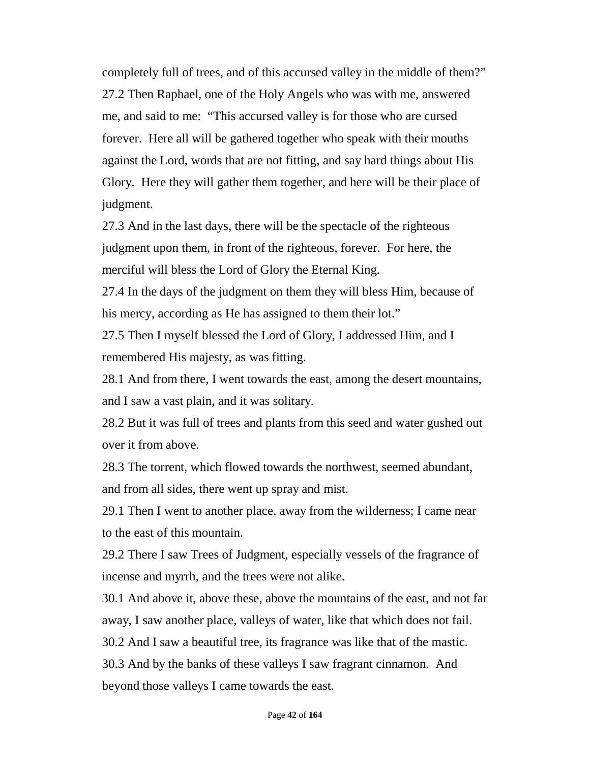completely full of trees, and of this accursed valley in the middle of them?" 27.2 Then Raphael, one of the Holy Angels who was with me, answered me, and said to me: "This accursed valley is for those who are cursed forever. Here all will be gathered together who speak with their mouths against the Lord, words that are not fitting, and say hard things about His Glory. Here they will gather them together, and here will be their place of judgment.

27.3 And in the last days, there will be the spectacle of the righteous judgment upon them, in front of the righteous, forever. For here, the merciful will bless the Lord of Glory the Eternal King.

27.4 In the days of the judgment on them they will bless Him, because of his mercy, according as He has assigned to them their lot."

27.5 Then I myself blessed the Lord of Glory, I addressed Him, and I remembered His majesty, as was fitting.

28.1 And from there, I went towards the east, among the desert mountains, and I saw a vast plain, and it was solitary.

28.2 But it was full of trees and plants from this seed and water gushed out over it from above.

28.3 The torrent, which flowed towards the northwest, seemed abundant, and from all sides, there went up spray and mist.

29.1 Then I went to another place, away from the wilderness; I came near to the east of this mountain.

29.2 There I saw Trees of Judgment, especially vessels of the fragrance of incense and myrrh, and the trees were not alike.

30.1 And above it, above these, above the mountains of the east, and not far away, I saw another place, valleys of water, like that which does not fail.

30.2 And I saw a beautiful tree, its fragrance was like that of the mastic.

30.3 And by the banks of these valleys I saw fragrant cinnamon. And beyond those valleys I came towards the east.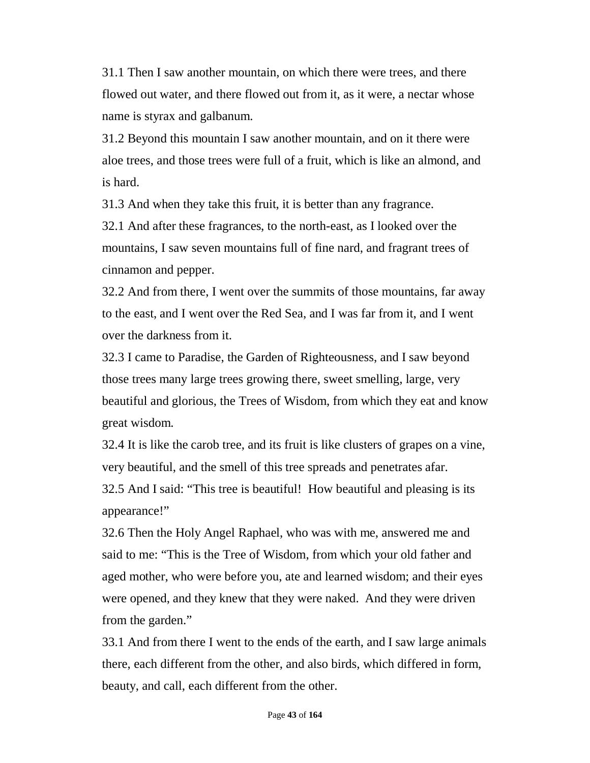31.1 Then I saw another mountain, on which there were trees, and there flowed out water, and there flowed out from it, as it were, a nectar whose name is styrax and galbanum.

31.2 Beyond this mountain I saw another mountain, and on it there were aloe trees, and those trees were full of a fruit, which is like an almond, and is hard.

31.3 And when they take this fruit, it is better than any fragrance.

32.1 And after these fragrances, to the north-east, as I looked over the mountains, I saw seven mountains full of fine nard, and fragrant trees of cinnamon and pepper.

32.2 And from there, I went over the summits of those mountains, far away to the east, and I went over the Red Sea, and I was far from it, and I went over the darkness from it.

32.3 I came to Paradise, the Garden of Righteousness, and I saw beyond those trees many large trees growing there, sweet smelling, large, very beautiful and glorious, the Trees of Wisdom, from which they eat and know great wisdom.

32.4 It is like the carob tree, and its fruit is like clusters of grapes on a vine, very beautiful, and the smell of this tree spreads and penetrates afar. 32.5 And I said: "This tree is beautiful! How beautiful and pleasing is its appearance!"

32.6 Then the Holy Angel Raphael, who was with me, answered me and said to me: "This is the Tree of Wisdom, from which your old father and aged mother, who were before you, ate and learned wisdom; and their eyes were opened, and they knew that they were naked. And they were driven from the garden."

33.1 And from there I went to the ends of the earth, and I saw large animals there, each different from the other, and also birds, which differed in form, beauty, and call, each different from the other.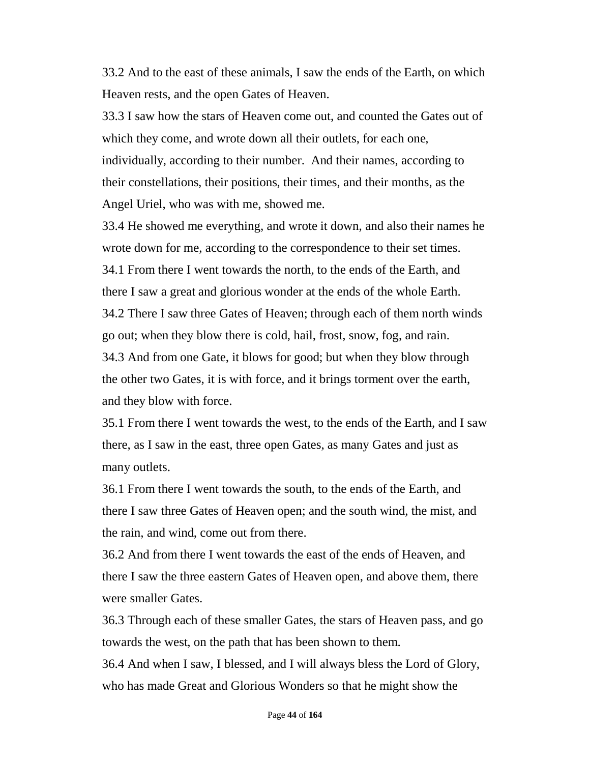33.2 And to the east of these animals, I saw the ends of the Earth, on which Heaven rests, and the open Gates of Heaven.

33.3 I saw how the stars of Heaven come out, and counted the Gates out of which they come, and wrote down all their outlets, for each one, individually, according to their number. And their names, according to their constellations, their positions, their times, and their months, as the Angel Uriel, who was with me, showed me.

33.4 He showed me everything, and wrote it down, and also their names he wrote down for me, according to the correspondence to their set times. 34.1 From there I went towards the north, to the ends of the Earth, and there I saw a great and glorious wonder at the ends of the whole Earth. 34.2 There I saw three Gates of Heaven; through each of them north winds go out; when they blow there is cold, hail, frost, snow, fog, and rain. 34.3 And from one Gate, it blows for good; but when they blow through the other two Gates, it is with force, and it brings torment over the earth, and they blow with force.

35.1 From there I went towards the west, to the ends of the Earth, and I saw there, as I saw in the east, three open Gates, as many Gates and just as many outlets.

36.1 From there I went towards the south, to the ends of the Earth, and there I saw three Gates of Heaven open; and the south wind, the mist, and the rain, and wind, come out from there.

36.2 And from there I went towards the east of the ends of Heaven, and there I saw the three eastern Gates of Heaven open, and above them, there were smaller Gates.

36.3 Through each of these smaller Gates, the stars of Heaven pass, and go towards the west, on the path that has been shown to them.

36.4 And when I saw, I blessed, and I will always bless the Lord of Glory, who has made Great and Glorious Wonders so that he might show the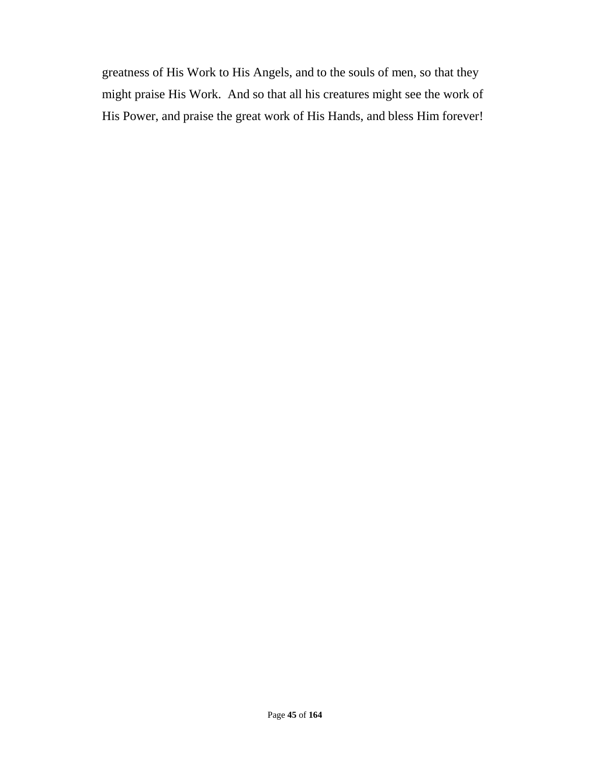greatness of His Work to His Angels, and to the souls of men, so that they might praise His Work. And so that all his creatures might see the work of His Power, and praise the great work of His Hands, and bless Him forever!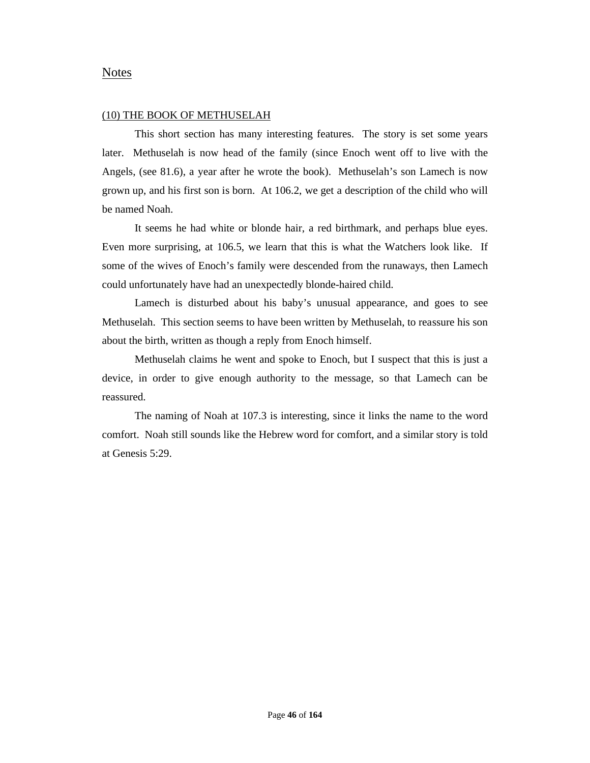## Notes

#### (10) THE BOOK OF METHUSELAH

This short section has many interesting features. The story is set some years later. Methuselah is now head of the family (since Enoch went off to live with the Angels, (see 81.6), a year after he wrote the book). Methuselah's son Lamech is now grown up, and his first son is born. At 106.2, we get a description of the child who will be named Noah.

It seems he had white or blonde hair, a red birthmark, and perhaps blue eyes. Even more surprising, at 106.5, we learn that this is what the Watchers look like. If some of the wives of Enoch's family were descended from the runaways, then Lamech could unfortunately have had an unexpectedly blonde-haired child.

Lamech is disturbed about his baby's unusual appearance, and goes to see Methuselah. This section seems to have been written by Methuselah, to reassure his son about the birth, written as though a reply from Enoch himself.

Methuselah claims he went and spoke to Enoch, but I suspect that this is just a device, in order to give enough authority to the message, so that Lamech can be reassured.

The naming of Noah at 107.3 is interesting, since it links the name to the word comfort. Noah still sounds like the Hebrew word for comfort, and a similar story is told at Genesis 5:29.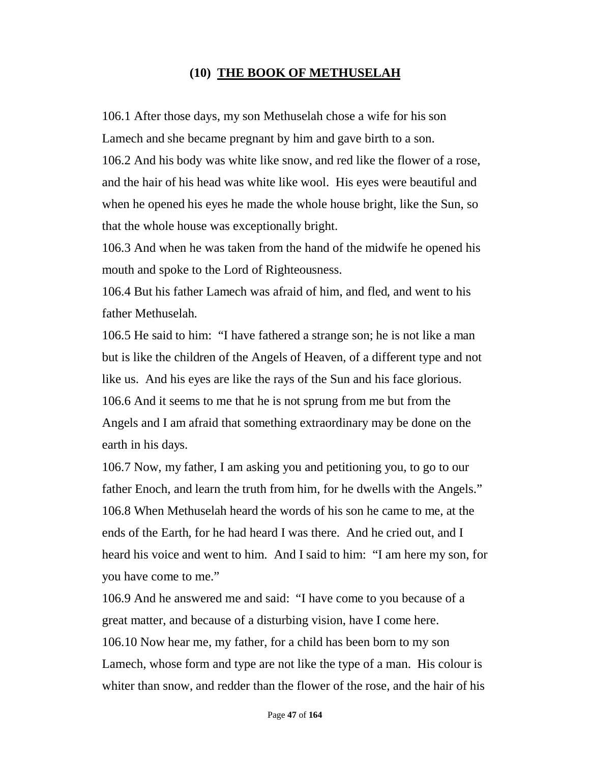# **(10) THE BOOK OF METHUSELAH**

106.1 After those days, my son Methuselah chose a wife for his son Lamech and she became pregnant by him and gave birth to a son.

106.2 And his body was white like snow, and red like the flower of a rose, and the hair of his head was white like wool. His eyes were beautiful and when he opened his eyes he made the whole house bright, like the Sun, so that the whole house was exceptionally bright.

106.3 And when he was taken from the hand of the midwife he opened his mouth and spoke to the Lord of Righteousness.

106.4 But his father Lamech was afraid of him, and fled, and went to his father Methuselah.

106.5 He said to him: "I have fathered a strange son; he is not like a man but is like the children of the Angels of Heaven, of a different type and not like us. And his eyes are like the rays of the Sun and his face glorious. 106.6 And it seems to me that he is not sprung from me but from the Angels and I am afraid that something extraordinary may be done on the earth in his days.

106.7 Now, my father, I am asking you and petitioning you, to go to our father Enoch, and learn the truth from him, for he dwells with the Angels." 106.8 When Methuselah heard the words of his son he came to me, at the ends of the Earth, for he had heard I was there. And he cried out, and I heard his voice and went to him. And I said to him: "I am here my son, for you have come to me."

106.9 And he answered me and said: "I have come to you because of a great matter, and because of a disturbing vision, have I come here. 106.10 Now hear me, my father, for a child has been born to my son Lamech, whose form and type are not like the type of a man. His colour is whiter than snow, and redder than the flower of the rose, and the hair of his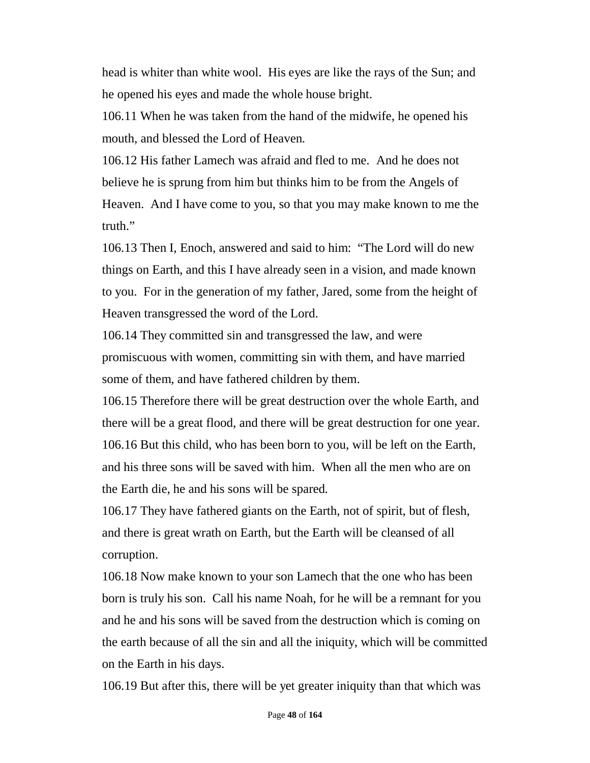head is whiter than white wool. His eyes are like the rays of the Sun; and he opened his eyes and made the whole house bright.

106.11 When he was taken from the hand of the midwife, he opened his mouth, and blessed the Lord of Heaven.

106.12 His father Lamech was afraid and fled to me. And he does not believe he is sprung from him but thinks him to be from the Angels of Heaven. And I have come to you, so that you may make known to me the truth."

106.13 Then I, Enoch, answered and said to him: "The Lord will do new things on Earth, and this I have already seen in a vision, and made known to you. For in the generation of my father, Jared, some from the height of Heaven transgressed the word of the Lord.

106.14 They committed sin and transgressed the law, and were promiscuous with women, committing sin with them, and have married some of them, and have fathered children by them.

106.15 Therefore there will be great destruction over the whole Earth, and there will be a great flood, and there will be great destruction for one year. 106.16 But this child, who has been born to you, will be left on the Earth, and his three sons will be saved with him. When all the men who are on the Earth die, he and his sons will be spared.

106.17 They have fathered giants on the Earth, not of spirit, but of flesh, and there is great wrath on Earth, but the Earth will be cleansed of all corruption.

106.18 Now make known to your son Lamech that the one who has been born is truly his son. Call his name Noah, for he will be a remnant for you and he and his sons will be saved from the destruction which is coming on the earth because of all the sin and all the iniquity, which will be committed on the Earth in his days.

106.19 But after this, there will be yet greater iniquity than that which was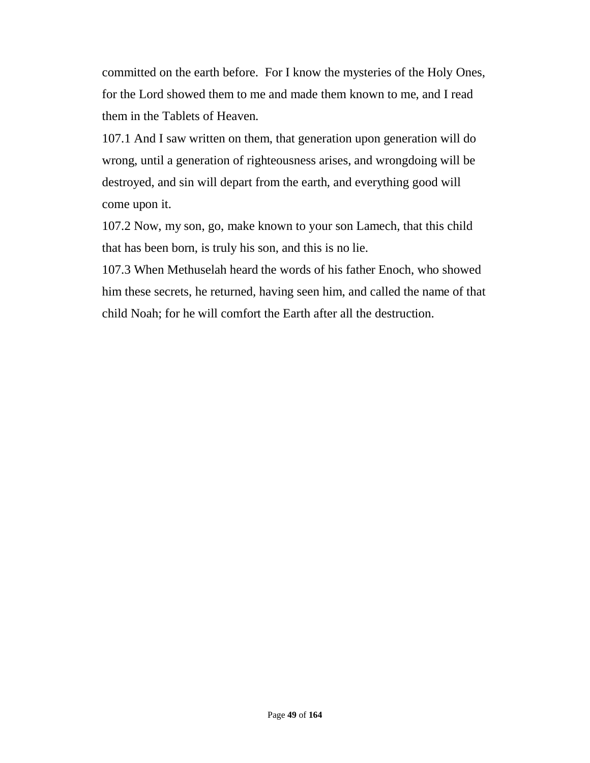committed on the earth before. For I know the mysteries of the Holy Ones, for the Lord showed them to me and made them known to me, and I read them in the Tablets of Heaven.

107.1 And I saw written on them, that generation upon generation will do wrong, until a generation of righteousness arises, and wrongdoing will be destroyed, and sin will depart from the earth, and everything good will come upon it.

107.2 Now, my son, go, make known to your son Lamech, that this child that has been born, is truly his son, and this is no lie.

107.3 When Methuselah heard the words of his father Enoch, who showed him these secrets, he returned, having seen him, and called the name of that child Noah; for he will comfort the Earth after all the destruction.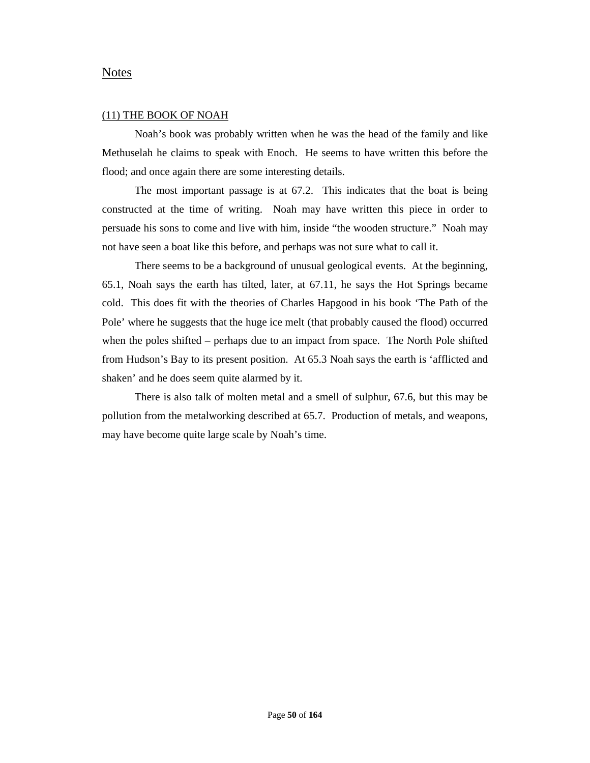## Notes

#### (11) THE BOOK OF NOAH

Noah's book was probably written when he was the head of the family and like Methuselah he claims to speak with Enoch. He seems to have written this before the flood; and once again there are some interesting details.

The most important passage is at 67.2. This indicates that the boat is being constructed at the time of writing. Noah may have written this piece in order to persuade his sons to come and live with him, inside "the wooden structure." Noah may not have seen a boat like this before, and perhaps was not sure what to call it.

There seems to be a background of unusual geological events. At the beginning, 65.1, Noah says the earth has tilted, later, at 67.11, he says the Hot Springs became cold. This does fit with the theories of Charles Hapgood in his book 'The Path of the Pole' where he suggests that the huge ice melt (that probably caused the flood) occurred when the poles shifted – perhaps due to an impact from space. The North Pole shifted from Hudson's Bay to its present position. At 65.3 Noah says the earth is 'afflicted and shaken' and he does seem quite alarmed by it.

There is also talk of molten metal and a smell of sulphur, 67.6, but this may be pollution from the metalworking described at 65.7. Production of metals, and weapons, may have become quite large scale by Noah's time.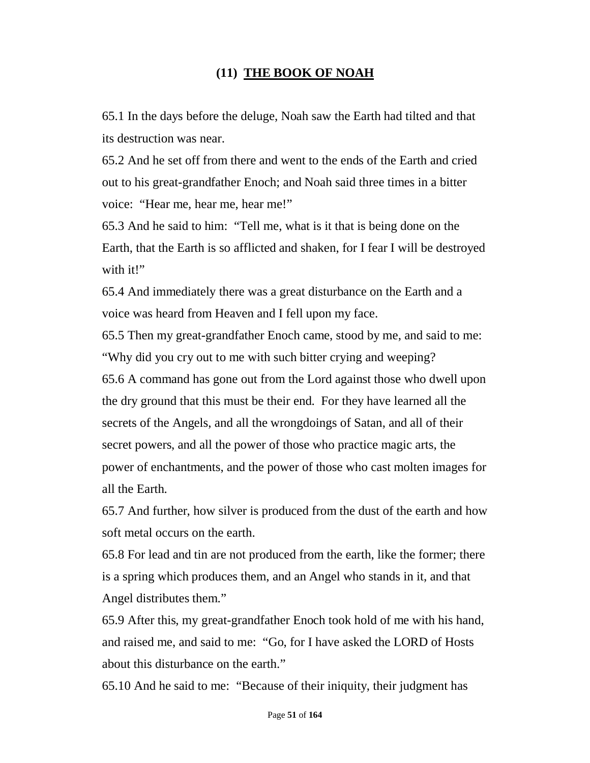# **(11) THE BOOK OF NOAH**

65.1 In the days before the deluge, Noah saw the Earth had tilted and that its destruction was near.

65.2 And he set off from there and went to the ends of the Earth and cried out to his great-grandfather Enoch; and Noah said three times in a bitter voice: "Hear me, hear me, hear me!"

65.3 And he said to him: "Tell me, what is it that is being done on the Earth, that the Earth is so afflicted and shaken, for I fear I will be destroyed with it!"

65.4 And immediately there was a great disturbance on the Earth and a voice was heard from Heaven and I fell upon my face.

65.5 Then my great-grandfather Enoch came, stood by me, and said to me: "Why did you cry out to me with such bitter crying and weeping?

65.6 A command has gone out from the Lord against those who dwell upon the dry ground that this must be their end. For they have learned all the secrets of the Angels, and all the wrongdoings of Satan, and all of their secret powers, and all the power of those who practice magic arts, the power of enchantments, and the power of those who cast molten images for all the Earth.

65.7 And further, how silver is produced from the dust of the earth and how soft metal occurs on the earth.

65.8 For lead and tin are not produced from the earth, like the former; there is a spring which produces them, and an Angel who stands in it, and that Angel distributes them."

65.9 After this, my great-grandfather Enoch took hold of me with his hand, and raised me, and said to me: "Go, for I have asked the LORD of Hosts about this disturbance on the earth."

65.10 And he said to me: "Because of their iniquity, their judgment has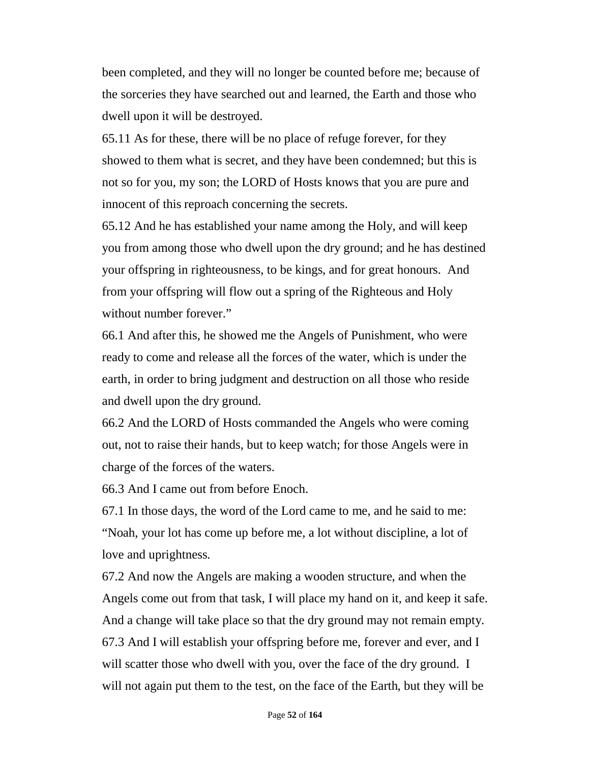been completed, and they will no longer be counted before me; because of the sorceries they have searched out and learned, the Earth and those who dwell upon it will be destroyed.

65.11 As for these, there will be no place of refuge forever, for they showed to them what is secret, and they have been condemned; but this is not so for you, my son; the LORD of Hosts knows that you are pure and innocent of this reproach concerning the secrets.

65.12 And he has established your name among the Holy, and will keep you from among those who dwell upon the dry ground; and he has destined your offspring in righteousness, to be kings, and for great honours. And from your offspring will flow out a spring of the Righteous and Holy without number forever."

66.1 And after this, he showed me the Angels of Punishment, who were ready to come and release all the forces of the water, which is under the earth, in order to bring judgment and destruction on all those who reside and dwell upon the dry ground.

66.2 And the LORD of Hosts commanded the Angels who were coming out, not to raise their hands, but to keep watch; for those Angels were in charge of the forces of the waters.

66.3 And I came out from before Enoch.

67.1 In those days, the word of the Lord came to me, and he said to me: "Noah, your lot has come up before me, a lot without discipline, a lot of love and uprightness.

67.2 And now the Angels are making a wooden structure, and when the Angels come out from that task, I will place my hand on it, and keep it safe. And a change will take place so that the dry ground may not remain empty. 67.3 And I will establish your offspring before me, forever and ever, and I will scatter those who dwell with you, over the face of the dry ground. I will not again put them to the test, on the face of the Earth, but they will be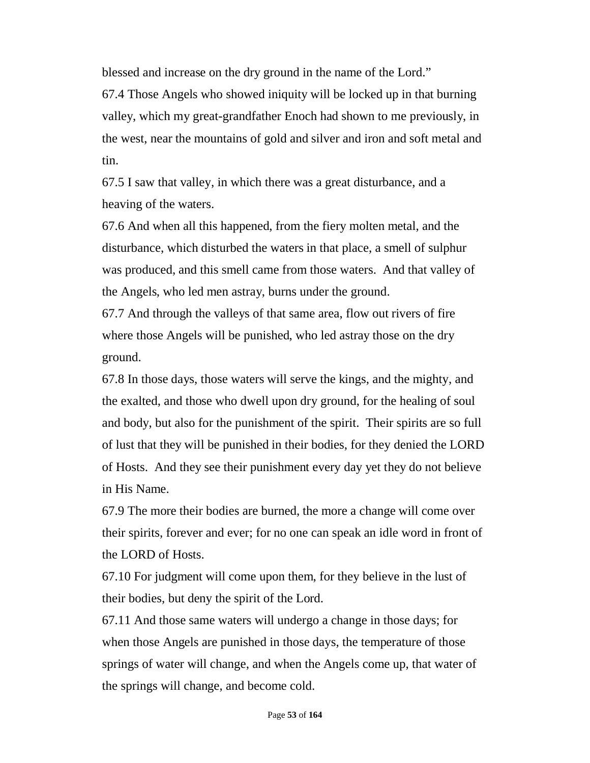blessed and increase on the dry ground in the name of the Lord."

67.4 Those Angels who showed iniquity will be locked up in that burning valley, which my great-grandfather Enoch had shown to me previously, in the west, near the mountains of gold and silver and iron and soft metal and tin.

67.5 I saw that valley, in which there was a great disturbance, and a heaving of the waters.

67.6 And when all this happened, from the fiery molten metal, and the disturbance, which disturbed the waters in that place, a smell of sulphur was produced, and this smell came from those waters. And that valley of the Angels, who led men astray, burns under the ground.

67.7 And through the valleys of that same area, flow out rivers of fire where those Angels will be punished, who led astray those on the dry ground.

67.8 In those days, those waters will serve the kings, and the mighty, and the exalted, and those who dwell upon dry ground, for the healing of soul and body, but also for the punishment of the spirit. Their spirits are so full of lust that they will be punished in their bodies, for they denied the LORD of Hosts. And they see their punishment every day yet they do not believe in His Name.

67.9 The more their bodies are burned, the more a change will come over their spirits, forever and ever; for no one can speak an idle word in front of the LORD of Hosts.

67.10 For judgment will come upon them, for they believe in the lust of their bodies, but deny the spirit of the Lord.

67.11 And those same waters will undergo a change in those days; for when those Angels are punished in those days, the temperature of those springs of water will change, and when the Angels come up, that water of the springs will change, and become cold.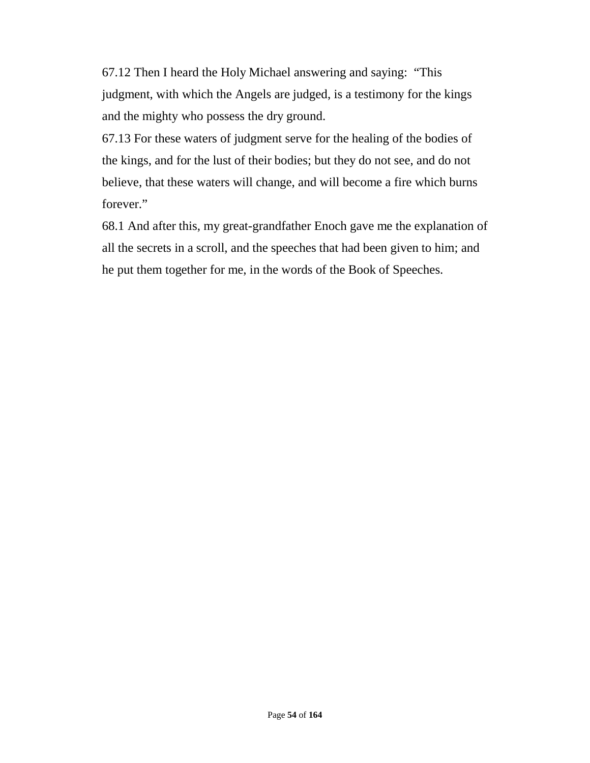67.12 Then I heard the Holy Michael answering and saying: "This judgment, with which the Angels are judged, is a testimony for the kings and the mighty who possess the dry ground.

67.13 For these waters of judgment serve for the healing of the bodies of the kings, and for the lust of their bodies; but they do not see, and do not believe, that these waters will change, and will become a fire which burns forever."

68.1 And after this, my great-grandfather Enoch gave me the explanation of all the secrets in a scroll, and the speeches that had been given to him; and he put them together for me, in the words of the Book of Speeches.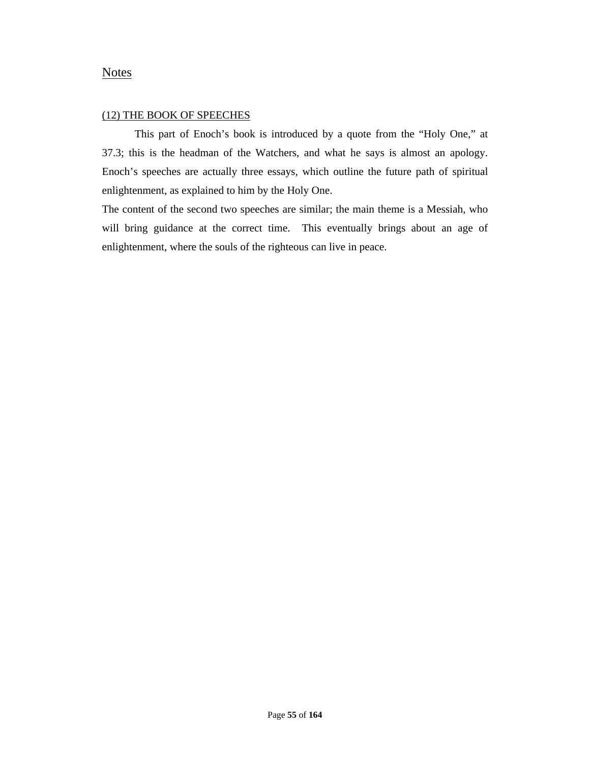## **Notes**

#### (12) THE BOOK OF SPEECHES

This part of Enoch's book is introduced by a quote from the "Holy One," at 37.3; this is the headman of the Watchers, and what he says is almost an apology. Enoch's speeches are actually three essays, which outline the future path of spiritual enlightenment, as explained to him by the Holy One.

The content of the second two speeches are similar; the main theme is a Messiah, who will bring guidance at the correct time. This eventually brings about an age of enlightenment, where the souls of the righteous can live in peace.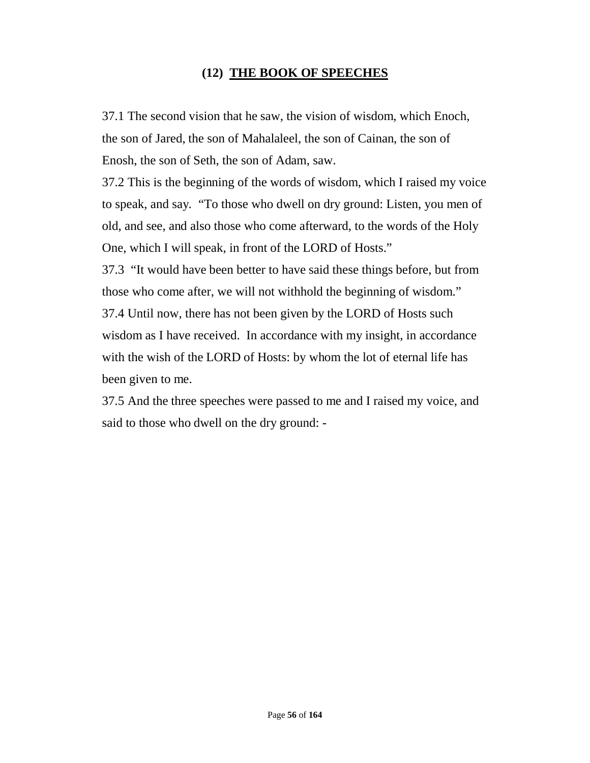# **(12) THE BOOK OF SPEECHES**

37.1 The second vision that he saw, the vision of wisdom, which Enoch, the son of Jared, the son of Mahalaleel, the son of Cainan, the son of Enosh, the son of Seth, the son of Adam, saw.

37.2 This is the beginning of the words of wisdom, which I raised my voice to speak, and say. "To those who dwell on dry ground: Listen, you men of old, and see, and also those who come afterward, to the words of the Holy One, which I will speak, in front of the LORD of Hosts."

37.3 "It would have been better to have said these things before, but from those who come after, we will not withhold the beginning of wisdom." 37.4 Until now, there has not been given by the LORD of Hosts such wisdom as I have received. In accordance with my insight, in accordance with the wish of the LORD of Hosts: by whom the lot of eternal life has been given to me.

37.5 And the three speeches were passed to me and I raised my voice, and said to those who dwell on the dry ground: -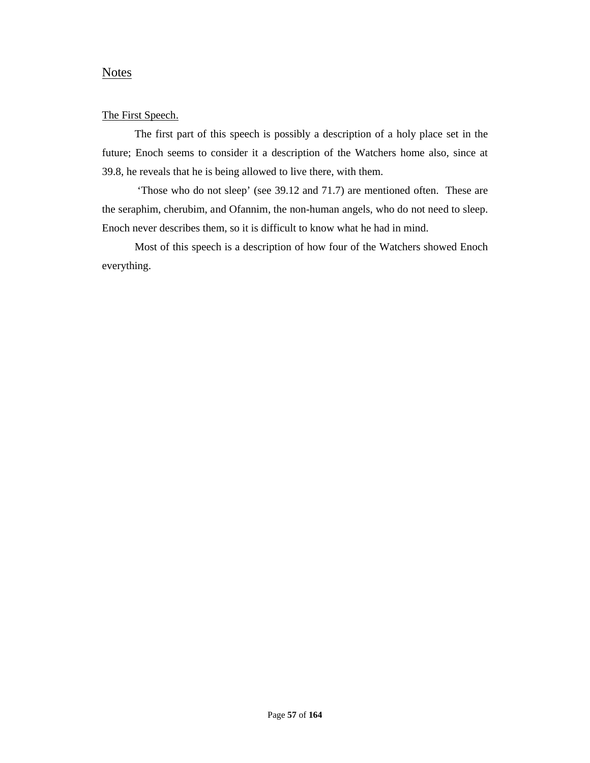## **Notes**

### The First Speech.

The first part of this speech is possibly a description of a holy place set in the future; Enoch seems to consider it a description of the Watchers home also, since at 39.8, he reveals that he is being allowed to live there, with them.

'Those who do not sleep' (see 39.12 and 71.7) are mentioned often. These are the seraphim, cherubim, and Ofannim, the non-human angels, who do not need to sleep. Enoch never describes them, so it is difficult to know what he had in mind.

Most of this speech is a description of how four of the Watchers showed Enoch everything.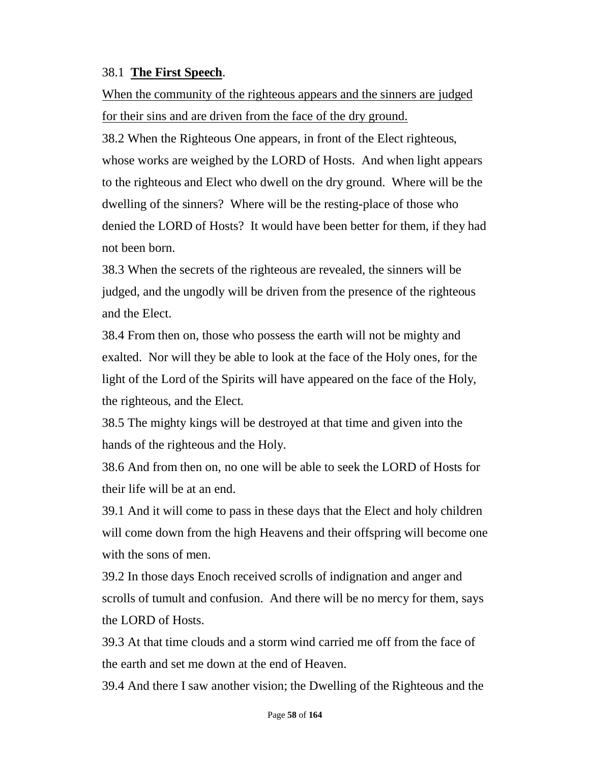# 38.1 **The First Speech**.

When the community of the righteous appears and the sinners are judged for their sins and are driven from the face of the dry ground.

38.2 When the Righteous One appears, in front of the Elect righteous, whose works are weighed by the LORD of Hosts. And when light appears to the righteous and Elect who dwell on the dry ground. Where will be the dwelling of the sinners? Where will be the resting-place of those who denied the LORD of Hosts? It would have been better for them, if they had not been born.

38.3 When the secrets of the righteous are revealed, the sinners will be judged, and the ungodly will be driven from the presence of the righteous and the Elect.

38.4 From then on, those who possess the earth will not be mighty and exalted. Nor will they be able to look at the face of the Holy ones, for the light of the Lord of the Spirits will have appeared on the face of the Holy, the righteous, and the Elect.

38.5 The mighty kings will be destroyed at that time and given into the hands of the righteous and the Holy.

38.6 And from then on, no one will be able to seek the LORD of Hosts for their life will be at an end.

39.1 And it will come to pass in these days that the Elect and holy children will come down from the high Heavens and their offspring will become one with the sons of men.

39.2 In those days Enoch received scrolls of indignation and anger and scrolls of tumult and confusion. And there will be no mercy for them, says the LORD of Hosts.

39.3 At that time clouds and a storm wind carried me off from the face of the earth and set me down at the end of Heaven.

39.4 And there I saw another vision; the Dwelling of the Righteous and the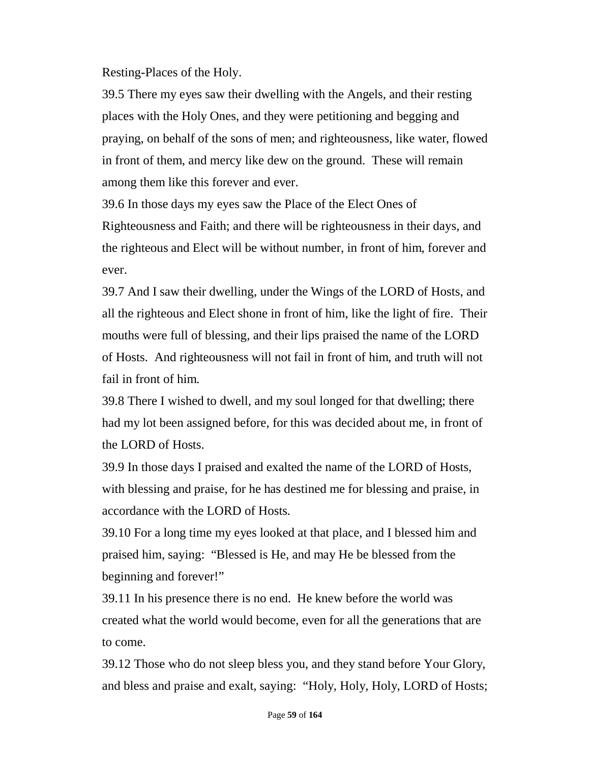Resting-Places of the Holy.

39.5 There my eyes saw their dwelling with the Angels, and their resting places with the Holy Ones, and they were petitioning and begging and praying, on behalf of the sons of men; and righteousness, like water, flowed in front of them, and mercy like dew on the ground. These will remain among them like this forever and ever.

39.6 In those days my eyes saw the Place of the Elect Ones of Righteousness and Faith; and there will be righteousness in their days, and the righteous and Elect will be without number, in front of him, forever and ever.

39.7 And I saw their dwelling, under the Wings of the LORD of Hosts, and all the righteous and Elect shone in front of him, like the light of fire. Their mouths were full of blessing, and their lips praised the name of the LORD of Hosts. And righteousness will not fail in front of him, and truth will not fail in front of him.

39.8 There I wished to dwell, and my soul longed for that dwelling; there had my lot been assigned before, for this was decided about me, in front of the LORD of Hosts.

39.9 In those days I praised and exalted the name of the LORD of Hosts, with blessing and praise, for he has destined me for blessing and praise, in accordance with the LORD of Hosts.

39.10 For a long time my eyes looked at that place, and I blessed him and praised him, saying: "Blessed is He, and may He be blessed from the beginning and forever!"

39.11 In his presence there is no end. He knew before the world was created what the world would become, even for all the generations that are to come.

39.12 Those who do not sleep bless you, and they stand before Your Glory, and bless and praise and exalt, saying: "Holy, Holy, Holy, LORD of Hosts;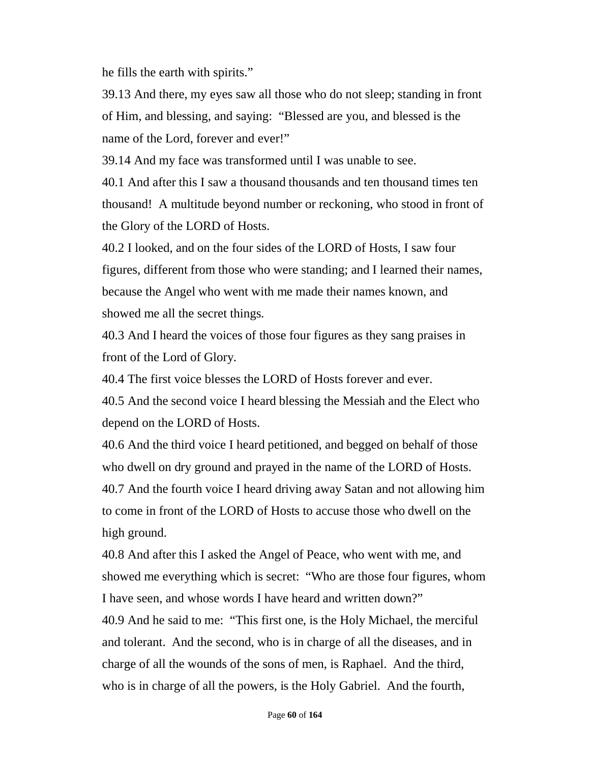he fills the earth with spirits."

39.13 And there, my eyes saw all those who do not sleep; standing in front of Him, and blessing, and saying: "Blessed are you, and blessed is the name of the Lord, forever and ever!"

39.14 And my face was transformed until I was unable to see.

40.1 And after this I saw a thousand thousands and ten thousand times ten thousand! A multitude beyond number or reckoning, who stood in front of the Glory of the LORD of Hosts.

40.2 I looked, and on the four sides of the LORD of Hosts, I saw four figures, different from those who were standing; and I learned their names, because the Angel who went with me made their names known, and showed me all the secret things.

40.3 And I heard the voices of those four figures as they sang praises in front of the Lord of Glory.

40.4 The first voice blesses the LORD of Hosts forever and ever.

40.5 And the second voice I heard blessing the Messiah and the Elect who depend on the LORD of Hosts.

40.6 And the third voice I heard petitioned, and begged on behalf of those who dwell on dry ground and prayed in the name of the LORD of Hosts. 40.7 And the fourth voice I heard driving away Satan and not allowing him to come in front of the LORD of Hosts to accuse those who dwell on the high ground.

40.8 And after this I asked the Angel of Peace, who went with me, and showed me everything which is secret: "Who are those four figures, whom I have seen, and whose words I have heard and written down?" 40.9 And he said to me: "This first one, is the Holy Michael, the merciful

and tolerant. And the second, who is in charge of all the diseases, and in charge of all the wounds of the sons of men, is Raphael. And the third, who is in charge of all the powers, is the Holy Gabriel. And the fourth,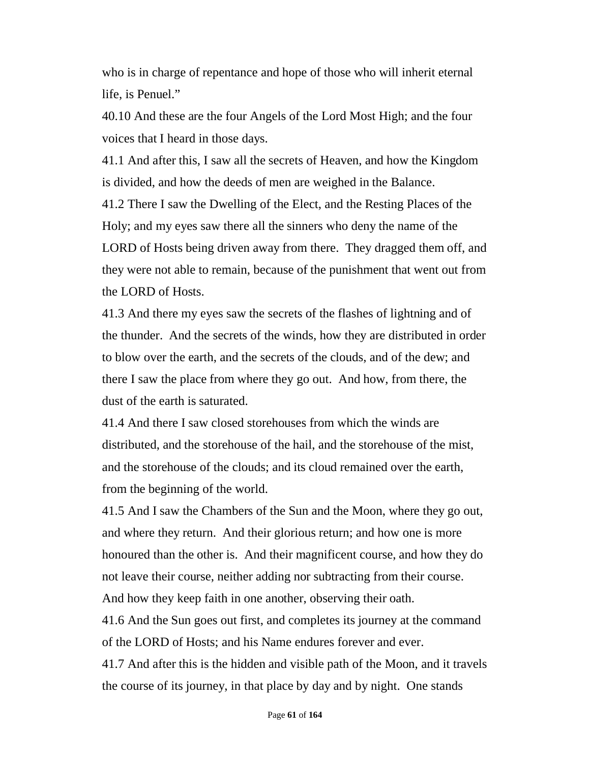who is in charge of repentance and hope of those who will inherit eternal life, is Penuel."

40.10 And these are the four Angels of the Lord Most High; and the four voices that I heard in those days.

41.1 And after this, I saw all the secrets of Heaven, and how the Kingdom is divided, and how the deeds of men are weighed in the Balance.

41.2 There I saw the Dwelling of the Elect, and the Resting Places of the Holy; and my eyes saw there all the sinners who deny the name of the LORD of Hosts being driven away from there. They dragged them off, and they were not able to remain, because of the punishment that went out from the LORD of Hosts.

41.3 And there my eyes saw the secrets of the flashes of lightning and of the thunder. And the secrets of the winds, how they are distributed in order to blow over the earth, and the secrets of the clouds, and of the dew; and there I saw the place from where they go out. And how, from there, the dust of the earth is saturated.

41.4 And there I saw closed storehouses from which the winds are distributed, and the storehouse of the hail, and the storehouse of the mist, and the storehouse of the clouds; and its cloud remained over the earth, from the beginning of the world.

41.5 And I saw the Chambers of the Sun and the Moon, where they go out, and where they return. And their glorious return; and how one is more honoured than the other is. And their magnificent course, and how they do not leave their course, neither adding nor subtracting from their course. And how they keep faith in one another, observing their oath.

41.6 And the Sun goes out first, and completes its journey at the command of the LORD of Hosts; and his Name endures forever and ever.

41.7 And after this is the hidden and visible path of the Moon, and it travels the course of its journey, in that place by day and by night. One stands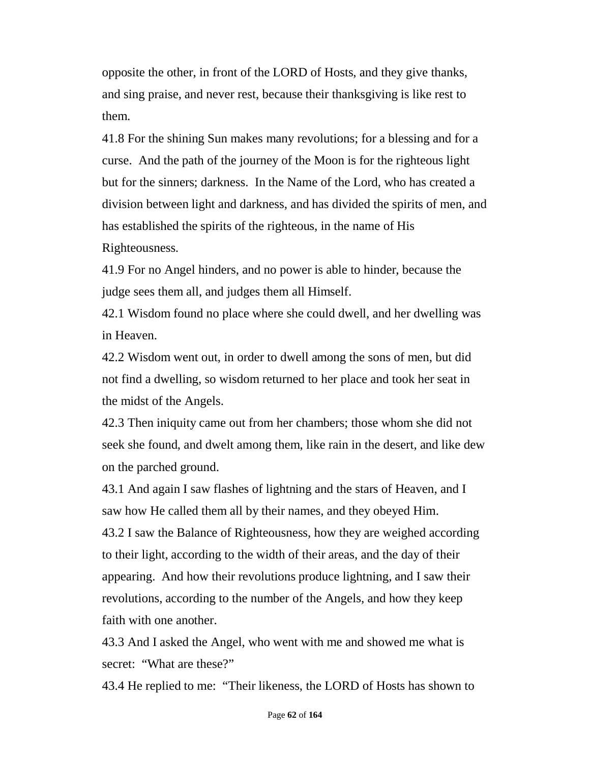opposite the other, in front of the LORD of Hosts, and they give thanks, and sing praise, and never rest, because their thanksgiving is like rest to them.

41.8 For the shining Sun makes many revolutions; for a blessing and for a curse. And the path of the journey of the Moon is for the righteous light but for the sinners; darkness. In the Name of the Lord, who has created a division between light and darkness, and has divided the spirits of men, and has established the spirits of the righteous, in the name of His Righteousness.

41.9 For no Angel hinders, and no power is able to hinder, because the judge sees them all, and judges them all Himself.

42.1 Wisdom found no place where she could dwell, and her dwelling was in Heaven.

42.2 Wisdom went out, in order to dwell among the sons of men, but did not find a dwelling, so wisdom returned to her place and took her seat in the midst of the Angels.

42.3 Then iniquity came out from her chambers; those whom she did not seek she found, and dwelt among them, like rain in the desert, and like dew on the parched ground.

43.1 And again I saw flashes of lightning and the stars of Heaven, and I saw how He called them all by their names, and they obeyed Him. 43.2 I saw the Balance of Righteousness, how they are weighed according to their light, according to the width of their areas, and the day of their appearing. And how their revolutions produce lightning, and I saw their revolutions, according to the number of the Angels, and how they keep faith with one another.

43.3 And I asked the Angel, who went with me and showed me what is secret: "What are these?"

43.4 He replied to me: "Their likeness, the LORD of Hosts has shown to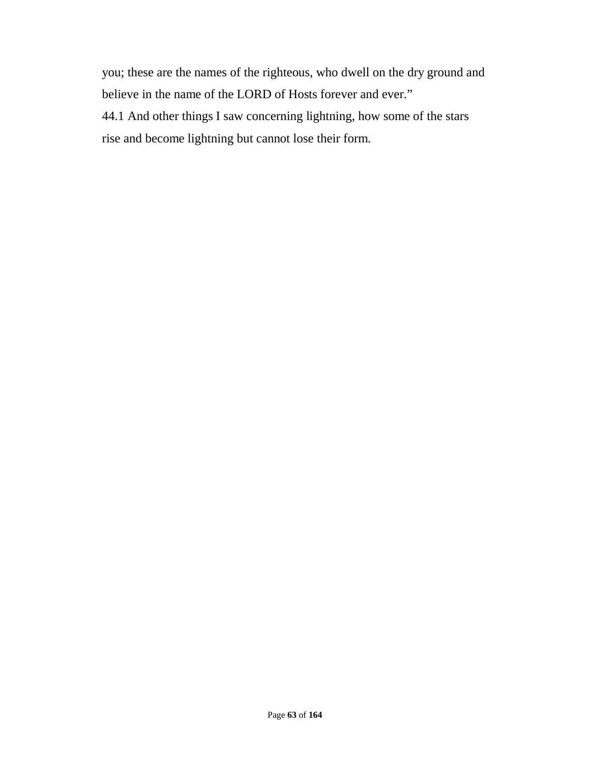you; these are the names of the righteous, who dwell on the dry ground and believe in the name of the LORD of Hosts forever and ever."

44.1 And other things I saw concerning lightning, how some of the stars rise and become lightning but cannot lose their form.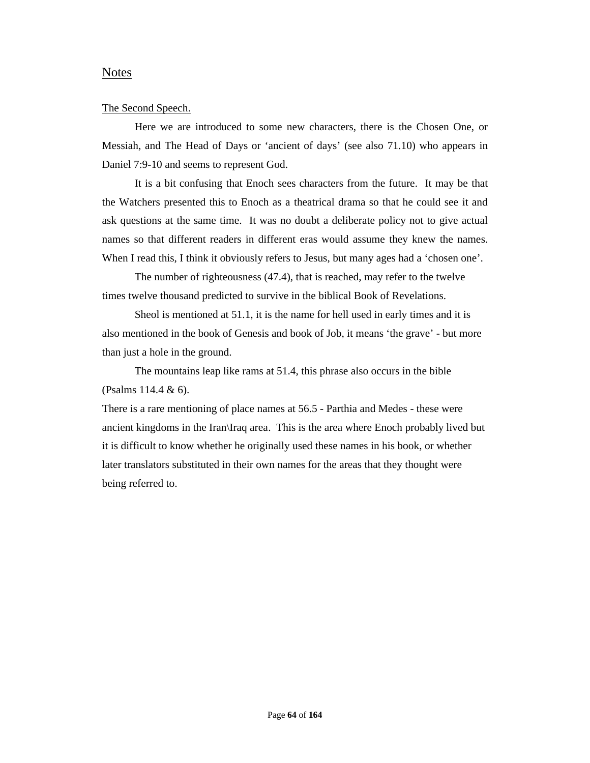## Notes

#### The Second Speech.

Here we are introduced to some new characters, there is the Chosen One, or Messiah, and The Head of Days or 'ancient of days' (see also 71.10) who appears in Daniel 7:9-10 and seems to represent God.

It is a bit confusing that Enoch sees characters from the future. It may be that the Watchers presented this to Enoch as a theatrical drama so that he could see it and ask questions at the same time. It was no doubt a deliberate policy not to give actual names so that different readers in different eras would assume they knew the names. When I read this, I think it obviously refers to Jesus, but many ages had a 'chosen one'.

The number of righteousness (47.4), that is reached, may refer to the twelve times twelve thousand predicted to survive in the biblical Book of Revelations.

Sheol is mentioned at 51.1, it is the name for hell used in early times and it is also mentioned in the book of Genesis and book of Job, it means 'the grave' - but more than just a hole in the ground.

The mountains leap like rams at 51.4, this phrase also occurs in the bible (Psalms 114.4 & 6).

There is a rare mentioning of place names at 56.5 - Parthia and Medes - these were ancient kingdoms in the Iran\Iraq area. This is the area where Enoch probably lived but it is difficult to know whether he originally used these names in his book, or whether later translators substituted in their own names for the areas that they thought were being referred to.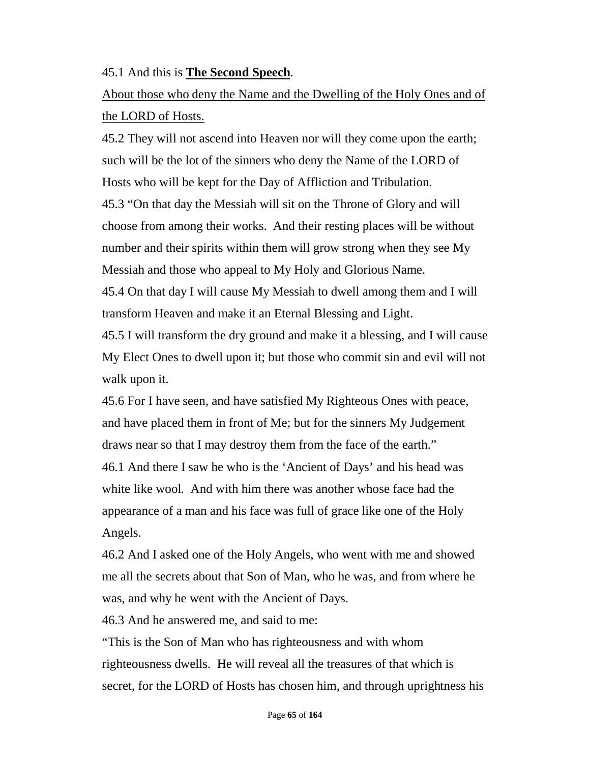# 45.1 And this is **The Second Speech**.

# About those who deny the Name and the Dwelling of the Holy Ones and of the LORD of Hosts.

45.2 They will not ascend into Heaven nor will they come upon the earth; such will be the lot of the sinners who deny the Name of the LORD of Hosts who will be kept for the Day of Affliction and Tribulation. 45.3 "On that day the Messiah will sit on the Throne of Glory and will choose from among their works. And their resting places will be without number and their spirits within them will grow strong when they see My Messiah and those who appeal to My Holy and Glorious Name.

45.4 On that day I will cause My Messiah to dwell among them and I will transform Heaven and make it an Eternal Blessing and Light.

45.5 I will transform the dry ground and make it a blessing, and I will cause My Elect Ones to dwell upon it; but those who commit sin and evil will not walk upon it.

45.6 For I have seen, and have satisfied My Righteous Ones with peace, and have placed them in front of Me; but for the sinners My Judgement draws near so that I may destroy them from the face of the earth." 46.1 And there I saw he who is the 'Ancient of Days' and his head was white like wool. And with him there was another whose face had the appearance of a man and his face was full of grace like one of the Holy Angels.

46.2 And I asked one of the Holy Angels, who went with me and showed me all the secrets about that Son of Man, who he was, and from where he was, and why he went with the Ancient of Days.

46.3 And he answered me, and said to me:

"This is the Son of Man who has righteousness and with whom righteousness dwells. He will reveal all the treasures of that which is secret, for the LORD of Hosts has chosen him, and through uprightness his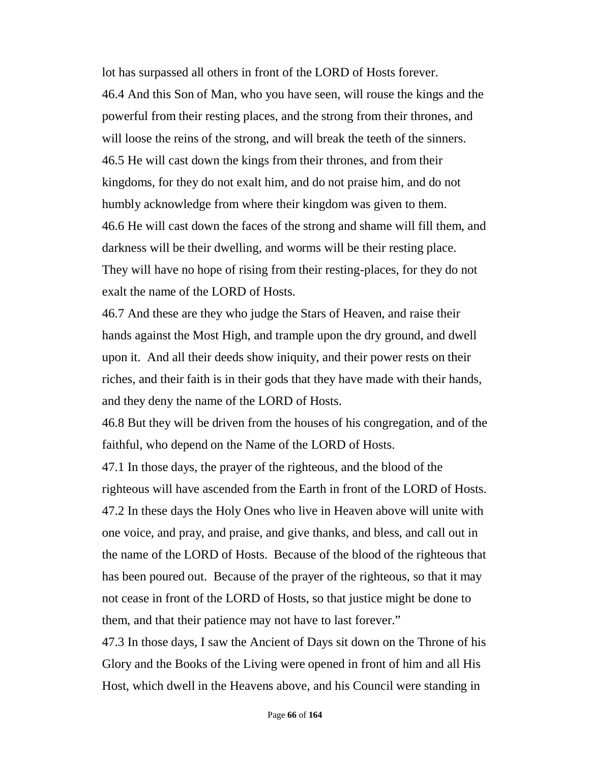lot has surpassed all others in front of the LORD of Hosts forever. 46.4 And this Son of Man, who you have seen, will rouse the kings and the powerful from their resting places, and the strong from their thrones, and will loose the reins of the strong, and will break the teeth of the sinners. 46.5 He will cast down the kings from their thrones, and from their kingdoms, for they do not exalt him, and do not praise him, and do not humbly acknowledge from where their kingdom was given to them. 46.6 He will cast down the faces of the strong and shame will fill them, and darkness will be their dwelling, and worms will be their resting place. They will have no hope of rising from their resting-places, for they do not exalt the name of the LORD of Hosts.

46.7 And these are they who judge the Stars of Heaven, and raise their hands against the Most High, and trample upon the dry ground, and dwell upon it. And all their deeds show iniquity, and their power rests on their riches, and their faith is in their gods that they have made with their hands, and they deny the name of the LORD of Hosts.

46.8 But they will be driven from the houses of his congregation, and of the faithful, who depend on the Name of the LORD of Hosts.

47.1 In those days, the prayer of the righteous, and the blood of the righteous will have ascended from the Earth in front of the LORD of Hosts. 47.2 In these days the Holy Ones who live in Heaven above will unite with one voice, and pray, and praise, and give thanks, and bless, and call out in the name of the LORD of Hosts. Because of the blood of the righteous that has been poured out. Because of the prayer of the righteous, so that it may not cease in front of the LORD of Hosts, so that justice might be done to them, and that their patience may not have to last forever."

47.3 In those days, I saw the Ancient of Days sit down on the Throne of his Glory and the Books of the Living were opened in front of him and all His Host, which dwell in the Heavens above, and his Council were standing in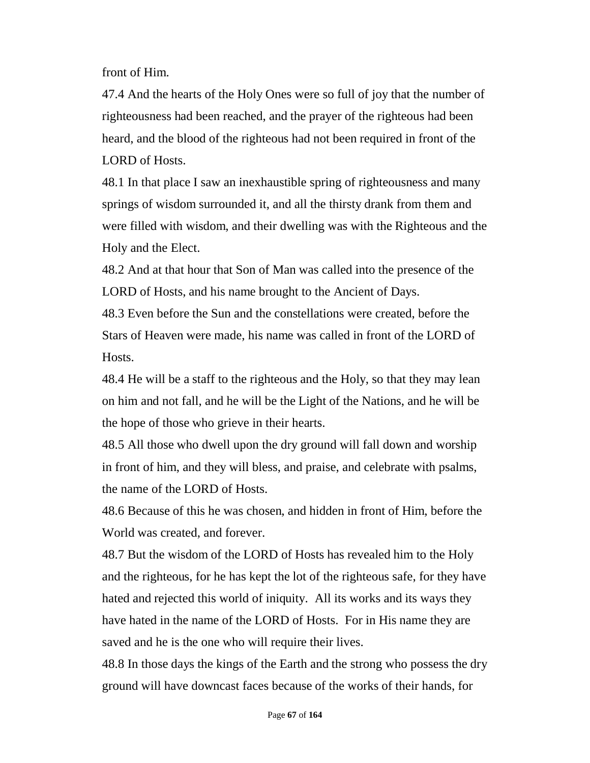front of Him.

47.4 And the hearts of the Holy Ones were so full of joy that the number of righteousness had been reached, and the prayer of the righteous had been heard, and the blood of the righteous had not been required in front of the LORD of Hosts.

48.1 In that place I saw an inexhaustible spring of righteousness and many springs of wisdom surrounded it, and all the thirsty drank from them and were filled with wisdom, and their dwelling was with the Righteous and the Holy and the Elect.

48.2 And at that hour that Son of Man was called into the presence of the LORD of Hosts, and his name brought to the Ancient of Days.

48.3 Even before the Sun and the constellations were created, before the Stars of Heaven were made, his name was called in front of the LORD of Hosts.

48.4 He will be a staff to the righteous and the Holy, so that they may lean on him and not fall, and he will be the Light of the Nations, and he will be the hope of those who grieve in their hearts.

48.5 All those who dwell upon the dry ground will fall down and worship in front of him, and they will bless, and praise, and celebrate with psalms, the name of the LORD of Hosts.

48.6 Because of this he was chosen, and hidden in front of Him, before the World was created, and forever.

48.7 But the wisdom of the LORD of Hosts has revealed him to the Holy and the righteous, for he has kept the lot of the righteous safe, for they have hated and rejected this world of iniquity. All its works and its ways they have hated in the name of the LORD of Hosts. For in His name they are saved and he is the one who will require their lives.

48.8 In those days the kings of the Earth and the strong who possess the dry ground will have downcast faces because of the works of their hands, for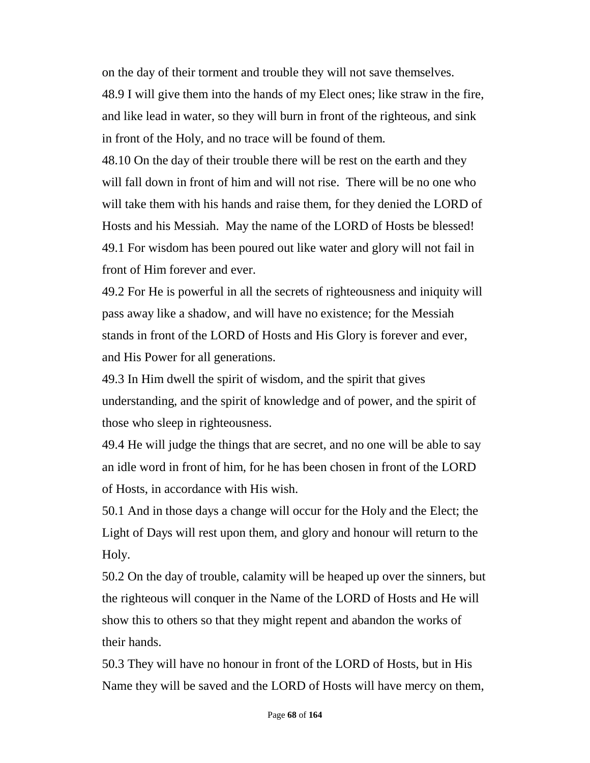on the day of their torment and trouble they will not save themselves. 48.9 I will give them into the hands of my Elect ones; like straw in the fire, and like lead in water, so they will burn in front of the righteous, and sink in front of the Holy, and no trace will be found of them.

48.10 On the day of their trouble there will be rest on the earth and they will fall down in front of him and will not rise. There will be no one who will take them with his hands and raise them, for they denied the LORD of Hosts and his Messiah. May the name of the LORD of Hosts be blessed! 49.1 For wisdom has been poured out like water and glory will not fail in front of Him forever and ever.

49.2 For He is powerful in all the secrets of righteousness and iniquity will pass away like a shadow, and will have no existence; for the Messiah stands in front of the LORD of Hosts and His Glory is forever and ever, and His Power for all generations.

49.3 In Him dwell the spirit of wisdom, and the spirit that gives understanding, and the spirit of knowledge and of power, and the spirit of those who sleep in righteousness.

49.4 He will judge the things that are secret, and no one will be able to say an idle word in front of him, for he has been chosen in front of the LORD of Hosts, in accordance with His wish.

50.1 And in those days a change will occur for the Holy and the Elect; the Light of Days will rest upon them, and glory and honour will return to the Holy.

50.2 On the day of trouble, calamity will be heaped up over the sinners, but the righteous will conquer in the Name of the LORD of Hosts and He will show this to others so that they might repent and abandon the works of their hands.

50.3 They will have no honour in front of the LORD of Hosts, but in His Name they will be saved and the LORD of Hosts will have mercy on them,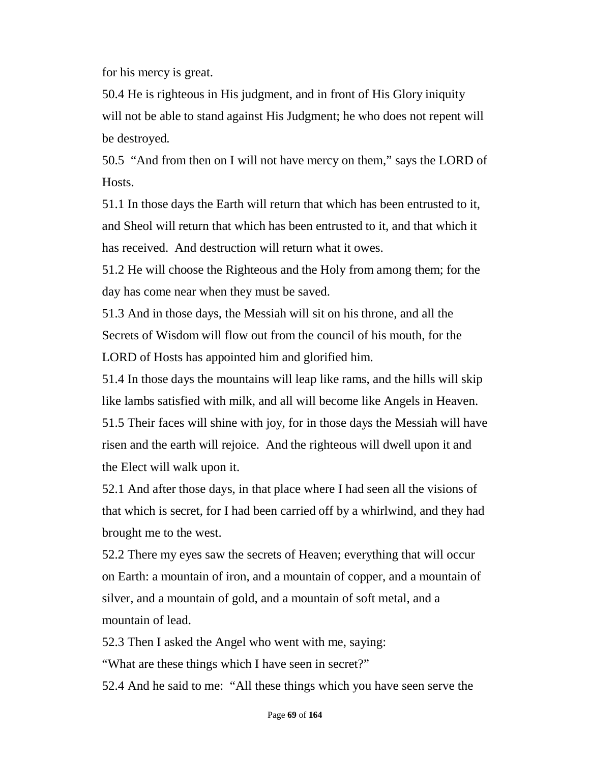for his mercy is great.

50.4 He is righteous in His judgment, and in front of His Glory iniquity will not be able to stand against His Judgment; he who does not repent will be destroyed.

50.5 "And from then on I will not have mercy on them," says the LORD of Hosts.

51.1 In those days the Earth will return that which has been entrusted to it, and Sheol will return that which has been entrusted to it, and that which it has received. And destruction will return what it owes.

51.2 He will choose the Righteous and the Holy from among them; for the day has come near when they must be saved.

51.3 And in those days, the Messiah will sit on his throne, and all the Secrets of Wisdom will flow out from the council of his mouth, for the LORD of Hosts has appointed him and glorified him.

51.4 In those days the mountains will leap like rams, and the hills will skip like lambs satisfied with milk, and all will become like Angels in Heaven. 51.5 Their faces will shine with joy, for in those days the Messiah will have risen and the earth will rejoice. And the righteous will dwell upon it and the Elect will walk upon it.

52.1 And after those days, in that place where I had seen all the visions of that which is secret, for I had been carried off by a whirlwind, and they had brought me to the west.

52.2 There my eyes saw the secrets of Heaven; everything that will occur on Earth: a mountain of iron, and a mountain of copper, and a mountain of silver, and a mountain of gold, and a mountain of soft metal, and a mountain of lead.

52.3 Then I asked the Angel who went with me, saying:

"What are these things which I have seen in secret?"

52.4 And he said to me: "All these things which you have seen serve the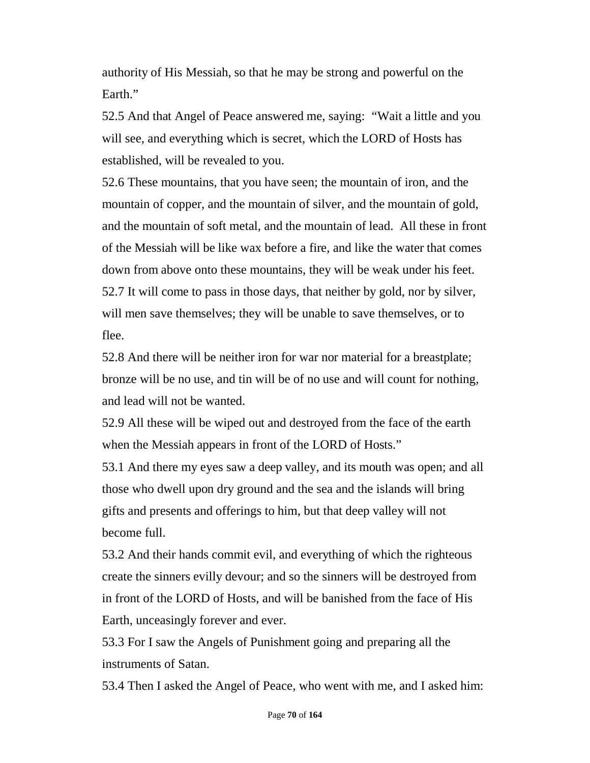authority of His Messiah, so that he may be strong and powerful on the Earth."

52.5 And that Angel of Peace answered me, saying: "Wait a little and you will see, and everything which is secret, which the LORD of Hosts has established, will be revealed to you.

52.6 These mountains, that you have seen; the mountain of iron, and the mountain of copper, and the mountain of silver, and the mountain of gold, and the mountain of soft metal, and the mountain of lead. All these in front of the Messiah will be like wax before a fire, and like the water that comes down from above onto these mountains, they will be weak under his feet. 52.7 It will come to pass in those days, that neither by gold, nor by silver, will men save themselves; they will be unable to save themselves, or to flee.

52.8 And there will be neither iron for war nor material for a breastplate; bronze will be no use, and tin will be of no use and will count for nothing, and lead will not be wanted.

52.9 All these will be wiped out and destroyed from the face of the earth when the Messiah appears in front of the LORD of Hosts."

53.1 And there my eyes saw a deep valley, and its mouth was open; and all those who dwell upon dry ground and the sea and the islands will bring gifts and presents and offerings to him, but that deep valley will not become full.

53.2 And their hands commit evil, and everything of which the righteous create the sinners evilly devour; and so the sinners will be destroyed from in front of the LORD of Hosts, and will be banished from the face of His Earth, unceasingly forever and ever.

53.3 For I saw the Angels of Punishment going and preparing all the instruments of Satan.

53.4 Then I asked the Angel of Peace, who went with me, and I asked him: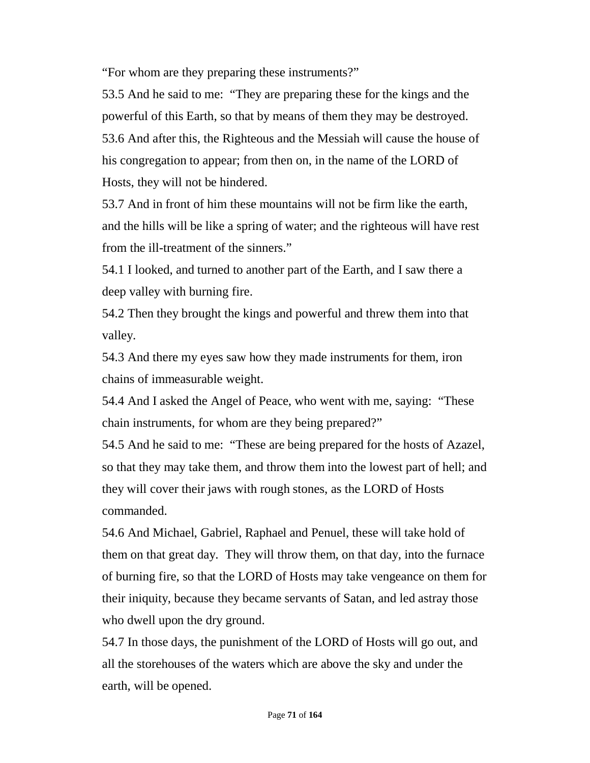"For whom are they preparing these instruments?"

53.5 And he said to me: "They are preparing these for the kings and the powerful of this Earth, so that by means of them they may be destroyed. 53.6 And after this, the Righteous and the Messiah will cause the house of his congregation to appear; from then on, in the name of the LORD of Hosts, they will not be hindered.

53.7 And in front of him these mountains will not be firm like the earth, and the hills will be like a spring of water; and the righteous will have rest from the ill-treatment of the sinners."

54.1 I looked, and turned to another part of the Earth, and I saw there a deep valley with burning fire.

54.2 Then they brought the kings and powerful and threw them into that valley.

54.3 And there my eyes saw how they made instruments for them, iron chains of immeasurable weight.

54.4 And I asked the Angel of Peace, who went with me, saying: "These chain instruments, for whom are they being prepared?"

54.5 And he said to me: "These are being prepared for the hosts of Azazel, so that they may take them, and throw them into the lowest part of hell; and they will cover their jaws with rough stones, as the LORD of Hosts commanded.

54.6 And Michael, Gabriel, Raphael and Penuel, these will take hold of them on that great day. They will throw them, on that day, into the furnace of burning fire, so that the LORD of Hosts may take vengeance on them for their iniquity, because they became servants of Satan, and led astray those who dwell upon the dry ground.

54.7 In those days, the punishment of the LORD of Hosts will go out, and all the storehouses of the waters which are above the sky and under the earth, will be opened.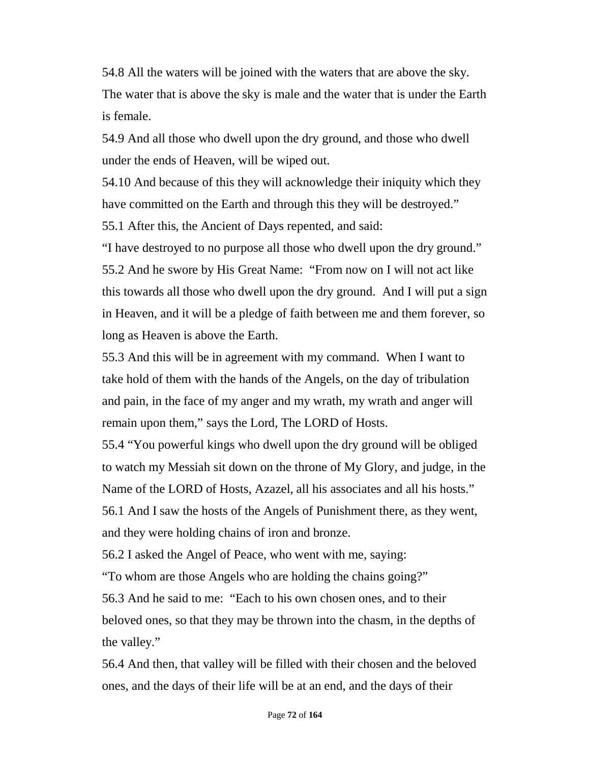54.8 All the waters will be joined with the waters that are above the sky. The water that is above the sky is male and the water that is under the Earth is female.

54.9 And all those who dwell upon the dry ground, and those who dwell under the ends of Heaven, will be wiped out.

54.10 And because of this they will acknowledge their iniquity which they have committed on the Earth and through this they will be destroyed."

55.1 After this, the Ancient of Days repented, and said:

"I have destroyed to no purpose all those who dwell upon the dry ground." 55.2 And he swore by His Great Name: "From now on I will not act like this towards all those who dwell upon the dry ground. And I will put a sign in Heaven, and it will be a pledge of faith between me and them forever, so long as Heaven is above the Earth.

55.3 And this will be in agreement with my command. When I want to take hold of them with the hands of the Angels, on the day of tribulation and pain, in the face of my anger and my wrath, my wrath and anger will remain upon them," says the Lord, The LORD of Hosts.

55.4 "You powerful kings who dwell upon the dry ground will be obliged to watch my Messiah sit down on the throne of My Glory, and judge, in the Name of the LORD of Hosts, Azazel, all his associates and all his hosts."

56.1 And I saw the hosts of the Angels of Punishment there, as they went, and they were holding chains of iron and bronze.

56.2 I asked the Angel of Peace, who went with me, saying:

"To whom are those Angels who are holding the chains going?"

56.3 And he said to me: "Each to his own chosen ones, and to their beloved ones, so that they may be thrown into the chasm, in the depths of the valley."

56.4 And then, that valley will be filled with their chosen and the beloved ones, and the days of their life will be at an end, and the days of their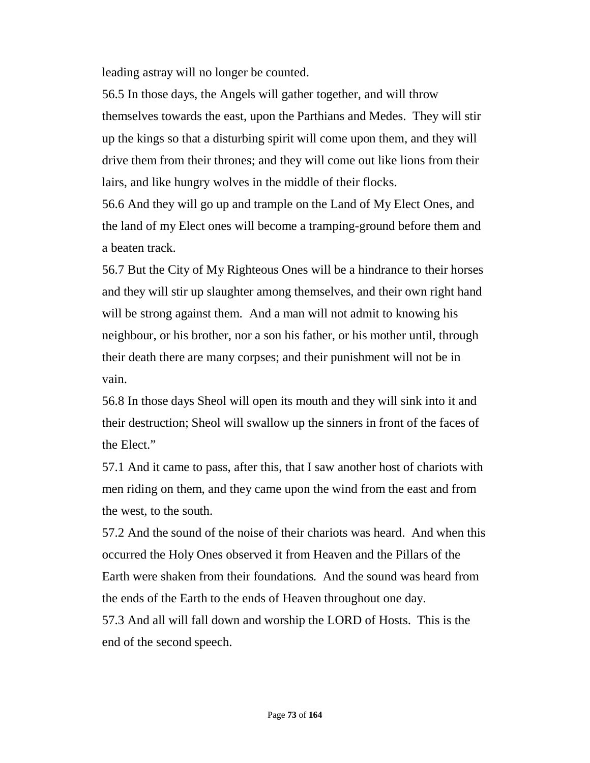leading astray will no longer be counted.

56.5 In those days, the Angels will gather together, and will throw themselves towards the east, upon the Parthians and Medes. They will stir up the kings so that a disturbing spirit will come upon them, and they will drive them from their thrones; and they will come out like lions from their lairs, and like hungry wolves in the middle of their flocks.

56.6 And they will go up and trample on the Land of My Elect Ones, and the land of my Elect ones will become a tramping-ground before them and a beaten track.

56.7 But the City of My Righteous Ones will be a hindrance to their horses and they will stir up slaughter among themselves, and their own right hand will be strong against them. And a man will not admit to knowing his neighbour, or his brother, nor a son his father, or his mother until, through their death there are many corpses; and their punishment will not be in vain.

56.8 In those days Sheol will open its mouth and they will sink into it and their destruction; Sheol will swallow up the sinners in front of the faces of the Elect."

57.1 And it came to pass, after this, that I saw another host of chariots with men riding on them, and they came upon the wind from the east and from the west, to the south.

57.2 And the sound of the noise of their chariots was heard. And when this occurred the Holy Ones observed it from Heaven and the Pillars of the Earth were shaken from their foundations. And the sound was heard from the ends of the Earth to the ends of Heaven throughout one day. 57.3 And all will fall down and worship the LORD of Hosts. This is the end of the second speech.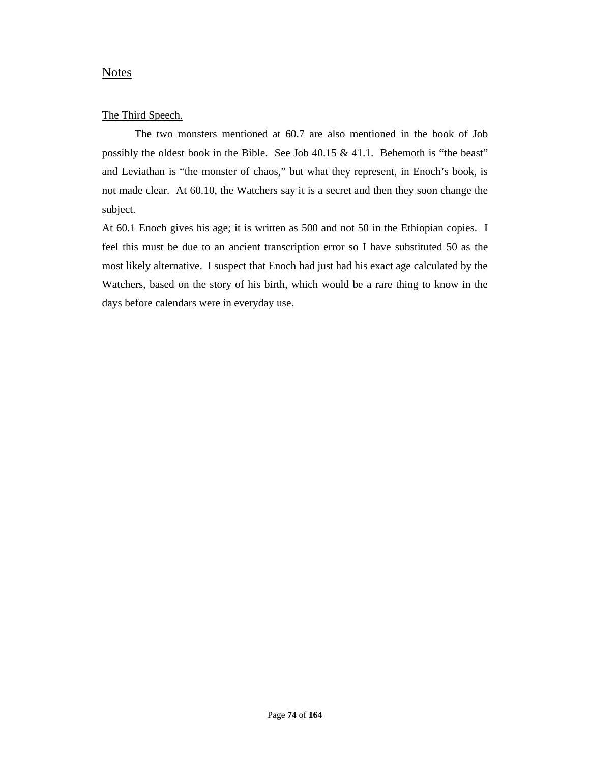### **Notes**

### The Third Speech.

The two monsters mentioned at 60.7 are also mentioned in the book of Job possibly the oldest book in the Bible. See Job 40.15 & 41.1. Behemoth is "the beast" and Leviathan is "the monster of chaos," but what they represent, in Enoch's book, is not made clear. At 60.10, the Watchers say it is a secret and then they soon change the subject.

At 60.1 Enoch gives his age; it is written as 500 and not 50 in the Ethiopian copies. I feel this must be due to an ancient transcription error so I have substituted 50 as the most likely alternative. I suspect that Enoch had just had his exact age calculated by the Watchers, based on the story of his birth, which would be a rare thing to know in the days before calendars were in everyday use.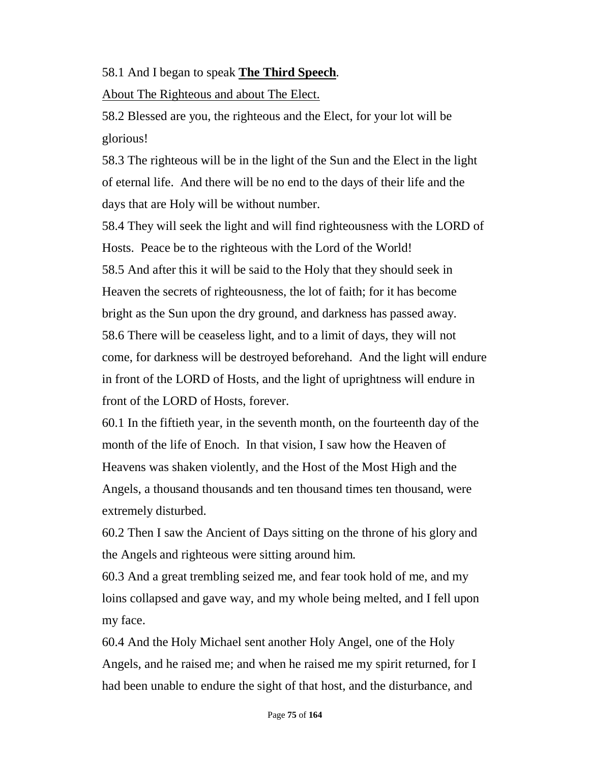# 58.1 And I began to speak **The Third Speech**.

About The Righteous and about The Elect.

58.2 Blessed are you, the righteous and the Elect, for your lot will be glorious!

58.3 The righteous will be in the light of the Sun and the Elect in the light of eternal life. And there will be no end to the days of their life and the days that are Holy will be without number.

58.4 They will seek the light and will find righteousness with the LORD of Hosts. Peace be to the righteous with the Lord of the World! 58.5 And after this it will be said to the Holy that they should seek in Heaven the secrets of righteousness, the lot of faith; for it has become bright as the Sun upon the dry ground, and darkness has passed away. 58.6 There will be ceaseless light, and to a limit of days, they will not come, for darkness will be destroyed beforehand. And the light will endure in front of the LORD of Hosts, and the light of uprightness will endure in front of the LORD of Hosts, forever.

60.1 In the fiftieth year, in the seventh month, on the fourteenth day of the month of the life of Enoch. In that vision, I saw how the Heaven of Heavens was shaken violently, and the Host of the Most High and the Angels, a thousand thousands and ten thousand times ten thousand, were extremely disturbed.

60.2 Then I saw the Ancient of Days sitting on the throne of his glory and the Angels and righteous were sitting around him.

60.3 And a great trembling seized me, and fear took hold of me, and my loins collapsed and gave way, and my whole being melted, and I fell upon my face.

60.4 And the Holy Michael sent another Holy Angel, one of the Holy Angels, and he raised me; and when he raised me my spirit returned, for I had been unable to endure the sight of that host, and the disturbance, and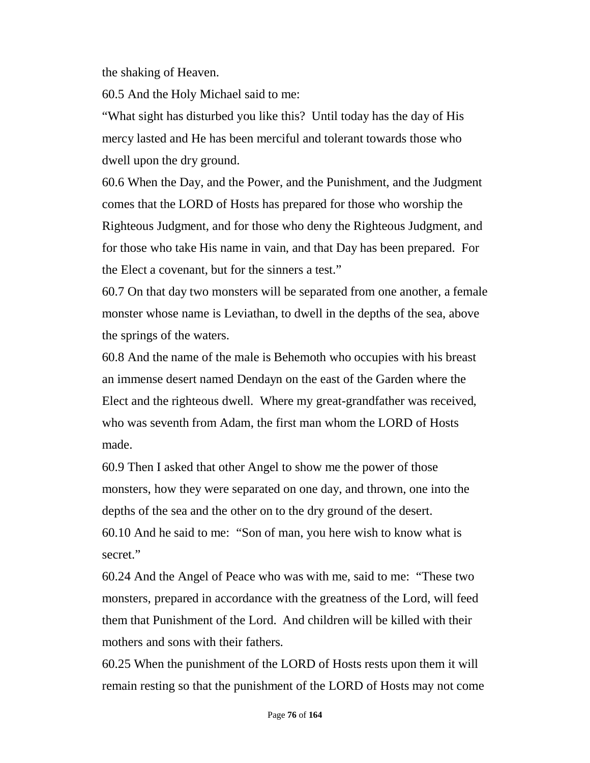the shaking of Heaven.

60.5 And the Holy Michael said to me:

"What sight has disturbed you like this? Until today has the day of His mercy lasted and He has been merciful and tolerant towards those who dwell upon the dry ground.

60.6 When the Day, and the Power, and the Punishment, and the Judgment comes that the LORD of Hosts has prepared for those who worship the Righteous Judgment, and for those who deny the Righteous Judgment, and for those who take His name in vain, and that Day has been prepared. For the Elect a covenant, but for the sinners a test."

60.7 On that day two monsters will be separated from one another, a female monster whose name is Leviathan, to dwell in the depths of the sea, above the springs of the waters.

60.8 And the name of the male is Behemoth who occupies with his breast an immense desert named Dendayn on the east of the Garden where the Elect and the righteous dwell. Where my great-grandfather was received, who was seventh from Adam, the first man whom the LORD of Hosts made.

60.9 Then I asked that other Angel to show me the power of those monsters, how they were separated on one day, and thrown, one into the depths of the sea and the other on to the dry ground of the desert. 60.10 And he said to me: "Son of man, you here wish to know what is secret."

60.24 And the Angel of Peace who was with me, said to me: "These two monsters, prepared in accordance with the greatness of the Lord, will feed them that Punishment of the Lord. And children will be killed with their mothers and sons with their fathers.

60.25 When the punishment of the LORD of Hosts rests upon them it will remain resting so that the punishment of the LORD of Hosts may not come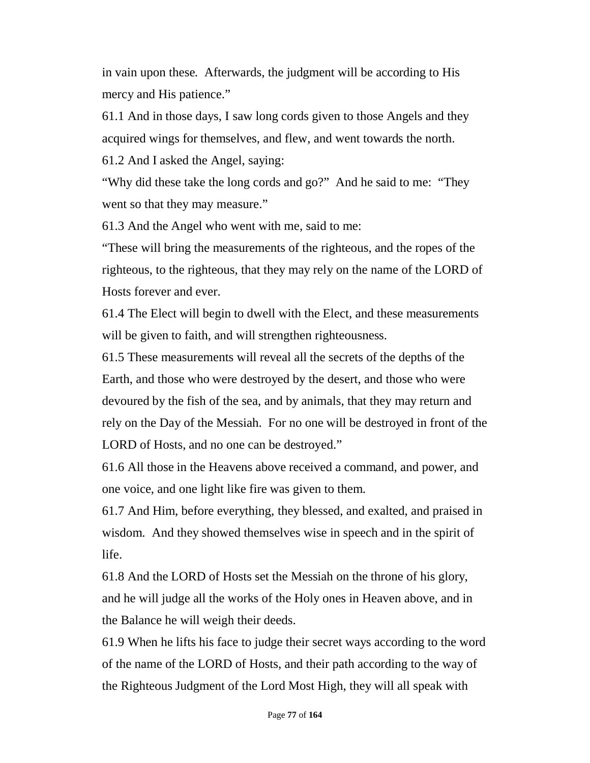in vain upon these. Afterwards, the judgment will be according to His mercy and His patience."

61.1 And in those days, I saw long cords given to those Angels and they acquired wings for themselves, and flew, and went towards the north.

61.2 And I asked the Angel, saying:

"Why did these take the long cords and go?" And he said to me: "They went so that they may measure."

61.3 And the Angel who went with me, said to me:

"These will bring the measurements of the righteous, and the ropes of the righteous, to the righteous, that they may rely on the name of the LORD of Hosts forever and ever.

61.4 The Elect will begin to dwell with the Elect, and these measurements will be given to faith, and will strengthen righteousness.

61.5 These measurements will reveal all the secrets of the depths of the Earth, and those who were destroyed by the desert, and those who were devoured by the fish of the sea, and by animals, that they may return and rely on the Day of the Messiah. For no one will be destroyed in front of the LORD of Hosts, and no one can be destroyed."

61.6 All those in the Heavens above received a command, and power, and one voice, and one light like fire was given to them.

61.7 And Him, before everything, they blessed, and exalted, and praised in wisdom. And they showed themselves wise in speech and in the spirit of life.

61.8 And the LORD of Hosts set the Messiah on the throne of his glory, and he will judge all the works of the Holy ones in Heaven above, and in the Balance he will weigh their deeds.

61.9 When he lifts his face to judge their secret ways according to the word of the name of the LORD of Hosts, and their path according to the way of the Righteous Judgment of the Lord Most High, they will all speak with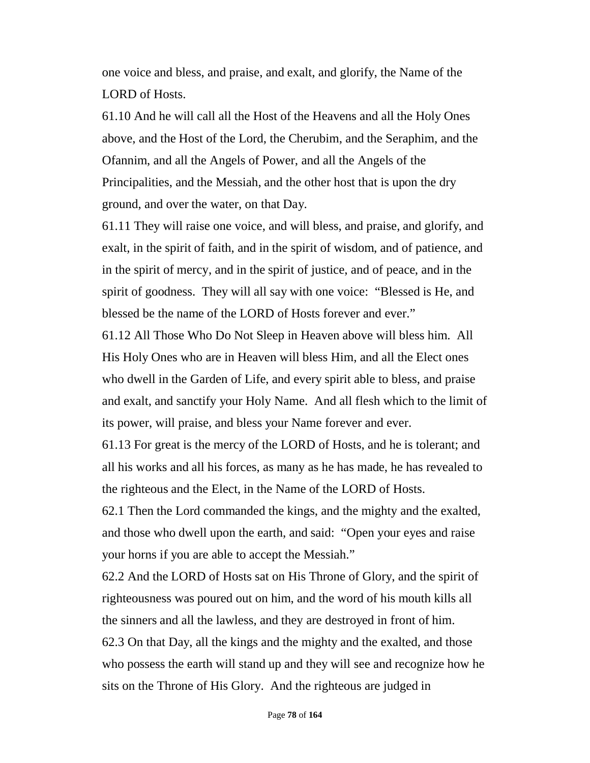one voice and bless, and praise, and exalt, and glorify, the Name of the LORD of Hosts.

61.10 And he will call all the Host of the Heavens and all the Holy Ones above, and the Host of the Lord, the Cherubim, and the Seraphim, and the Ofannim, and all the Angels of Power, and all the Angels of the Principalities, and the Messiah, and the other host that is upon the dry ground, and over the water, on that Day.

61.11 They will raise one voice, and will bless, and praise, and glorify, and exalt, in the spirit of faith, and in the spirit of wisdom, and of patience, and in the spirit of mercy, and in the spirit of justice, and of peace, and in the spirit of goodness. They will all say with one voice: "Blessed is He, and blessed be the name of the LORD of Hosts forever and ever."

61.12 All Those Who Do Not Sleep in Heaven above will bless him. All His Holy Ones who are in Heaven will bless Him, and all the Elect ones who dwell in the Garden of Life, and every spirit able to bless, and praise and exalt, and sanctify your Holy Name. And all flesh which to the limit of its power, will praise, and bless your Name forever and ever.

61.13 For great is the mercy of the LORD of Hosts, and he is tolerant; and all his works and all his forces, as many as he has made, he has revealed to the righteous and the Elect, in the Name of the LORD of Hosts.

62.1 Then the Lord commanded the kings, and the mighty and the exalted, and those who dwell upon the earth, and said: "Open your eyes and raise your horns if you are able to accept the Messiah."

62.2 And the LORD of Hosts sat on His Throne of Glory, and the spirit of righteousness was poured out on him, and the word of his mouth kills all the sinners and all the lawless, and they are destroyed in front of him. 62.3 On that Day, all the kings and the mighty and the exalted, and those who possess the earth will stand up and they will see and recognize how he sits on the Throne of His Glory. And the righteous are judged in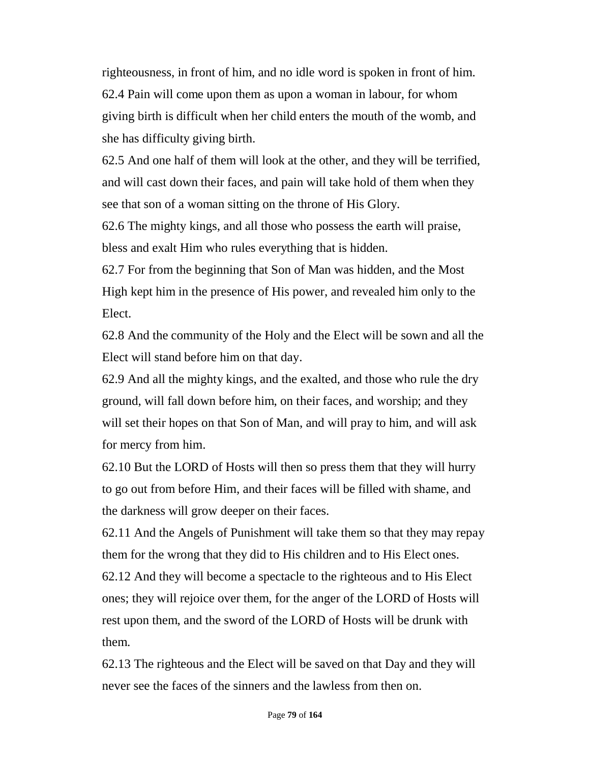righteousness, in front of him, and no idle word is spoken in front of him. 62.4 Pain will come upon them as upon a woman in labour, for whom giving birth is difficult when her child enters the mouth of the womb, and she has difficulty giving birth.

62.5 And one half of them will look at the other, and they will be terrified, and will cast down their faces, and pain will take hold of them when they see that son of a woman sitting on the throne of His Glory.

62.6 The mighty kings, and all those who possess the earth will praise, bless and exalt Him who rules everything that is hidden.

62.7 For from the beginning that Son of Man was hidden, and the Most High kept him in the presence of His power, and revealed him only to the Elect.

62.8 And the community of the Holy and the Elect will be sown and all the Elect will stand before him on that day.

62.9 And all the mighty kings, and the exalted, and those who rule the dry ground, will fall down before him, on their faces, and worship; and they will set their hopes on that Son of Man, and will pray to him, and will ask for mercy from him.

62.10 But the LORD of Hosts will then so press them that they will hurry to go out from before Him, and their faces will be filled with shame, and the darkness will grow deeper on their faces.

62.11 And the Angels of Punishment will take them so that they may repay them for the wrong that they did to His children and to His Elect ones.

62.12 And they will become a spectacle to the righteous and to His Elect ones; they will rejoice over them, for the anger of the LORD of Hosts will rest upon them, and the sword of the LORD of Hosts will be drunk with them.

62.13 The righteous and the Elect will be saved on that Day and they will never see the faces of the sinners and the lawless from then on.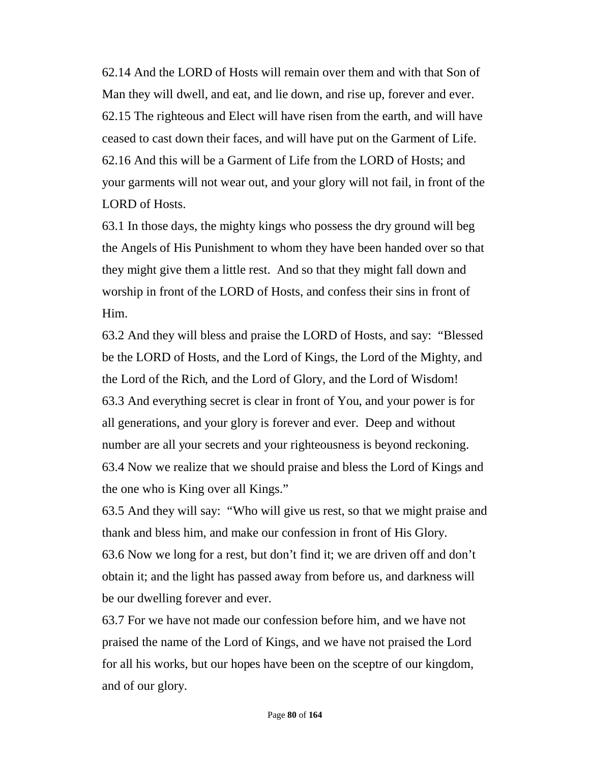62.14 And the LORD of Hosts will remain over them and with that Son of Man they will dwell, and eat, and lie down, and rise up, forever and ever. 62.15 The righteous and Elect will have risen from the earth, and will have ceased to cast down their faces, and will have put on the Garment of Life. 62.16 And this will be a Garment of Life from the LORD of Hosts; and your garments will not wear out, and your glory will not fail, in front of the LORD of Hosts.

63.1 In those days, the mighty kings who possess the dry ground will beg the Angels of His Punishment to whom they have been handed over so that they might give them a little rest. And so that they might fall down and worship in front of the LORD of Hosts, and confess their sins in front of Him.

63.2 And they will bless and praise the LORD of Hosts, and say: "Blessed be the LORD of Hosts, and the Lord of Kings, the Lord of the Mighty, and the Lord of the Rich, and the Lord of Glory, and the Lord of Wisdom! 63.3 And everything secret is clear in front of You, and your power is for all generations, and your glory is forever and ever. Deep and without number are all your secrets and your righteousness is beyond reckoning. 63.4 Now we realize that we should praise and bless the Lord of Kings and the one who is King over all Kings."

63.5 And they will say: "Who will give us rest, so that we might praise and thank and bless him, and make our confession in front of His Glory. 63.6 Now we long for a rest, but don't find it; we are driven off and don't obtain it; and the light has passed away from before us, and darkness will be our dwelling forever and ever.

63.7 For we have not made our confession before him, and we have not praised the name of the Lord of Kings, and we have not praised the Lord for all his works, but our hopes have been on the sceptre of our kingdom, and of our glory.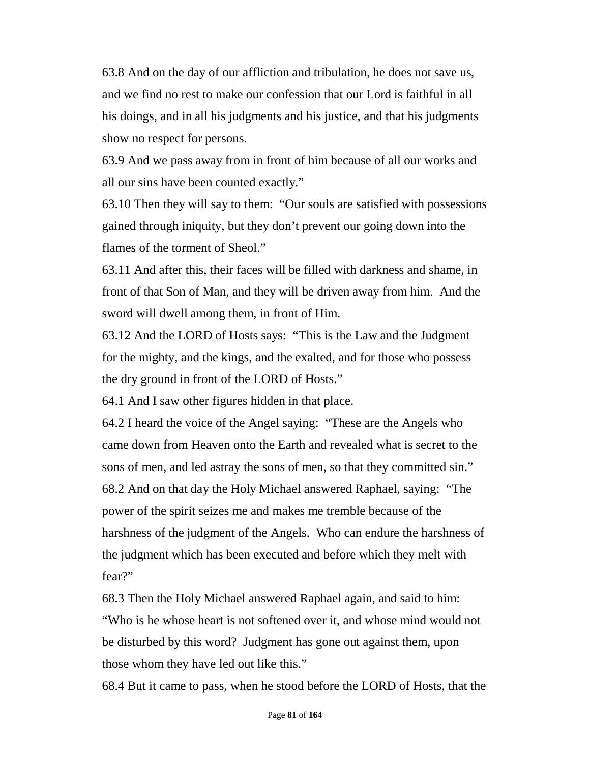63.8 And on the day of our affliction and tribulation, he does not save us, and we find no rest to make our confession that our Lord is faithful in all his doings, and in all his judgments and his justice, and that his judgments show no respect for persons.

63.9 And we pass away from in front of him because of all our works and all our sins have been counted exactly."

63.10 Then they will say to them: "Our souls are satisfied with possessions gained through iniquity, but they don't prevent our going down into the flames of the torment of Sheol."

63.11 And after this, their faces will be filled with darkness and shame, in front of that Son of Man, and they will be driven away from him. And the sword will dwell among them, in front of Him.

63.12 And the LORD of Hosts says: "This is the Law and the Judgment for the mighty, and the kings, and the exalted, and for those who possess the dry ground in front of the LORD of Hosts."

64.1 And I saw other figures hidden in that place.

64.2 I heard the voice of the Angel saying: "These are the Angels who came down from Heaven onto the Earth and revealed what is secret to the sons of men, and led astray the sons of men, so that they committed sin." 68.2 And on that day the Holy Michael answered Raphael, saying: "The power of the spirit seizes me and makes me tremble because of the harshness of the judgment of the Angels. Who can endure the harshness of the judgment which has been executed and before which they melt with fear?"

68.3 Then the Holy Michael answered Raphael again, and said to him: "Who is he whose heart is not softened over it, and whose mind would not be disturbed by this word? Judgment has gone out against them, upon those whom they have led out like this."

68.4 But it came to pass, when he stood before the LORD of Hosts, that the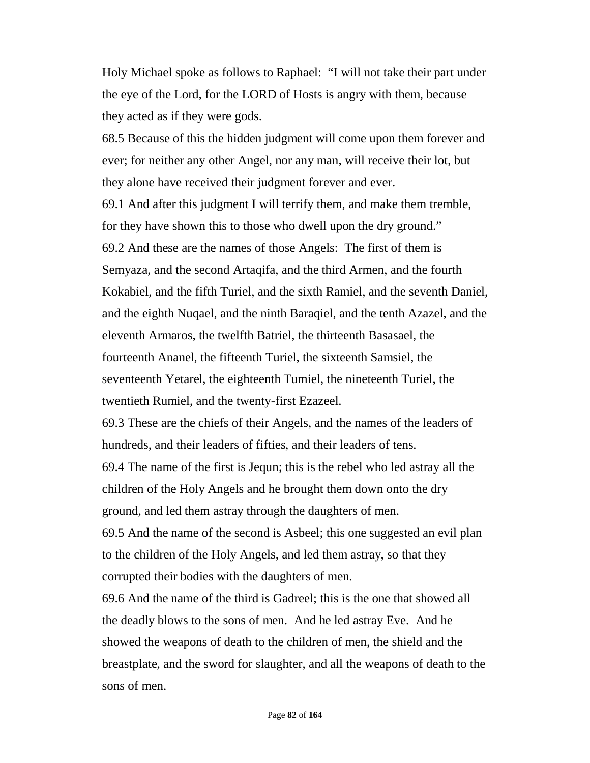Holy Michael spoke as follows to Raphael: "I will not take their part under the eye of the Lord, for the LORD of Hosts is angry with them, because they acted as if they were gods.

68.5 Because of this the hidden judgment will come upon them forever and ever; for neither any other Angel, nor any man, will receive their lot, but they alone have received their judgment forever and ever.

69.1 And after this judgment I will terrify them, and make them tremble, for they have shown this to those who dwell upon the dry ground." 69.2 And these are the names of those Angels: The first of them is Semyaza, and the second Artaqifa, and the third Armen, and the fourth Kokabiel, and the fifth Turiel, and the sixth Ramiel, and the seventh Daniel, and the eighth Nuqael, and the ninth Baraqiel, and the tenth Azazel, and the eleventh Armaros, the twelfth Batriel, the thirteenth Basasael, the fourteenth Ananel, the fifteenth Turiel, the sixteenth Samsiel, the seventeenth Yetarel, the eighteenth Tumiel, the nineteenth Turiel, the twentieth Rumiel, and the twenty-first Ezazeel.

69.3 These are the chiefs of their Angels, and the names of the leaders of hundreds, and their leaders of fifties, and their leaders of tens. 69.4 The name of the first is Jequn; this is the rebel who led astray all the

children of the Holy Angels and he brought them down onto the dry ground, and led them astray through the daughters of men.

69.5 And the name of the second is Asbeel; this one suggested an evil plan to the children of the Holy Angels, and led them astray, so that they corrupted their bodies with the daughters of men.

69.6 And the name of the third is Gadreel; this is the one that showed all the deadly blows to the sons of men. And he led astray Eve. And he showed the weapons of death to the children of men, the shield and the breastplate, and the sword for slaughter, and all the weapons of death to the sons of men.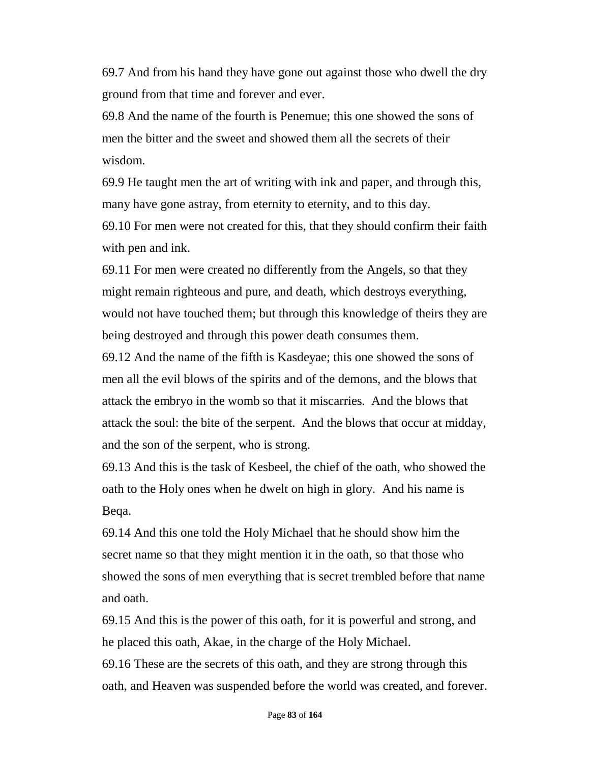69.7 And from his hand they have gone out against those who dwell the dry ground from that time and forever and ever.

69.8 And the name of the fourth is Penemue; this one showed the sons of men the bitter and the sweet and showed them all the secrets of their wisdom.

69.9 He taught men the art of writing with ink and paper, and through this, many have gone astray, from eternity to eternity, and to this day. 69.10 For men were not created for this, that they should confirm their faith with pen and ink.

69.11 For men were created no differently from the Angels, so that they might remain righteous and pure, and death, which destroys everything, would not have touched them; but through this knowledge of theirs they are being destroyed and through this power death consumes them.

69.12 And the name of the fifth is Kasdeyae; this one showed the sons of men all the evil blows of the spirits and of the demons, and the blows that attack the embryo in the womb so that it miscarries. And the blows that attack the soul: the bite of the serpent. And the blows that occur at midday, and the son of the serpent, who is strong.

69.13 And this is the task of Kesbeel, the chief of the oath, who showed the oath to the Holy ones when he dwelt on high in glory. And his name is Beqa.

69.14 And this one told the Holy Michael that he should show him the secret name so that they might mention it in the oath, so that those who showed the sons of men everything that is secret trembled before that name and oath.

69.15 And this is the power of this oath, for it is powerful and strong, and he placed this oath, Akae, in the charge of the Holy Michael.

69.16 These are the secrets of this oath, and they are strong through this oath, and Heaven was suspended before the world was created, and forever.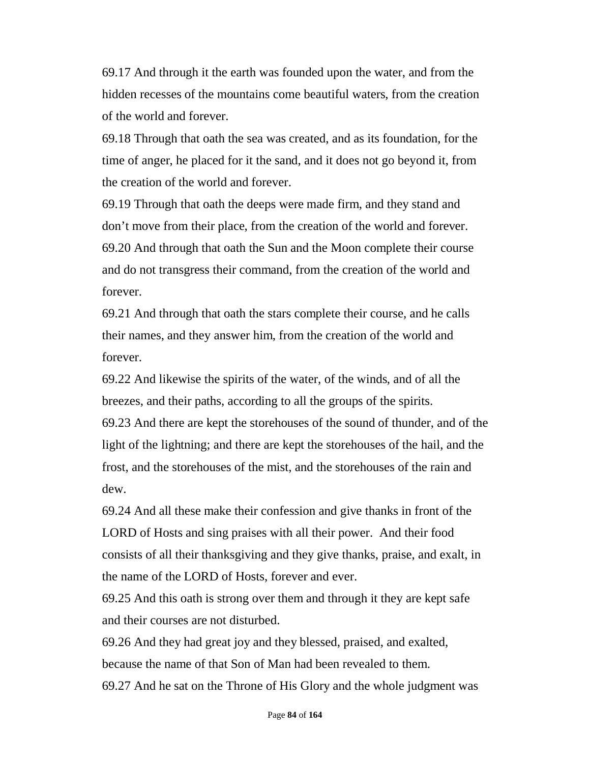69.17 And through it the earth was founded upon the water, and from the hidden recesses of the mountains come beautiful waters, from the creation of the world and forever.

69.18 Through that oath the sea was created, and as its foundation, for the time of anger, he placed for it the sand, and it does not go beyond it, from the creation of the world and forever.

69.19 Through that oath the deeps were made firm, and they stand and don't move from their place, from the creation of the world and forever. 69.20 And through that oath the Sun and the Moon complete their course and do not transgress their command, from the creation of the world and forever.

69.21 And through that oath the stars complete their course, and he calls their names, and they answer him, from the creation of the world and forever.

69.22 And likewise the spirits of the water, of the winds, and of all the breezes, and their paths, according to all the groups of the spirits. 69.23 And there are kept the storehouses of the sound of thunder, and of the light of the lightning; and there are kept the storehouses of the hail, and the frost, and the storehouses of the mist, and the storehouses of the rain and dew.

69.24 And all these make their confession and give thanks in front of the LORD of Hosts and sing praises with all their power. And their food consists of all their thanksgiving and they give thanks, praise, and exalt, in the name of the LORD of Hosts, forever and ever.

69.25 And this oath is strong over them and through it they are kept safe and their courses are not disturbed.

69.26 And they had great joy and they blessed, praised, and exalted, because the name of that Son of Man had been revealed to them. 69.27 And he sat on the Throne of His Glory and the whole judgment was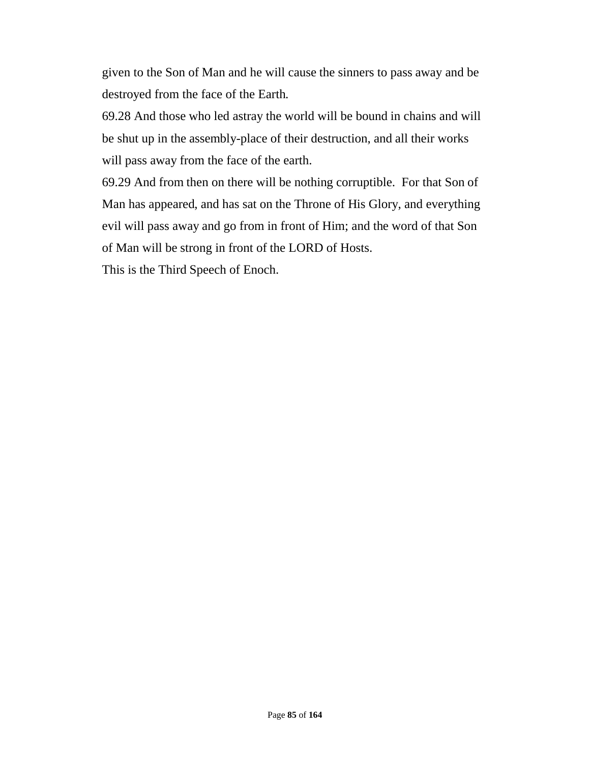given to the Son of Man and he will cause the sinners to pass away and be destroyed from the face of the Earth.

69.28 And those who led astray the world will be bound in chains and will be shut up in the assembly-place of their destruction, and all their works will pass away from the face of the earth.

69.29 And from then on there will be nothing corruptible. For that Son of Man has appeared, and has sat on the Throne of His Glory, and everything evil will pass away and go from in front of Him; and the word of that Son of Man will be strong in front of the LORD of Hosts.

This is the Third Speech of Enoch.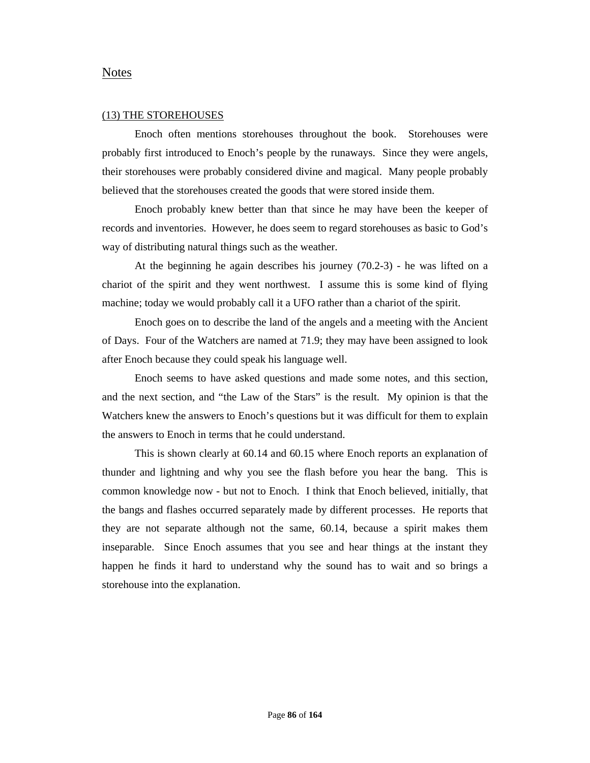#### Notes

#### (13) THE STOREHOUSES

Enoch often mentions storehouses throughout the book. Storehouses were probably first introduced to Enoch's people by the runaways. Since they were angels, their storehouses were probably considered divine and magical. Many people probably believed that the storehouses created the goods that were stored inside them.

Enoch probably knew better than that since he may have been the keeper of records and inventories. However, he does seem to regard storehouses as basic to God's way of distributing natural things such as the weather.

At the beginning he again describes his journey (70.2-3) - he was lifted on a chariot of the spirit and they went northwest. I assume this is some kind of flying machine; today we would probably call it a UFO rather than a chariot of the spirit.

Enoch goes on to describe the land of the angels and a meeting with the Ancient of Days. Four of the Watchers are named at 71.9; they may have been assigned to look after Enoch because they could speak his language well.

Enoch seems to have asked questions and made some notes, and this section, and the next section, and "the Law of the Stars" is the result. My opinion is that the Watchers knew the answers to Enoch's questions but it was difficult for them to explain the answers to Enoch in terms that he could understand.

This is shown clearly at 60.14 and 60.15 where Enoch reports an explanation of thunder and lightning and why you see the flash before you hear the bang. This is common knowledge now - but not to Enoch. I think that Enoch believed, initially, that the bangs and flashes occurred separately made by different processes. He reports that they are not separate although not the same, 60.14, because a spirit makes them inseparable. Since Enoch assumes that you see and hear things at the instant they happen he finds it hard to understand why the sound has to wait and so brings a storehouse into the explanation.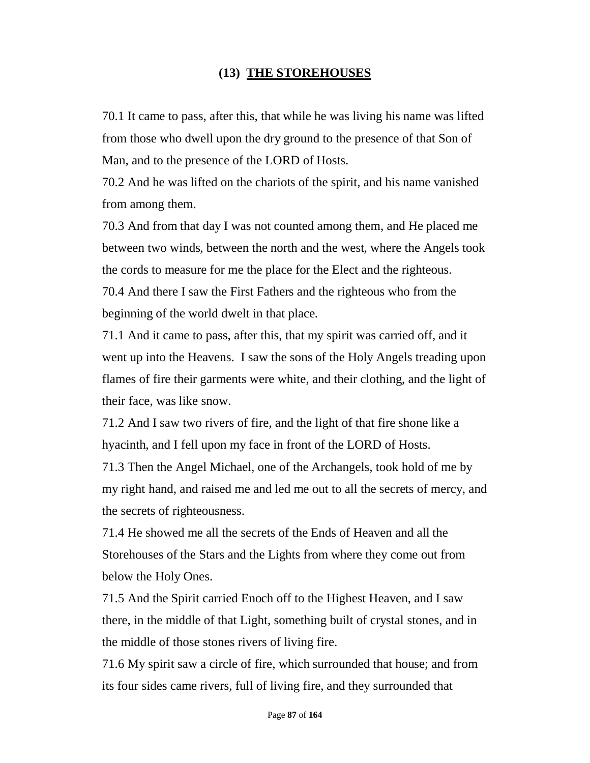## **(13) THE STOREHOUSES**

70.1 It came to pass, after this, that while he was living his name was lifted from those who dwell upon the dry ground to the presence of that Son of Man, and to the presence of the LORD of Hosts.

70.2 And he was lifted on the chariots of the spirit, and his name vanished from among them.

70.3 And from that day I was not counted among them, and He placed me between two winds, between the north and the west, where the Angels took the cords to measure for me the place for the Elect and the righteous. 70.4 And there I saw the First Fathers and the righteous who from the beginning of the world dwelt in that place.

71.1 And it came to pass, after this, that my spirit was carried off, and it went up into the Heavens. I saw the sons of the Holy Angels treading upon flames of fire their garments were white, and their clothing, and the light of their face, was like snow.

71.2 And I saw two rivers of fire, and the light of that fire shone like a hyacinth, and I fell upon my face in front of the LORD of Hosts.

71.3 Then the Angel Michael, one of the Archangels, took hold of me by my right hand, and raised me and led me out to all the secrets of mercy, and the secrets of righteousness.

71.4 He showed me all the secrets of the Ends of Heaven and all the Storehouses of the Stars and the Lights from where they come out from below the Holy Ones.

71.5 And the Spirit carried Enoch off to the Highest Heaven, and I saw there, in the middle of that Light, something built of crystal stones, and in the middle of those stones rivers of living fire.

71.6 My spirit saw a circle of fire, which surrounded that house; and from its four sides came rivers, full of living fire, and they surrounded that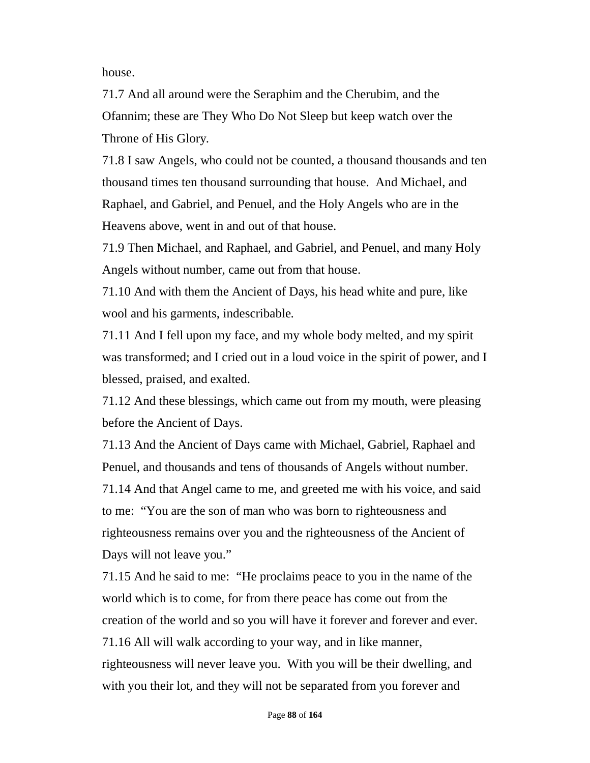house.

71.7 And all around were the Seraphim and the Cherubim, and the Ofannim; these are They Who Do Not Sleep but keep watch over the Throne of His Glory.

71.8 I saw Angels, who could not be counted, a thousand thousands and ten thousand times ten thousand surrounding that house. And Michael, and Raphael, and Gabriel, and Penuel, and the Holy Angels who are in the Heavens above, went in and out of that house.

71.9 Then Michael, and Raphael, and Gabriel, and Penuel, and many Holy Angels without number, came out from that house.

71.10 And with them the Ancient of Days, his head white and pure, like wool and his garments, indescribable.

71.11 And I fell upon my face, and my whole body melted, and my spirit was transformed; and I cried out in a loud voice in the spirit of power, and I blessed, praised, and exalted.

71.12 And these blessings, which came out from my mouth, were pleasing before the Ancient of Days.

71.13 And the Ancient of Days came with Michael, Gabriel, Raphael and Penuel, and thousands and tens of thousands of Angels without number. 71.14 And that Angel came to me, and greeted me with his voice, and said to me: "You are the son of man who was born to righteousness and righteousness remains over you and the righteousness of the Ancient of Days will not leave you."

71.15 And he said to me: "He proclaims peace to you in the name of the world which is to come, for from there peace has come out from the creation of the world and so you will have it forever and forever and ever. 71.16 All will walk according to your way, and in like manner, righteousness will never leave you. With you will be their dwelling, and with you their lot, and they will not be separated from you forever and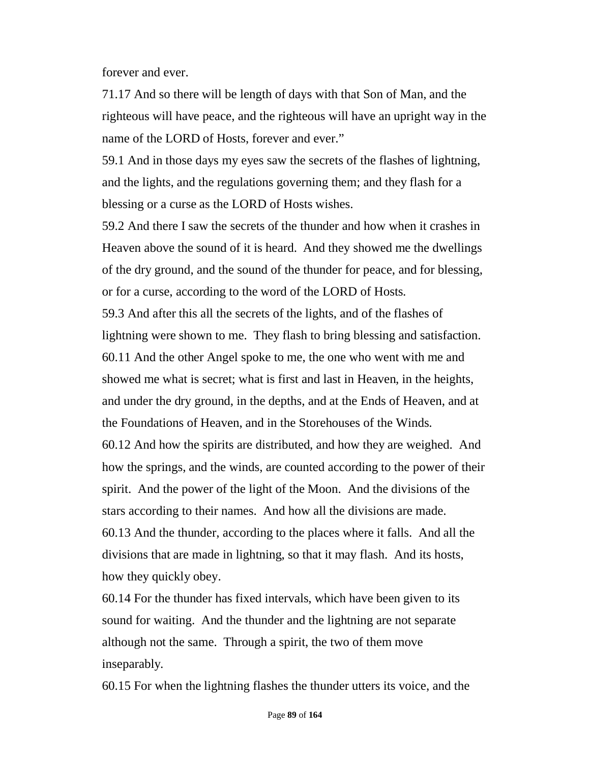forever and ever.

71.17 And so there will be length of days with that Son of Man, and the righteous will have peace, and the righteous will have an upright way in the name of the LORD of Hosts, forever and ever."

59.1 And in those days my eyes saw the secrets of the flashes of lightning, and the lights, and the regulations governing them; and they flash for a blessing or a curse as the LORD of Hosts wishes.

59.2 And there I saw the secrets of the thunder and how when it crashes in Heaven above the sound of it is heard. And they showed me the dwellings of the dry ground, and the sound of the thunder for peace, and for blessing, or for a curse, according to the word of the LORD of Hosts.

59.3 And after this all the secrets of the lights, and of the flashes of lightning were shown to me. They flash to bring blessing and satisfaction. 60.11 And the other Angel spoke to me, the one who went with me and showed me what is secret; what is first and last in Heaven, in the heights, and under the dry ground, in the depths, and at the Ends of Heaven, and at the Foundations of Heaven, and in the Storehouses of the Winds.

60.12 And how the spirits are distributed, and how they are weighed. And how the springs, and the winds, are counted according to the power of their spirit. And the power of the light of the Moon. And the divisions of the stars according to their names. And how all the divisions are made. 60.13 And the thunder, according to the places where it falls. And all the divisions that are made in lightning, so that it may flash. And its hosts, how they quickly obey.

60.14 For the thunder has fixed intervals, which have been given to its sound for waiting. And the thunder and the lightning are not separate although not the same. Through a spirit, the two of them move inseparably.

60.15 For when the lightning flashes the thunder utters its voice, and the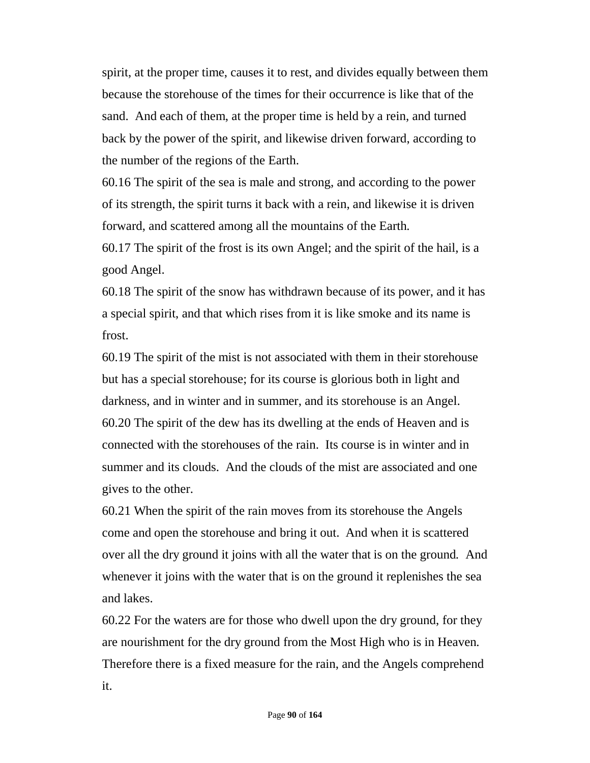spirit, at the proper time, causes it to rest, and divides equally between them because the storehouse of the times for their occurrence is like that of the sand. And each of them, at the proper time is held by a rein, and turned back by the power of the spirit, and likewise driven forward, according to the number of the regions of the Earth.

60.16 The spirit of the sea is male and strong, and according to the power of its strength, the spirit turns it back with a rein, and likewise it is driven forward, and scattered among all the mountains of the Earth.

60.17 The spirit of the frost is its own Angel; and the spirit of the hail, is a good Angel.

60.18 The spirit of the snow has withdrawn because of its power, and it has a special spirit, and that which rises from it is like smoke and its name is frost.

60.19 The spirit of the mist is not associated with them in their storehouse but has a special storehouse; for its course is glorious both in light and darkness, and in winter and in summer, and its storehouse is an Angel. 60.20 The spirit of the dew has its dwelling at the ends of Heaven and is connected with the storehouses of the rain. Its course is in winter and in summer and its clouds. And the clouds of the mist are associated and one gives to the other.

60.21 When the spirit of the rain moves from its storehouse the Angels come and open the storehouse and bring it out. And when it is scattered over all the dry ground it joins with all the water that is on the ground. And whenever it joins with the water that is on the ground it replenishes the sea and lakes.

60.22 For the waters are for those who dwell upon the dry ground, for they are nourishment for the dry ground from the Most High who is in Heaven. Therefore there is a fixed measure for the rain, and the Angels comprehend it.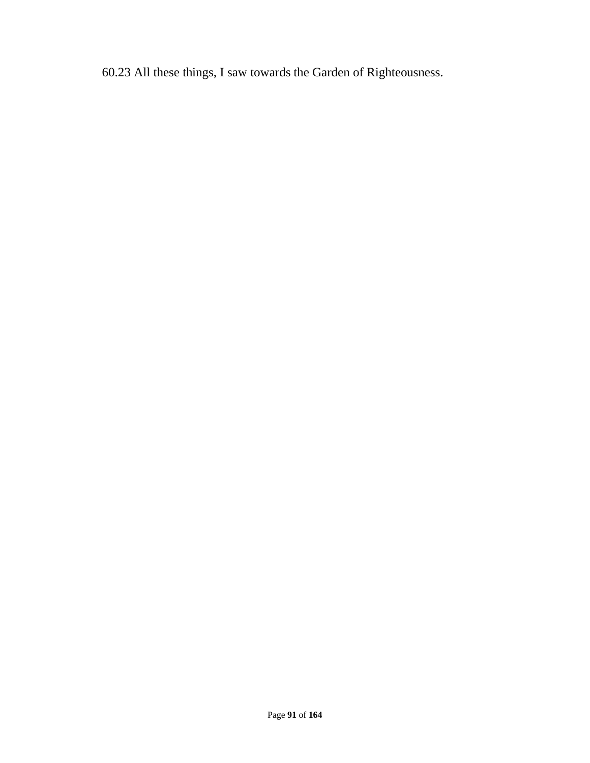60.23 All these things, I saw towards the Garden of Righteousness.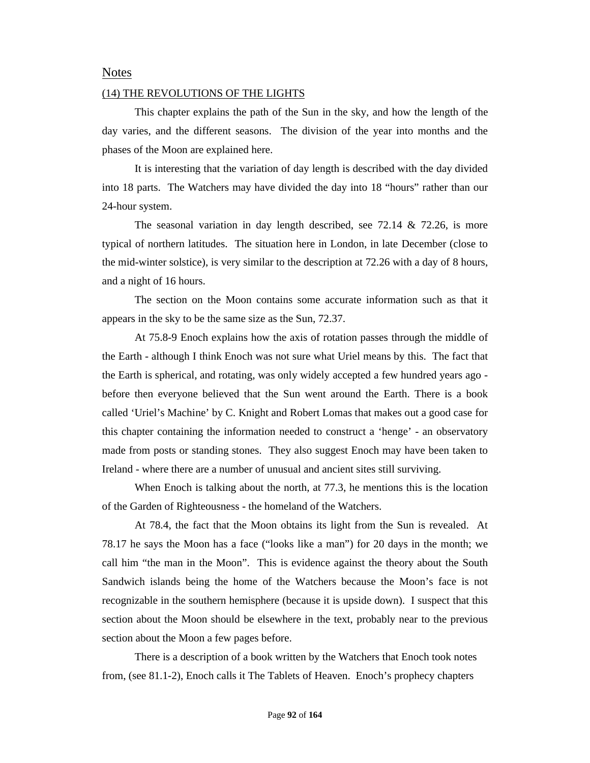### Notes

#### (14) THE REVOLUTIONS OF THE LIGHTS

This chapter explains the path of the Sun in the sky, and how the length of the day varies, and the different seasons. The division of the year into months and the phases of the Moon are explained here.

It is interesting that the variation of day length is described with the day divided into 18 parts. The Watchers may have divided the day into 18 "hours" rather than our 24-hour system.

The seasonal variation in day length described, see 72.14 & 72.26, is more typical of northern latitudes. The situation here in London, in late December (close to the mid-winter solstice), is very similar to the description at 72.26 with a day of 8 hours, and a night of 16 hours.

The section on the Moon contains some accurate information such as that it appears in the sky to be the same size as the Sun, 72.37.

At 75.8-9 Enoch explains how the axis of rotation passes through the middle of the Earth - although I think Enoch was not sure what Uriel means by this. The fact that the Earth is spherical, and rotating, was only widely accepted a few hundred years ago before then everyone believed that the Sun went around the Earth. There is a book called 'Uriel's Machine' by C. Knight and Robert Lomas that makes out a good case for this chapter containing the information needed to construct a 'henge' - an observatory made from posts or standing stones. They also suggest Enoch may have been taken to Ireland - where there are a number of unusual and ancient sites still surviving.

When Enoch is talking about the north, at 77.3, he mentions this is the location of the Garden of Righteousness - the homeland of the Watchers.

At 78.4, the fact that the Moon obtains its light from the Sun is revealed. At 78.17 he says the Moon has a face ("looks like a man") for 20 days in the month; we call him "the man in the Moon". This is evidence against the theory about the South Sandwich islands being the home of the Watchers because the Moon's face is not recognizable in the southern hemisphere (because it is upside down). I suspect that this section about the Moon should be elsewhere in the text, probably near to the previous section about the Moon a few pages before.

There is a description of a book written by the Watchers that Enoch took notes from, (see 81.1-2), Enoch calls it The Tablets of Heaven. Enoch's prophecy chapters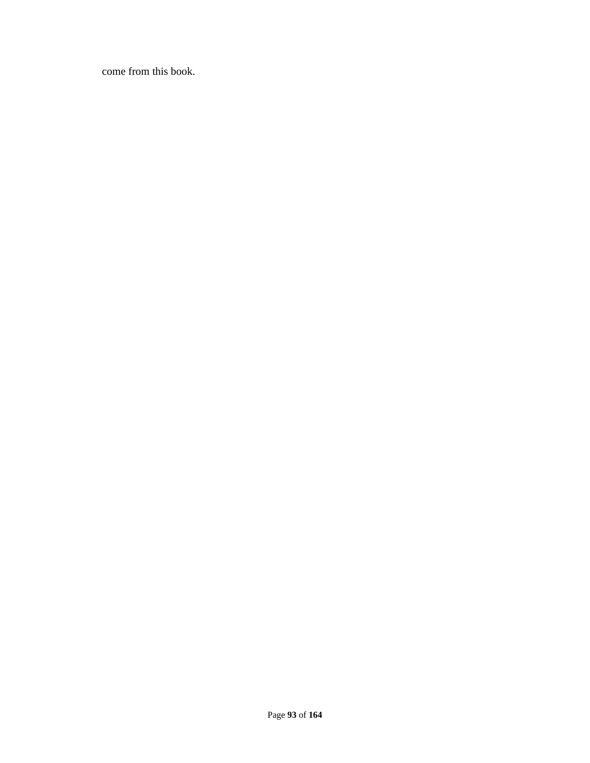come from this book.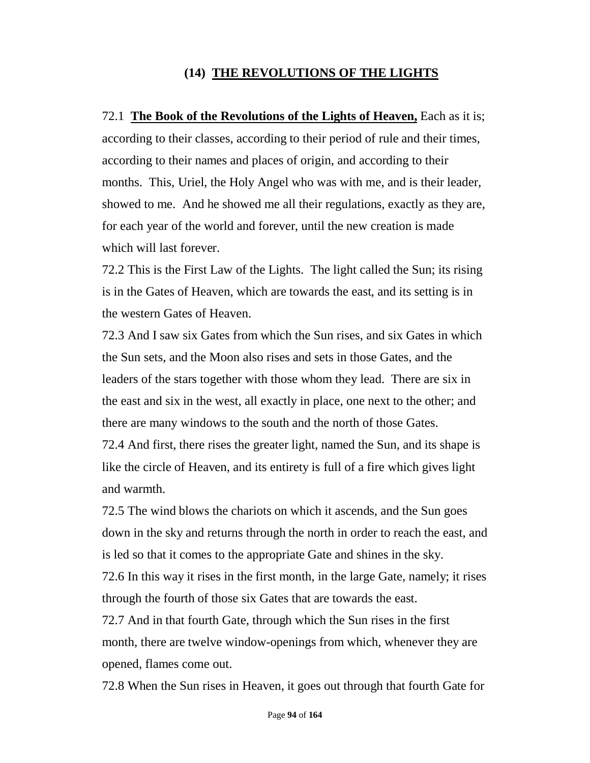## **(14) THE REVOLUTIONS OF THE LIGHTS**

72.1 **The Book of the Revolutions of the Lights of Heaven,** Each as it is; according to their classes, according to their period of rule and their times, according to their names and places of origin, and according to their months. This, Uriel, the Holy Angel who was with me, and is their leader, showed to me. And he showed me all their regulations, exactly as they are, for each year of the world and forever, until the new creation is made which will last forever.

72.2 This is the First Law of the Lights. The light called the Sun; its rising is in the Gates of Heaven, which are towards the east, and its setting is in the western Gates of Heaven.

72.3 And I saw six Gates from which the Sun rises, and six Gates in which the Sun sets, and the Moon also rises and sets in those Gates, and the leaders of the stars together with those whom they lead. There are six in the east and six in the west, all exactly in place, one next to the other; and there are many windows to the south and the north of those Gates.

72.4 And first, there rises the greater light, named the Sun, and its shape is like the circle of Heaven, and its entirety is full of a fire which gives light and warmth.

72.5 The wind blows the chariots on which it ascends, and the Sun goes down in the sky and returns through the north in order to reach the east, and is led so that it comes to the appropriate Gate and shines in the sky.

72.6 In this way it rises in the first month, in the large Gate, namely; it rises through the fourth of those six Gates that are towards the east.

72.7 And in that fourth Gate, through which the Sun rises in the first month, there are twelve window-openings from which, whenever they are opened, flames come out.

72.8 When the Sun rises in Heaven, it goes out through that fourth Gate for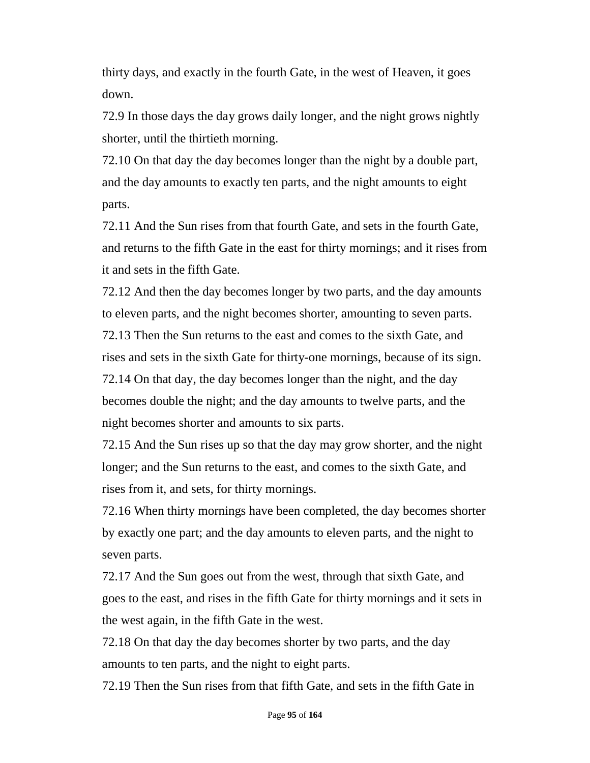thirty days, and exactly in the fourth Gate, in the west of Heaven, it goes down.

72.9 In those days the day grows daily longer, and the night grows nightly shorter, until the thirtieth morning.

72.10 On that day the day becomes longer than the night by a double part, and the day amounts to exactly ten parts, and the night amounts to eight parts.

72.11 And the Sun rises from that fourth Gate, and sets in the fourth Gate, and returns to the fifth Gate in the east for thirty mornings; and it rises from it and sets in the fifth Gate.

72.12 And then the day becomes longer by two parts, and the day amounts to eleven parts, and the night becomes shorter, amounting to seven parts. 72.13 Then the Sun returns to the east and comes to the sixth Gate, and rises and sets in the sixth Gate for thirty-one mornings, because of its sign. 72.14 On that day, the day becomes longer than the night, and the day becomes double the night; and the day amounts to twelve parts, and the night becomes shorter and amounts to six parts.

72.15 And the Sun rises up so that the day may grow shorter, and the night longer; and the Sun returns to the east, and comes to the sixth Gate, and rises from it, and sets, for thirty mornings.

72.16 When thirty mornings have been completed, the day becomes shorter by exactly one part; and the day amounts to eleven parts, and the night to seven parts.

72.17 And the Sun goes out from the west, through that sixth Gate, and goes to the east, and rises in the fifth Gate for thirty mornings and it sets in the west again, in the fifth Gate in the west.

72.18 On that day the day becomes shorter by two parts, and the day amounts to ten parts, and the night to eight parts.

72.19 Then the Sun rises from that fifth Gate, and sets in the fifth Gate in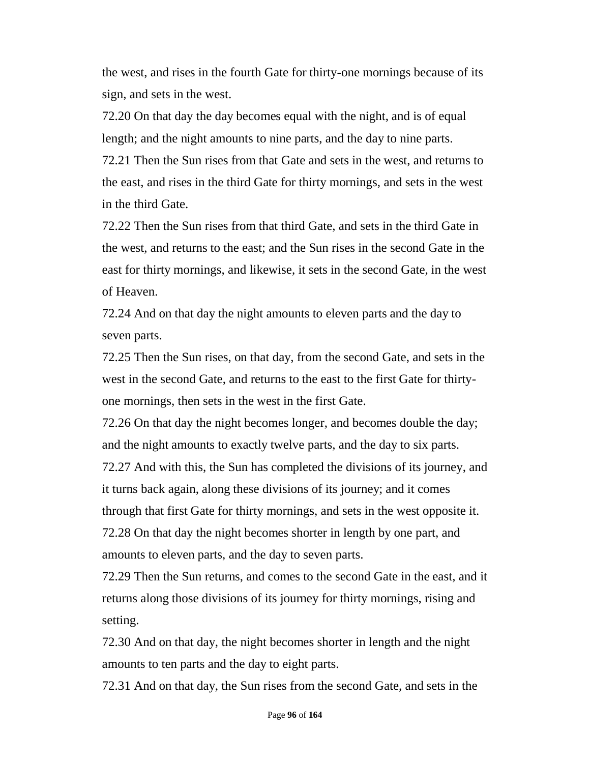the west, and rises in the fourth Gate for thirty-one mornings because of its sign, and sets in the west.

72.20 On that day the day becomes equal with the night, and is of equal length; and the night amounts to nine parts, and the day to nine parts.

72.21 Then the Sun rises from that Gate and sets in the west, and returns to the east, and rises in the third Gate for thirty mornings, and sets in the west in the third Gate.

72.22 Then the Sun rises from that third Gate, and sets in the third Gate in the west, and returns to the east; and the Sun rises in the second Gate in the east for thirty mornings, and likewise, it sets in the second Gate, in the west of Heaven.

72.24 And on that day the night amounts to eleven parts and the day to seven parts.

72.25 Then the Sun rises, on that day, from the second Gate, and sets in the west in the second Gate, and returns to the east to the first Gate for thirtyone mornings, then sets in the west in the first Gate.

72.26 On that day the night becomes longer, and becomes double the day; and the night amounts to exactly twelve parts, and the day to six parts. 72.27 And with this, the Sun has completed the divisions of its journey, and it turns back again, along these divisions of its journey; and it comes through that first Gate for thirty mornings, and sets in the west opposite it. 72.28 On that day the night becomes shorter in length by one part, and amounts to eleven parts, and the day to seven parts.

72.29 Then the Sun returns, and comes to the second Gate in the east, and it returns along those divisions of its journey for thirty mornings, rising and setting.

72.30 And on that day, the night becomes shorter in length and the night amounts to ten parts and the day to eight parts.

72.31 And on that day, the Sun rises from the second Gate, and sets in the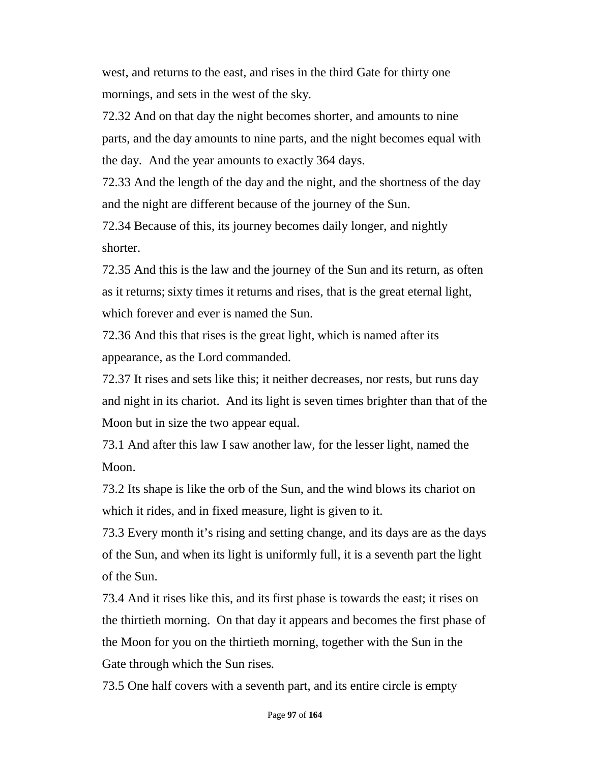west, and returns to the east, and rises in the third Gate for thirty one mornings, and sets in the west of the sky.

72.32 And on that day the night becomes shorter, and amounts to nine parts, and the day amounts to nine parts, and the night becomes equal with the day. And the year amounts to exactly 364 days.

72.33 And the length of the day and the night, and the shortness of the day and the night are different because of the journey of the Sun.

72.34 Because of this, its journey becomes daily longer, and nightly shorter.

72.35 And this is the law and the journey of the Sun and its return, as often as it returns; sixty times it returns and rises, that is the great eternal light, which forever and ever is named the Sun.

72.36 And this that rises is the great light, which is named after its appearance, as the Lord commanded.

72.37 It rises and sets like this; it neither decreases, nor rests, but runs day and night in its chariot. And its light is seven times brighter than that of the Moon but in size the two appear equal.

73.1 And after this law I saw another law, for the lesser light, named the Moon.

73.2 Its shape is like the orb of the Sun, and the wind blows its chariot on which it rides, and in fixed measure, light is given to it.

73.3 Every month it's rising and setting change, and its days are as the days of the Sun, and when its light is uniformly full, it is a seventh part the light of the Sun.

73.4 And it rises like this, and its first phase is towards the east; it rises on the thirtieth morning. On that day it appears and becomes the first phase of the Moon for you on the thirtieth morning, together with the Sun in the Gate through which the Sun rises.

73.5 One half covers with a seventh part, and its entire circle is empty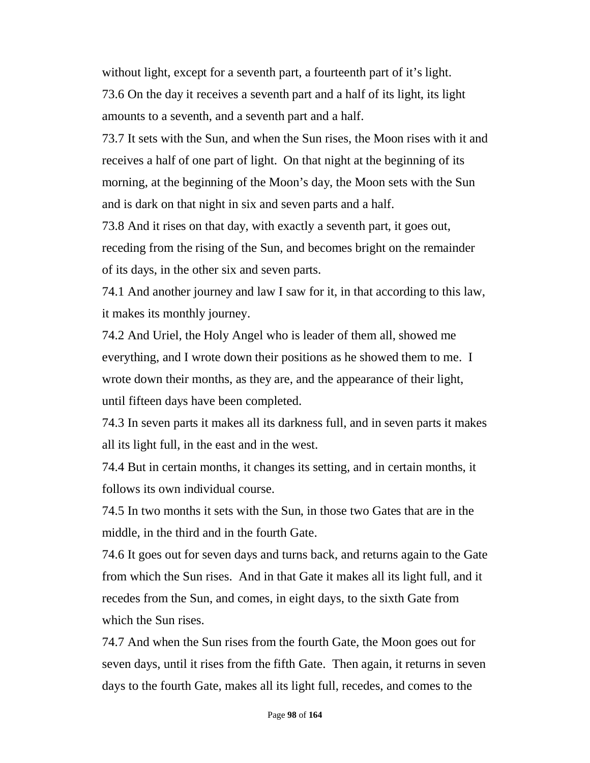without light, except for a seventh part, a fourteenth part of it's light. 73.6 On the day it receives a seventh part and a half of its light, its light amounts to a seventh, and a seventh part and a half.

73.7 It sets with the Sun, and when the Sun rises, the Moon rises with it and receives a half of one part of light. On that night at the beginning of its morning, at the beginning of the Moon's day, the Moon sets with the Sun and is dark on that night in six and seven parts and a half.

73.8 And it rises on that day, with exactly a seventh part, it goes out, receding from the rising of the Sun, and becomes bright on the remainder of its days, in the other six and seven parts.

74.1 And another journey and law I saw for it, in that according to this law, it makes its monthly journey.

74.2 And Uriel, the Holy Angel who is leader of them all, showed me everything, and I wrote down their positions as he showed them to me. I wrote down their months, as they are, and the appearance of their light, until fifteen days have been completed.

74.3 In seven parts it makes all its darkness full, and in seven parts it makes all its light full, in the east and in the west.

74.4 But in certain months, it changes its setting, and in certain months, it follows its own individual course.

74.5 In two months it sets with the Sun, in those two Gates that are in the middle, in the third and in the fourth Gate.

74.6 It goes out for seven days and turns back, and returns again to the Gate from which the Sun rises. And in that Gate it makes all its light full, and it recedes from the Sun, and comes, in eight days, to the sixth Gate from which the Sun rises.

74.7 And when the Sun rises from the fourth Gate, the Moon goes out for seven days, until it rises from the fifth Gate. Then again, it returns in seven days to the fourth Gate, makes all its light full, recedes, and comes to the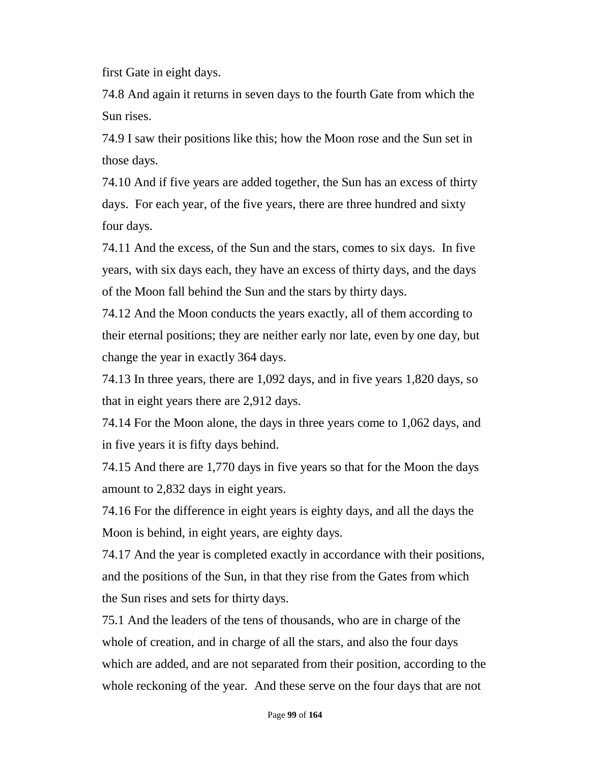first Gate in eight days.

74.8 And again it returns in seven days to the fourth Gate from which the Sun rises.

74.9 I saw their positions like this; how the Moon rose and the Sun set in those days.

74.10 And if five years are added together, the Sun has an excess of thirty days. For each year, of the five years, there are three hundred and sixty four days.

74.11 And the excess, of the Sun and the stars, comes to six days. In five years, with six days each, they have an excess of thirty days, and the days of the Moon fall behind the Sun and the stars by thirty days.

74.12 And the Moon conducts the years exactly, all of them according to their eternal positions; they are neither early nor late, even by one day, but change the year in exactly 364 days.

74.13 In three years, there are 1,092 days, and in five years 1,820 days, so that in eight years there are 2,912 days.

74.14 For the Moon alone, the days in three years come to 1,062 days, and in five years it is fifty days behind.

74.15 And there are 1,770 days in five years so that for the Moon the days amount to 2,832 days in eight years.

74.16 For the difference in eight years is eighty days, and all the days the Moon is behind, in eight years, are eighty days.

74.17 And the year is completed exactly in accordance with their positions, and the positions of the Sun, in that they rise from the Gates from which the Sun rises and sets for thirty days.

75.1 And the leaders of the tens of thousands, who are in charge of the whole of creation, and in charge of all the stars, and also the four days which are added, and are not separated from their position, according to the whole reckoning of the year. And these serve on the four days that are not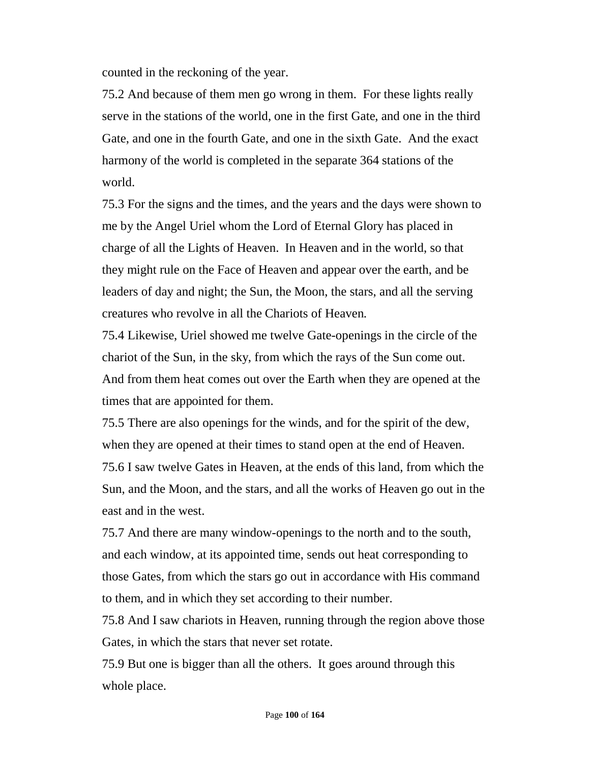counted in the reckoning of the year.

75.2 And because of them men go wrong in them. For these lights really serve in the stations of the world, one in the first Gate, and one in the third Gate, and one in the fourth Gate, and one in the sixth Gate. And the exact harmony of the world is completed in the separate 364 stations of the world.

75.3 For the signs and the times, and the years and the days were shown to me by the Angel Uriel whom the Lord of Eternal Glory has placed in charge of all the Lights of Heaven. In Heaven and in the world, so that they might rule on the Face of Heaven and appear over the earth, and be leaders of day and night; the Sun, the Moon, the stars, and all the serving creatures who revolve in all the Chariots of Heaven.

75.4 Likewise, Uriel showed me twelve Gate-openings in the circle of the chariot of the Sun, in the sky, from which the rays of the Sun come out. And from them heat comes out over the Earth when they are opened at the times that are appointed for them.

75.5 There are also openings for the winds, and for the spirit of the dew, when they are opened at their times to stand open at the end of Heaven. 75.6 I saw twelve Gates in Heaven, at the ends of this land, from which the Sun, and the Moon, and the stars, and all the works of Heaven go out in the east and in the west.

75.7 And there are many window-openings to the north and to the south, and each window, at its appointed time, sends out heat corresponding to those Gates, from which the stars go out in accordance with His command to them, and in which they set according to their number.

75.8 And I saw chariots in Heaven, running through the region above those Gates, in which the stars that never set rotate.

75.9 But one is bigger than all the others. It goes around through this whole place.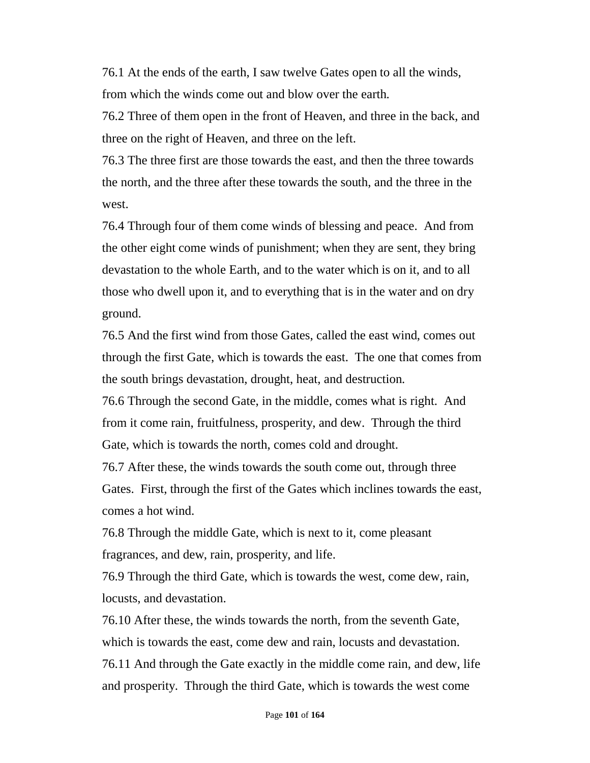76.1 At the ends of the earth, I saw twelve Gates open to all the winds, from which the winds come out and blow over the earth.

76.2 Three of them open in the front of Heaven, and three in the back, and three on the right of Heaven, and three on the left.

76.3 The three first are those towards the east, and then the three towards the north, and the three after these towards the south, and the three in the west.

76.4 Through four of them come winds of blessing and peace. And from the other eight come winds of punishment; when they are sent, they bring devastation to the whole Earth, and to the water which is on it, and to all those who dwell upon it, and to everything that is in the water and on dry ground.

76.5 And the first wind from those Gates, called the east wind, comes out through the first Gate, which is towards the east. The one that comes from the south brings devastation, drought, heat, and destruction.

76.6 Through the second Gate, in the middle, comes what is right. And from it come rain, fruitfulness, prosperity, and dew. Through the third Gate, which is towards the north, comes cold and drought.

76.7 After these, the winds towards the south come out, through three Gates. First, through the first of the Gates which inclines towards the east, comes a hot wind.

76.8 Through the middle Gate, which is next to it, come pleasant fragrances, and dew, rain, prosperity, and life.

76.9 Through the third Gate, which is towards the west, come dew, rain, locusts, and devastation.

76.10 After these, the winds towards the north, from the seventh Gate, which is towards the east, come dew and rain, locusts and devastation. 76.11 And through the Gate exactly in the middle come rain, and dew, life and prosperity. Through the third Gate, which is towards the west come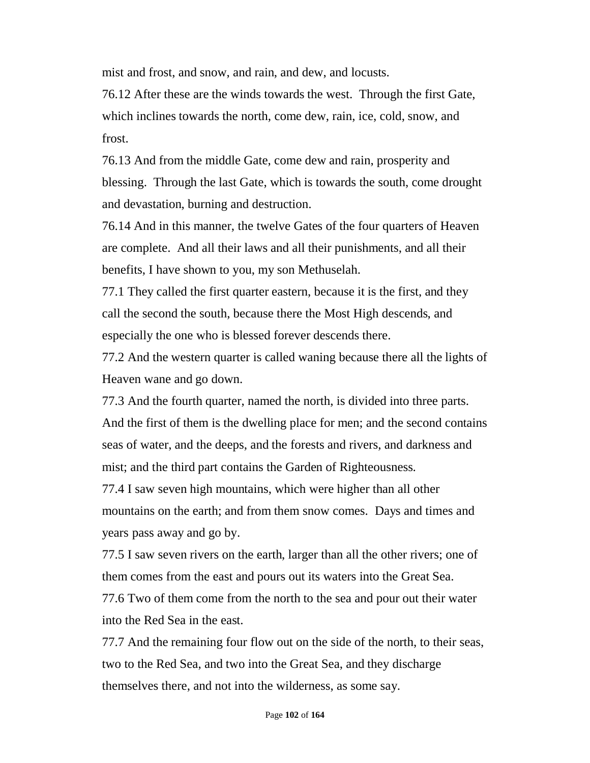mist and frost, and snow, and rain, and dew, and locusts.

76.12 After these are the winds towards the west. Through the first Gate, which inclines towards the north, come dew, rain, ice, cold, snow, and frost.

76.13 And from the middle Gate, come dew and rain, prosperity and blessing. Through the last Gate, which is towards the south, come drought and devastation, burning and destruction.

76.14 And in this manner, the twelve Gates of the four quarters of Heaven are complete. And all their laws and all their punishments, and all their benefits, I have shown to you, my son Methuselah.

77.1 They called the first quarter eastern, because it is the first, and they call the second the south, because there the Most High descends, and especially the one who is blessed forever descends there.

77.2 And the western quarter is called waning because there all the lights of Heaven wane and go down.

77.3 And the fourth quarter, named the north, is divided into three parts. And the first of them is the dwelling place for men; and the second contains seas of water, and the deeps, and the forests and rivers, and darkness and mist; and the third part contains the Garden of Righteousness.

77.4 I saw seven high mountains, which were higher than all other mountains on the earth; and from them snow comes. Days and times and years pass away and go by.

77.5 I saw seven rivers on the earth, larger than all the other rivers; one of them comes from the east and pours out its waters into the Great Sea.

77.6 Two of them come from the north to the sea and pour out their water into the Red Sea in the east.

77.7 And the remaining four flow out on the side of the north, to their seas, two to the Red Sea, and two into the Great Sea, and they discharge themselves there, and not into the wilderness, as some say.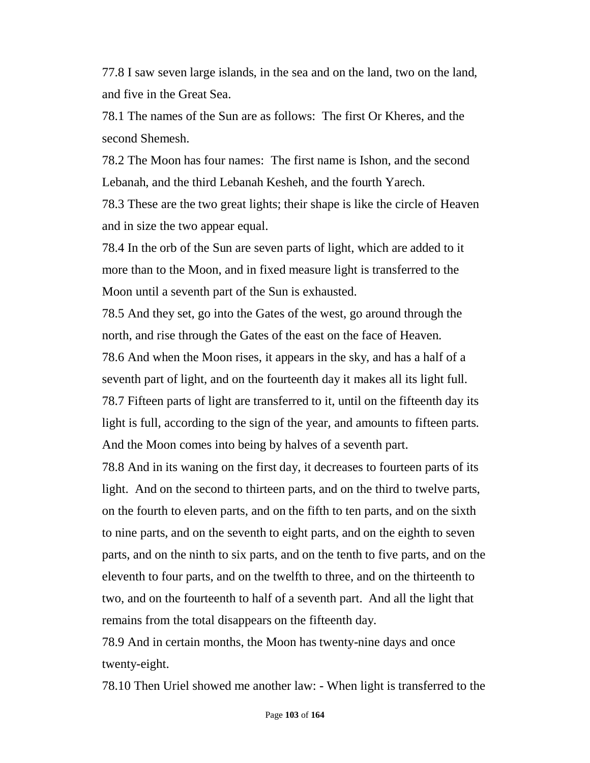77.8 I saw seven large islands, in the sea and on the land, two on the land, and five in the Great Sea.

78.1 The names of the Sun are as follows: The first Or Kheres, and the second Shemesh.

78.2 The Moon has four names: The first name is Ishon, and the second Lebanah, and the third Lebanah Kesheh, and the fourth Yarech.

78.3 These are the two great lights; their shape is like the circle of Heaven and in size the two appear equal.

78.4 In the orb of the Sun are seven parts of light, which are added to it more than to the Moon, and in fixed measure light is transferred to the Moon until a seventh part of the Sun is exhausted.

78.5 And they set, go into the Gates of the west, go around through the north, and rise through the Gates of the east on the face of Heaven.

78.6 And when the Moon rises, it appears in the sky, and has a half of a seventh part of light, and on the fourteenth day it makes all its light full. 78.7 Fifteen parts of light are transferred to it, until on the fifteenth day its light is full, according to the sign of the year, and amounts to fifteen parts. And the Moon comes into being by halves of a seventh part.

78.8 And in its waning on the first day, it decreases to fourteen parts of its light. And on the second to thirteen parts, and on the third to twelve parts, on the fourth to eleven parts, and on the fifth to ten parts, and on the sixth to nine parts, and on the seventh to eight parts, and on the eighth to seven parts, and on the ninth to six parts, and on the tenth to five parts, and on the eleventh to four parts, and on the twelfth to three, and on the thirteenth to two, and on the fourteenth to half of a seventh part. And all the light that remains from the total disappears on the fifteenth day.

78.9 And in certain months, the Moon has twenty-nine days and once twenty-eight.

78.10 Then Uriel showed me another law: - When light is transferred to the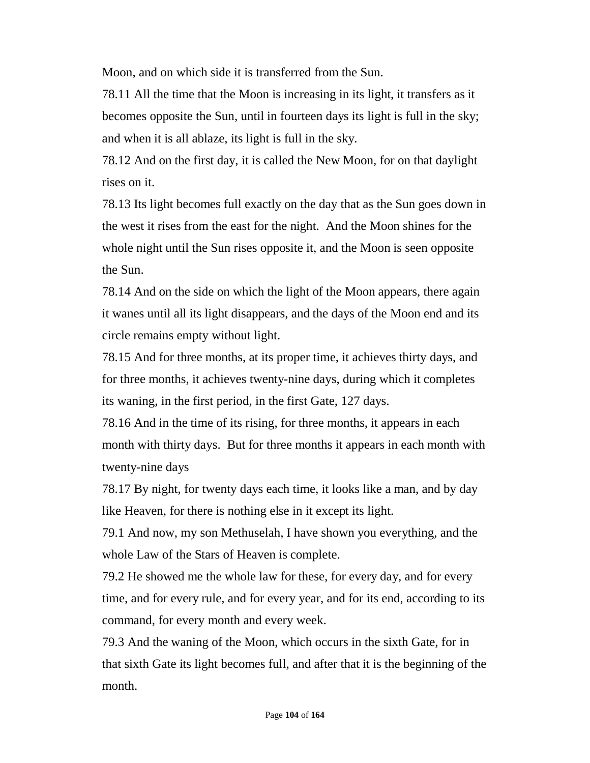Moon, and on which side it is transferred from the Sun.

78.11 All the time that the Moon is increasing in its light, it transfers as it becomes opposite the Sun, until in fourteen days its light is full in the sky; and when it is all ablaze, its light is full in the sky.

78.12 And on the first day, it is called the New Moon, for on that daylight rises on it.

78.13 Its light becomes full exactly on the day that as the Sun goes down in the west it rises from the east for the night. And the Moon shines for the whole night until the Sun rises opposite it, and the Moon is seen opposite the Sun.

78.14 And on the side on which the light of the Moon appears, there again it wanes until all its light disappears, and the days of the Moon end and its circle remains empty without light.

78.15 And for three months, at its proper time, it achieves thirty days, and for three months, it achieves twenty-nine days, during which it completes its waning, in the first period, in the first Gate, 127 days.

78.16 And in the time of its rising, for three months, it appears in each month with thirty days. But for three months it appears in each month with twenty-nine days

78.17 By night, for twenty days each time, it looks like a man, and by day like Heaven, for there is nothing else in it except its light.

79.1 And now, my son Methuselah, I have shown you everything, and the whole Law of the Stars of Heaven is complete.

79.2 He showed me the whole law for these, for every day, and for every time, and for every rule, and for every year, and for its end, according to its command, for every month and every week.

79.3 And the waning of the Moon, which occurs in the sixth Gate, for in that sixth Gate its light becomes full, and after that it is the beginning of the month.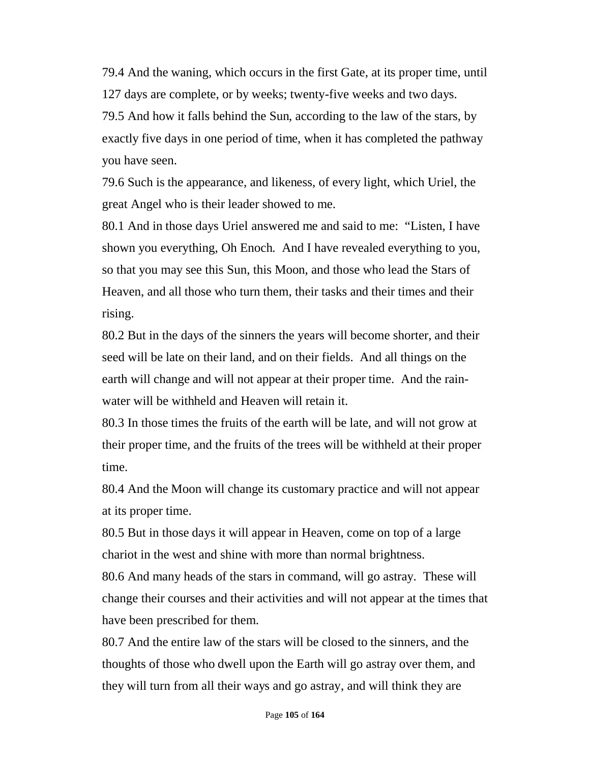79.4 And the waning, which occurs in the first Gate, at its proper time, until 127 days are complete, or by weeks; twenty-five weeks and two days. 79.5 And how it falls behind the Sun, according to the law of the stars, by exactly five days in one period of time, when it has completed the pathway you have seen.

79.6 Such is the appearance, and likeness, of every light, which Uriel, the great Angel who is their leader showed to me.

80.1 And in those days Uriel answered me and said to me: "Listen, I have shown you everything, Oh Enoch. And I have revealed everything to you, so that you may see this Sun, this Moon, and those who lead the Stars of Heaven, and all those who turn them, their tasks and their times and their rising.

80.2 But in the days of the sinners the years will become shorter, and their seed will be late on their land, and on their fields. And all things on the earth will change and will not appear at their proper time. And the rainwater will be withheld and Heaven will retain it.

80.3 In those times the fruits of the earth will be late, and will not grow at their proper time, and the fruits of the trees will be withheld at their proper time.

80.4 And the Moon will change its customary practice and will not appear at its proper time.

80.5 But in those days it will appear in Heaven, come on top of a large chariot in the west and shine with more than normal brightness.

80.6 And many heads of the stars in command, will go astray. These will change their courses and their activities and will not appear at the times that have been prescribed for them.

80.7 And the entire law of the stars will be closed to the sinners, and the thoughts of those who dwell upon the Earth will go astray over them, and they will turn from all their ways and go astray, and will think they are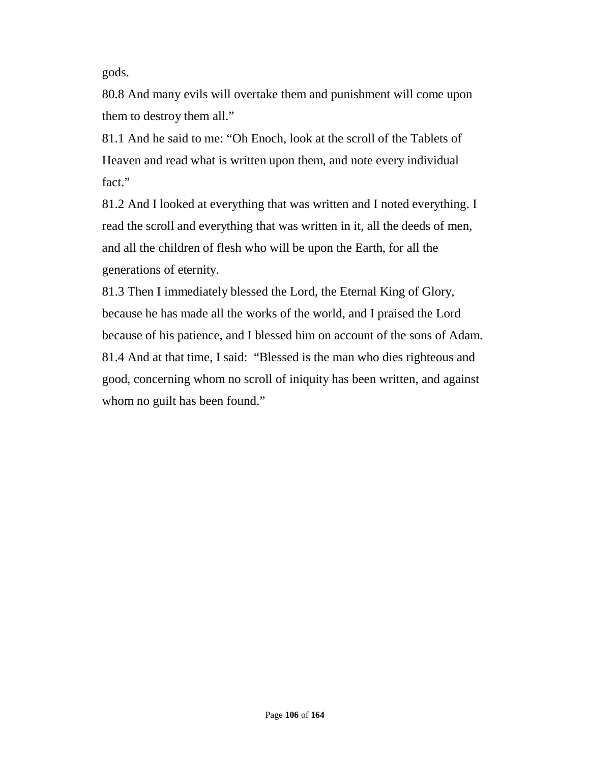gods.

80.8 And many evils will overtake them and punishment will come upon them to destroy them all."

81.1 And he said to me: "Oh Enoch, look at the scroll of the Tablets of Heaven and read what is written upon them, and note every individual fact."

81.2 And I looked at everything that was written and I noted everything. I read the scroll and everything that was written in it, all the deeds of men, and all the children of flesh who will be upon the Earth, for all the generations of eternity.

81.3 Then I immediately blessed the Lord, the Eternal King of Glory, because he has made all the works of the world, and I praised the Lord because of his patience, and I blessed him on account of the sons of Adam. 81.4 And at that time, I said: "Blessed is the man who dies righteous and good, concerning whom no scroll of iniquity has been written, and against whom no guilt has been found."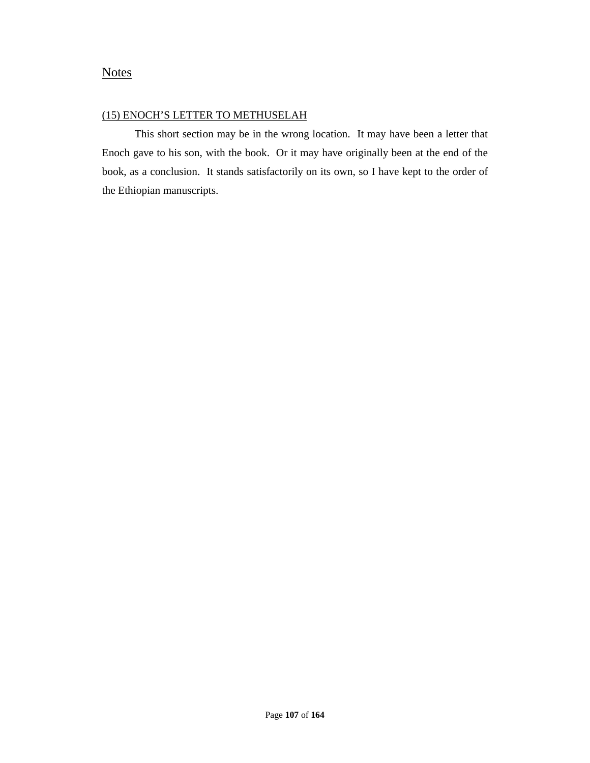### **Notes**

### (15) ENOCH'S LETTER TO METHUSELAH

This short section may be in the wrong location. It may have been a letter that Enoch gave to his son, with the book. Or it may have originally been at the end of the book, as a conclusion. It stands satisfactorily on its own, so I have kept to the order of the Ethiopian manuscripts.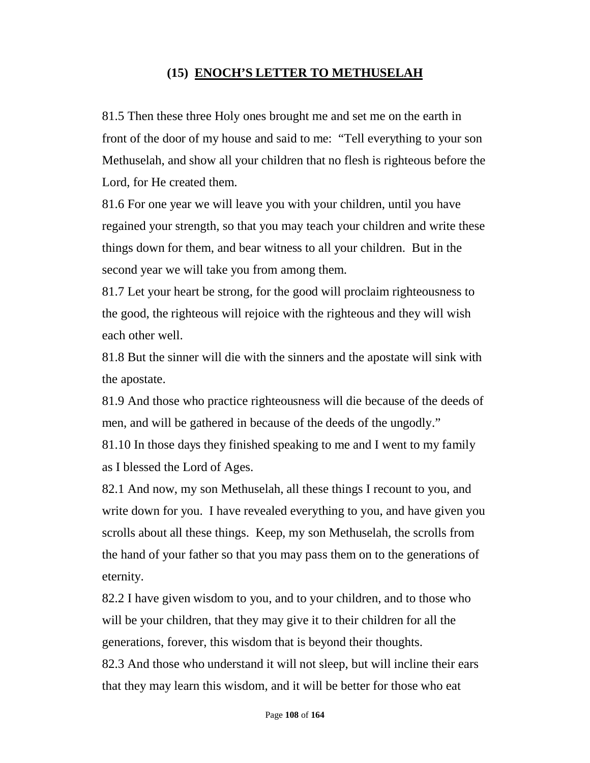# **(15) ENOCH'S LETTER TO METHUSELAH**

81.5 Then these three Holy ones brought me and set me on the earth in front of the door of my house and said to me: "Tell everything to your son Methuselah, and show all your children that no flesh is righteous before the Lord, for He created them.

81.6 For one year we will leave you with your children, until you have regained your strength, so that you may teach your children and write these things down for them, and bear witness to all your children. But in the second year we will take you from among them.

81.7 Let your heart be strong, for the good will proclaim righteousness to the good, the righteous will rejoice with the righteous and they will wish each other well.

81.8 But the sinner will die with the sinners and the apostate will sink with the apostate.

81.9 And those who practice righteousness will die because of the deeds of men, and will be gathered in because of the deeds of the ungodly."

81.10 In those days they finished speaking to me and I went to my family as I blessed the Lord of Ages.

82.1 And now, my son Methuselah, all these things I recount to you, and write down for you. I have revealed everything to you, and have given you scrolls about all these things. Keep, my son Methuselah, the scrolls from the hand of your father so that you may pass them on to the generations of eternity.

82.2 I have given wisdom to you, and to your children, and to those who will be your children, that they may give it to their children for all the generations, forever, this wisdom that is beyond their thoughts.

82.3 And those who understand it will not sleep, but will incline their ears that they may learn this wisdom, and it will be better for those who eat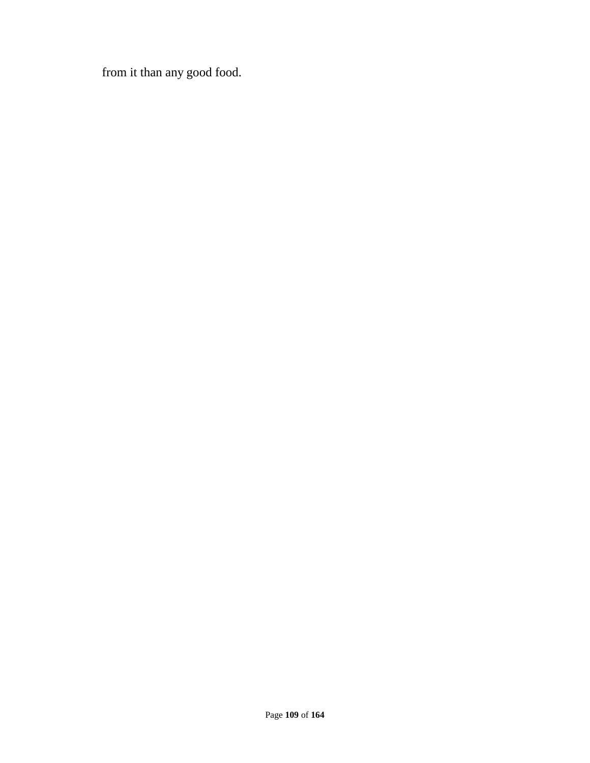from it than any good food.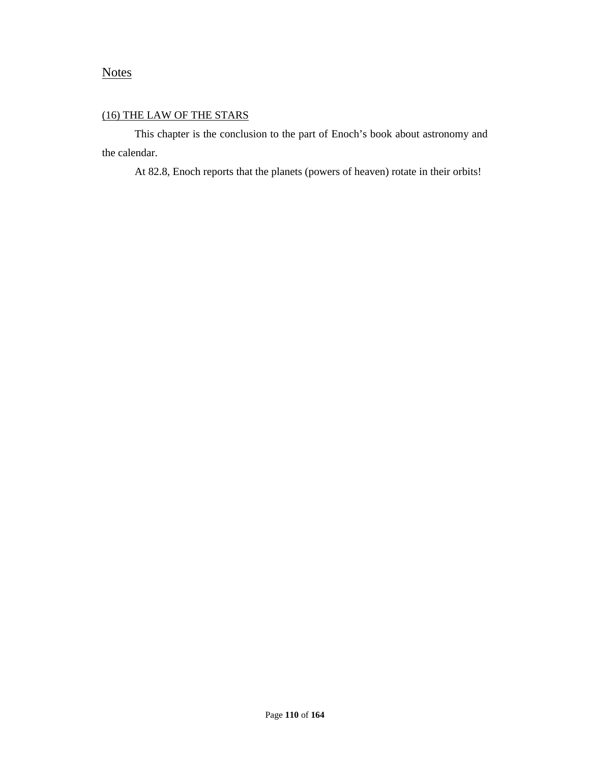# **Notes**

### (16) THE LAW OF THE STARS

This chapter is the conclusion to the part of Enoch's book about astronomy and the calendar.

At 82.8, Enoch reports that the planets (powers of heaven) rotate in their orbits!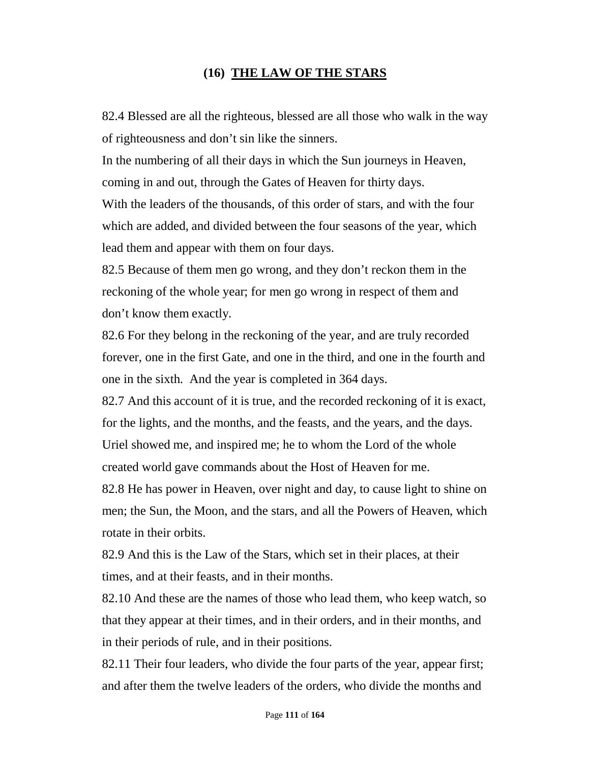# **(16) THE LAW OF THE STARS**

82.4 Blessed are all the righteous, blessed are all those who walk in the way of righteousness and don't sin like the sinners.

In the numbering of all their days in which the Sun journeys in Heaven, coming in and out, through the Gates of Heaven for thirty days.

With the leaders of the thousands, of this order of stars, and with the four which are added, and divided between the four seasons of the year, which lead them and appear with them on four days.

82.5 Because of them men go wrong, and they don't reckon them in the reckoning of the whole year; for men go wrong in respect of them and don't know them exactly.

82.6 For they belong in the reckoning of the year, and are truly recorded forever, one in the first Gate, and one in the third, and one in the fourth and one in the sixth. And the year is completed in 364 days.

82.7 And this account of it is true, and the recorded reckoning of it is exact, for the lights, and the months, and the feasts, and the years, and the days. Uriel showed me, and inspired me; he to whom the Lord of the whole created world gave commands about the Host of Heaven for me.

82.8 He has power in Heaven, over night and day, to cause light to shine on men; the Sun, the Moon, and the stars, and all the Powers of Heaven, which rotate in their orbits.

82.9 And this is the Law of the Stars, which set in their places, at their times, and at their feasts, and in their months.

82.10 And these are the names of those who lead them, who keep watch, so that they appear at their times, and in their orders, and in their months, and in their periods of rule, and in their positions.

82.11 Their four leaders, who divide the four parts of the year, appear first; and after them the twelve leaders of the orders, who divide the months and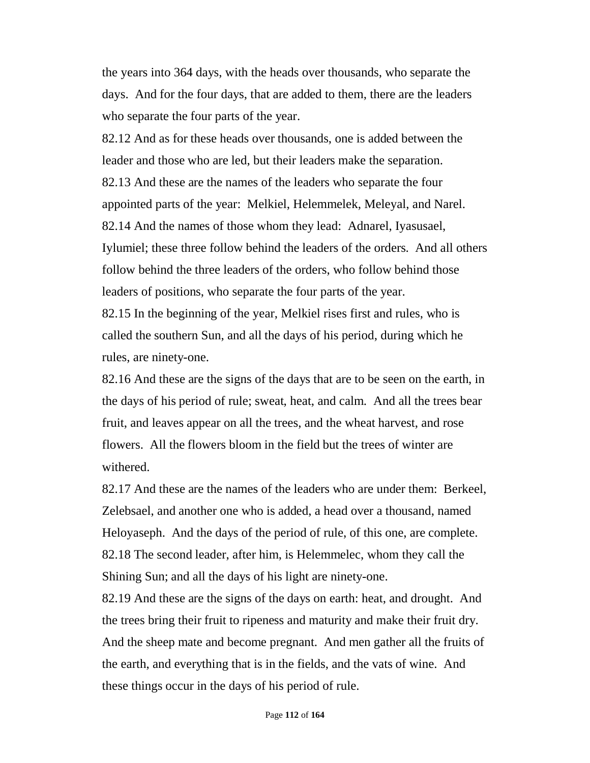the years into 364 days, with the heads over thousands, who separate the days. And for the four days, that are added to them, there are the leaders who separate the four parts of the year.

82.12 And as for these heads over thousands, one is added between the leader and those who are led, but their leaders make the separation. 82.13 And these are the names of the leaders who separate the four appointed parts of the year: Melkiel, Helemmelek, Meleyal, and Narel. 82.14 And the names of those whom they lead: Adnarel, Iyasusael, Iylumiel; these three follow behind the leaders of the orders. And all others follow behind the three leaders of the orders, who follow behind those leaders of positions, who separate the four parts of the year.

82.15 In the beginning of the year, Melkiel rises first and rules, who is called the southern Sun, and all the days of his period, during which he rules, are ninety-one.

82.16 And these are the signs of the days that are to be seen on the earth, in the days of his period of rule; sweat, heat, and calm. And all the trees bear fruit, and leaves appear on all the trees, and the wheat harvest, and rose flowers. All the flowers bloom in the field but the trees of winter are withered.

82.17 And these are the names of the leaders who are under them: Berkeel, Zelebsael, and another one who is added, a head over a thousand, named Heloyaseph. And the days of the period of rule, of this one, are complete. 82.18 The second leader, after him, is Helemmelec, whom they call the Shining Sun; and all the days of his light are ninety-one.

82.19 And these are the signs of the days on earth: heat, and drought. And the trees bring their fruit to ripeness and maturity and make their fruit dry. And the sheep mate and become pregnant. And men gather all the fruits of the earth, and everything that is in the fields, and the vats of wine. And these things occur in the days of his period of rule.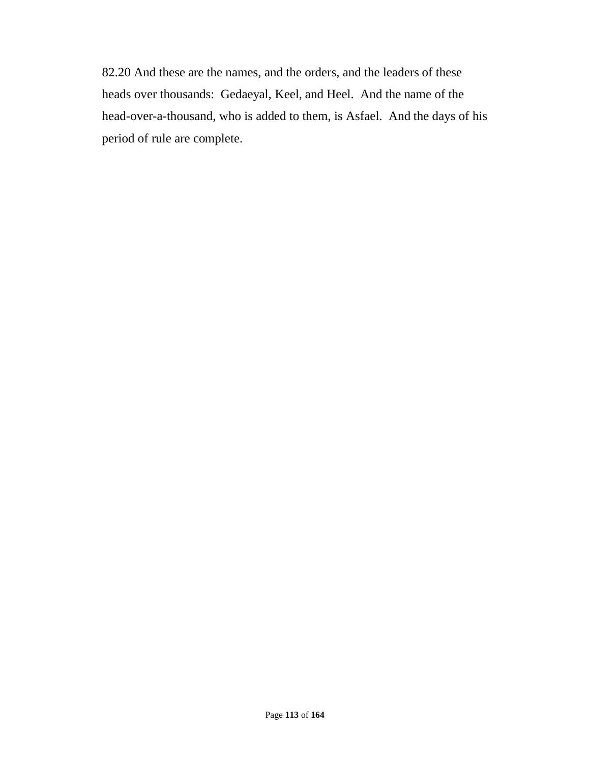82.20 And these are the names, and the orders, and the leaders of these heads over thousands: Gedaeyal, Keel, and Heel. And the name of the head-over-a-thousand, who is added to them, is Asfael. And the days of his period of rule are complete.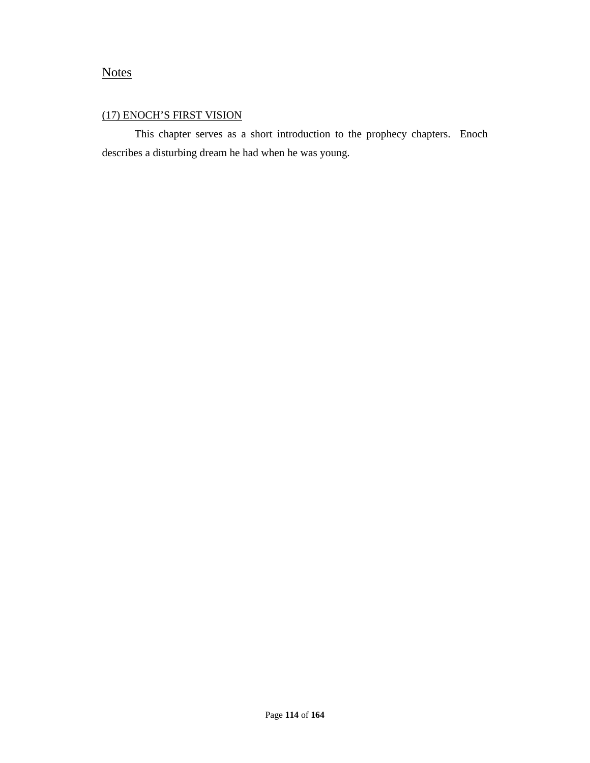# **Notes**

### (17) ENOCH'S FIRST VISION

This chapter serves as a short introduction to the prophecy chapters. Enoch describes a disturbing dream he had when he was young.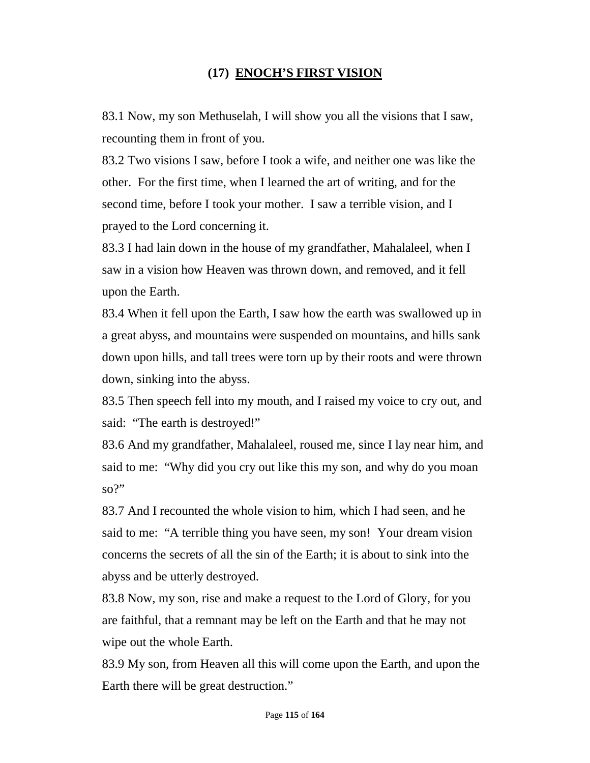# **(17) ENOCH'S FIRST VISION**

83.1 Now, my son Methuselah, I will show you all the visions that I saw, recounting them in front of you.

83.2 Two visions I saw, before I took a wife, and neither one was like the other. For the first time, when I learned the art of writing, and for the second time, before I took your mother. I saw a terrible vision, and I prayed to the Lord concerning it.

83.3 I had lain down in the house of my grandfather, Mahalaleel, when I saw in a vision how Heaven was thrown down, and removed, and it fell upon the Earth.

83.4 When it fell upon the Earth, I saw how the earth was swallowed up in a great abyss, and mountains were suspended on mountains, and hills sank down upon hills, and tall trees were torn up by their roots and were thrown down, sinking into the abyss.

83.5 Then speech fell into my mouth, and I raised my voice to cry out, and said: "The earth is destroyed!"

83.6 And my grandfather, Mahalaleel, roused me, since I lay near him, and said to me: "Why did you cry out like this my son, and why do you moan so?"

83.7 And I recounted the whole vision to him, which I had seen, and he said to me: "A terrible thing you have seen, my son! Your dream vision concerns the secrets of all the sin of the Earth; it is about to sink into the abyss and be utterly destroyed.

83.8 Now, my son, rise and make a request to the Lord of Glory, for you are faithful, that a remnant may be left on the Earth and that he may not wipe out the whole Earth.

83.9 My son, from Heaven all this will come upon the Earth, and upon the Earth there will be great destruction."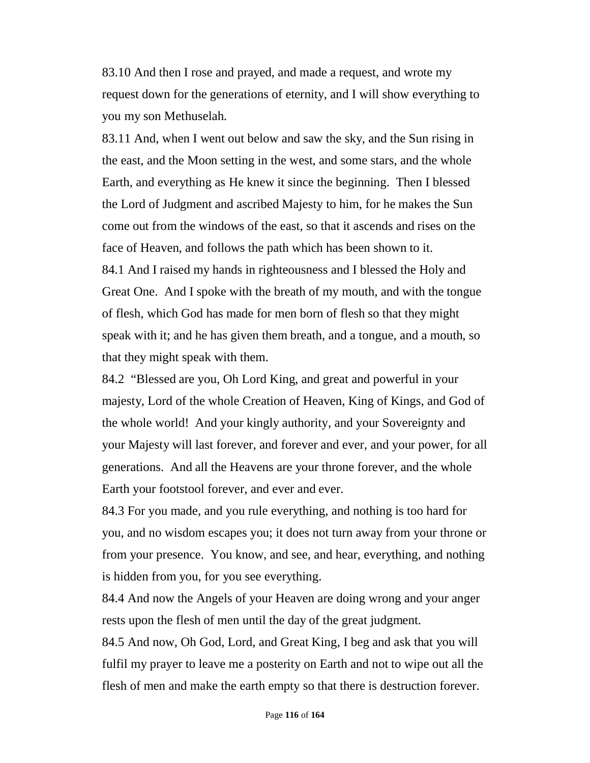83.10 And then I rose and prayed, and made a request, and wrote my request down for the generations of eternity, and I will show everything to you my son Methuselah.

83.11 And, when I went out below and saw the sky, and the Sun rising in the east, and the Moon setting in the west, and some stars, and the whole Earth, and everything as He knew it since the beginning. Then I blessed the Lord of Judgment and ascribed Majesty to him, for he makes the Sun come out from the windows of the east, so that it ascends and rises on the face of Heaven, and follows the path which has been shown to it. 84.1 And I raised my hands in righteousness and I blessed the Holy and Great One. And I spoke with the breath of my mouth, and with the tongue of flesh, which God has made for men born of flesh so that they might speak with it; and he has given them breath, and a tongue, and a mouth, so that they might speak with them.

84.2 "Blessed are you, Oh Lord King, and great and powerful in your majesty, Lord of the whole Creation of Heaven, King of Kings, and God of the whole world! And your kingly authority, and your Sovereignty and your Majesty will last forever, and forever and ever, and your power, for all generations. And all the Heavens are your throne forever, and the whole Earth your footstool forever, and ever and ever.

84.3 For you made, and you rule everything, and nothing is too hard for you, and no wisdom escapes you; it does not turn away from your throne or from your presence. You know, and see, and hear, everything, and nothing is hidden from you, for you see everything.

84.4 And now the Angels of your Heaven are doing wrong and your anger rests upon the flesh of men until the day of the great judgment.

84.5 And now, Oh God, Lord, and Great King, I beg and ask that you will fulfil my prayer to leave me a posterity on Earth and not to wipe out all the flesh of men and make the earth empty so that there is destruction forever.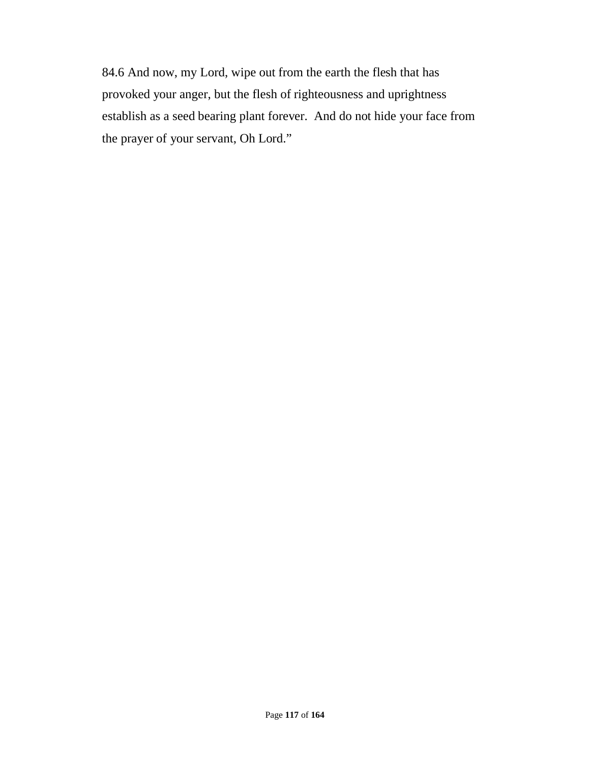84.6 And now, my Lord, wipe out from the earth the flesh that has provoked your anger, but the flesh of righteousness and uprightness establish as a seed bearing plant forever. And do not hide your face from the prayer of your servant, Oh Lord."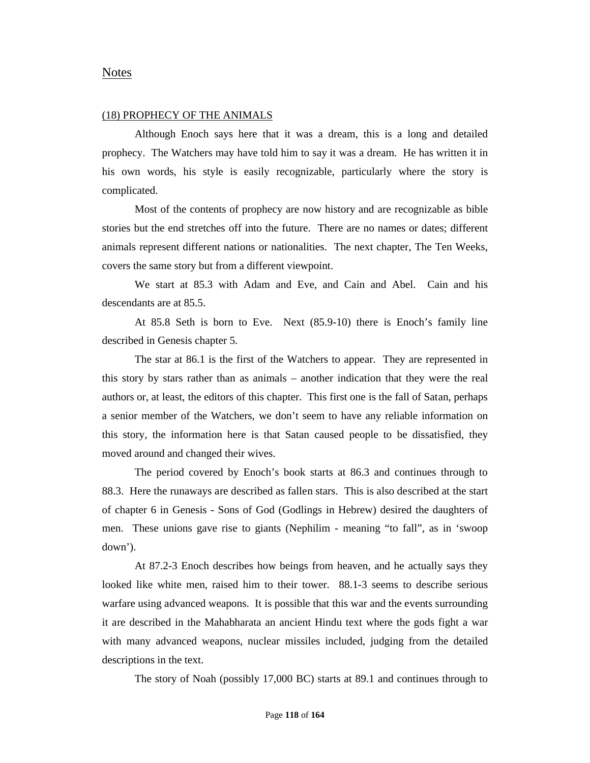#### Notes

#### (18) PROPHECY OF THE ANIMALS

Although Enoch says here that it was a dream, this is a long and detailed prophecy. The Watchers may have told him to say it was a dream. He has written it in his own words, his style is easily recognizable, particularly where the story is complicated.

Most of the contents of prophecy are now history and are recognizable as bible stories but the end stretches off into the future. There are no names or dates; different animals represent different nations or nationalities. The next chapter, The Ten Weeks, covers the same story but from a different viewpoint.

We start at 85.3 with Adam and Eve, and Cain and Abel. Cain and his descendants are at 85.5.

At 85.8 Seth is born to Eve. Next (85.9-10) there is Enoch's family line described in Genesis chapter 5.

The star at 86.1 is the first of the Watchers to appear. They are represented in this story by stars rather than as animals – another indication that they were the real authors or, at least, the editors of this chapter. This first one is the fall of Satan, perhaps a senior member of the Watchers, we don't seem to have any reliable information on this story, the information here is that Satan caused people to be dissatisfied, they moved around and changed their wives.

The period covered by Enoch's book starts at 86.3 and continues through to 88.3. Here the runaways are described as fallen stars. This is also described at the start of chapter 6 in Genesis - Sons of God (Godlings in Hebrew) desired the daughters of men. These unions gave rise to giants (Nephilim - meaning "to fall", as in 'swoop down').

At 87.2-3 Enoch describes how beings from heaven, and he actually says they looked like white men, raised him to their tower. 88.1-3 seems to describe serious warfare using advanced weapons. It is possible that this war and the events surrounding it are described in the Mahabharata an ancient Hindu text where the gods fight a war with many advanced weapons, nuclear missiles included, judging from the detailed descriptions in the text.

The story of Noah (possibly 17,000 BC) starts at 89.1 and continues through to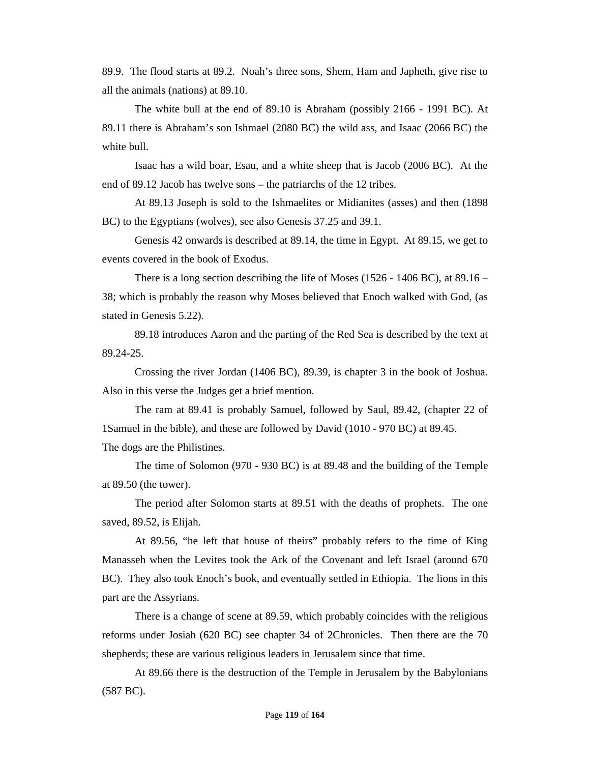89.9. The flood starts at 89.2. Noah's three sons, Shem, Ham and Japheth, give rise to all the animals (nations) at 89.10.

The white bull at the end of 89.10 is Abraham (possibly 2166 - 1991 BC). At 89.11 there is Abraham's son Ishmael (2080 BC) the wild ass, and Isaac (2066 BC) the white bull.

Isaac has a wild boar, Esau, and a white sheep that is Jacob (2006 BC). At the end of 89.12 Jacob has twelve sons – the patriarchs of the 12 tribes.

At 89.13 Joseph is sold to the Ishmaelites or Midianites (asses) and then (1898 BC) to the Egyptians (wolves), see also Genesis 37.25 and 39.1.

Genesis 42 onwards is described at 89.14, the time in Egypt. At 89.15, we get to events covered in the book of Exodus.

There is a long section describing the life of Moses (1526 - 1406 BC), at 89.16 – 38; which is probably the reason why Moses believed that Enoch walked with God, (as stated in Genesis 5.22).

89.18 introduces Aaron and the parting of the Red Sea is described by the text at 89.24-25.

Crossing the river Jordan (1406 BC), 89.39, is chapter 3 in the book of Joshua. Also in this verse the Judges get a brief mention.

The ram at 89.41 is probably Samuel, followed by Saul, 89.42, (chapter 22 of 1Samuel in the bible), and these are followed by David (1010 - 970 BC) at 89.45. The dogs are the Philistines.

The time of Solomon (970 - 930 BC) is at 89.48 and the building of the Temple at 89.50 (the tower).

The period after Solomon starts at 89.51 with the deaths of prophets. The one saved, 89.52, is Elijah.

At 89.56, "he left that house of theirs" probably refers to the time of King Manasseh when the Levites took the Ark of the Covenant and left Israel (around 670 BC). They also took Enoch's book, and eventually settled in Ethiopia. The lions in this part are the Assyrians.

There is a change of scene at 89.59, which probably coincides with the religious reforms under Josiah (620 BC) see chapter 34 of 2Chronicles. Then there are the 70 shepherds; these are various religious leaders in Jerusalem since that time.

At 89.66 there is the destruction of the Temple in Jerusalem by the Babylonians (587 BC).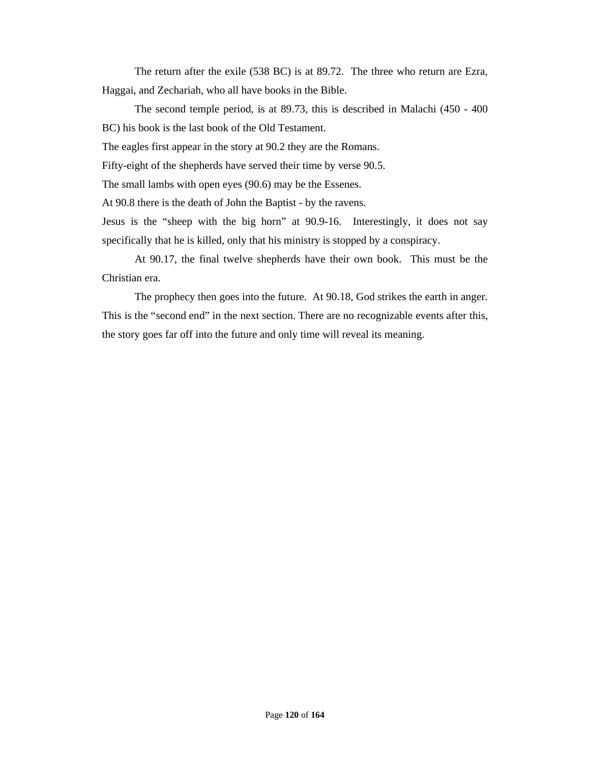The return after the exile (538 BC) is at 89.72. The three who return are Ezra, Haggai, and Zechariah, who all have books in the Bible.

The second temple period, is at 89.73, this is described in Malachi (450 - 400 BC) his book is the last book of the Old Testament.

The eagles first appear in the story at 90.2 they are the Romans.

Fifty-eight of the shepherds have served their time by verse 90.5.

The small lambs with open eyes (90.6) may be the Essenes.

At 90.8 there is the death of John the Baptist - by the ravens.

Jesus is the "sheep with the big horn" at 90.9-16. Interestingly, it does not say specifically that he is killed, only that his ministry is stopped by a conspiracy.

At 90.17, the final twelve shepherds have their own book. This must be the Christian era.

The prophecy then goes into the future. At 90.18, God strikes the earth in anger. This is the "second end" in the next section. There are no recognizable events after this, the story goes far off into the future and only time will reveal its meaning.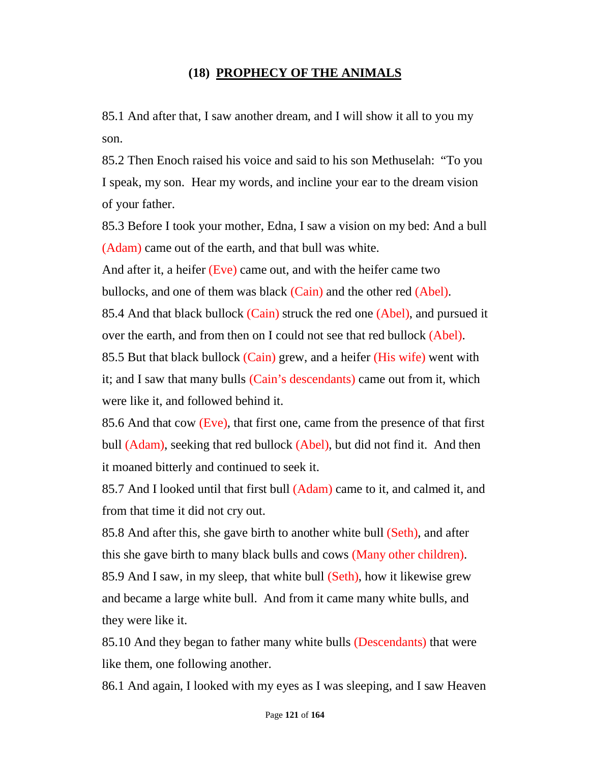### **(18) PROPHECY OF THE ANIMALS**

85.1 And after that, I saw another dream, and I will show it all to you my son.

85.2 Then Enoch raised his voice and said to his son Methuselah: "To you I speak, my son. Hear my words, and incline your ear to the dream vision of your father.

85.3 Before I took your mother, Edna, I saw a vision on my bed: And a bull (Adam) came out of the earth, and that bull was white.

And after it, a heifer  $(Eve)$  came out, and with the heifer came two bullocks, and one of them was black (Cain) and the other red (Abel).

85.4 And that black bullock (Cain) struck the red one (Abel), and pursued it over the earth, and from then on I could not see that red bullock (Abel).

85.5 But that black bullock (Cain) grew, and a heifer (His wife) went with it; and I saw that many bulls (Cain's descendants) came out from it, which were like it, and followed behind it.

85.6 And that cow (Eve), that first one, came from the presence of that first bull (Adam), seeking that red bullock (Abel), but did not find it. And then it moaned bitterly and continued to seek it.

85.7 And I looked until that first bull (Adam) came to it, and calmed it, and from that time it did not cry out.

85.8 And after this, she gave birth to another white bull (Seth), and after this she gave birth to many black bulls and cows (Many other children).

85.9 And I saw, in my sleep, that white bull (Seth), how it likewise grew and became a large white bull. And from it came many white bulls, and they were like it.

85.10 And they began to father many white bulls (Descendants) that were like them, one following another.

86.1 And again, I looked with my eyes as I was sleeping, and I saw Heaven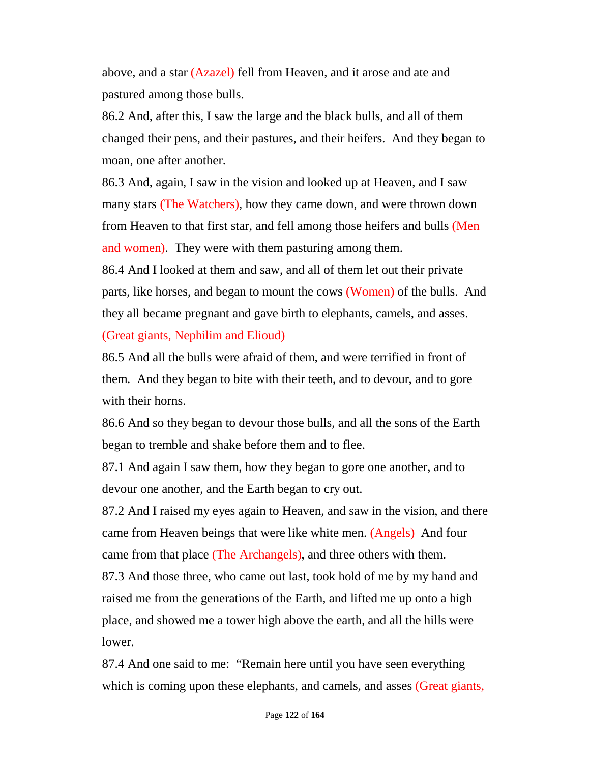above, and a star (Azazel) fell from Heaven, and it arose and ate and pastured among those bulls.

86.2 And, after this, I saw the large and the black bulls, and all of them changed their pens, and their pastures, and their heifers. And they began to moan, one after another.

86.3 And, again, I saw in the vision and looked up at Heaven, and I saw many stars (The Watchers), how they came down, and were thrown down from Heaven to that first star, and fell among those heifers and bulls (Men and women). They were with them pasturing among them.

86.4 And I looked at them and saw, and all of them let out their private parts, like horses, and began to mount the cows (Women) of the bulls. And they all became pregnant and gave birth to elephants, camels, and asses. (Great giants, Nephilim and Elioud)

86.5 And all the bulls were afraid of them, and were terrified in front of them. And they began to bite with their teeth, and to devour, and to gore with their horns.

86.6 And so they began to devour those bulls, and all the sons of the Earth began to tremble and shake before them and to flee.

87.1 And again I saw them, how they began to gore one another, and to devour one another, and the Earth began to cry out.

87.2 And I raised my eyes again to Heaven, and saw in the vision, and there came from Heaven beings that were like white men. (Angels) And four came from that place (The Archangels), and three others with them.

87.3 And those three, who came out last, took hold of me by my hand and raised me from the generations of the Earth, and lifted me up onto a high place, and showed me a tower high above the earth, and all the hills were lower.

87.4 And one said to me: "Remain here until you have seen everything which is coming upon these elephants, and camels, and asses (Great giants,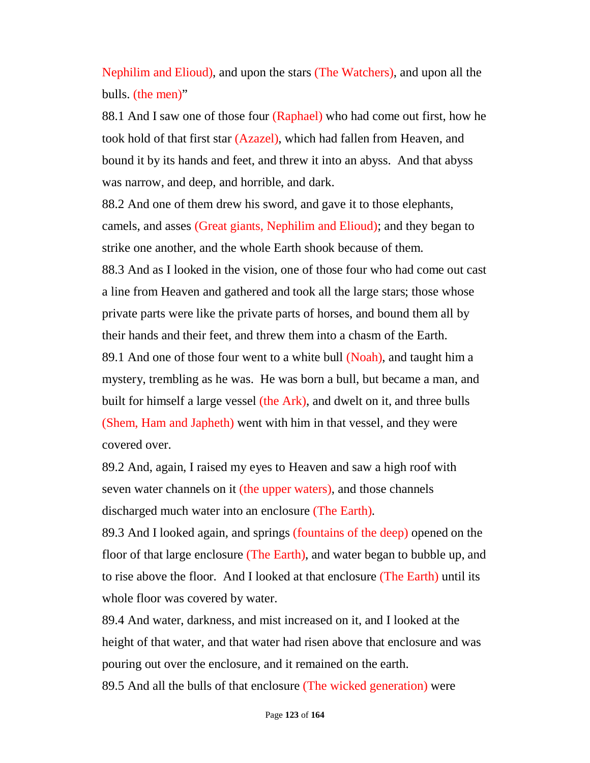Nephilim and Elioud), and upon the stars (The Watchers), and upon all the bulls. (the men)"

88.1 And I saw one of those four (Raphael) who had come out first, how he took hold of that first star (Azazel), which had fallen from Heaven, and bound it by its hands and feet, and threw it into an abyss. And that abyss was narrow, and deep, and horrible, and dark.

88.2 And one of them drew his sword, and gave it to those elephants, camels, and asses (Great giants, Nephilim and Elioud); and they began to strike one another, and the whole Earth shook because of them. 88.3 And as I looked in the vision, one of those four who had come out cast a line from Heaven and gathered and took all the large stars; those whose private parts were like the private parts of horses, and bound them all by their hands and their feet, and threw them into a chasm of the Earth.

89.1 And one of those four went to a white bull (Noah), and taught him a mystery, trembling as he was. He was born a bull, but became a man, and built for himself a large vessel (the Ark), and dwelt on it, and three bulls (Shem, Ham and Japheth) went with him in that vessel, and they were covered over.

89.2 And, again, I raised my eyes to Heaven and saw a high roof with seven water channels on it (the upper waters), and those channels discharged much water into an enclosure (The Earth).

89.3 And I looked again, and springs (fountains of the deep) opened on the floor of that large enclosure (The Earth), and water began to bubble up, and to rise above the floor. And I looked at that enclosure (The Earth) until its whole floor was covered by water.

89.4 And water, darkness, and mist increased on it, and I looked at the height of that water, and that water had risen above that enclosure and was pouring out over the enclosure, and it remained on the earth.

89.5 And all the bulls of that enclosure (The wicked generation) were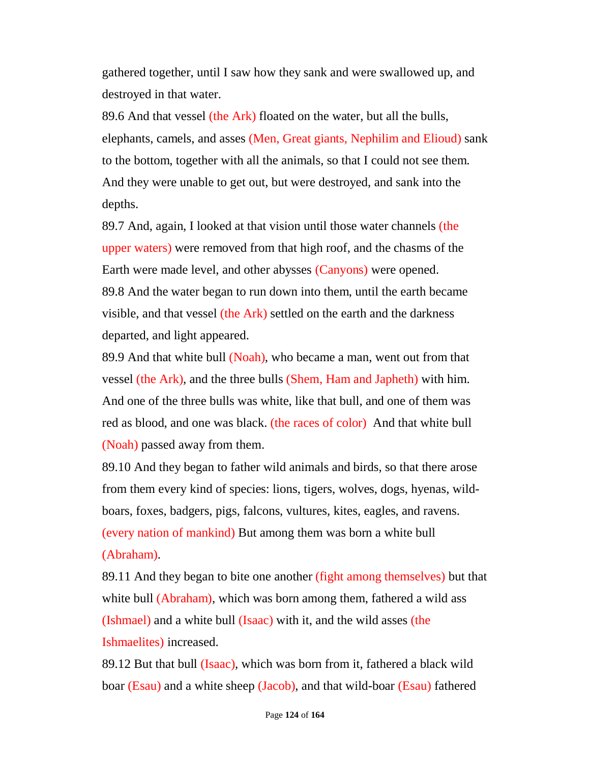gathered together, until I saw how they sank and were swallowed up, and destroyed in that water.

89.6 And that vessel (the Ark) floated on the water, but all the bulls, elephants, camels, and asses (Men, Great giants, Nephilim and Elioud) sank to the bottom, together with all the animals, so that I could not see them. And they were unable to get out, but were destroyed, and sank into the depths.

89.7 And, again, I looked at that vision until those water channels (the upper waters) were removed from that high roof, and the chasms of the Earth were made level, and other abysses (Canyons) were opened. 89.8 And the water began to run down into them, until the earth became visible, and that vessel (the Ark) settled on the earth and the darkness departed, and light appeared.

89.9 And that white bull (Noah), who became a man, went out from that vessel (the Ark), and the three bulls (Shem, Ham and Japheth) with him. And one of the three bulls was white, like that bull, and one of them was red as blood, and one was black. (the races of color) And that white bull (Noah) passed away from them.

89.10 And they began to father wild animals and birds, so that there arose from them every kind of species: lions, tigers, wolves, dogs, hyenas, wildboars, foxes, badgers, pigs, falcons, vultures, kites, eagles, and ravens. (every nation of mankind) But among them was born a white bull (Abraham).

89.11 And they began to bite one another (fight among themselves) but that white bull (Abraham), which was born among them, fathered a wild ass (Ishmael) and a white bull (Isaac) with it, and the wild asses (the Ishmaelites) increased.

89.12 But that bull (Isaac), which was born from it, fathered a black wild boar (Esau) and a white sheep (Jacob), and that wild-boar (Esau) fathered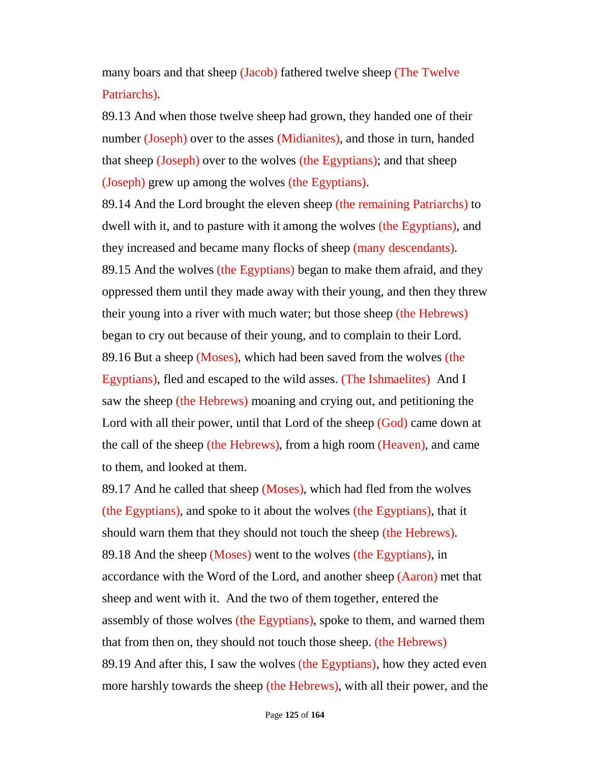many boars and that sheep (Jacob) fathered twelve sheep (The Twelve Patriarchs).

89.13 And when those twelve sheep had grown, they handed one of their number (Joseph) over to the asses (Midianites), and those in turn, handed that sheep (Joseph) over to the wolves (the Egyptians); and that sheep (Joseph) grew up among the wolves (the Egyptians).

89.14 And the Lord brought the eleven sheep (the remaining Patriarchs) to dwell with it, and to pasture with it among the wolves (the Egyptians), and they increased and became many flocks of sheep (many descendants). 89.15 And the wolves (the Egyptians) began to make them afraid, and they oppressed them until they made away with their young, and then they threw their young into a river with much water; but those sheep (the Hebrews) began to cry out because of their young, and to complain to their Lord. 89.16 But a sheep (Moses), which had been saved from the wolves (the Egyptians), fled and escaped to the wild asses. (The Ishmaelites) And I saw the sheep (the Hebrews) moaning and crying out, and petitioning the Lord with all their power, until that Lord of the sheep (God) came down at the call of the sheep (the Hebrews), from a high room (Heaven), and came to them, and looked at them.

89.17 And he called that sheep (Moses), which had fled from the wolves (the Egyptians), and spoke to it about the wolves (the Egyptians), that it should warn them that they should not touch the sheep (the Hebrews). 89.18 And the sheep (Moses) went to the wolves (the Egyptians), in accordance with the Word of the Lord, and another sheep (Aaron) met that sheep and went with it. And the two of them together, entered the assembly of those wolves (the Egyptians), spoke to them, and warned them that from then on, they should not touch those sheep. (the Hebrews) 89.19 And after this, I saw the wolves (the Egyptians), how they acted even more harshly towards the sheep (the Hebrews), with all their power, and the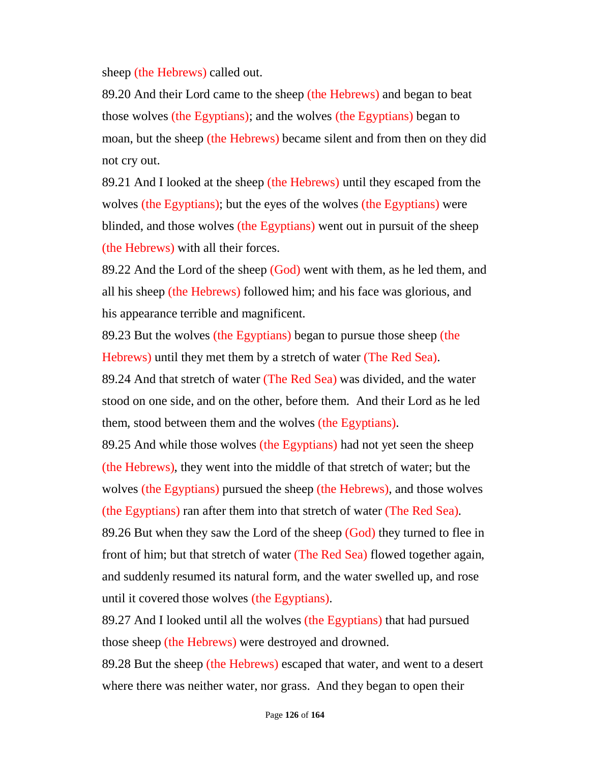sheep (the Hebrews) called out.

89.20 And their Lord came to the sheep (the Hebrews) and began to beat those wolves (the Egyptians); and the wolves (the Egyptians) began to moan, but the sheep (the Hebrews) became silent and from then on they did not cry out.

89.21 And I looked at the sheep (the Hebrews) until they escaped from the wolves (the Egyptians); but the eyes of the wolves (the Egyptians) were blinded, and those wolves (the Egyptians) went out in pursuit of the sheep (the Hebrews) with all their forces.

89.22 And the Lord of the sheep (God) went with them, as he led them, and all his sheep (the Hebrews) followed him; and his face was glorious, and his appearance terrible and magnificent.

89.23 But the wolves (the Egyptians) began to pursue those sheep (the Hebrews) until they met them by a stretch of water (The Red Sea).

89.24 And that stretch of water (The Red Sea) was divided, and the water stood on one side, and on the other, before them. And their Lord as he led them, stood between them and the wolves (the Egyptians).

89.25 And while those wolves (the Egyptians) had not yet seen the sheep (the Hebrews), they went into the middle of that stretch of water; but the wolves (the Egyptians) pursued the sheep (the Hebrews), and those wolves (the Egyptians) ran after them into that stretch of water (The Red Sea).

89.26 But when they saw the Lord of the sheep (God) they turned to flee in front of him; but that stretch of water (The Red Sea) flowed together again, and suddenly resumed its natural form, and the water swelled up, and rose until it covered those wolves (the Egyptians).

89.27 And I looked until all the wolves (the Egyptians) that had pursued those sheep (the Hebrews) were destroyed and drowned.

89.28 But the sheep (the Hebrews) escaped that water, and went to a desert where there was neither water, nor grass. And they began to open their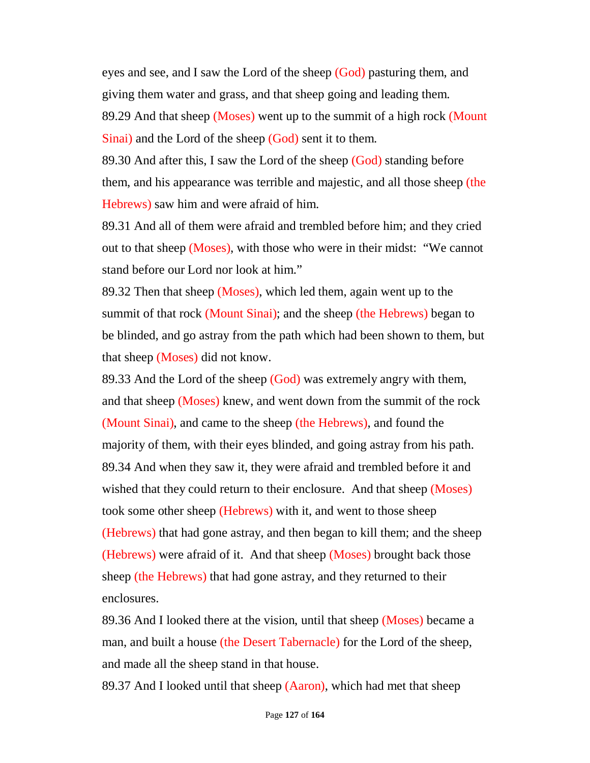eyes and see, and I saw the Lord of the sheep (God) pasturing them, and giving them water and grass, and that sheep going and leading them. 89.29 And that sheep (Moses) went up to the summit of a high rock (Mount Sinai) and the Lord of the sheep (God) sent it to them.

89.30 And after this, I saw the Lord of the sheep (God) standing before them, and his appearance was terrible and majestic, and all those sheep (the Hebrews) saw him and were afraid of him.

89.31 And all of them were afraid and trembled before him; and they cried out to that sheep (Moses), with those who were in their midst: "We cannot stand before our Lord nor look at him."

89.32 Then that sheep (Moses), which led them, again went up to the summit of that rock (Mount Sinai); and the sheep (the Hebrews) began to be blinded, and go astray from the path which had been shown to them, but that sheep (Moses) did not know.

89.33 And the Lord of the sheep (God) was extremely angry with them, and that sheep (Moses) knew, and went down from the summit of the rock (Mount Sinai), and came to the sheep (the Hebrews), and found the majority of them, with their eyes blinded, and going astray from his path. 89.34 And when they saw it, they were afraid and trembled before it and wished that they could return to their enclosure. And that sheep (Moses) took some other sheep (Hebrews) with it, and went to those sheep (Hebrews) that had gone astray, and then began to kill them; and the sheep (Hebrews) were afraid of it. And that sheep (Moses) brought back those sheep (the Hebrews) that had gone astray, and they returned to their enclosures.

89.36 And I looked there at the vision, until that sheep (Moses) became a man, and built a house (the Desert Tabernacle) for the Lord of the sheep, and made all the sheep stand in that house.

89.37 And I looked until that sheep (Aaron), which had met that sheep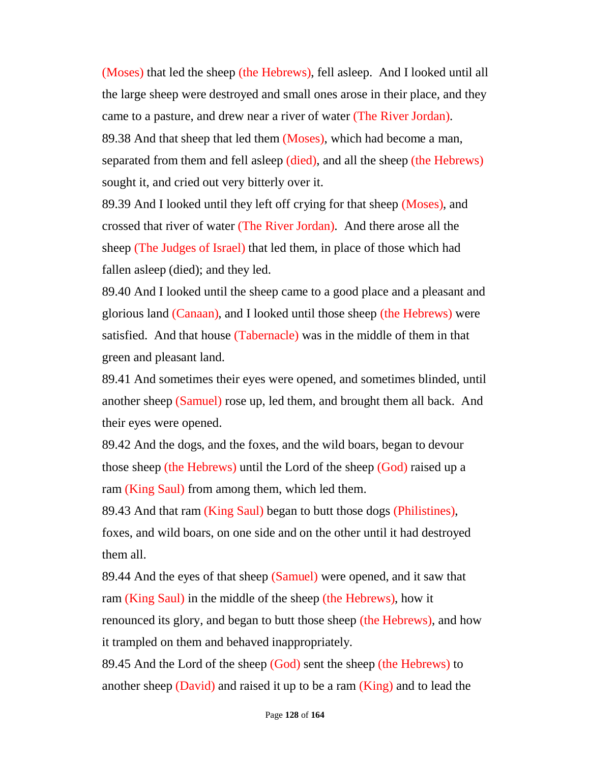(Moses) that led the sheep (the Hebrews), fell asleep. And I looked until all the large sheep were destroyed and small ones arose in their place, and they came to a pasture, and drew near a river of water (The River Jordan). 89.38 And that sheep that led them (Moses), which had become a man, separated from them and fell asleep (died), and all the sheep (the Hebrews) sought it, and cried out very bitterly over it.

89.39 And I looked until they left off crying for that sheep (Moses), and crossed that river of water (The River Jordan). And there arose all the sheep (The Judges of Israel) that led them, in place of those which had fallen asleep (died); and they led.

89.40 And I looked until the sheep came to a good place and a pleasant and glorious land (Canaan), and I looked until those sheep (the Hebrews) were satisfied. And that house (Tabernacle) was in the middle of them in that green and pleasant land.

89.41 And sometimes their eyes were opened, and sometimes blinded, until another sheep (Samuel) rose up, led them, and brought them all back. And their eyes were opened.

89.42 And the dogs, and the foxes, and the wild boars, began to devour those sheep (the Hebrews) until the Lord of the sheep (God) raised up a ram (King Saul) from among them, which led them.

89.43 And that ram (King Saul) began to butt those dogs (Philistines), foxes, and wild boars, on one side and on the other until it had destroyed them all.

89.44 And the eyes of that sheep (Samuel) were opened, and it saw that ram (King Saul) in the middle of the sheep (the Hebrews), how it renounced its glory, and began to butt those sheep (the Hebrews), and how it trampled on them and behaved inappropriately.

89.45 And the Lord of the sheep (God) sent the sheep (the Hebrews) to another sheep (David) and raised it up to be a ram  $(King)$  and to lead the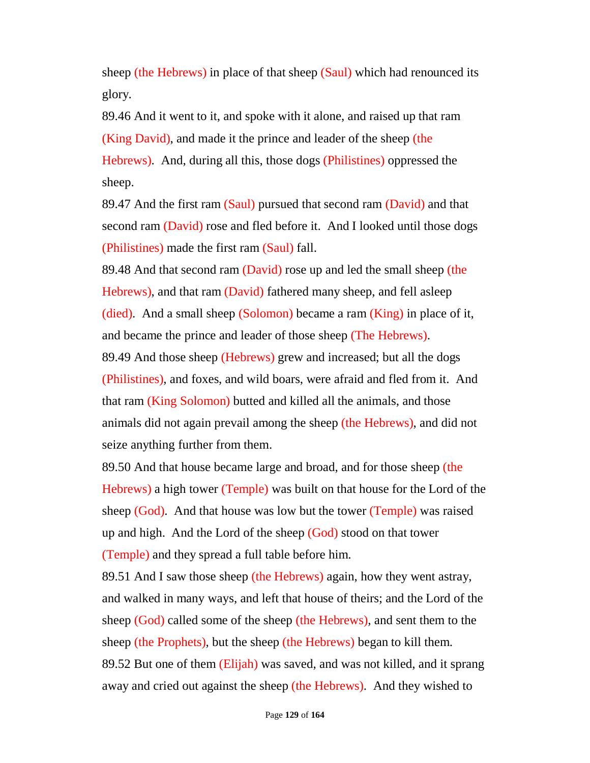sheep (the Hebrews) in place of that sheep (Saul) which had renounced its glory.

89.46 And it went to it, and spoke with it alone, and raised up that ram (King David), and made it the prince and leader of the sheep (the Hebrews). And, during all this, those dogs (Philistines) oppressed the sheep.

89.47 And the first ram (Saul) pursued that second ram (David) and that second ram (David) rose and fled before it. And I looked until those dogs (Philistines) made the first ram (Saul) fall.

89.48 And that second ram (David) rose up and led the small sheep (the Hebrews), and that ram (David) fathered many sheep, and fell asleep (died). And a small sheep (Solomon) became a ram (King) in place of it, and became the prince and leader of those sheep (The Hebrews).

89.49 And those sheep (Hebrews) grew and increased; but all the dogs (Philistines), and foxes, and wild boars, were afraid and fled from it. And that ram (King Solomon) butted and killed all the animals, and those animals did not again prevail among the sheep (the Hebrews), and did not seize anything further from them.

89.50 And that house became large and broad, and for those sheep (the Hebrews) a high tower (Temple) was built on that house for the Lord of the sheep (God). And that house was low but the tower (Temple) was raised up and high. And the Lord of the sheep (God) stood on that tower (Temple) and they spread a full table before him.

89.51 And I saw those sheep (the Hebrews) again, how they went astray, and walked in many ways, and left that house of theirs; and the Lord of the sheep (God) called some of the sheep (the Hebrews), and sent them to the sheep (the Prophets), but the sheep (the Hebrews) began to kill them. 89.52 But one of them (Elijah) was saved, and was not killed, and it sprang away and cried out against the sheep (the Hebrews). And they wished to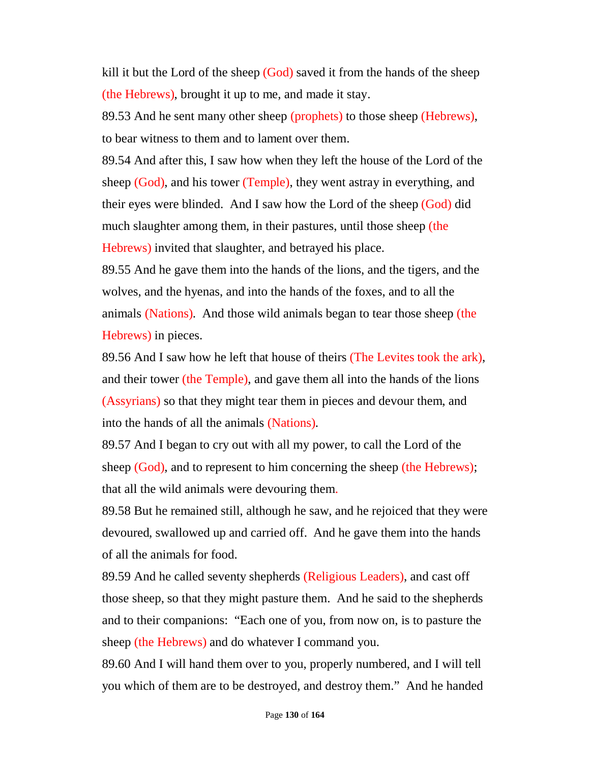kill it but the Lord of the sheep (God) saved it from the hands of the sheep (the Hebrews), brought it up to me, and made it stay.

89.53 And he sent many other sheep (prophets) to those sheep (Hebrews), to bear witness to them and to lament over them.

89.54 And after this, I saw how when they left the house of the Lord of the sheep (God), and his tower (Temple), they went astray in everything, and their eyes were blinded. And I saw how the Lord of the sheep (God) did much slaughter among them, in their pastures, until those sheep (the Hebrews) invited that slaughter, and betrayed his place.

89.55 And he gave them into the hands of the lions, and the tigers, and the wolves, and the hyenas, and into the hands of the foxes, and to all the animals (Nations). And those wild animals began to tear those sheep (the Hebrews) in pieces.

89.56 And I saw how he left that house of theirs (The Levites took the ark), and their tower (the Temple), and gave them all into the hands of the lions (Assyrians) so that they might tear them in pieces and devour them, and into the hands of all the animals (Nations).

89.57 And I began to cry out with all my power, to call the Lord of the sheep (God), and to represent to him concerning the sheep (the Hebrews); that all the wild animals were devouring them.

89.58 But he remained still, although he saw, and he rejoiced that they were devoured, swallowed up and carried off. And he gave them into the hands of all the animals for food.

89.59 And he called seventy shepherds (Religious Leaders), and cast off those sheep, so that they might pasture them. And he said to the shepherds and to their companions: "Each one of you, from now on, is to pasture the sheep (the Hebrews) and do whatever I command you.

89.60 And I will hand them over to you, properly numbered, and I will tell you which of them are to be destroyed, and destroy them." And he handed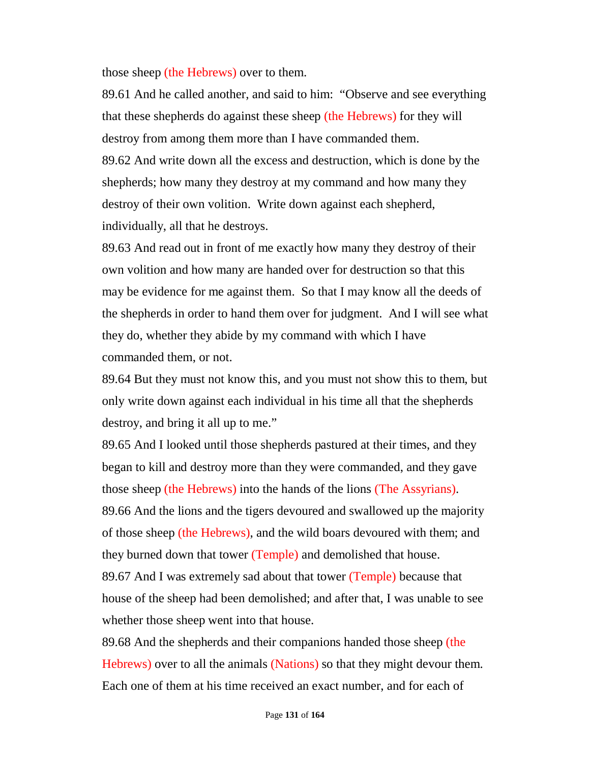those sheep (the Hebrews) over to them.

89.61 And he called another, and said to him: "Observe and see everything that these shepherds do against these sheep (the Hebrews) for they will destroy from among them more than I have commanded them.

89.62 And write down all the excess and destruction, which is done by the shepherds; how many they destroy at my command and how many they destroy of their own volition. Write down against each shepherd, individually, all that he destroys.

89.63 And read out in front of me exactly how many they destroy of their own volition and how many are handed over for destruction so that this may be evidence for me against them. So that I may know all the deeds of the shepherds in order to hand them over for judgment. And I will see what they do, whether they abide by my command with which I have commanded them, or not.

89.64 But they must not know this, and you must not show this to them, but only write down against each individual in his time all that the shepherds destroy, and bring it all up to me."

89.65 And I looked until those shepherds pastured at their times, and they began to kill and destroy more than they were commanded, and they gave those sheep (the Hebrews) into the hands of the lions (The Assyrians). 89.66 And the lions and the tigers devoured and swallowed up the majority of those sheep (the Hebrews), and the wild boars devoured with them; and

they burned down that tower (Temple) and demolished that house.

89.67 And I was extremely sad about that tower (Temple) because that house of the sheep had been demolished; and after that, I was unable to see whether those sheep went into that house.

89.68 And the shepherds and their companions handed those sheep (the Hebrews) over to all the animals (Nations) so that they might devour them. Each one of them at his time received an exact number, and for each of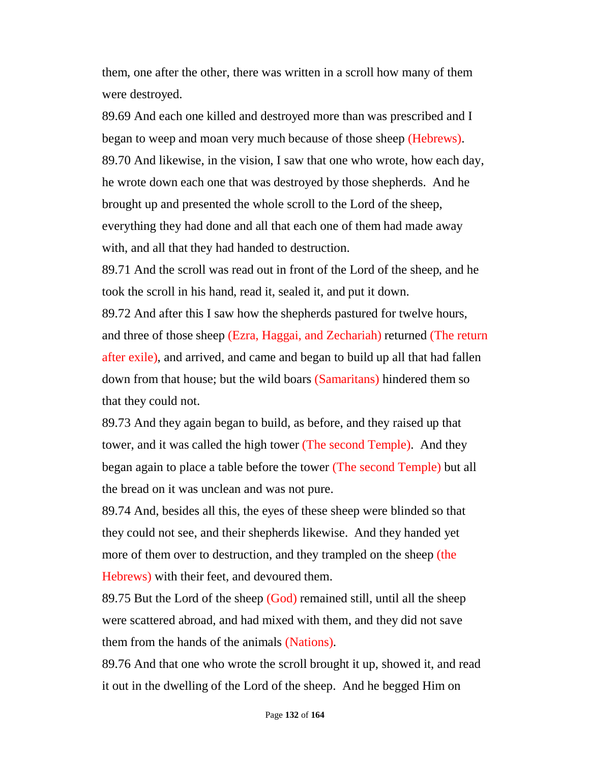them, one after the other, there was written in a scroll how many of them were destroyed.

89.69 And each one killed and destroyed more than was prescribed and I began to weep and moan very much because of those sheep (Hebrews). 89.70 And likewise, in the vision, I saw that one who wrote, how each day, he wrote down each one that was destroyed by those shepherds. And he brought up and presented the whole scroll to the Lord of the sheep, everything they had done and all that each one of them had made away with, and all that they had handed to destruction.

89.71 And the scroll was read out in front of the Lord of the sheep, and he took the scroll in his hand, read it, sealed it, and put it down.

89.72 And after this I saw how the shepherds pastured for twelve hours, and three of those sheep (Ezra, Haggai, and Zechariah) returned (The return after exile), and arrived, and came and began to build up all that had fallen down from that house; but the wild boars (Samaritans) hindered them so that they could not.

89.73 And they again began to build, as before, and they raised up that tower, and it was called the high tower (The second Temple). And they began again to place a table before the tower (The second Temple) but all the bread on it was unclean and was not pure.

89.74 And, besides all this, the eyes of these sheep were blinded so that they could not see, and their shepherds likewise. And they handed yet more of them over to destruction, and they trampled on the sheep (the Hebrews) with their feet, and devoured them.

89.75 But the Lord of the sheep (God) remained still, until all the sheep were scattered abroad, and had mixed with them, and they did not save them from the hands of the animals (Nations).

89.76 And that one who wrote the scroll brought it up, showed it, and read it out in the dwelling of the Lord of the sheep. And he begged Him on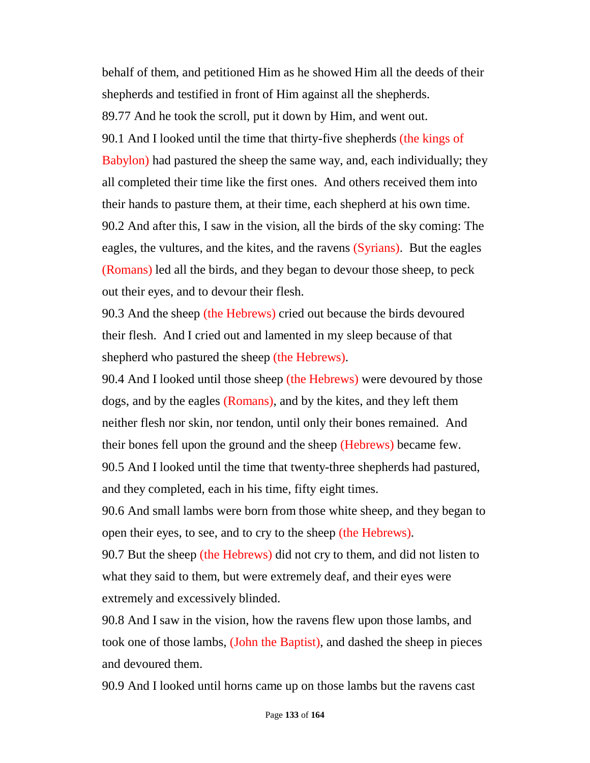behalf of them, and petitioned Him as he showed Him all the deeds of their shepherds and testified in front of Him against all the shepherds. 89.77 And he took the scroll, put it down by Him, and went out. 90.1 And I looked until the time that thirty-five shepherds (the kings of Babylon) had pastured the sheep the same way, and, each individually; they all completed their time like the first ones. And others received them into their hands to pasture them, at their time, each shepherd at his own time. 90.2 And after this, I saw in the vision, all the birds of the sky coming: The eagles, the vultures, and the kites, and the ravens (Syrians). But the eagles (Romans) led all the birds, and they began to devour those sheep, to peck out their eyes, and to devour their flesh.

90.3 And the sheep (the Hebrews) cried out because the birds devoured their flesh. And I cried out and lamented in my sleep because of that shepherd who pastured the sheep (the Hebrews).

90.4 And I looked until those sheep (the Hebrews) were devoured by those dogs, and by the eagles (Romans), and by the kites, and they left them neither flesh nor skin, nor tendon, until only their bones remained. And their bones fell upon the ground and the sheep (Hebrews) became few. 90.5 And I looked until the time that twenty-three shepherds had pastured, and they completed, each in his time, fifty eight times.

90.6 And small lambs were born from those white sheep, and they began to open their eyes, to see, and to cry to the sheep (the Hebrews).

90.7 But the sheep (the Hebrews) did not cry to them, and did not listen to what they said to them, but were extremely deaf, and their eyes were extremely and excessively blinded.

90.8 And I saw in the vision, how the ravens flew upon those lambs, and took one of those lambs, (John the Baptist), and dashed the sheep in pieces and devoured them.

90.9 And I looked until horns came up on those lambs but the ravens cast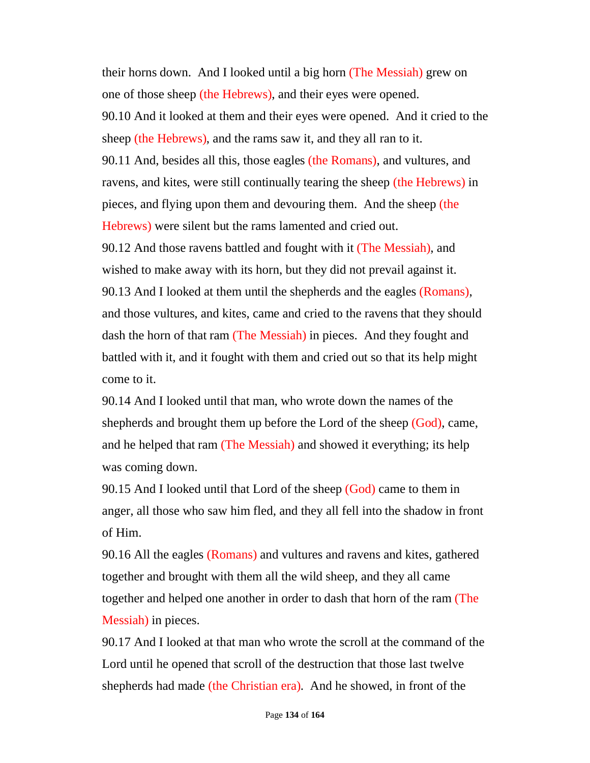their horns down. And I looked until a big horn (The Messiah) grew on one of those sheep (the Hebrews), and their eyes were opened. 90.10 And it looked at them and their eyes were opened. And it cried to the sheep (the Hebrews), and the rams saw it, and they all ran to it. 90.11 And, besides all this, those eagles (the Romans), and vultures, and ravens, and kites, were still continually tearing the sheep (the Hebrews) in pieces, and flying upon them and devouring them. And the sheep (the Hebrews) were silent but the rams lamented and cried out. 90.12 And those ravens battled and fought with it (The Messiah), and wished to make away with its horn, but they did not prevail against it. 90.13 And I looked at them until the shepherds and the eagles (Romans), and those vultures, and kites, came and cried to the ravens that they should dash the horn of that ram (The Messiah) in pieces. And they fought and battled with it, and it fought with them and cried out so that its help might

come to it.

90.14 And I looked until that man, who wrote down the names of the shepherds and brought them up before the Lord of the sheep (God), came, and he helped that ram (The Messiah) and showed it everything; its help was coming down.

90.15 And I looked until that Lord of the sheep (God) came to them in anger, all those who saw him fled, and they all fell into the shadow in front of Him.

90.16 All the eagles (Romans) and vultures and ravens and kites, gathered together and brought with them all the wild sheep, and they all came together and helped one another in order to dash that horn of the ram (The Messiah) in pieces.

90.17 And I looked at that man who wrote the scroll at the command of the Lord until he opened that scroll of the destruction that those last twelve shepherds had made (the Christian era). And he showed, in front of the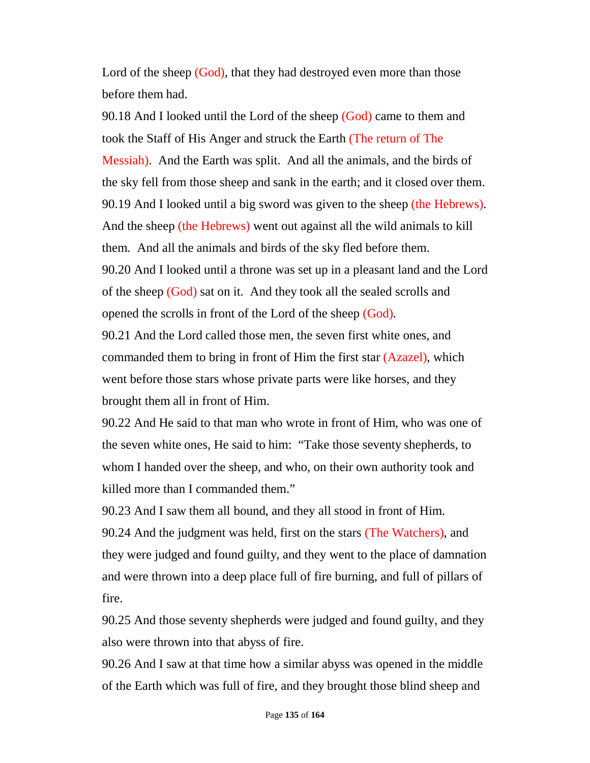Lord of the sheep (God), that they had destroyed even more than those before them had.

90.18 And I looked until the Lord of the sheep (God) came to them and took the Staff of His Anger and struck the Earth (The return of The Messiah). And the Earth was split. And all the animals, and the birds of the sky fell from those sheep and sank in the earth; and it closed over them. 90.19 And I looked until a big sword was given to the sheep (the Hebrews). And the sheep (the Hebrews) went out against all the wild animals to kill them. And all the animals and birds of the sky fled before them. 90.20 And I looked until a throne was set up in a pleasant land and the Lord of the sheep (God) sat on it. And they took all the sealed scrolls and opened the scrolls in front of the Lord of the sheep (God).

90.21 And the Lord called those men, the seven first white ones, and commanded them to bring in front of Him the first star (Azazel), which went before those stars whose private parts were like horses, and they brought them all in front of Him.

90.22 And He said to that man who wrote in front of Him, who was one of the seven white ones, He said to him: "Take those seventy shepherds, to whom I handed over the sheep, and who, on their own authority took and killed more than I commanded them."

90.23 And I saw them all bound, and they all stood in front of Him. 90.24 And the judgment was held, first on the stars (The Watchers), and they were judged and found guilty, and they went to the place of damnation and were thrown into a deep place full of fire burning, and full of pillars of fire.

90.25 And those seventy shepherds were judged and found guilty, and they also were thrown into that abyss of fire.

90.26 And I saw at that time how a similar abyss was opened in the middle of the Earth which was full of fire, and they brought those blind sheep and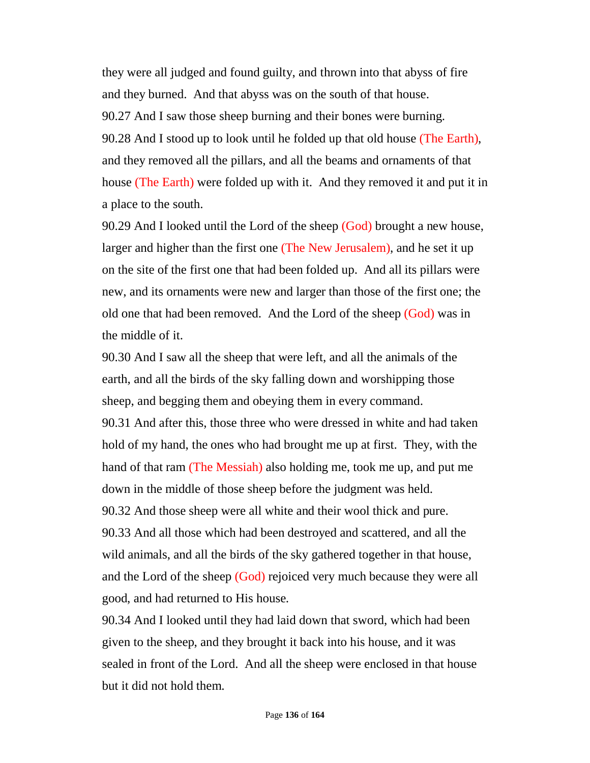they were all judged and found guilty, and thrown into that abyss of fire and they burned. And that abyss was on the south of that house. 90.27 And I saw those sheep burning and their bones were burning. 90.28 And I stood up to look until he folded up that old house (The Earth), and they removed all the pillars, and all the beams and ornaments of that house (The Earth) were folded up with it. And they removed it and put it in a place to the south.

90.29 And I looked until the Lord of the sheep (God) brought a new house, larger and higher than the first one (The New Jerusalem), and he set it up on the site of the first one that had been folded up. And all its pillars were new, and its ornaments were new and larger than those of the first one; the old one that had been removed. And the Lord of the sheep (God) was in the middle of it.

90.30 And I saw all the sheep that were left, and all the animals of the earth, and all the birds of the sky falling down and worshipping those sheep, and begging them and obeying them in every command. 90.31 And after this, those three who were dressed in white and had taken hold of my hand, the ones who had brought me up at first. They, with the hand of that ram (The Messiah) also holding me, took me up, and put me down in the middle of those sheep before the judgment was held. 90.32 And those sheep were all white and their wool thick and pure. 90.33 And all those which had been destroyed and scattered, and all the wild animals, and all the birds of the sky gathered together in that house, and the Lord of the sheep (God) rejoiced very much because they were all good, and had returned to His house.

90.34 And I looked until they had laid down that sword, which had been given to the sheep, and they brought it back into his house, and it was sealed in front of the Lord. And all the sheep were enclosed in that house but it did not hold them.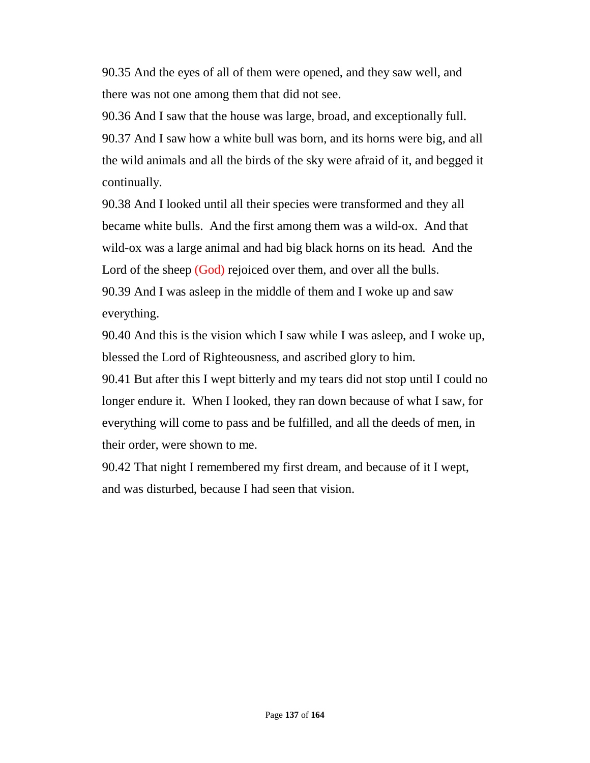90.35 And the eyes of all of them were opened, and they saw well, and there was not one among them that did not see.

90.36 And I saw that the house was large, broad, and exceptionally full. 90.37 And I saw how a white bull was born, and its horns were big, and all the wild animals and all the birds of the sky were afraid of it, and begged it continually.

90.38 And I looked until all their species were transformed and they all became white bulls. And the first among them was a wild-ox. And that wild-ox was a large animal and had big black horns on its head. And the Lord of the sheep (God) rejoiced over them, and over all the bulls. 90.39 And I was asleep in the middle of them and I woke up and saw everything.

90.40 And this is the vision which I saw while I was asleep, and I woke up, blessed the Lord of Righteousness, and ascribed glory to him.

90.41 But after this I wept bitterly and my tears did not stop until I could no longer endure it. When I looked, they ran down because of what I saw, for everything will come to pass and be fulfilled, and all the deeds of men, in their order, were shown to me.

90.42 That night I remembered my first dream, and because of it I wept, and was disturbed, because I had seen that vision.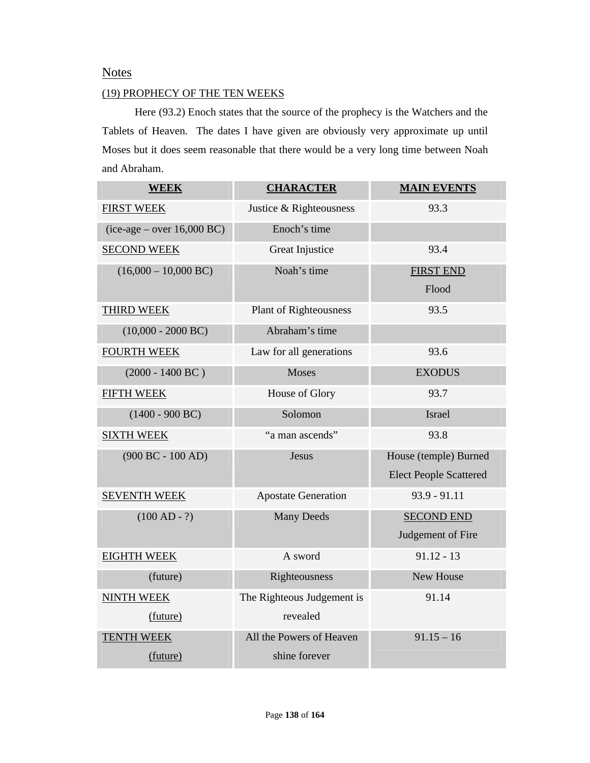## **Notes**

### (19) PROPHECY OF THE TEN WEEKS

Here (93.2) Enoch states that the source of the prophecy is the Watchers and the Tablets of Heaven. The dates I have given are obviously very approximate up until Moses but it does seem reasonable that there would be a very long time between Noah and Abraham.

| <b>WEEK</b>                    | <b>CHARACTER</b>              | <b>MAIN EVENTS</b>            |
|--------------------------------|-------------------------------|-------------------------------|
| <b>FIRST WEEK</b>              | Justice & Righteousness       | 93.3                          |
| $(ice-age - over 16,000 BC)$   | Enoch's time                  |                               |
| <b>SECOND WEEK</b>             | Great Injustice               | 93.4                          |
| $(16,000 - 10,000 \text{ BC})$ | Noah's time                   | <b>FIRST END</b>              |
|                                |                               | Flood                         |
| <b>THIRD WEEK</b>              | <b>Plant of Righteousness</b> | 93.5                          |
| $(10,000 - 2000 \text{ BC})$   | Abraham's time                |                               |
| <b>FOURTH WEEK</b>             | Law for all generations       | 93.6                          |
| $(2000 - 1400 \text{ BC})$     | Moses                         | <b>EXODUS</b>                 |
| <b>FIFTH WEEK</b>              | House of Glory                | 93.7                          |
| $(1400 - 900 BC)$              | Solomon                       | Israel                        |
| <b>SIXTH WEEK</b>              | "a man ascends"               | 93.8                          |
| $(900 BC - 100 AD)$            | Jesus                         | House (temple) Burned         |
|                                |                               | <b>Elect People Scattered</b> |
| <b>SEVENTH WEEK</b>            | <b>Apostate Generation</b>    | $93.9 - 91.11$                |
| $(100 AD - ?)$                 | <b>Many Deeds</b>             | <b>SECOND END</b>             |
|                                |                               | Judgement of Fire             |
| <b>EIGHTH WEEK</b>             | A sword                       | $91.12 - 13$                  |
| (future)                       | Righteousness                 | New House                     |
| <b>NINTH WEEK</b>              | The Righteous Judgement is    | 91.14                         |
| (future)                       | revealed                      |                               |
| <b>TENTH WEEK</b>              | All the Powers of Heaven      | $91.15 - 16$                  |
| (future)                       | shine forever                 |                               |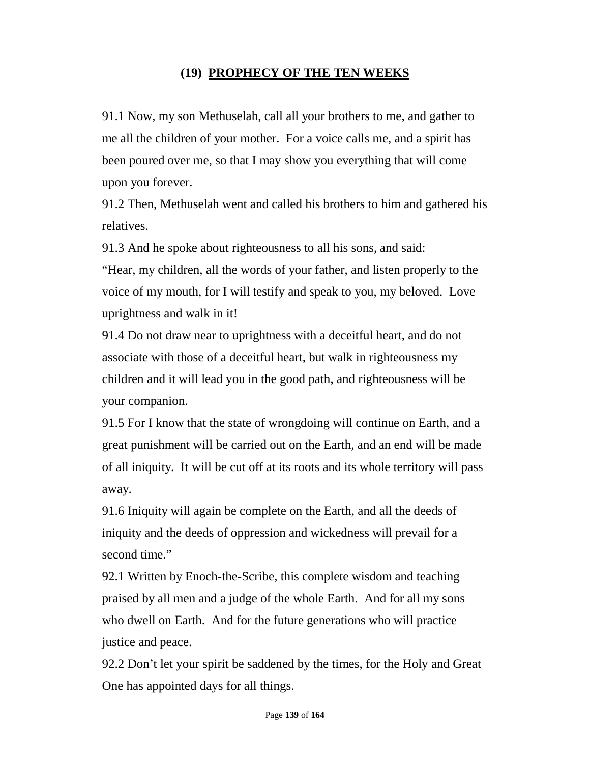# **(19) PROPHECY OF THE TEN WEEKS**

91.1 Now, my son Methuselah, call all your brothers to me, and gather to me all the children of your mother. For a voice calls me, and a spirit has been poured over me, so that I may show you everything that will come upon you forever.

91.2 Then, Methuselah went and called his brothers to him and gathered his relatives.

91.3 And he spoke about righteousness to all his sons, and said:

"Hear, my children, all the words of your father, and listen properly to the voice of my mouth, for I will testify and speak to you, my beloved. Love uprightness and walk in it!

91.4 Do not draw near to uprightness with a deceitful heart, and do not associate with those of a deceitful heart, but walk in righteousness my children and it will lead you in the good path, and righteousness will be your companion.

91.5 For I know that the state of wrongdoing will continue on Earth, and a great punishment will be carried out on the Earth, and an end will be made of all iniquity. It will be cut off at its roots and its whole territory will pass away.

91.6 Iniquity will again be complete on the Earth, and all the deeds of iniquity and the deeds of oppression and wickedness will prevail for a second time."

92.1 Written by Enoch-the-Scribe, this complete wisdom and teaching praised by all men and a judge of the whole Earth. And for all my sons who dwell on Earth. And for the future generations who will practice justice and peace.

92.2 Don't let your spirit be saddened by the times, for the Holy and Great One has appointed days for all things.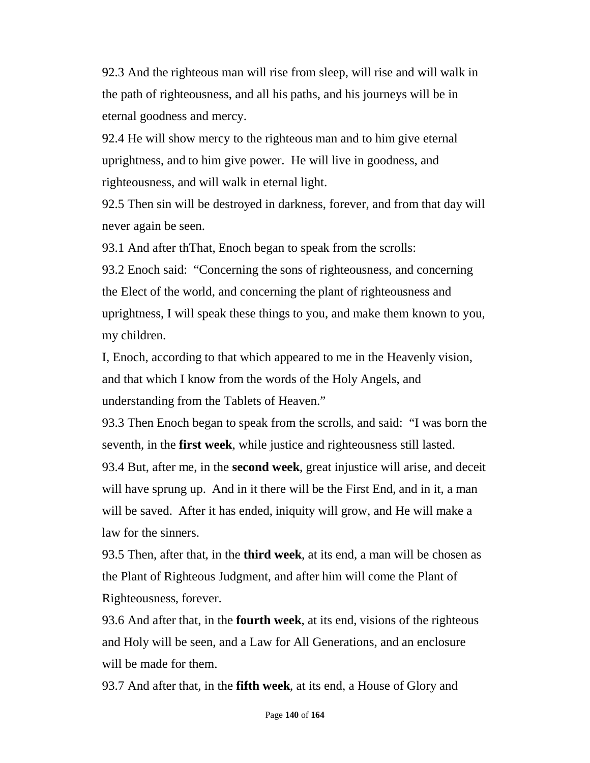92.3 And the righteous man will rise from sleep, will rise and will walk in the path of righteousness, and all his paths, and his journeys will be in eternal goodness and mercy.

92.4 He will show mercy to the righteous man and to him give eternal uprightness, and to him give power. He will live in goodness, and righteousness, and will walk in eternal light.

92.5 Then sin will be destroyed in darkness, forever, and from that day will never again be seen.

93.1 And after thThat, Enoch began to speak from the scrolls:

93.2 Enoch said: "Concerning the sons of righteousness, and concerning the Elect of the world, and concerning the plant of righteousness and uprightness, I will speak these things to you, and make them known to you, my children.

I, Enoch, according to that which appeared to me in the Heavenly vision, and that which I know from the words of the Holy Angels, and understanding from the Tablets of Heaven."

93.3 Then Enoch began to speak from the scrolls, and said: "I was born the seventh, in the **first week**, while justice and righteousness still lasted. 93.4 But, after me, in the **second week**, great injustice will arise, and deceit will have sprung up. And in it there will be the First End, and in it, a man will be saved. After it has ended, iniquity will grow, and He will make a law for the sinners.

93.5 Then, after that, in the **third week**, at its end, a man will be chosen as the Plant of Righteous Judgment, and after him will come the Plant of Righteousness, forever.

93.6 And after that, in the **fourth week**, at its end, visions of the righteous and Holy will be seen, and a Law for All Generations, and an enclosure will be made for them.

93.7 And after that, in the **fifth week**, at its end, a House of Glory and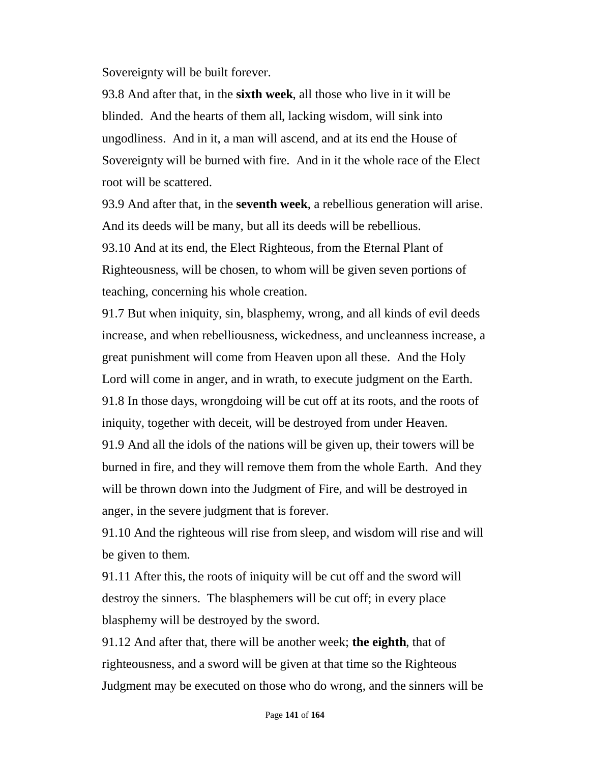Sovereignty will be built forever.

93.8 And after that, in the **sixth week**, all those who live in it will be blinded. And the hearts of them all, lacking wisdom, will sink into ungodliness. And in it, a man will ascend, and at its end the House of Sovereignty will be burned with fire. And in it the whole race of the Elect root will be scattered.

93.9 And after that, in the **seventh week**, a rebellious generation will arise. And its deeds will be many, but all its deeds will be rebellious. 93.10 And at its end, the Elect Righteous, from the Eternal Plant of Righteousness, will be chosen, to whom will be given seven portions of teaching, concerning his whole creation.

91.7 But when iniquity, sin, blasphemy, wrong, and all kinds of evil deeds increase, and when rebelliousness, wickedness, and uncleanness increase, a great punishment will come from Heaven upon all these. And the Holy Lord will come in anger, and in wrath, to execute judgment on the Earth. 91.8 In those days, wrongdoing will be cut off at its roots, and the roots of iniquity, together with deceit, will be destroyed from under Heaven. 91.9 And all the idols of the nations will be given up, their towers will be burned in fire, and they will remove them from the whole Earth. And they will be thrown down into the Judgment of Fire, and will be destroyed in anger, in the severe judgment that is forever.

91.10 And the righteous will rise from sleep, and wisdom will rise and will be given to them.

91.11 After this, the roots of iniquity will be cut off and the sword will destroy the sinners. The blasphemers will be cut off; in every place blasphemy will be destroyed by the sword.

91.12 And after that, there will be another week; **the eighth**, that of righteousness, and a sword will be given at that time so the Righteous Judgment may be executed on those who do wrong, and the sinners will be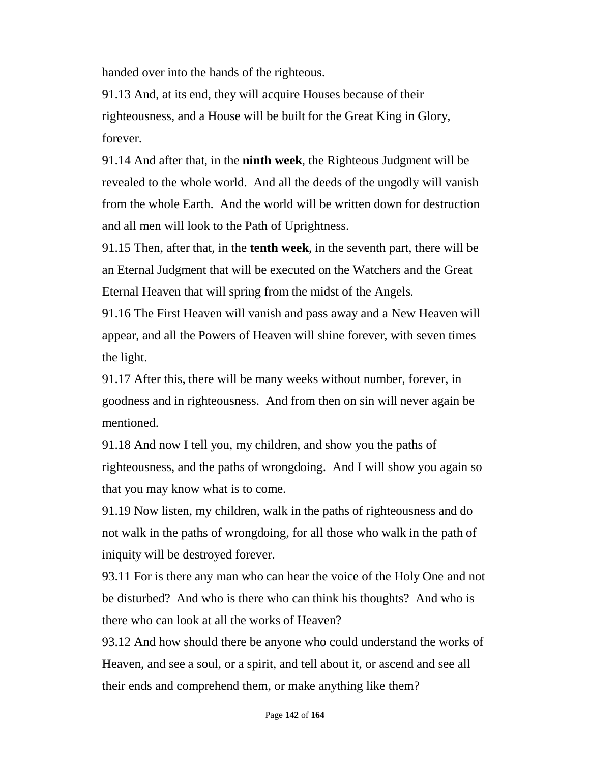handed over into the hands of the righteous.

91.13 And, at its end, they will acquire Houses because of their righteousness, and a House will be built for the Great King in Glory, forever.

91.14 And after that, in the **ninth week**, the Righteous Judgment will be revealed to the whole world. And all the deeds of the ungodly will vanish from the whole Earth. And the world will be written down for destruction and all men will look to the Path of Uprightness.

91.15 Then, after that, in the **tenth week**, in the seventh part, there will be an Eternal Judgment that will be executed on the Watchers and the Great Eternal Heaven that will spring from the midst of the Angels.

91.16 The First Heaven will vanish and pass away and a New Heaven will appear, and all the Powers of Heaven will shine forever, with seven times the light.

91.17 After this, there will be many weeks without number, forever, in goodness and in righteousness. And from then on sin will never again be mentioned.

91.18 And now I tell you, my children, and show you the paths of righteousness, and the paths of wrongdoing. And I will show you again so that you may know what is to come.

91.19 Now listen, my children, walk in the paths of righteousness and do not walk in the paths of wrongdoing, for all those who walk in the path of iniquity will be destroyed forever.

93.11 For is there any man who can hear the voice of the Holy One and not be disturbed? And who is there who can think his thoughts? And who is there who can look at all the works of Heaven?

93.12 And how should there be anyone who could understand the works of Heaven, and see a soul, or a spirit, and tell about it, or ascend and see all their ends and comprehend them, or make anything like them?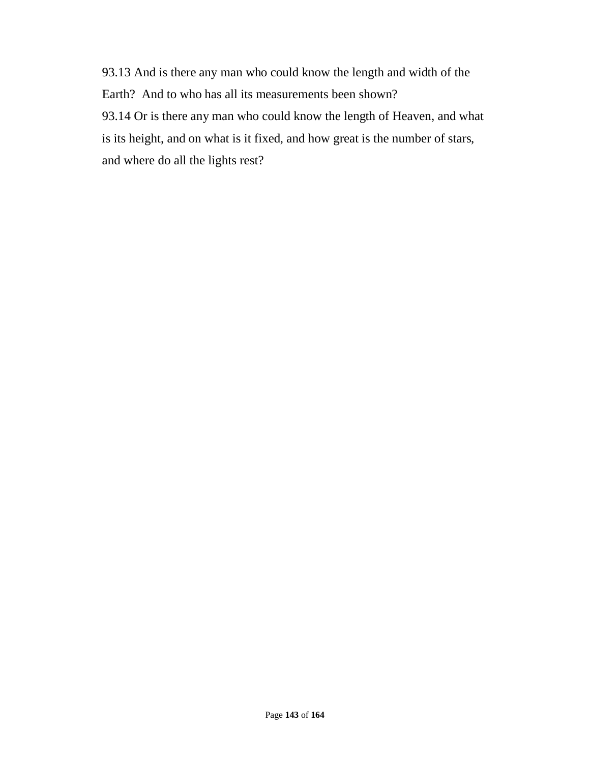93.13 And is there any man who could know the length and width of the Earth? And to who has all its measurements been shown? 93.14 Or is there any man who could know the length of Heaven, and what is its height, and on what is it fixed, and how great is the number of stars, and where do all the lights rest?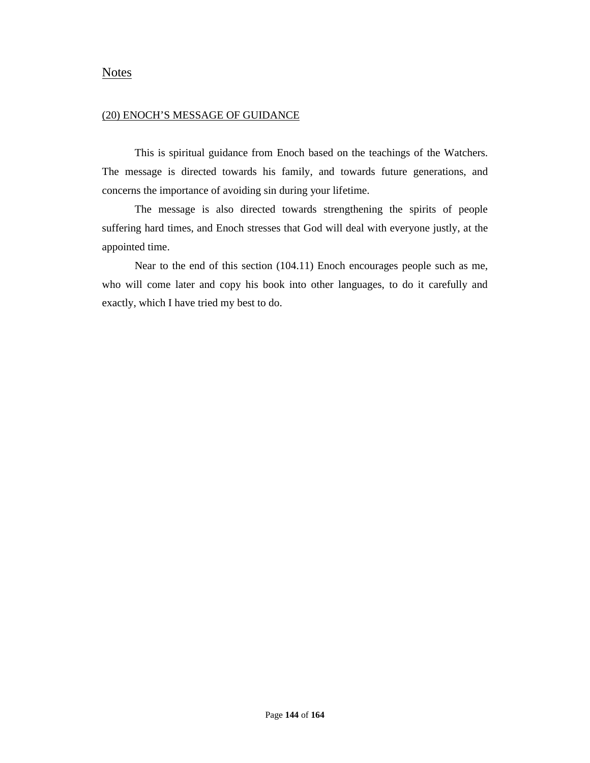### **Notes**

#### (20) ENOCH'S MESSAGE OF GUIDANCE

This is spiritual guidance from Enoch based on the teachings of the Watchers. The message is directed towards his family, and towards future generations, and concerns the importance of avoiding sin during your lifetime.

The message is also directed towards strengthening the spirits of people suffering hard times, and Enoch stresses that God will deal with everyone justly, at the appointed time.

Near to the end of this section (104.11) Enoch encourages people such as me, who will come later and copy his book into other languages, to do it carefully and exactly, which I have tried my best to do.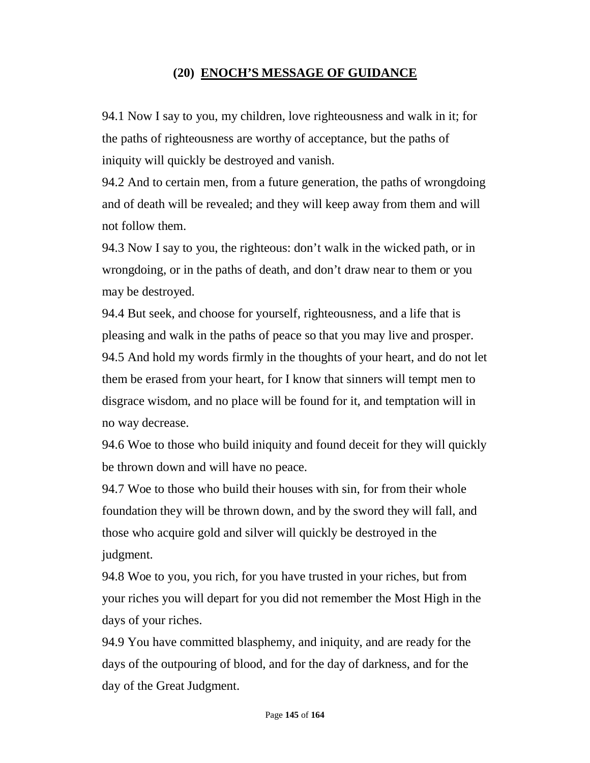### **(20) ENOCH'S MESSAGE OF GUIDANCE**

94.1 Now I say to you, my children, love righteousness and walk in it; for the paths of righteousness are worthy of acceptance, but the paths of iniquity will quickly be destroyed and vanish.

94.2 And to certain men, from a future generation, the paths of wrongdoing and of death will be revealed; and they will keep away from them and will not follow them.

94.3 Now I say to you, the righteous: don't walk in the wicked path, or in wrongdoing, or in the paths of death, and don't draw near to them or you may be destroyed.

94.4 But seek, and choose for yourself, righteousness, and a life that is pleasing and walk in the paths of peace so that you may live and prosper. 94.5 And hold my words firmly in the thoughts of your heart, and do not let them be erased from your heart, for I know that sinners will tempt men to disgrace wisdom, and no place will be found for it, and temptation will in no way decrease.

94.6 Woe to those who build iniquity and found deceit for they will quickly be thrown down and will have no peace.

94.7 Woe to those who build their houses with sin, for from their whole foundation they will be thrown down, and by the sword they will fall, and those who acquire gold and silver will quickly be destroyed in the judgment.

94.8 Woe to you, you rich, for you have trusted in your riches, but from your riches you will depart for you did not remember the Most High in the days of your riches.

94.9 You have committed blasphemy, and iniquity, and are ready for the days of the outpouring of blood, and for the day of darkness, and for the day of the Great Judgment.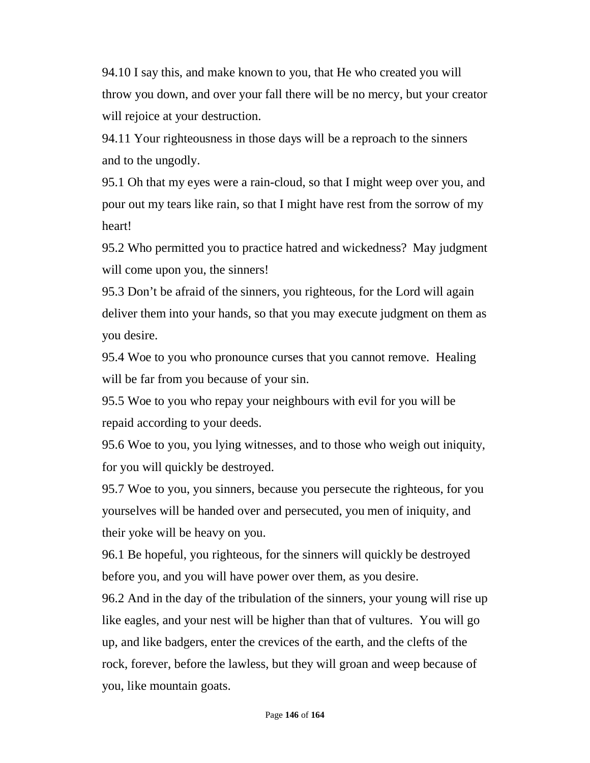94.10 I say this, and make known to you, that He who created you will throw you down, and over your fall there will be no mercy, but your creator will rejoice at your destruction.

94.11 Your righteousness in those days will be a reproach to the sinners and to the ungodly.

95.1 Oh that my eyes were a rain-cloud, so that I might weep over you, and pour out my tears like rain, so that I might have rest from the sorrow of my heart!

95.2 Who permitted you to practice hatred and wickedness? May judgment will come upon you, the sinners!

95.3 Don't be afraid of the sinners, you righteous, for the Lord will again deliver them into your hands, so that you may execute judgment on them as you desire.

95.4 Woe to you who pronounce curses that you cannot remove. Healing will be far from you because of your sin.

95.5 Woe to you who repay your neighbours with evil for you will be repaid according to your deeds.

95.6 Woe to you, you lying witnesses, and to those who weigh out iniquity, for you will quickly be destroyed.

95.7 Woe to you, you sinners, because you persecute the righteous, for you yourselves will be handed over and persecuted, you men of iniquity, and their yoke will be heavy on you.

96.1 Be hopeful, you righteous, for the sinners will quickly be destroyed before you, and you will have power over them, as you desire.

96.2 And in the day of the tribulation of the sinners, your young will rise up like eagles, and your nest will be higher than that of vultures. You will go up, and like badgers, enter the crevices of the earth, and the clefts of the rock, forever, before the lawless, but they will groan and weep because of you, like mountain goats.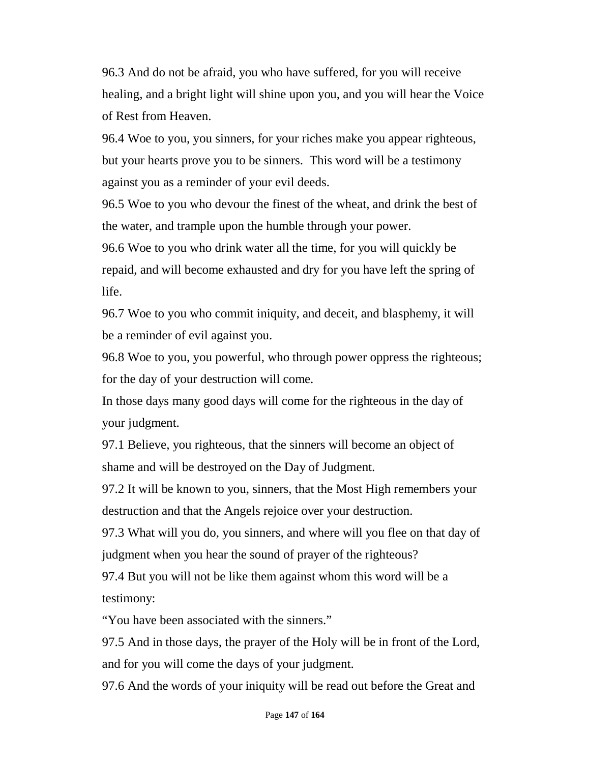96.3 And do not be afraid, you who have suffered, for you will receive healing, and a bright light will shine upon you, and you will hear the Voice of Rest from Heaven.

96.4 Woe to you, you sinners, for your riches make you appear righteous, but your hearts prove you to be sinners. This word will be a testimony against you as a reminder of your evil deeds.

96.5 Woe to you who devour the finest of the wheat, and drink the best of the water, and trample upon the humble through your power.

96.6 Woe to you who drink water all the time, for you will quickly be repaid, and will become exhausted and dry for you have left the spring of life.

96.7 Woe to you who commit iniquity, and deceit, and blasphemy, it will be a reminder of evil against you.

96.8 Woe to you, you powerful, who through power oppress the righteous; for the day of your destruction will come.

In those days many good days will come for the righteous in the day of your judgment.

97.1 Believe, you righteous, that the sinners will become an object of shame and will be destroyed on the Day of Judgment.

97.2 It will be known to you, sinners, that the Most High remembers your destruction and that the Angels rejoice over your destruction.

97.3 What will you do, you sinners, and where will you flee on that day of judgment when you hear the sound of prayer of the righteous?

97.4 But you will not be like them against whom this word will be a testimony:

"You have been associated with the sinners."

97.5 And in those days, the prayer of the Holy will be in front of the Lord, and for you will come the days of your judgment.

97.6 And the words of your iniquity will be read out before the Great and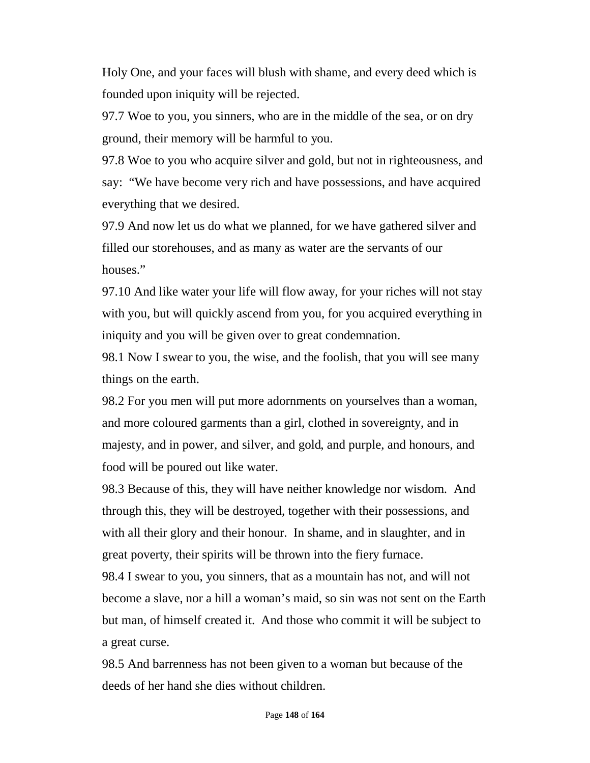Holy One, and your faces will blush with shame, and every deed which is founded upon iniquity will be rejected.

97.7 Woe to you, you sinners, who are in the middle of the sea, or on dry ground, their memory will be harmful to you.

97.8 Woe to you who acquire silver and gold, but not in righteousness, and say: "We have become very rich and have possessions, and have acquired everything that we desired.

97.9 And now let us do what we planned, for we have gathered silver and filled our storehouses, and as many as water are the servants of our houses."

97.10 And like water your life will flow away, for your riches will not stay with you, but will quickly ascend from you, for you acquired everything in iniquity and you will be given over to great condemnation.

98.1 Now I swear to you, the wise, and the foolish, that you will see many things on the earth.

98.2 For you men will put more adornments on yourselves than a woman, and more coloured garments than a girl, clothed in sovereignty, and in majesty, and in power, and silver, and gold, and purple, and honours, and food will be poured out like water.

98.3 Because of this, they will have neither knowledge nor wisdom. And through this, they will be destroyed, together with their possessions, and with all their glory and their honour. In shame, and in slaughter, and in great poverty, their spirits will be thrown into the fiery furnace.

98.4 I swear to you, you sinners, that as a mountain has not, and will not become a slave, nor a hill a woman's maid, so sin was not sent on the Earth but man, of himself created it. And those who commit it will be subject to a great curse.

98.5 And barrenness has not been given to a woman but because of the deeds of her hand she dies without children.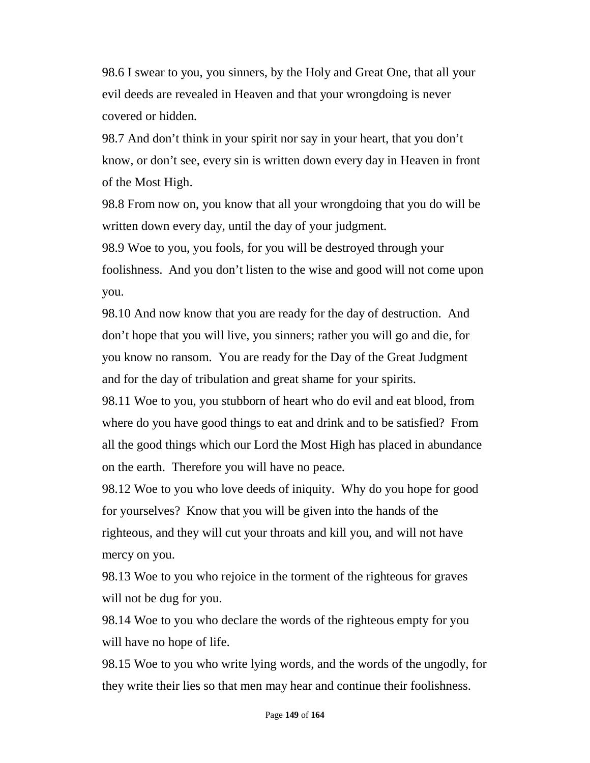98.6 I swear to you, you sinners, by the Holy and Great One, that all your evil deeds are revealed in Heaven and that your wrongdoing is never covered or hidden.

98.7 And don't think in your spirit nor say in your heart, that you don't know, or don't see, every sin is written down every day in Heaven in front of the Most High.

98.8 From now on, you know that all your wrongdoing that you do will be written down every day, until the day of your judgment.

98.9 Woe to you, you fools, for you will be destroyed through your foolishness. And you don't listen to the wise and good will not come upon you.

98.10 And now know that you are ready for the day of destruction. And don't hope that you will live, you sinners; rather you will go and die, for you know no ransom. You are ready for the Day of the Great Judgment and for the day of tribulation and great shame for your spirits.

98.11 Woe to you, you stubborn of heart who do evil and eat blood, from where do you have good things to eat and drink and to be satisfied? From all the good things which our Lord the Most High has placed in abundance on the earth. Therefore you will have no peace.

98.12 Woe to you who love deeds of iniquity. Why do you hope for good for yourselves? Know that you will be given into the hands of the righteous, and they will cut your throats and kill you, and will not have mercy on you.

98.13 Woe to you who rejoice in the torment of the righteous for graves will not be dug for you.

98.14 Woe to you who declare the words of the righteous empty for you will have no hope of life.

98.15 Woe to you who write lying words, and the words of the ungodly, for they write their lies so that men may hear and continue their foolishness.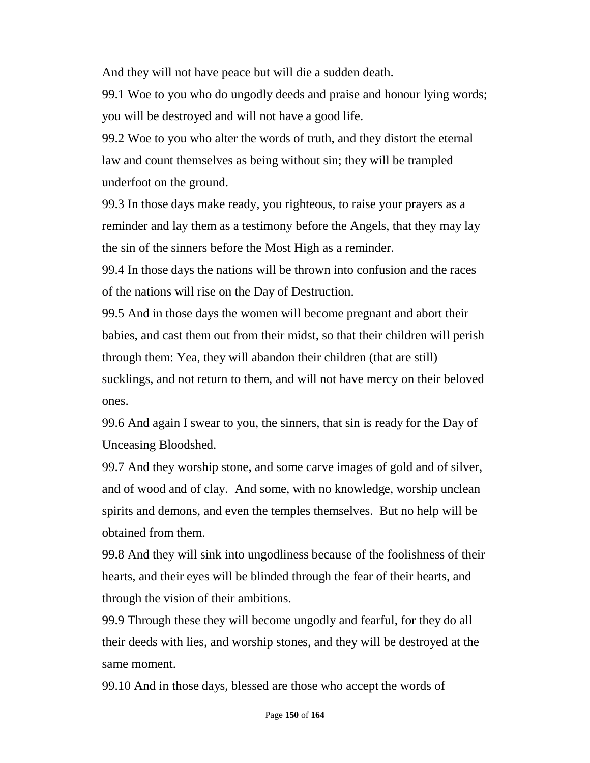And they will not have peace but will die a sudden death.

99.1 Woe to you who do ungodly deeds and praise and honour lying words; you will be destroyed and will not have a good life.

99.2 Woe to you who alter the words of truth, and they distort the eternal law and count themselves as being without sin; they will be trampled underfoot on the ground.

99.3 In those days make ready, you righteous, to raise your prayers as a reminder and lay them as a testimony before the Angels, that they may lay the sin of the sinners before the Most High as a reminder.

99.4 In those days the nations will be thrown into confusion and the races of the nations will rise on the Day of Destruction.

99.5 And in those days the women will become pregnant and abort their babies, and cast them out from their midst, so that their children will perish through them: Yea, they will abandon their children (that are still) sucklings, and not return to them, and will not have mercy on their beloved ones.

99.6 And again I swear to you, the sinners, that sin is ready for the Day of Unceasing Bloodshed.

99.7 And they worship stone, and some carve images of gold and of silver, and of wood and of clay. And some, with no knowledge, worship unclean spirits and demons, and even the temples themselves. But no help will be obtained from them.

99.8 And they will sink into ungodliness because of the foolishness of their hearts, and their eyes will be blinded through the fear of their hearts, and through the vision of their ambitions.

99.9 Through these they will become ungodly and fearful, for they do all their deeds with lies, and worship stones, and they will be destroyed at the same moment.

99.10 And in those days, blessed are those who accept the words of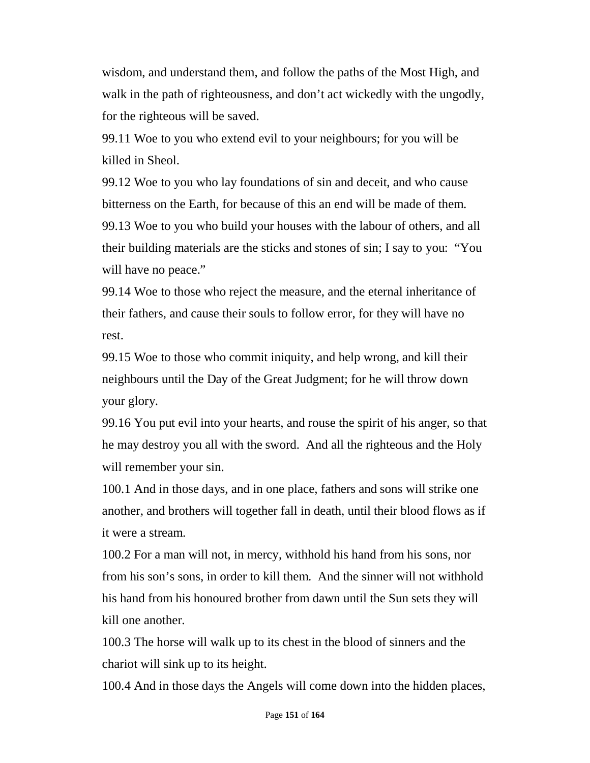wisdom, and understand them, and follow the paths of the Most High, and walk in the path of righteousness, and don't act wickedly with the ungodly, for the righteous will be saved.

99.11 Woe to you who extend evil to your neighbours; for you will be killed in Sheol.

99.12 Woe to you who lay foundations of sin and deceit, and who cause bitterness on the Earth, for because of this an end will be made of them. 99.13 Woe to you who build your houses with the labour of others, and all their building materials are the sticks and stones of sin; I say to you: "You will have no peace."

99.14 Woe to those who reject the measure, and the eternal inheritance of their fathers, and cause their souls to follow error, for they will have no rest.

99.15 Woe to those who commit iniquity, and help wrong, and kill their neighbours until the Day of the Great Judgment; for he will throw down your glory.

99.16 You put evil into your hearts, and rouse the spirit of his anger, so that he may destroy you all with the sword. And all the righteous and the Holy will remember your sin.

100.1 And in those days, and in one place, fathers and sons will strike one another, and brothers will together fall in death, until their blood flows as if it were a stream.

100.2 For a man will not, in mercy, withhold his hand from his sons, nor from his son's sons, in order to kill them. And the sinner will not withhold his hand from his honoured brother from dawn until the Sun sets they will kill one another.

100.3 The horse will walk up to its chest in the blood of sinners and the chariot will sink up to its height.

100.4 And in those days the Angels will come down into the hidden places,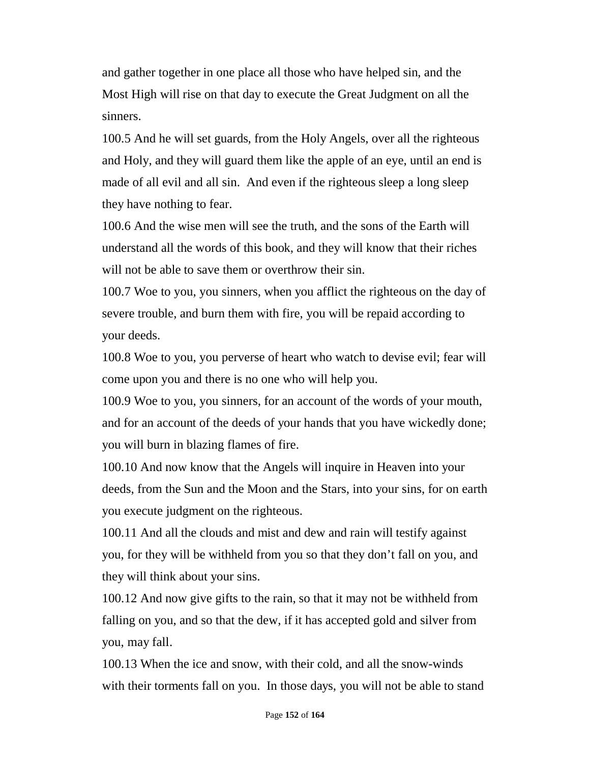and gather together in one place all those who have helped sin, and the Most High will rise on that day to execute the Great Judgment on all the sinners.

100.5 And he will set guards, from the Holy Angels, over all the righteous and Holy, and they will guard them like the apple of an eye, until an end is made of all evil and all sin. And even if the righteous sleep a long sleep they have nothing to fear.

100.6 And the wise men will see the truth, and the sons of the Earth will understand all the words of this book, and they will know that their riches will not be able to save them or overthrow their sin.

100.7 Woe to you, you sinners, when you afflict the righteous on the day of severe trouble, and burn them with fire, you will be repaid according to your deeds.

100.8 Woe to you, you perverse of heart who watch to devise evil; fear will come upon you and there is no one who will help you.

100.9 Woe to you, you sinners, for an account of the words of your mouth, and for an account of the deeds of your hands that you have wickedly done; you will burn in blazing flames of fire.

100.10 And now know that the Angels will inquire in Heaven into your deeds, from the Sun and the Moon and the Stars, into your sins, for on earth you execute judgment on the righteous.

100.11 And all the clouds and mist and dew and rain will testify against you, for they will be withheld from you so that they don't fall on you, and they will think about your sins.

100.12 And now give gifts to the rain, so that it may not be withheld from falling on you, and so that the dew, if it has accepted gold and silver from you, may fall.

100.13 When the ice and snow, with their cold, and all the snow-winds with their torments fall on you. In those days, you will not be able to stand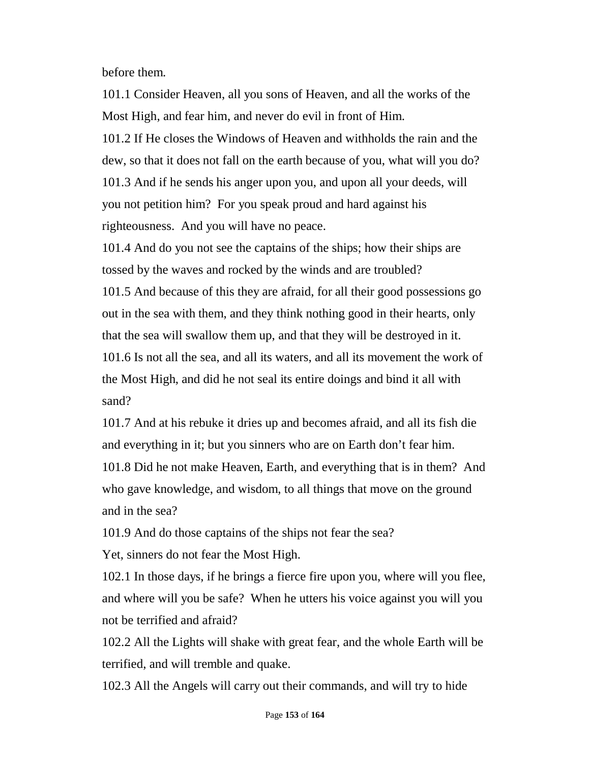before them.

101.1 Consider Heaven, all you sons of Heaven, and all the works of the Most High, and fear him, and never do evil in front of Him. 101.2 If He closes the Windows of Heaven and withholds the rain and the dew, so that it does not fall on the earth because of you, what will you do? 101.3 And if he sends his anger upon you, and upon all your deeds, will you not petition him? For you speak proud and hard against his righteousness. And you will have no peace.

101.4 And do you not see the captains of the ships; how their ships are tossed by the waves and rocked by the winds and are troubled?

101.5 And because of this they are afraid, for all their good possessions go out in the sea with them, and they think nothing good in their hearts, only that the sea will swallow them up, and that they will be destroyed in it. 101.6 Is not all the sea, and all its waters, and all its movement the work of

the Most High, and did he not seal its entire doings and bind it all with sand?

101.7 And at his rebuke it dries up and becomes afraid, and all its fish die and everything in it; but you sinners who are on Earth don't fear him. 101.8 Did he not make Heaven, Earth, and everything that is in them? And who gave knowledge, and wisdom, to all things that move on the ground and in the sea?

101.9 And do those captains of the ships not fear the sea? Yet, sinners do not fear the Most High.

102.1 In those days, if he brings a fierce fire upon you, where will you flee, and where will you be safe? When he utters his voice against you will you not be terrified and afraid?

102.2 All the Lights will shake with great fear, and the whole Earth will be terrified, and will tremble and quake.

102.3 All the Angels will carry out their commands, and will try to hide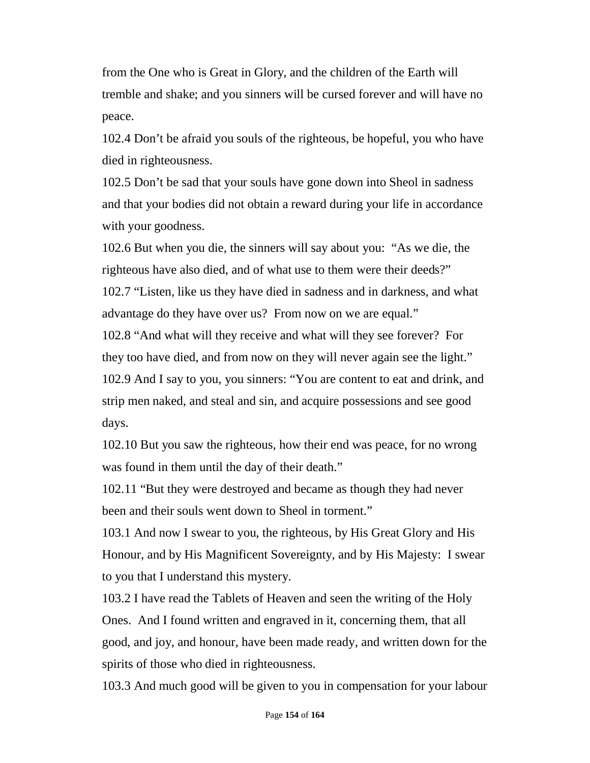from the One who is Great in Glory, and the children of the Earth will tremble and shake; and you sinners will be cursed forever and will have no peace.

102.4 Don't be afraid you souls of the righteous, be hopeful, you who have died in righteousness.

102.5 Don't be sad that your souls have gone down into Sheol in sadness and that your bodies did not obtain a reward during your life in accordance with your goodness.

102.6 But when you die, the sinners will say about you: "As we die, the righteous have also died, and of what use to them were their deeds?" 102.7 "Listen, like us they have died in sadness and in darkness, and what advantage do they have over us? From now on we are equal."

102.8 "And what will they receive and what will they see forever? For they too have died, and from now on they will never again see the light." 102.9 And I say to you, you sinners: "You are content to eat and drink, and strip men naked, and steal and sin, and acquire possessions and see good days.

102.10 But you saw the righteous, how their end was peace, for no wrong was found in them until the day of their death."

102.11 "But they were destroyed and became as though they had never been and their souls went down to Sheol in torment."

103.1 And now I swear to you, the righteous, by His Great Glory and His Honour, and by His Magnificent Sovereignty, and by His Majesty: I swear to you that I understand this mystery.

103.2 I have read the Tablets of Heaven and seen the writing of the Holy Ones. And I found written and engraved in it, concerning them, that all good, and joy, and honour, have been made ready, and written down for the spirits of those who died in righteousness.

103.3 And much good will be given to you in compensation for your labour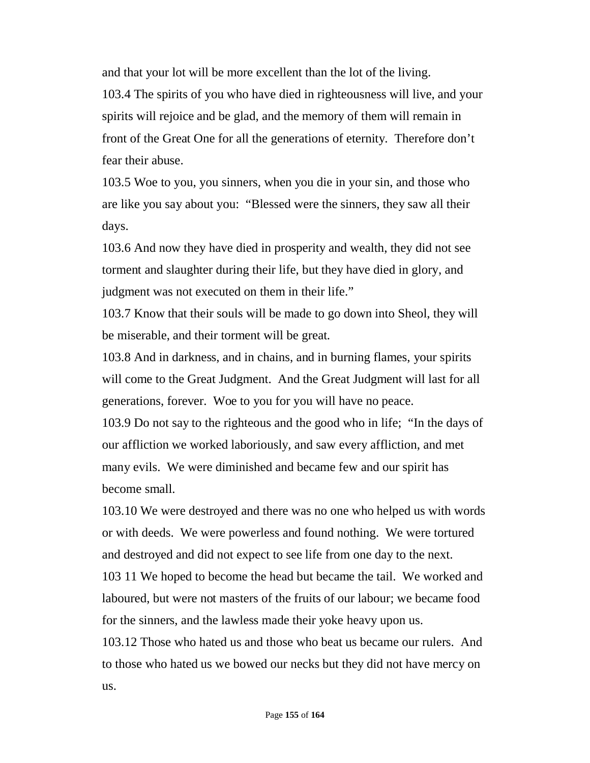and that your lot will be more excellent than the lot of the living.

103.4 The spirits of you who have died in righteousness will live, and your spirits will rejoice and be glad, and the memory of them will remain in front of the Great One for all the generations of eternity. Therefore don't fear their abuse.

103.5 Woe to you, you sinners, when you die in your sin, and those who are like you say about you: "Blessed were the sinners, they saw all their days.

103.6 And now they have died in prosperity and wealth, they did not see torment and slaughter during their life, but they have died in glory, and judgment was not executed on them in their life."

103.7 Know that their souls will be made to go down into Sheol, they will be miserable, and their torment will be great.

103.8 And in darkness, and in chains, and in burning flames, your spirits will come to the Great Judgment. And the Great Judgment will last for all generations, forever. Woe to you for you will have no peace.

103.9 Do not say to the righteous and the good who in life; "In the days of our affliction we worked laboriously, and saw every affliction, and met many evils. We were diminished and became few and our spirit has become small.

103.10 We were destroyed and there was no one who helped us with words or with deeds. We were powerless and found nothing. We were tortured and destroyed and did not expect to see life from one day to the next.

103 11 We hoped to become the head but became the tail. We worked and laboured, but were not masters of the fruits of our labour; we became food for the sinners, and the lawless made their yoke heavy upon us.

103.12 Those who hated us and those who beat us became our rulers. And to those who hated us we bowed our necks but they did not have mercy on us.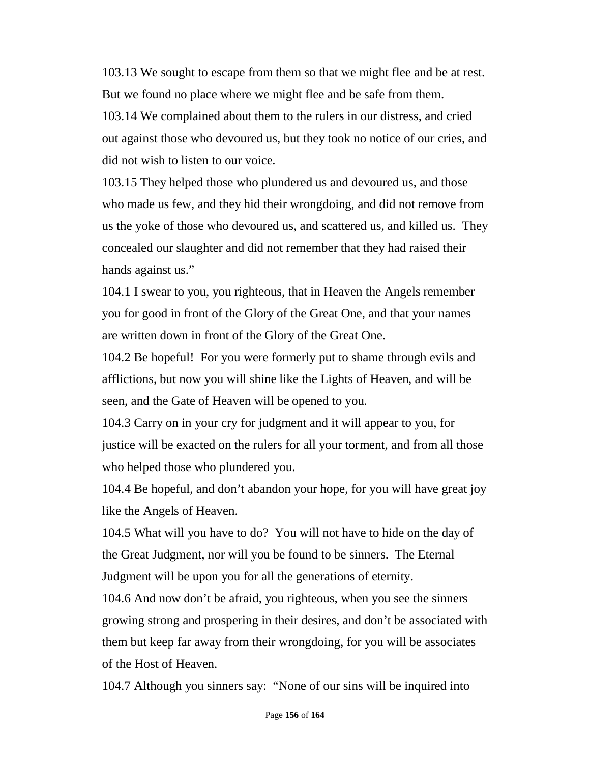103.13 We sought to escape from them so that we might flee and be at rest. But we found no place where we might flee and be safe from them. 103.14 We complained about them to the rulers in our distress, and cried out against those who devoured us, but they took no notice of our cries, and did not wish to listen to our voice.

103.15 They helped those who plundered us and devoured us, and those who made us few, and they hid their wrongdoing, and did not remove from us the yoke of those who devoured us, and scattered us, and killed us. They concealed our slaughter and did not remember that they had raised their hands against us."

104.1 I swear to you, you righteous, that in Heaven the Angels remember you for good in front of the Glory of the Great One, and that your names are written down in front of the Glory of the Great One.

104.2 Be hopeful! For you were formerly put to shame through evils and afflictions, but now you will shine like the Lights of Heaven, and will be seen, and the Gate of Heaven will be opened to you.

104.3 Carry on in your cry for judgment and it will appear to you, for justice will be exacted on the rulers for all your torment, and from all those who helped those who plundered you.

104.4 Be hopeful, and don't abandon your hope, for you will have great joy like the Angels of Heaven.

104.5 What will you have to do? You will not have to hide on the day of the Great Judgment, nor will you be found to be sinners. The Eternal Judgment will be upon you for all the generations of eternity.

104.6 And now don't be afraid, you righteous, when you see the sinners growing strong and prospering in their desires, and don't be associated with them but keep far away from their wrongdoing, for you will be associates of the Host of Heaven.

104.7 Although you sinners say: "None of our sins will be inquired into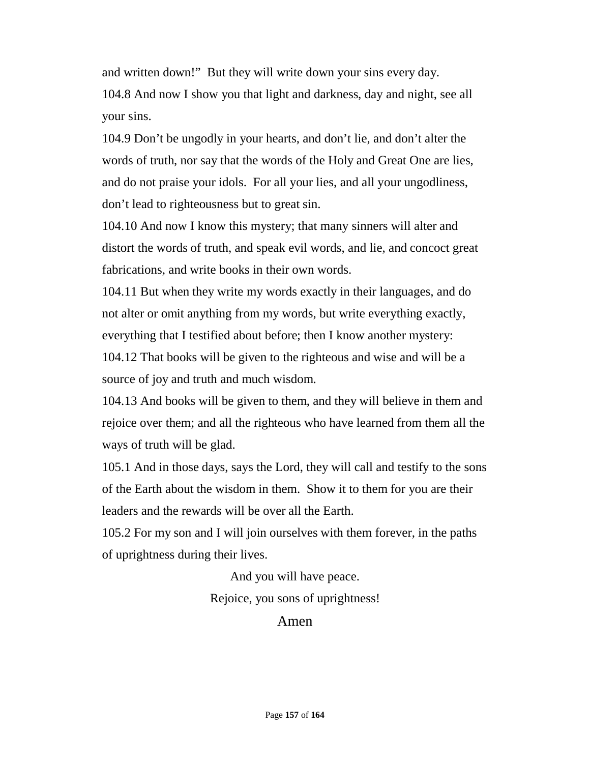and written down!" But they will write down your sins every day.

104.8 And now I show you that light and darkness, day and night, see all your sins.

104.9 Don't be ungodly in your hearts, and don't lie, and don't alter the words of truth, nor say that the words of the Holy and Great One are lies, and do not praise your idols. For all your lies, and all your ungodliness, don't lead to righteousness but to great sin.

104.10 And now I know this mystery; that many sinners will alter and distort the words of truth, and speak evil words, and lie, and concoct great fabrications, and write books in their own words.

104.11 But when they write my words exactly in their languages, and do not alter or omit anything from my words, but write everything exactly, everything that I testified about before; then I know another mystery:

104.12 That books will be given to the righteous and wise and will be a source of joy and truth and much wisdom.

104.13 And books will be given to them, and they will believe in them and rejoice over them; and all the righteous who have learned from them all the ways of truth will be glad.

105.1 And in those days, says the Lord, they will call and testify to the sons of the Earth about the wisdom in them. Show it to them for you are their leaders and the rewards will be over all the Earth.

105.2 For my son and I will join ourselves with them forever, in the paths of uprightness during their lives.

> And you will have peace. Rejoice, you sons of uprightness!

> > Amen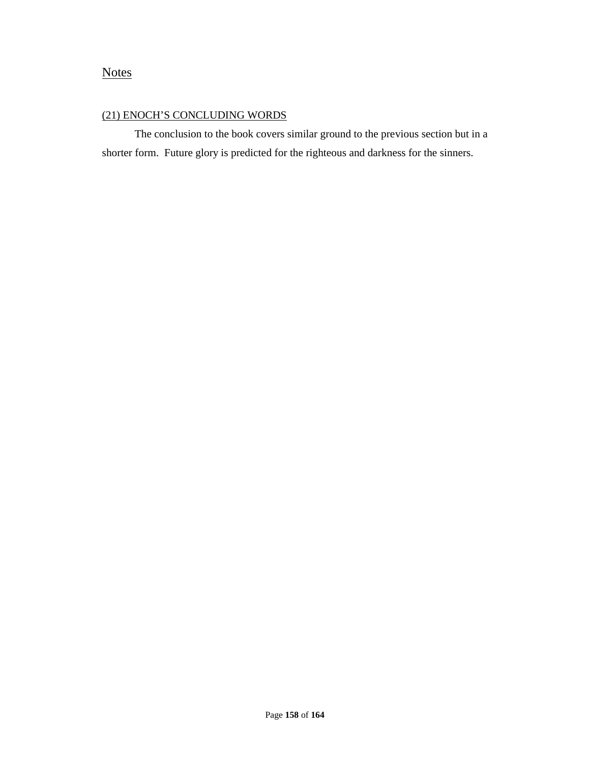#### **Notes**

#### (21) ENOCH'S CONCLUDING WORDS

The conclusion to the book covers similar ground to the previous section but in a shorter form. Future glory is predicted for the righteous and darkness for the sinners.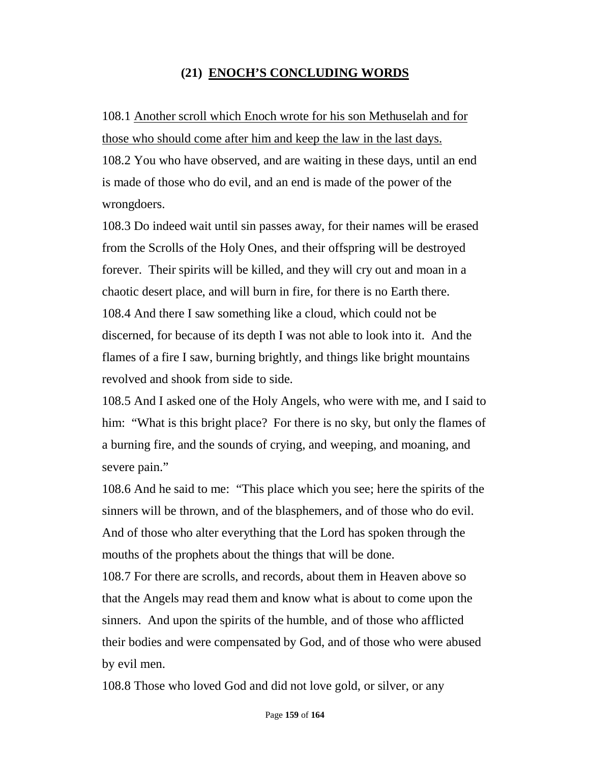### **(21) ENOCH'S CONCLUDING WORDS**

## 108.1 Another scroll which Enoch wrote for his son Methuselah and for those who should come after him and keep the law in the last days.

108.2 You who have observed, and are waiting in these days, until an end is made of those who do evil, and an end is made of the power of the wrongdoers.

108.3 Do indeed wait until sin passes away, for their names will be erased from the Scrolls of the Holy Ones, and their offspring will be destroyed forever. Their spirits will be killed, and they will cry out and moan in a chaotic desert place, and will burn in fire, for there is no Earth there. 108.4 And there I saw something like a cloud, which could not be discerned, for because of its depth I was not able to look into it. And the flames of a fire I saw, burning brightly, and things like bright mountains revolved and shook from side to side.

108.5 And I asked one of the Holy Angels, who were with me, and I said to him: "What is this bright place? For there is no sky, but only the flames of a burning fire, and the sounds of crying, and weeping, and moaning, and severe pain."

108.6 And he said to me: "This place which you see; here the spirits of the sinners will be thrown, and of the blasphemers, and of those who do evil. And of those who alter everything that the Lord has spoken through the mouths of the prophets about the things that will be done.

108.7 For there are scrolls, and records, about them in Heaven above so that the Angels may read them and know what is about to come upon the sinners. And upon the spirits of the humble, and of those who afflicted their bodies and were compensated by God, and of those who were abused by evil men.

108.8 Those who loved God and did not love gold, or silver, or any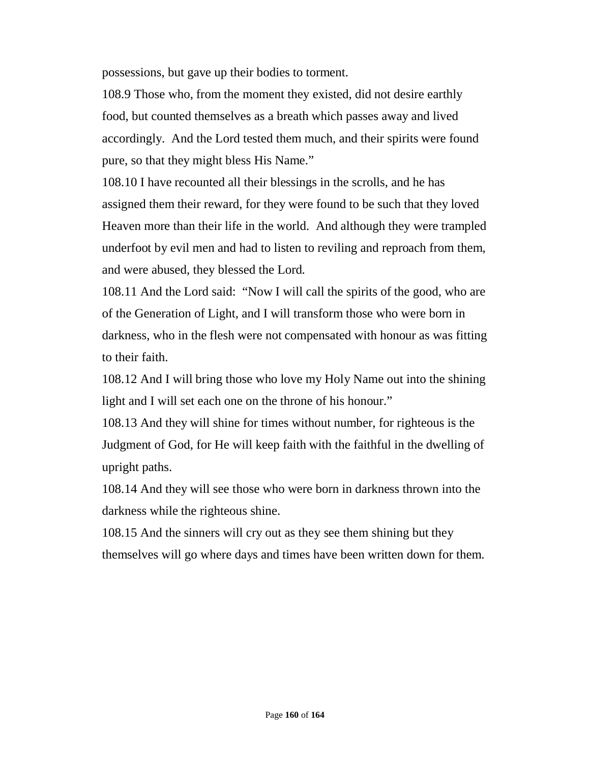possessions, but gave up their bodies to torment.

108.9 Those who, from the moment they existed, did not desire earthly food, but counted themselves as a breath which passes away and lived accordingly. And the Lord tested them much, and their spirits were found pure, so that they might bless His Name."

108.10 I have recounted all their blessings in the scrolls, and he has assigned them their reward, for they were found to be such that they loved Heaven more than their life in the world. And although they were trampled underfoot by evil men and had to listen to reviling and reproach from them, and were abused, they blessed the Lord.

108.11 And the Lord said: "Now I will call the spirits of the good, who are of the Generation of Light, and I will transform those who were born in darkness, who in the flesh were not compensated with honour as was fitting to their faith.

108.12 And I will bring those who love my Holy Name out into the shining light and I will set each one on the throne of his honour."

108.13 And they will shine for times without number, for righteous is the Judgment of God, for He will keep faith with the faithful in the dwelling of upright paths.

108.14 And they will see those who were born in darkness thrown into the darkness while the righteous shine.

108.15 And the sinners will cry out as they see them shining but they themselves will go where days and times have been written down for them.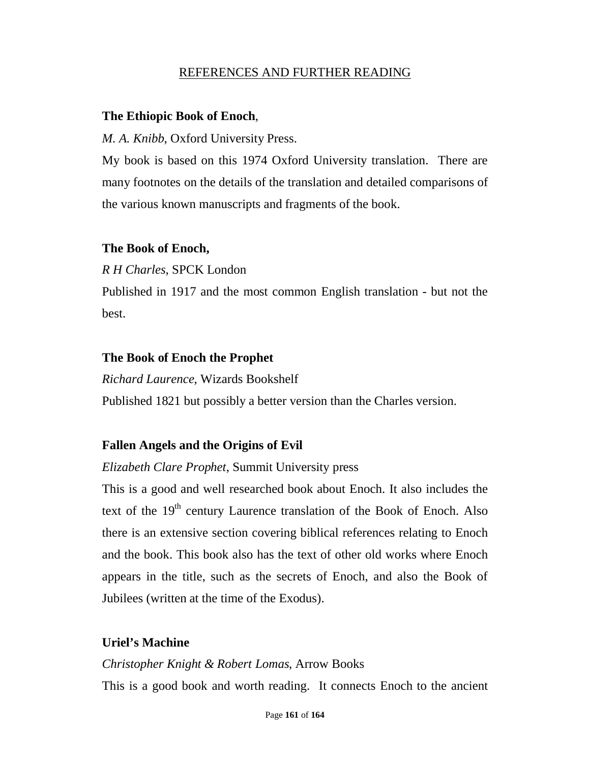#### REFERENCES AND FURTHER READING

#### **The Ethiopic Book of Enoch**,

*M. A. Knibb*, Oxford University Press.

My book is based on this 1974 Oxford University translation. There are many footnotes on the details of the translation and detailed comparisons of the various known manuscripts and fragments of the book.

#### **The Book of Enoch,**

*R H Charles*, SPCK London

Published in 1917 and the most common English translation - but not the best.

#### **The Book of Enoch the Prophet**

*Richard Laurence*, Wizards Bookshelf Published 1821 but possibly a better version than the Charles version.

# **Fallen Angels and the Origins of Evil**

*Elizabeth Clare Prophet*, Summit University press

This is a good and well researched book about Enoch. It also includes the text of the 19<sup>th</sup> century Laurence translation of the Book of Enoch. Also there is an extensive section covering biblical references relating to Enoch and the book. This book also has the text of other old works where Enoch appears in the title, such as the secrets of Enoch, and also the Book of Jubilees (written at the time of the Exodus).

## **Uriel's Machine**

#### *Christopher Knight & Robert Lomas*, Arrow Books

This is a good book and worth reading. It connects Enoch to the ancient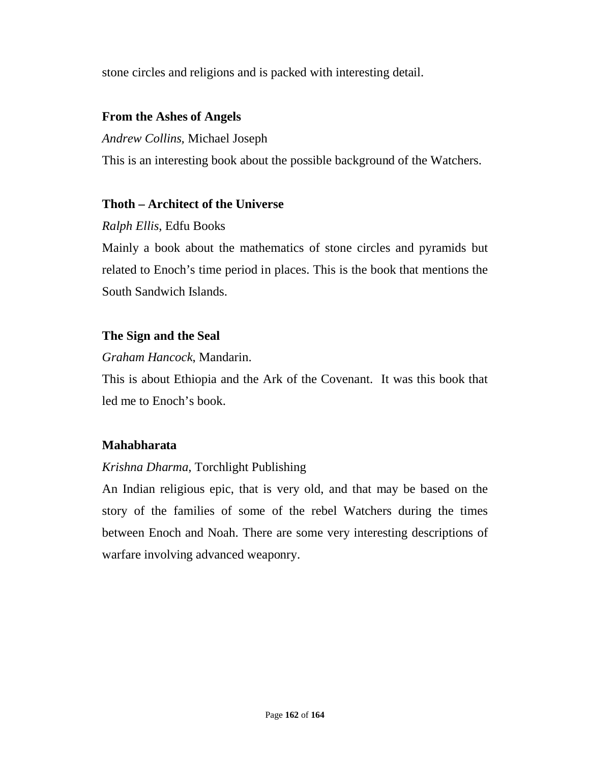stone circles and religions and is packed with interesting detail.

### **From the Ashes of Angels**

*Andrew Collins,* Michael Joseph

This is an interesting book about the possible background of the Watchers.

#### **Thoth – Architect of the Universe**

## *Ralph Ellis*, Edfu Books

Mainly a book about the mathematics of stone circles and pyramids but related to Enoch's time period in places. This is the book that mentions the South Sandwich Islands.

## **The Sign and the Seal**

## *Graham Hancock*, Mandarin.

This is about Ethiopia and the Ark of the Covenant. It was this book that led me to Enoch's book.

## **Mahabharata**

## *Krishna Dharma*, Torchlight Publishing

An Indian religious epic, that is very old, and that may be based on the story of the families of some of the rebel Watchers during the times between Enoch and Noah. There are some very interesting descriptions of warfare involving advanced weaponry.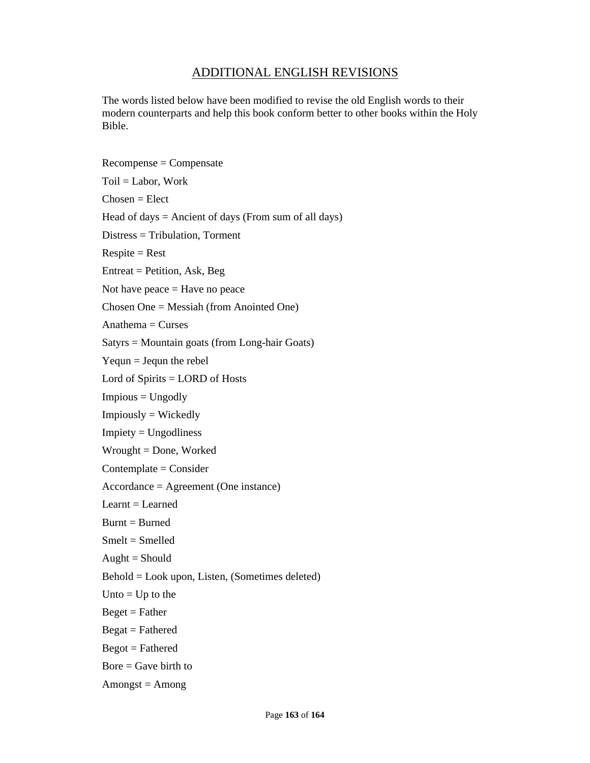#### ADDITIONAL ENGLISH REVISIONS

The words listed below have been modified to revise the old English words to their modern counterparts and help this book conform better to other books within the Holy Bible.

Recompense = Compensate  $Toil = Labor$ , Work  $Chosen = Elect$ Head of days  $=$  Ancient of days (From sum of all days) Distress = Tribulation, Torment  $Respite = Rest$ Entreat = Petition, Ask, Beg Not have peace  $=$  Have no peace Chosen One = Messiah (from Anointed One)  $Anathema = Cures$ Satyrs = Mountain goats (from Long-hair Goats)  $Yequn = Jequn$  the rebel Lord of Spirits = LORD of Hosts Impious = Ungodly Impiously = Wickedly Impiety = Ungodliness Wrought = Done, Worked Contemplate = Consider Accordance = Agreement (One instance)  $Learn = Learning$  $B$ urnt =  $B$ urned Smelt = Smelled  $Aught = Should$ Behold = Look upon, Listen, (Sometimes deleted) Unto  $=$  Up to the  $Beget = Father$  $Begat = Fathered$  $Begot = Fathered$  $Bore = Gave birth to$  $Amongst = Among$